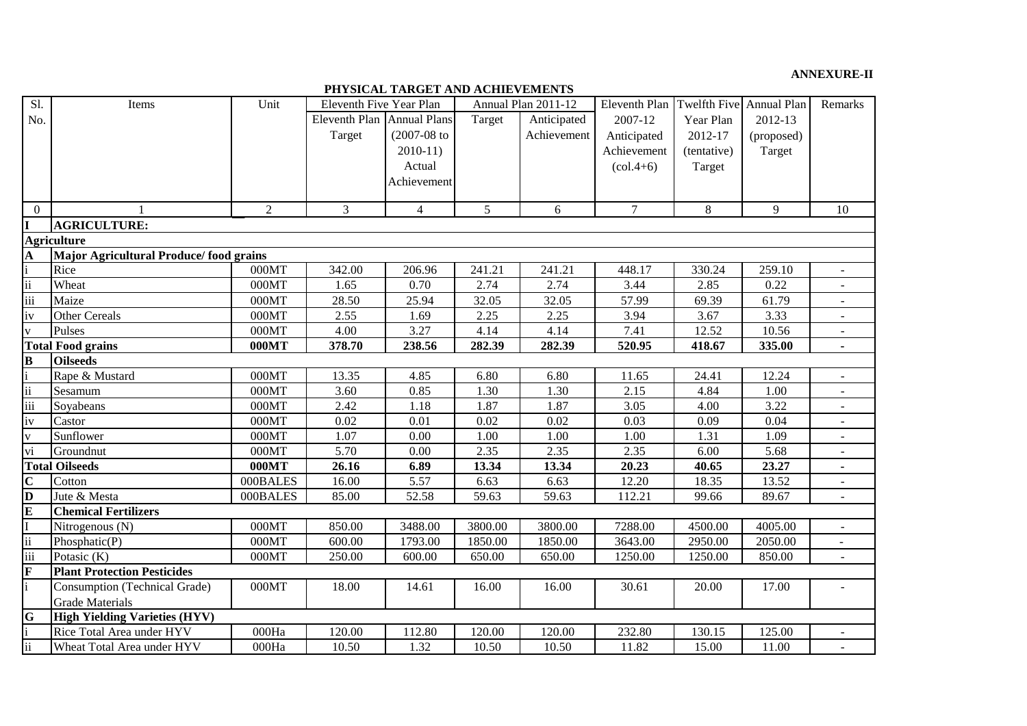## **ANNEXURE-II**

**PHYSICAL TARGET AND ACHIEVEMENTS**

| Sl.                     | Items                                  | Unit     | Eleventh Five Year Plan |                     |         | Annual Plan 2011-12 | Eleventh Plan | Twelfth Five Annual Plan |            | Remarks                  |
|-------------------------|----------------------------------------|----------|-------------------------|---------------------|---------|---------------------|---------------|--------------------------|------------|--------------------------|
| No.                     |                                        |          | <b>Eleventh Plan</b>    | <b>Annual Plans</b> | Target  | Anticipated         | 2007-12       | Year Plan                | 2012-13    |                          |
|                         |                                        |          | Target                  | $(2007 - 08)$ to    |         | Achievement         | Anticipated   | 2012-17                  | (proposed) |                          |
|                         |                                        |          |                         | $2010-11)$          |         |                     | Achievement   | (tentative)              | Target     |                          |
|                         |                                        |          |                         | Actual              |         |                     | $(col.4+6)$   | Target                   |            |                          |
|                         |                                        |          |                         | Achievement         |         |                     |               |                          |            |                          |
|                         |                                        |          |                         |                     |         |                     |               |                          |            |                          |
| $\Omega$                |                                        | 2        | 3                       | $\overline{4}$      | 5       | 6                   | $\tau$        | 8                        | 9          | 10                       |
|                         | <b>AGRICULTURE:</b>                    |          |                         |                     |         |                     |               |                          |            |                          |
|                         | <b>Agriculture</b>                     |          |                         |                     |         |                     |               |                          |            |                          |
| $\mathbf{A}$            | Major Agricultural Produce/food grains |          |                         |                     |         |                     |               |                          |            |                          |
|                         | Rice                                   | 000MT    | 342.00                  | 206.96              | 241.21  | 241.21              | 448.17        | 330.24                   | 259.10     | $\overline{a}$           |
| $\ddot{\mathbf{i}}$     | Wheat                                  | 000MT    | 1.65                    | 0.70                | 2.74    | 2.74                | 3.44          | 2.85                     | 0.22       | $\blacksquare$           |
| $\overline{iii}$        | Maize                                  | 000MT    | 28.50                   | 25.94               | 32.05   | 32.05               | 57.99         | 69.39                    | 61.79      | $\sim$                   |
| iv                      | Other Cereals                          | 000MT    | 2.55                    | 1.69                | 2.25    | 2.25                | 3.94          | 3.67                     | 3.33       | ÷.                       |
| $\overline{\mathbf{v}}$ | Pulses                                 | 000MT    | 4.00                    | 3.27                | 4.14    | 4.14                | 7.41          | 12.52                    | 10.56      | $\overline{\phantom{a}}$ |
|                         | <b>Total Food grains</b>               | 000MT    | 378.70                  | 238.56              | 282.39  | 282.39              | 520.95        | 418.67                   | 335.00     |                          |
| $\bf{B}$                | <b>Oilseeds</b>                        |          |                         |                     |         |                     |               |                          |            |                          |
|                         | Rape & Mustard                         | 000MT    | 13.35                   | 4.85                | 6.80    | 6.80                | 11.65         | 24.41                    | 12.24      | $\overline{a}$           |
| $\ddot{\rm ii}$         | Sesamum                                | 000MT    | 3.60                    | 0.85                | 1.30    | 1.30                | 2.15          | 4.84                     | 1.00       |                          |
| $\overline{iii}$        | Soyabeans                              | 000MT    | 2.42                    | 1.18                | 1.87    | 1.87                | 3.05          | 4.00                     | 3.22       |                          |
| iv                      | Castor                                 | 000MT    | 0.02                    | 0.01                | 0.02    | 0.02                | 0.03          | 0.09                     | 0.04       | $\blacksquare$           |
| $\mathbf{v}$            | Sunflower                              | 000MT    | 1.07                    | 0.00                | 1.00    | 1.00                | 1.00          | 1.31                     | 1.09       |                          |
| vi                      | Groundnut                              | 000MT    | 5.70                    | 0.00                | 2.35    | 2.35                | 2.35          | 6.00                     | 5.68       |                          |
|                         | <b>Total Oilseeds</b>                  | 000MT    | 26.16                   | 6.89                | 13.34   | 13.34               | 20.23         | 40.65                    | 23.27      |                          |
| $\overline{\mathbf{C}}$ | Cotton                                 | 000BALES | 16.00                   | 5.57                | 6.63    | 6.63                | 12.20         | 18.35                    | 13.52      |                          |
| $\mathbf{D}$            | Jute & Mesta                           | 000BALES | 85.00                   | 52.58               | 59.63   | 59.63               | 112.21        | 99.66                    | 89.67      | $\equiv$                 |
| $\bf{E}$                | <b>Chemical Fertilizers</b>            |          |                         |                     |         |                     |               |                          |            |                          |
|                         | Nitrogenous (N)                        | 000MT    | 850.00                  | 3488.00             | 3800.00 | 3800.00             | 7288.00       | 4500.00                  | 4005.00    |                          |
| $\ddot{\mathbf{u}}$     | Phosphatic(P)                          | 000MT    | 600.00                  | 1793.00             | 1850.00 | 1850.00             | 3643.00       | 2950.00                  | 2050.00    |                          |
| $\overline{iii}$        | Potasic (K)                            | 000MT    | 250.00                  | 600.00              | 650.00  | 650.00              | 1250.00       | 1250.00                  | 850.00     |                          |
| $\overline{\mathbf{F}}$ | <b>Plant Protection Pesticides</b>     |          |                         |                     |         |                     |               |                          |            |                          |
|                         | <b>Consumption (Technical Grade)</b>   | 000MT    | 18.00                   | 14.61               | 16.00   | 16.00               | 30.61         | 20.00                    | 17.00      |                          |
|                         | <b>Grade Materials</b>                 |          |                         |                     |         |                     |               |                          |            |                          |
| G                       | <b>High Yielding Varieties (HYV)</b>   |          |                         |                     |         |                     |               |                          |            |                          |
|                         | Rice Total Area under HYV              | 000Ha    | 120.00                  | 112.80              | 120.00  | 120.00              | 232.80        | 130.15                   | 125.00     |                          |
| $\ddot{\mathbf{i}}$     | Wheat Total Area under HYV             | 000Ha    | 10.50                   | 1.32                | 10.50   | 10.50               | 11.82         | 15.00                    | 11.00      |                          |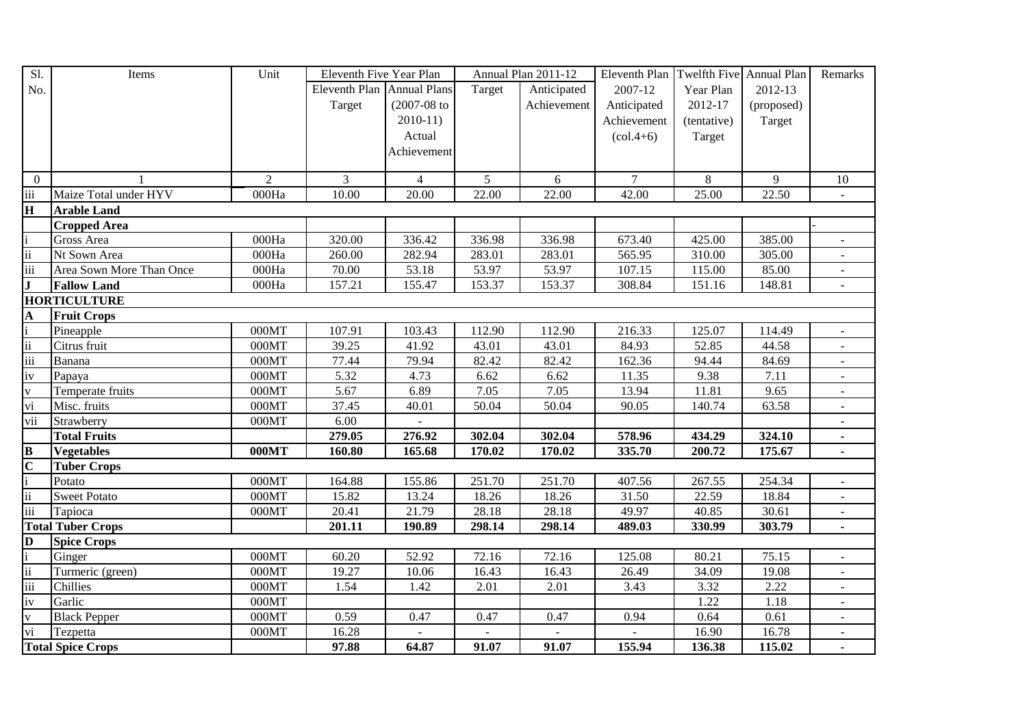| Sl.                      | Items                    | Unit               | Eleventh Five Year Plan    |                  |                | Annual Plan 2011-12 | Eleventh Plan   Twelfth Five   Annual Plan |                |            | Remarks        |
|--------------------------|--------------------------|--------------------|----------------------------|------------------|----------------|---------------------|--------------------------------------------|----------------|------------|----------------|
| No.                      |                          |                    | Eleventh Plan Annual Plans |                  | Target         | Anticipated         | 2007-12                                    | Year Plan      | 2012-13    |                |
|                          |                          |                    | Target                     | $(2007 - 08)$ to |                | Achievement         | Anticipated                                | 2012-17        | (proposed) |                |
|                          |                          |                    |                            | $2010-11$        |                |                     | Achievement                                | (tentative)    | Target     |                |
|                          |                          |                    |                            | Actual           |                |                     | $\left( \text{col.4+6} \right)$            | Target         |            |                |
|                          |                          |                    |                            | Achievement      |                |                     |                                            |                |            |                |
|                          |                          |                    |                            |                  |                |                     |                                            |                |            |                |
| $\boldsymbol{0}$         |                          | $\overline{2}$     | 3                          | $\overline{4}$   | 5 <sup>5</sup> | 6                   | $\tau$                                     | $8\phantom{.}$ | 9          | 10             |
| $\overline{iii}$         | Maize Total under HYV    | 000Ha              | 10.00                      | 20.00            | 22.00          | 22.00               | 42.00                                      | 25.00          | 22.50      | $\sim$         |
| $\mathbf H$              | <b>Arable Land</b>       |                    |                            |                  |                |                     |                                            |                |            |                |
|                          | <b>Cropped Area</b>      |                    |                            |                  |                |                     |                                            |                |            |                |
|                          | Gross Area               | 000Ha              | 320.00                     | 336.42           | 336.98         | 336.98              | 673.40                                     | 425.00         | 385.00     |                |
| $\ddot{\mathbf{i}}$      | Nt Sown Area             | 000Ha              | 260.00                     | 282.94           | 283.01         | 283.01              | 565.95                                     | 310.00         | 305.00     |                |
| $\overline{\text{iii}}$  | Area Sown More Than Once | 000Ha              | 70.00                      | 53.18            | 53.97          | 53.97               | 107.15                                     | 115.00         | 85.00      |                |
| $\mathbf{J}$             | <b>Fallow Land</b>       | 000Ha              | 157.21                     | 155.47           | 153.37         | 153.37              | 308.84                                     | 151.16         | 148.81     |                |
|                          | <b>HORTICULTURE</b>      |                    |                            |                  |                |                     |                                            |                |            |                |
| A                        | <b>Fruit Crops</b>       |                    |                            |                  |                |                     |                                            |                |            |                |
|                          | Pineapple                | $\overline{000MT}$ | 107.91                     | 103.43           | 112.90         | 112.90              | 216.33                                     | 125.07         | 114.49     | $\sim$         |
| $\mathbf{ii}$            | Citrus fruit             | 000MT              | 39.25                      | 41.92            | 43.01          | 43.01               | 84.93                                      | 52.85          | 44.58      | $\equiv$       |
| $\overline{\text{iii}}$  | Banana                   | 000MT              | 77.44                      | 79.94            | 82.42          | 82.42               | 162.36                                     | 94.44          | 84.69      | $\sim$         |
| iv                       | Papaya                   | 000MT              | 5.32                       | 4.73             | 6.62           | 6.62                | 11.35                                      | 9.38           | 7.11       | $\blacksquare$ |
| $\mathbf{V}$             | Temperate fruits         | 000MT              | 5.67                       | 6.89             | 7.05           | 7.05                | 13.94                                      | 11.81          | 9.65       |                |
| vi                       | Misc. fruits             | 000MT              | 37.45                      | 40.01            | 50.04          | 50.04               | 90.05                                      | 140.74         | 63.58      |                |
| vii                      | Strawberry               | 000MT              | 6.00                       |                  |                |                     |                                            |                |            |                |
|                          | <b>Total Fruits</b>      |                    | 279.05                     | 276.92           | 302.04         | 302.04              | 578.96                                     | 434.29         | 324.10     |                |
| $\bf{B}$                 | <b>Vegetables</b>        | 000MT              | 160.80                     | 165.68           | 170.02         | 170.02              | 335.70                                     | 200.72         | 175.67     | $\blacksquare$ |
| $\overline{C}$           | <b>Tuber Crops</b>       |                    |                            |                  |                |                     |                                            |                |            |                |
|                          | Potato                   | 000MT              | 164.88                     | 155.86           | 251.70         | 251.70              | 407.56                                     | 267.55         | 254.34     |                |
| $\overline{\textbf{ii}}$ | <b>Sweet Potato</b>      | 000MT              | 15.82                      | 13.24            | 18.26          | 18.26               | 31.50                                      | 22.59          | 18.84      |                |
| iii                      | Tapioca                  | 000MT              | 20.41                      | 21.79            | 28.18          | 28.18               | 49.97                                      | 40.85          | 30.61      |                |
|                          | <b>Total Tuber Crops</b> |                    | 201.11                     | 190.89           | 298.14         | 298.14              | 489.03                                     | 330.99         | 303.79     | $\blacksquare$ |
| D                        | <b>Spice Crops</b>       |                    |                            |                  |                |                     |                                            |                |            |                |
|                          | Ginger                   | 000MT              | 60.20                      | 52.92            | 72.16          | 72.16               | 125.08                                     | 80.21          | 75.15      | $\blacksquare$ |
| $\ddot{\rm n}$           | Turmeric (green)         | 000MT              | 19.27                      | 10.06            | 16.43          | 16.43               | 26.49                                      | 34.09          | 19.08      |                |
| $\overline{\text{iii}}$  | Chillies                 | 000MT              | 1.54                       | 1.42             | 2.01           | 2.01                | 3.43                                       | 3.32           | 2.22       |                |
| iv                       | Garlic                   | 000MT              |                            |                  |                |                     |                                            | 1.22           | 1.18       |                |
| $\mathbf V$              | <b>Black Pepper</b>      | 000MT              | 0.59                       | 0.47             | 0.47           | 0.47                | 0.94                                       | 0.64           | 0.61       |                |
| $\overline{vi}$          | Tezpetta                 | 000MT              | 16.28                      |                  |                | $\blacksquare$      |                                            | 16.90          | 16.78      |                |
|                          | <b>Total Spice Crops</b> |                    | 97.88                      | 64.87            | 91.07          | 91.07               | 155.94                                     | 136.38         | 115.02     |                |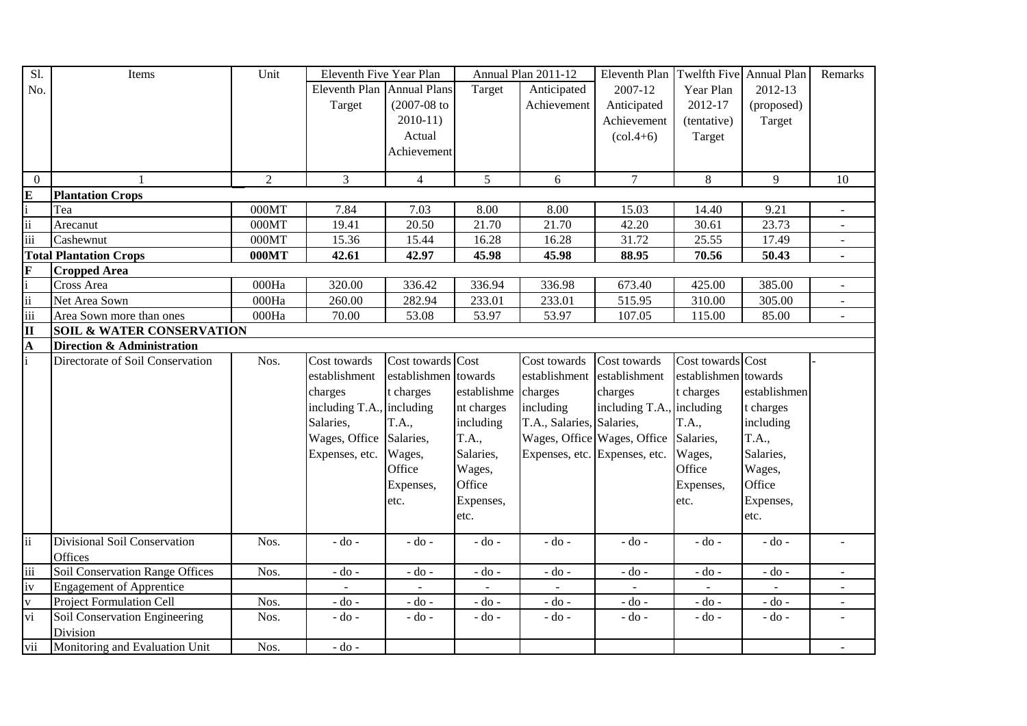| $\overline{SI}$                  | Items                                 | Unit           | Eleventh Five Year Plan    |                      |                | Annual Plan 2011-12       | Eleventh Plan                   | Twelfth Five Annual Plan |                          | Remarks                  |
|----------------------------------|---------------------------------------|----------------|----------------------------|----------------------|----------------|---------------------------|---------------------------------|--------------------------|--------------------------|--------------------------|
| No.                              |                                       |                | Eleventh Plan Annual Plans |                      | Target         | Anticipated               | 2007-12                         | Year Plan                | 2012-13                  |                          |
|                                  |                                       |                | Target                     | $(2007-08$ to        |                | Achievement               | Anticipated                     | 2012-17                  | (proposed)               |                          |
|                                  |                                       |                |                            | $2010-11$            |                |                           | Achievement                     | (tentative)              | Target                   |                          |
|                                  |                                       |                |                            | Actual               |                |                           | $\left( \text{col.4+6} \right)$ | Target                   |                          |                          |
|                                  |                                       |                |                            | Achievement          |                |                           |                                 |                          |                          |                          |
|                                  |                                       |                |                            |                      |                |                           |                                 |                          |                          |                          |
| $\overline{0}$                   | $\mathbf{1}$                          | $\overline{2}$ | 3                          | $\overline{4}$       | 5              | 6                         | $\overline{7}$                  | $8\,$                    | 9                        | 10                       |
| $\frac{1}{2}$ iii                | <b>Plantation Crops</b>               |                |                            |                      |                |                           |                                 |                          |                          |                          |
|                                  | Tea                                   | 000MT          | 7.84                       | 7.03                 | 8.00           | 8.00                      | 15.03                           | 14.40                    | 9.21                     | $\blacksquare$           |
|                                  | Arecanut                              | 000MT          | 19.41                      | 20.50                | 21.70          | 21.70                     | 42.20                           | 30.61                    | 23.73                    | $\overline{\phantom{a}}$ |
| iii                              | Cashewnut                             | 000MT          | 15.36                      | 15.44                | 16.28          | 16.28                     | 31.72                           | 25.55                    | 17.49                    | $\overline{\phantom{a}}$ |
|                                  | <b>Total Plantation Crops</b>         | 000MT          | 42.61                      | 42.97                | 45.98          | 45.98                     | 88.95                           | 70.56                    | 50.43                    | $\blacksquare$           |
| $\frac{\mathbf{F}}{\mathbf{ii}}$ | <b>Cropped Area</b>                   |                |                            |                      |                |                           |                                 |                          |                          |                          |
|                                  | Cross Area                            | 000Ha          | 320.00                     | 336.42               | 336.94         | 336.98                    | 673.40                          | 425.00                   | 385.00                   | $\sim$                   |
|                                  | Net Area Sown                         | 000Ha          | 260.00                     | 282.94               | 233.01         | 233.01                    | 515.95                          | 310.00                   | 305.00                   | $\sim$                   |
|                                  | Area Sown more than ones              | 000Ha          | 70.00                      | 53.08                | 53.97          | 53.97                     | 107.05                          | 115.00                   | 85.00                    |                          |
| $\overline{\text{II}}$           | <b>SOIL &amp; WATER CONSERVATION</b>  |                |                            |                      |                |                           |                                 |                          |                          |                          |
| A                                | <b>Direction &amp; Administration</b> |                |                            |                      |                |                           |                                 |                          |                          |                          |
| $\overline{\mathbf{i}}$          | Directorate of Soil Conservation      | Nos.           | Cost towards               | Cost towards Cost    |                | Cost towards              | Cost towards                    | Cost towards             | Cost                     |                          |
|                                  |                                       |                | establishment              | establishmen towards |                | establishment             | establishment                   | establishmen towards     |                          |                          |
|                                  |                                       |                | charges                    | t charges            | establishme    | charges                   | charges                         | t charges                | establishmen             |                          |
|                                  |                                       |                | including T.A., including  |                      | nt charges     | including                 | including T.A.,                 | including                | t charges                |                          |
|                                  |                                       |                | Salaries,                  | T.A.,                | including      | T.A., Salaries, Salaries, |                                 | T.A.,                    | including                |                          |
|                                  |                                       |                | Wages, Office Salaries,    |                      | <b>T.A.,</b>   |                           | Wages, Office Wages, Office     | Salaries,                | T.A.,                    |                          |
|                                  |                                       |                | Expenses, etc.             | Wages,               | Salaries,      |                           | Expenses, etc. Expenses, etc.   | Wages,                   | Salaries,                |                          |
|                                  |                                       |                |                            | Office               | Wages,         |                           |                                 | Office                   | Wages,                   |                          |
|                                  |                                       |                |                            | Expenses,            | Office         |                           |                                 | Expenses,                | Office                   |                          |
|                                  |                                       |                |                            | etc.                 | Expenses,      |                           |                                 | etc.                     | Expenses,                |                          |
|                                  |                                       |                |                            |                      | etc.           |                           |                                 |                          | etc.                     |                          |
|                                  |                                       |                |                            |                      |                |                           |                                 |                          |                          |                          |
| $\overline{\mathbf{ii}}$         | <b>Divisional Soil Conservation</b>   | Nos.           | $-do -$                    | $-do -$              | $-do -$        | $-do -$                   | - do -                          | $-do$ -                  | $-do -$                  | $\sim$                   |
|                                  | Offices                               |                |                            |                      |                |                           |                                 |                          |                          |                          |
| iii                              | Soil Conservation Range Offices       | Nos.           | $-$ do $-$                 | - do -               | - do -         | - do -                    | - do -                          | - do -                   | - do -                   | $\blacksquare$           |
| iv                               | <b>Engagement of Apprentice</b>       |                | $\blacksquare$             | $\blacksquare$       | $\blacksquare$ | $\blacksquare$            | $\sim$                          | $\blacksquare$           | $\overline{\phantom{a}}$ | $\blacksquare$           |
| $\mathbf V$                      | <b>Project Formulation Cell</b>       | Nos.           | $-do$ -                    | $-do -$              | $-do -$        | $-do -$                   | $-do -$                         | $-do$ -                  | $-do -$                  | $\blacksquare$           |
| vi                               | Soil Conservation Engineering         | Nos.           | - do -                     | - do -               | - do -         | $-do$ -                   | $-$ do $-$                      | - do -                   | $-do -$                  |                          |
|                                  | Division                              |                |                            |                      |                |                           |                                 |                          |                          |                          |
| vii                              | Monitoring and Evaluation Unit        | Nos.           | $-do -$                    |                      |                |                           |                                 |                          |                          |                          |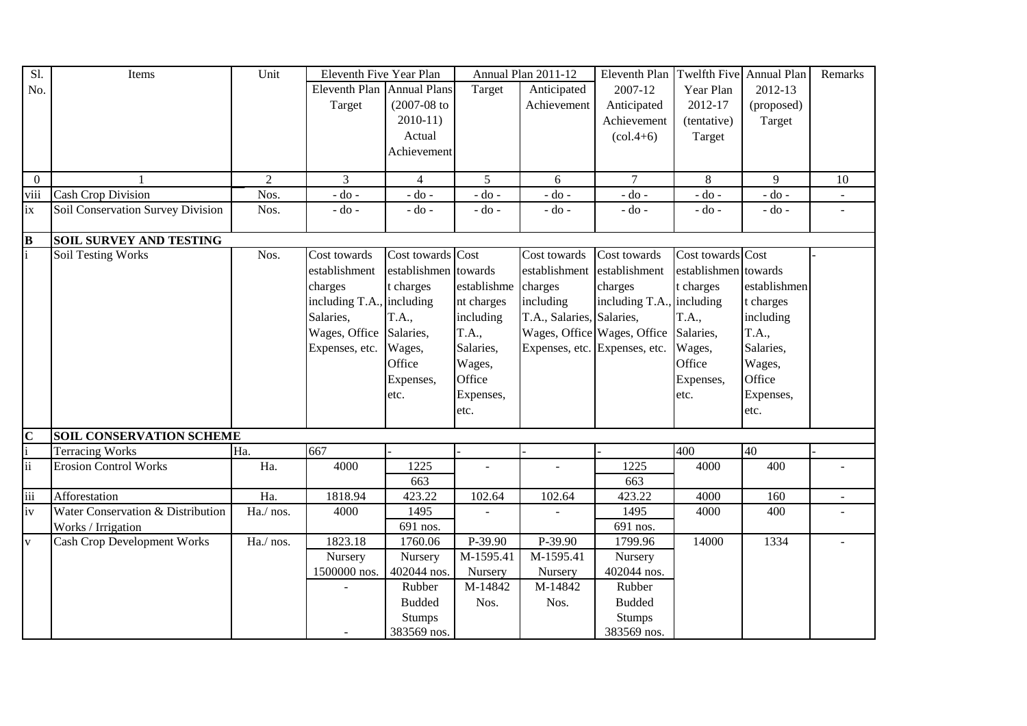| S1.             | Items                              | Unit           | Eleventh Five Year Plan    |                      |                          | Annual Plan 2011-12       | Eleventh Plan                 | Twelfth Five         | Annual Plan  | Remarks |
|-----------------|------------------------------------|----------------|----------------------------|----------------------|--------------------------|---------------------------|-------------------------------|----------------------|--------------|---------|
| No.             |                                    |                | Eleventh Plan Annual Plans |                      | Target                   | Anticipated               | 2007-12                       | Year Plan            | 2012-13      |         |
|                 |                                    |                | Target                     | $(2007 - 08)$ to     |                          | Achievement               | Anticipated                   | 2012-17              | (proposed)   |         |
|                 |                                    |                |                            | $2010-11$            |                          |                           | Achievement                   | (tentative)          | Target       |         |
|                 |                                    |                |                            | Actual               |                          |                           | $(col.4+6)$                   | Target               |              |         |
|                 |                                    |                |                            | Achievement          |                          |                           |                               |                      |              |         |
|                 |                                    |                |                            |                      |                          |                           |                               |                      |              |         |
| $\theta$        | $\mathbf{1}$                       | $\overline{2}$ | 3                          | $\overline{4}$       | 5 <sup>5</sup>           | 6                         | $\overline{7}$                | 8                    | 9            | 10      |
| viii            | <b>Cash Crop Division</b>          | Nos.           | $-$ do $-$                 | $-$ do $-$           | $-$ do $-$               | $-$ do $-$                | $-$ do $-$                    | - do -               | $-$ do $-$   |         |
| ix              | Soil Conservation Survey Division  | Nos.           | $-do -$                    | $-do$ -              | $-do-$                   | $-do -$                   | - do -                        | - do -               | $-$ do $-$   |         |
| B               | <b>SOIL SURVEY AND TESTING</b>     |                |                            |                      |                          |                           |                               |                      |              |         |
|                 | <b>Soil Testing Works</b>          | Nos.           | Cost towards               | Cost towards Cost    |                          | Cost towards              | Cost towards                  | Cost towards Cost    |              |         |
|                 |                                    |                | establishment              | establishmen towards |                          | establishment             | establishment                 | establishmen towards |              |         |
|                 |                                    |                | charges                    | t charges            | establishme              | charges                   | charges                       | t charges            | establishmen |         |
|                 |                                    |                | including T.A., including  |                      | nt charges               | including                 | including T.A., including     |                      | t charges    |         |
|                 |                                    |                | Salaries,                  | T.A.,                | including                | T.A., Salaries, Salaries, |                               | T.A.,                | including    |         |
|                 |                                    |                | Wages, Office              | Salaries,            | T.A.,                    |                           | Wages, Office Wages, Office   | Salaries,            | T.A.,        |         |
|                 |                                    |                | Expenses, etc.             | Wages,               | Salaries,                |                           | Expenses, etc. Expenses, etc. | Wages,               | Salaries,    |         |
|                 |                                    |                |                            | Office               | Wages,                   |                           |                               | Office               | Wages,       |         |
|                 |                                    |                |                            | Expenses,            | Office                   |                           |                               | Expenses,            | Office       |         |
|                 |                                    |                |                            | etc.                 | Expenses,                |                           |                               | etc.                 | Expenses,    |         |
|                 |                                    |                |                            |                      | etc.                     |                           |                               |                      | etc.         |         |
|                 |                                    |                |                            |                      |                          |                           |                               |                      |              |         |
| $\mathbf C$     | <b>SOIL CONSERVATION SCHEME</b>    |                |                            |                      |                          |                           |                               |                      |              |         |
|                 | <b>Terracing Works</b>             | Ha.            | 667                        |                      |                          |                           |                               | 400                  | 40           |         |
| $\ddot{\rm ii}$ | <b>Erosion Control Works</b>       | Ha.            | 4000                       | 1225                 | $\overline{\phantom{a}}$ | L.                        | 1225                          | 4000                 | 400          |         |
|                 |                                    |                |                            | 663                  |                          |                           | 663                           |                      |              |         |
| iii             | Afforestation                      | Ha.            | 1818.94                    | 423.22               | 102.64                   | 102.64                    | 423.22                        | 4000                 | 160          |         |
| iv              | Water Conservation & Distribution  | Ha./ nos.      | 4000                       | 1495                 |                          |                           | 1495                          | 4000                 | 400          |         |
|                 | Works / Irrigation                 |                |                            | 691 nos.             |                          |                           | 691 nos.                      |                      |              |         |
| V               | <b>Cash Crop Development Works</b> | Ha./ nos.      | 1823.18                    | 1760.06              | P-39.90                  | P-39.90                   | 1799.96                       | 14000                | 1334         |         |
|                 |                                    |                | Nursery                    | Nursery              | M-1595.41                | M-1595.41                 | Nursery                       |                      |              |         |
|                 |                                    |                | 1500000 nos.               | 402044 nos.          | Nursery                  | Nursery                   | 402044 nos.                   |                      |              |         |
|                 |                                    |                |                            | Rubber               | M-14842                  | M-14842                   | Rubber                        |                      |              |         |
|                 |                                    |                |                            | <b>Budded</b>        | Nos.                     | Nos.                      | <b>Budded</b>                 |                      |              |         |
|                 |                                    |                |                            | <b>Stumps</b>        |                          |                           | <b>Stumps</b>                 |                      |              |         |
|                 |                                    |                |                            | 383569 nos.          |                          |                           | 383569 nos.                   |                      |              |         |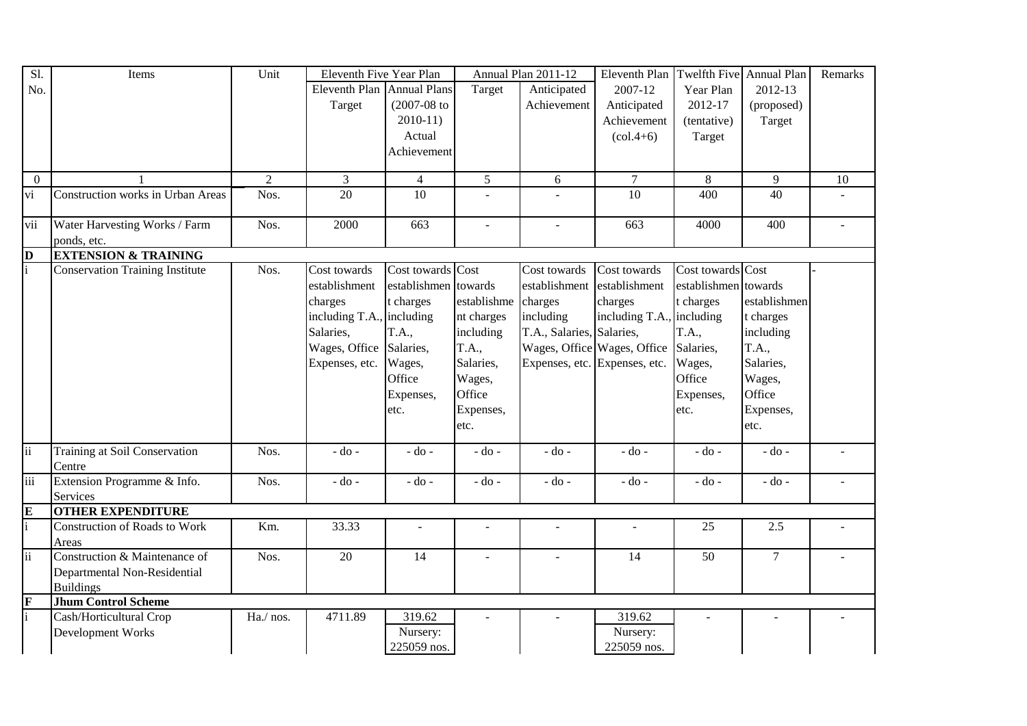| Sl.                      | Items                                    | Unit           | Eleventh Five Year Plan    |                      |                | Annual Plan 2011-12       | Eleventh Plan                   | <b>Twelfth Five</b>  | Annual Plan    | Remarks |
|--------------------------|------------------------------------------|----------------|----------------------------|----------------------|----------------|---------------------------|---------------------------------|----------------------|----------------|---------|
| No.                      |                                          |                | Eleventh Plan Annual Plans |                      | Target         | Anticipated               | 2007-12                         | Year Plan            | 2012-13        |         |
|                          |                                          |                | Target                     | $(2007 - 08)$ to     |                | Achievement               | Anticipated                     | 2012-17              | (proposed)     |         |
|                          |                                          |                |                            | $2010-11$            |                |                           | Achievement                     | (tentative)          | Target         |         |
|                          |                                          |                |                            | Actual               |                |                           | $\left( \text{col.4+6} \right)$ | Target               |                |         |
|                          |                                          |                |                            | Achievement          |                |                           |                                 |                      |                |         |
|                          |                                          |                |                            |                      |                |                           |                                 |                      |                |         |
| $\overline{0}$           |                                          | $\overline{2}$ | 3                          | $\overline{4}$       | $\mathfrak{S}$ | 6                         | $\tau$                          | 8                    | 9              | 10      |
| vi                       | <b>Construction works in Urban Areas</b> | Nos.           | 20                         | 10                   | $\sim$         |                           | 10                              | 400                  | 40             |         |
| vii                      | Water Harvesting Works / Farm            | Nos.           | 2000                       | 663                  |                | $\blacksquare$            | 663                             | 4000                 | 400            |         |
|                          | ponds, etc.                              |                |                            |                      |                |                           |                                 |                      |                |         |
| $\overline{\mathbf{D}}$  | <b>EXTENSION &amp; TRAINING</b>          |                |                            |                      |                |                           |                                 |                      |                |         |
|                          | <b>Conservation Training Institute</b>   | Nos.           | Cost towards               | Cost towards Cost    |                | Cost towards              | Cost towards                    | Cost towards Cost    |                |         |
|                          |                                          |                | establishment              | establishmen towards |                | establishment             | establishment                   | establishmen towards |                |         |
|                          |                                          |                | charges                    | t charges            | establishme    | charges                   | charges                         | t charges            | establishmen   |         |
|                          |                                          |                | including T.A., including  |                      | nt charges     | including                 | including T.A., including       |                      | t charges      |         |
|                          |                                          |                | Salaries,                  | <b>T.A.,</b>         | including      | T.A., Salaries, Salaries, |                                 | <b>T.A.,</b>         | including      |         |
|                          |                                          |                | Wages, Office              | Salaries,            | T.A.,          |                           | Wages, Office Wages, Office     | Salaries,            | <b>T.A.,</b>   |         |
|                          |                                          |                | Expenses, etc.             | Wages,               | Salaries,      |                           | Expenses, etc. Expenses, etc.   | Wages,               | Salaries,      |         |
|                          |                                          |                |                            | Office               | Wages,         |                           |                                 | Office               | Wages,         |         |
|                          |                                          |                |                            | Expenses,            | Office         |                           |                                 | Expenses,            | Office         |         |
|                          |                                          |                |                            | etc.                 | Expenses,      |                           |                                 | etc.                 | Expenses,      |         |
|                          |                                          |                |                            |                      | etc.           |                           |                                 |                      | etc.           |         |
|                          |                                          |                |                            |                      |                |                           |                                 |                      |                |         |
| $\overline{\mathbf{ii}}$ | Training at Soil Conservation            | Nos.           | $-do -$                    | $-do -$              | $-do -$        | $-do$ -                   | $-do -$                         | $-do -$              | $-do -$        |         |
|                          | Centre                                   |                |                            |                      |                |                           |                                 |                      |                |         |
| iii                      | Extension Programme & Info.              | Nos.           | $-do -$                    | $-do$ -              | $-do -$        | $-do -$                   | $-do -$                         | - do -               | - do -         |         |
|                          | Services                                 |                |                            |                      |                |                           |                                 |                      |                |         |
| $\overline{\mathbf{E}}$  | <b>OTHER EXPENDITURE</b>                 |                |                            |                      |                |                           |                                 |                      |                |         |
| $\mathbf{i}$             | Construction of Roads to Work            | Km.            | 33.33                      | $\sim$               |                |                           | $\blacksquare$                  | 25                   | 2.5            |         |
|                          | Areas                                    |                |                            |                      |                |                           |                                 |                      |                |         |
| $\overline{\mathbf{ii}}$ | Construction & Maintenance of            | Nos.           | 20                         | 14                   |                |                           | 14                              | 50                   | $\overline{7}$ |         |
|                          | Departmental Non-Residential             |                |                            |                      |                |                           |                                 |                      |                |         |
|                          | <b>Buildings</b>                         |                |                            |                      |                |                           |                                 |                      |                |         |
| $\frac{F}{i}$            | <b>Jhum Control Scheme</b>               |                |                            |                      |                |                           |                                 |                      |                |         |
|                          | Cash/Horticultural Crop                  | Ha./ nos.      | 4711.89                    | 319.62               |                |                           | 319.62                          |                      |                |         |
|                          | Development Works                        |                |                            | Nursery:             |                |                           | Nursery:                        |                      |                |         |
|                          |                                          |                |                            | 225059 nos.          |                |                           | 225059 nos.                     |                      |                |         |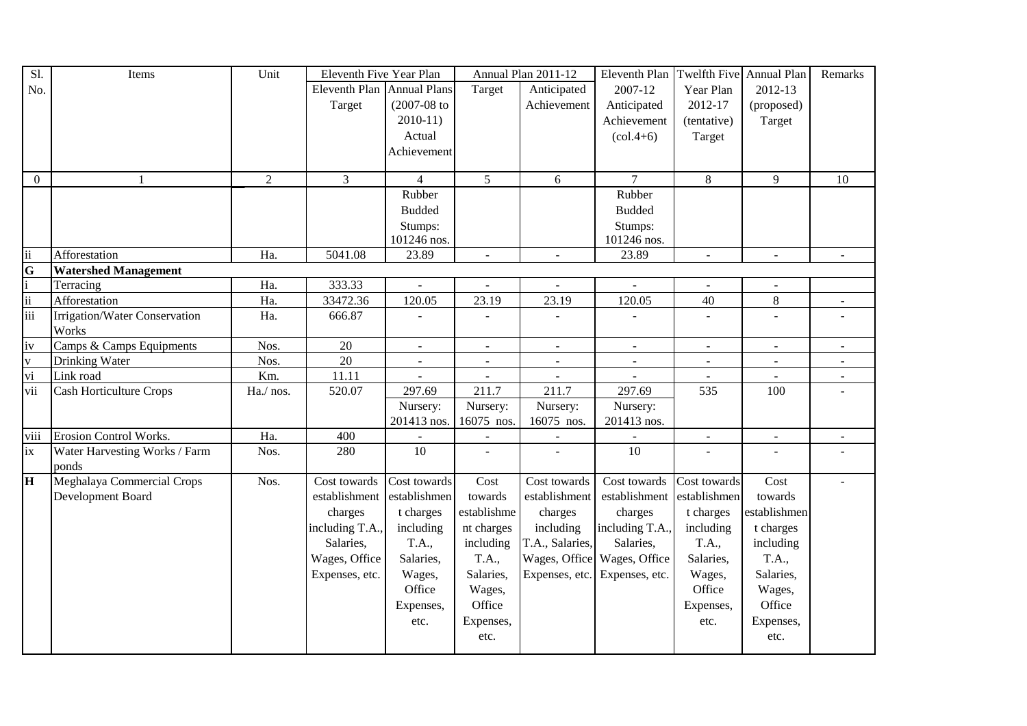| Sl.                     | Items                          | Unit           | Eleventh Five Year Plan    |                          |                | Annual Plan 2011-12      | Eleventh Plan                   | Twelfth Five   | Annual Plan              | Remarks      |
|-------------------------|--------------------------------|----------------|----------------------------|--------------------------|----------------|--------------------------|---------------------------------|----------------|--------------------------|--------------|
| No.                     |                                |                | Eleventh Plan Annual Plans |                          | Target         | Anticipated              | 2007-12                         | Year Plan      | 2012-13                  |              |
|                         |                                |                | Target                     | $(2007 - 08)$ to         |                | Achievement              | Anticipated                     | 2012-17        | (proposed)               |              |
|                         |                                |                |                            | $2010-11$                |                |                          | Achievement                     | (tentative)    | Target                   |              |
|                         |                                |                |                            | Actual                   |                |                          | $\left( \text{col.4+6} \right)$ | Target         |                          |              |
|                         |                                |                |                            | Achievement              |                |                          |                                 |                |                          |              |
|                         |                                |                |                            |                          |                |                          |                                 |                |                          |              |
| $\mathbf{0}$            | 1                              | $\overline{2}$ | 3                          | $\overline{4}$           | 5              | 6                        | $\overline{7}$                  | $8\,$          | 9                        | 10           |
|                         |                                |                |                            | Rubber                   |                |                          | Rubber                          |                |                          |              |
|                         |                                |                |                            | <b>Budded</b>            |                |                          | <b>Budded</b>                   |                |                          |              |
|                         |                                |                |                            | Stumps:                  |                |                          | Stumps:                         |                |                          |              |
|                         |                                |                |                            | 101246 nos.              |                |                          | 101246 nos.                     |                |                          |              |
| ii                      | Afforestation                  | Ha.            | 5041.08                    | 23.89                    | $\blacksquare$ | $\overline{\phantom{a}}$ | 23.89                           | $\blacksquare$ | $\mathbf{r}$             | $\mathbf{r}$ |
| $\overline{\mathbf{G}}$ | <b>Watershed Management</b>    |                |                            |                          |                |                          |                                 |                |                          |              |
| $\frac{1}{11}$          | Terracing                      | Ha.            | 333.33                     |                          |                |                          |                                 |                |                          |              |
|                         | Afforestation                  | Ha.            | 33472.36                   | 120.05                   | 23.19          | 23.19                    | 120.05                          | 40             | $\,8\,$                  |              |
| iii                     | Irrigation/Water Conservation  | Ha.            | 666.87                     |                          |                |                          |                                 |                | $\overline{a}$           |              |
|                         | Works                          |                |                            |                          |                |                          |                                 |                |                          |              |
| iv                      | Camps & Camps Equipments       | Nos.           | 20                         | $\overline{\phantom{a}}$ | $\equiv$       |                          |                                 | $\blacksquare$ | $\blacksquare$           |              |
| $\mathbf{V}$            | Drinking Water                 | Nos.           | 20                         |                          |                |                          |                                 |                |                          |              |
| vi                      | Link road                      | Km.            | 11.11                      | ÷.                       | $\omega$       | $\sim$                   |                                 |                | $\overline{\phantom{a}}$ |              |
| vii                     | <b>Cash Horticulture Crops</b> | Ha./ nos.      | 520.07                     | 297.69                   | 211.7          | 211.7                    | 297.69                          | 535            | 100                      |              |
|                         |                                |                |                            | Nursery:                 | Nursery:       | Nursery:                 | Nursery:                        |                |                          |              |
|                         |                                |                |                            | 201413 nos.              | 16075 nos.     | 16075 nos.               | 201413 nos.                     |                |                          |              |
| viii                    | <b>Erosion Control Works.</b>  | Ha.            | 400                        |                          |                |                          |                                 | $\blacksquare$ | $\blacksquare$           |              |
| ix                      | Water Harvesting Works / Farm  | Nos.           | 280                        | 10                       |                | $\sim$                   | 10                              |                |                          |              |
|                         | ponds                          |                |                            |                          |                |                          |                                 |                |                          |              |
| lн                      | Meghalaya Commercial Crops     | Nos.           | Cost towards               | Cost towards             | Cost           | Cost towards             | Cost towards                    | Cost towards   | Cost                     |              |
|                         | Development Board              |                | establishment              | establishmen             | towards        | establishment            | establishment                   | establishmen   | towards                  |              |
|                         |                                |                | charges                    | t charges                | establishme    | charges                  | charges                         | t charges      | establishmen             |              |
|                         |                                |                | including T.A.,            | including                | nt charges     | including                | including T.A.,                 | including      | t charges                |              |
|                         |                                |                | Salaries,                  | T.A.,                    | including      | T.A., Salaries,          | Salaries,                       | T.A.,          | including                |              |
|                         |                                |                | Wages, Office              | Salaries,                | T.A.,          | Wages, Office            | Wages, Office                   | Salaries,      | T.A.,                    |              |
|                         |                                |                | Expenses, etc.             | Wages,                   | Salaries,      | Expenses, etc.           | Expenses, etc.                  | Wages,         | Salaries,                |              |
|                         |                                |                |                            | Office                   | Wages,         |                          |                                 | Office         | Wages,                   |              |
|                         |                                |                |                            | Expenses,                | Office         |                          |                                 | Expenses,      | Office                   |              |
|                         |                                |                |                            | etc.                     | Expenses,      |                          |                                 | etc.           | Expenses,                |              |
|                         |                                |                |                            |                          | etc.           |                          |                                 |                | etc.                     |              |
|                         |                                |                |                            |                          |                |                          |                                 |                |                          |              |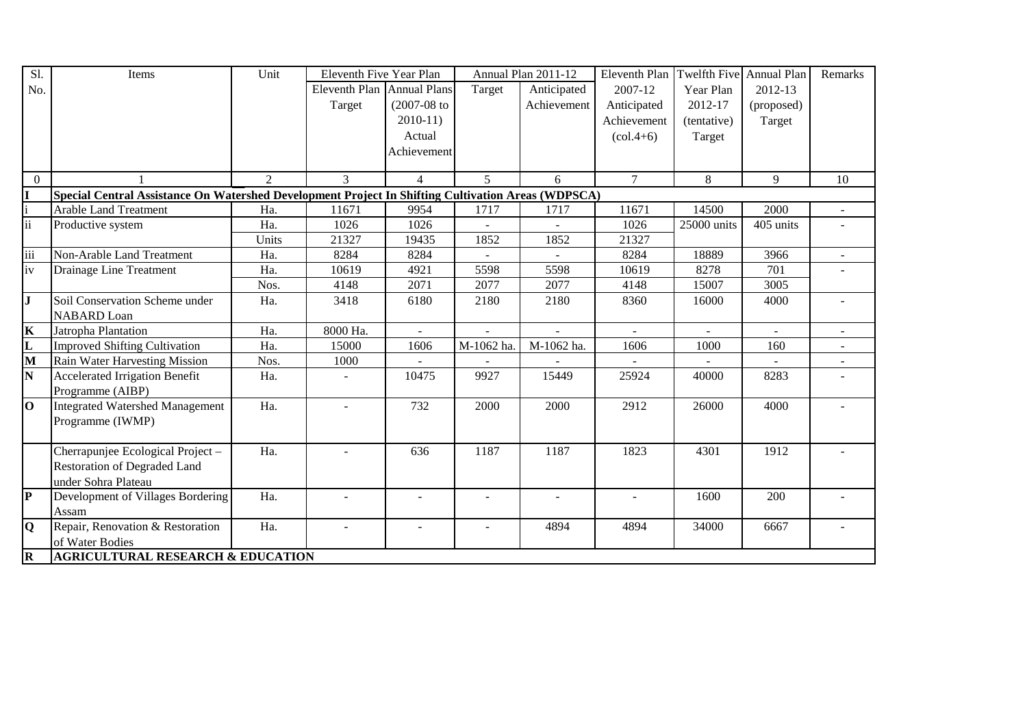| Sl.                      | Items                                                                                              | Unit  | Eleventh Five Year Plan    |                          |             | Annual Plan 2011-12 | Eleventh Plan                 | <b>Twelfth Five</b> | Annual Plan | Remarks                  |
|--------------------------|----------------------------------------------------------------------------------------------------|-------|----------------------------|--------------------------|-------------|---------------------|-------------------------------|---------------------|-------------|--------------------------|
| No.                      |                                                                                                    |       | Eleventh Plan Annual Plans |                          | Target      | Anticipated         | 2007-12                       | Year Plan           | 2012-13     |                          |
|                          |                                                                                                    |       | Target                     | $(2007-08$ to            |             | Achievement         | Anticipated                   | 2012-17             | (proposed)  |                          |
|                          |                                                                                                    |       |                            | $2010-11$                |             |                     | Achievement                   | (tentative)         | Target      |                          |
|                          |                                                                                                    |       |                            | Actual                   |             |                     | $\left(\text{col.4+6}\right)$ | Target              |             |                          |
|                          |                                                                                                    |       |                            | Achievement              |             |                     |                               |                     |             |                          |
|                          |                                                                                                    |       |                            |                          |             |                     |                               |                     |             |                          |
| $\overline{0}$           |                                                                                                    | 2     | 3                          | $\overline{4}$           | $5^{\circ}$ | 6                   | $\tau$                        | 8                   | 9           | 10                       |
| I                        | Special Central Assistance On Watershed Development Project In Shifting Cultivation Areas (WDPSCA) |       |                            |                          |             |                     |                               |                     |             |                          |
| $\mathbf{i}$             | <b>Arable Land Treatment</b>                                                                       | Ha.   | 11671                      | 9954                     | 1717        | 1717                | 11671                         | 14500               | 2000        | $\overline{\phantom{a}}$ |
| $\overline{\mathbf{ii}}$ | Productive system                                                                                  | Ha.   | 1026                       | 1026                     |             |                     | 1026                          | 25000 units         | 405 units   |                          |
|                          |                                                                                                    | Units | 21327                      | 19435                    | 1852        | 1852                | 21327                         |                     |             |                          |
| iii                      | Non-Arable Land Treatment                                                                          | Ha.   | 8284                       | 8284                     |             | $\equiv$            | 8284                          | 18889               | 3966        | $\blacksquare$           |
| iv                       | Drainage Line Treatment                                                                            | Ha.   | 10619                      | 4921                     | 5598        | 5598                | 10619                         | 8278                | 701         |                          |
|                          |                                                                                                    | Nos.  | 4148                       | 2071                     | 2077        | 2077                | 4148                          | 15007               | 3005        |                          |
| $\mathbf{J}$             | Soil Conservation Scheme under                                                                     | Ha.   | 3418                       | 6180                     | 2180        | 2180                | 8360                          | 16000               | 4000        |                          |
|                          | <b>NABARD</b> Loan                                                                                 |       |                            |                          |             |                     |                               |                     |             |                          |
| $\overline{\mathbf{K}}$  | Jatropha Plantation                                                                                | Ha.   | 8000 Ha.                   | $\overline{\phantom{0}}$ |             |                     | $\sim$                        | $\overline{a}$      | $\sim$      |                          |
| L                        | <b>Improved Shifting Cultivation</b>                                                               | Ha.   | 15000                      | 1606                     | M-1062 ha.  | M-1062 ha.          | 1606                          | 1000                | 160         |                          |
| M                        | Rain Water Harvesting Mission                                                                      | Nos.  | 1000                       |                          |             |                     |                               |                     |             |                          |
| N                        | <b>Accelerated Irrigation Benefit</b>                                                              | Ha.   | $\blacksquare$             | 10475                    | 9927        | 15449               | 25924                         | 40000               | 8283        |                          |
|                          | Programme (AIBP)                                                                                   |       |                            |                          |             |                     |                               |                     |             |                          |
| $\bf{0}$                 | <b>Integrated Watershed Management</b>                                                             | Ha.   |                            | 732                      | 2000        | 2000                | 2912                          | 26000               | 4000        |                          |
|                          | Programme (IWMP)                                                                                   |       |                            |                          |             |                     |                               |                     |             |                          |
|                          |                                                                                                    |       |                            |                          |             |                     |                               |                     |             |                          |
|                          | Cherrapunjee Ecological Project -                                                                  | Ha.   | $\overline{a}$             | 636                      | 1187        | 1187                | 1823                          | 4301                | 1912        |                          |
|                          | <b>Restoration of Degraded Land</b>                                                                |       |                            |                          |             |                     |                               |                     |             |                          |
|                          | under Sohra Plateau                                                                                |       |                            |                          |             |                     |                               |                     |             |                          |
| P                        | Development of Villages Bordering                                                                  | Ha.   | $\blacksquare$             | $\overline{a}$           |             | $\overline{a}$      | $\blacksquare$                | 1600                | 200         |                          |
|                          | Assam                                                                                              |       |                            |                          |             |                     |                               |                     |             |                          |
| Q                        | Repair, Renovation & Restoration                                                                   | Ha.   |                            |                          |             | 4894                | 4894                          | 34000               | 6667        |                          |
|                          | of Water Bodies                                                                                    |       |                            |                          |             |                     |                               |                     |             |                          |
| R                        | <b>AGRICULTURAL RESEARCH &amp; EDUCATION</b>                                                       |       |                            |                          |             |                     |                               |                     |             |                          |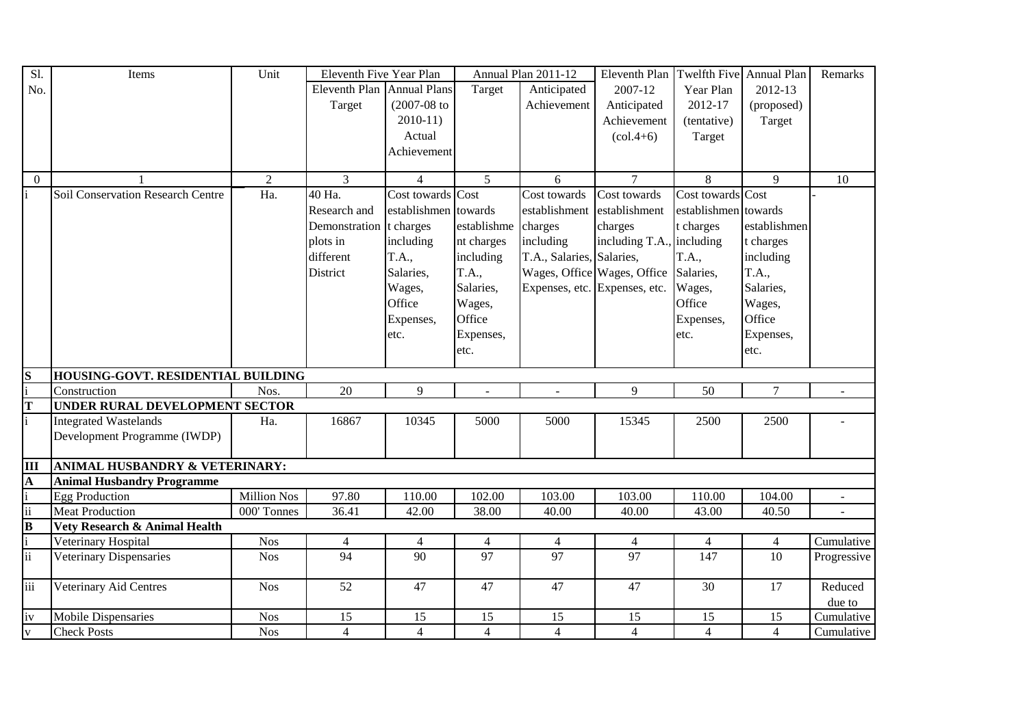| Sl.                     | Items                              | Unit               | Eleventh Five Year Plan    |                      |                | Annual Plan 2011-12       | Eleventh Plan                   |                      | Twelfth Five Annual Plan | Remarks     |
|-------------------------|------------------------------------|--------------------|----------------------------|----------------------|----------------|---------------------------|---------------------------------|----------------------|--------------------------|-------------|
| No.                     |                                    |                    | Eleventh Plan Annual Plans |                      | Target         | Anticipated               | 2007-12                         | Year Plan            | 2012-13                  |             |
|                         |                                    |                    | Target                     | $(2007 - 08)$ to     |                | Achievement               | Anticipated                     | 2012-17              | (proposed)               |             |
|                         |                                    |                    |                            | $2010-11$            |                |                           | Achievement                     | (tentative)          | Target                   |             |
|                         |                                    |                    |                            | Actual               |                |                           | $\left( \text{col.4+6} \right)$ | Target               |                          |             |
|                         |                                    |                    |                            | Achievement          |                |                           |                                 |                      |                          |             |
|                         |                                    |                    |                            |                      |                |                           |                                 |                      |                          |             |
| $\theta$                |                                    | $\overline{2}$     | $\overline{3}$             | $\overline{4}$       | $\overline{5}$ | 6                         | $\overline{7}$                  | 8                    | $\overline{9}$           | 10          |
|                         | Soil Conservation Research Centre  | Ha.                | 40 Ha.                     | Cost towards Cost    |                | Cost towards              | Cost towards                    | Cost towards Cost    |                          |             |
|                         |                                    |                    | Research and               | establishmen towards |                | establishment             | establishment                   | establishmen towards |                          |             |
|                         |                                    |                    | Demonstration t charges    |                      | establishme    | charges                   | charges                         | t charges            | establishmen             |             |
|                         |                                    |                    | plots in                   | including            | nt charges     | including                 | including T.A.,                 | including            | t charges                |             |
|                         |                                    |                    | different                  | T.A.,                | including      | T.A., Salaries, Salaries, |                                 | T.A.,                | including                |             |
|                         |                                    |                    | District                   | Salaries,            | T.A.,          |                           | Wages, Office Wages, Office     | Salaries,            | T.A.,                    |             |
|                         |                                    |                    |                            | Wages,               | Salaries,      |                           | Expenses, etc. Expenses, etc.   | Wages,               | Salaries,                |             |
|                         |                                    |                    |                            | Office               | Wages,         |                           |                                 | Office               | Wages,                   |             |
|                         |                                    |                    |                            | Expenses,            | Office         |                           |                                 | Expenses,            | Office                   |             |
|                         |                                    |                    |                            | etc.                 | Expenses,      |                           |                                 | etc.                 | Expenses,                |             |
|                         |                                    |                    |                            |                      | etc.           |                           |                                 |                      | etc.                     |             |
|                         |                                    |                    |                            |                      |                |                           |                                 |                      |                          |             |
| S                       | HOUSING-GOVT. RESIDENTIAL BUILDING |                    |                            |                      |                |                           |                                 |                      |                          |             |
| i                       | Construction                       | Nos.               | 20                         | 9                    | $\blacksquare$ | $\overline{\phantom{a}}$  | 9                               | 50                   | $\overline{7}$           | $\sim$      |
| T                       | UNDER RURAL DEVELOPMENT SECTOR     |                    |                            |                      |                |                           |                                 |                      |                          |             |
| $\mathbf{i}$            | <b>Integrated Wastelands</b>       | Ha.                | 16867                      | 10345                | 5000           | 5000                      | 15345                           | 2500                 | 2500                     |             |
|                         | Development Programme (IWDP)       |                    |                            |                      |                |                           |                                 |                      |                          |             |
|                         |                                    |                    |                            |                      |                |                           |                                 |                      |                          |             |
| $\overline{\mathbf{H}}$ | ANIMAL HUSBANDRY & VETERINARY:     |                    |                            |                      |                |                           |                                 |                      |                          |             |
| ${\bf A}$               | <b>Animal Husbandry Programme</b>  |                    |                            |                      |                |                           |                                 |                      |                          |             |
| $\mathbf{i}$            | <b>Egg Production</b>              | <b>Million Nos</b> | 97.80                      | 110.00               | 102.00         | 103.00                    | 103.00                          | 110.00               | 104.00                   |             |
| ii                      | <b>Meat Production</b>             | 000' Tonnes        | 36.41                      | 42.00                | 38.00          | 40.00                     | 40.00                           | 43.00                | 40.50                    |             |
| B                       | Vety Research & Animal Health      |                    |                            |                      |                |                           |                                 |                      |                          |             |
| $\frac{1}{11}$          | Veterinary Hospital                | <b>Nos</b>         | 4                          | 4                    | $\overline{4}$ | $\overline{4}$            | 4                               | $\overline{4}$       | $\overline{4}$           | Cumulative  |
|                         | Veterinary Dispensaries            | <b>Nos</b>         | $\overline{94}$            | $\overline{90}$      | 97             | 97                        | 97                              | 147                  | 10                       | Progressive |
| iii                     | Veterinary Aid Centres             | <b>Nos</b>         | 52                         | 47                   | 47             | 47                        | 47                              | 30                   | 17                       | Reduced     |
|                         |                                    |                    |                            |                      |                |                           |                                 |                      |                          | due to      |
| iv                      | <b>Mobile Dispensaries</b>         | <b>Nos</b>         | 15                         | 15                   | 15             | 15                        | 15                              | 15                   | 15                       | Cumulative  |
| $\bar{\mathbf{V}}$      | <b>Check Posts</b>                 | <b>Nos</b>         | $\overline{4}$             | $\overline{4}$       | $\overline{4}$ | $\overline{4}$            | $\overline{4}$                  | $\overline{4}$       | $\overline{4}$           | Cumulative  |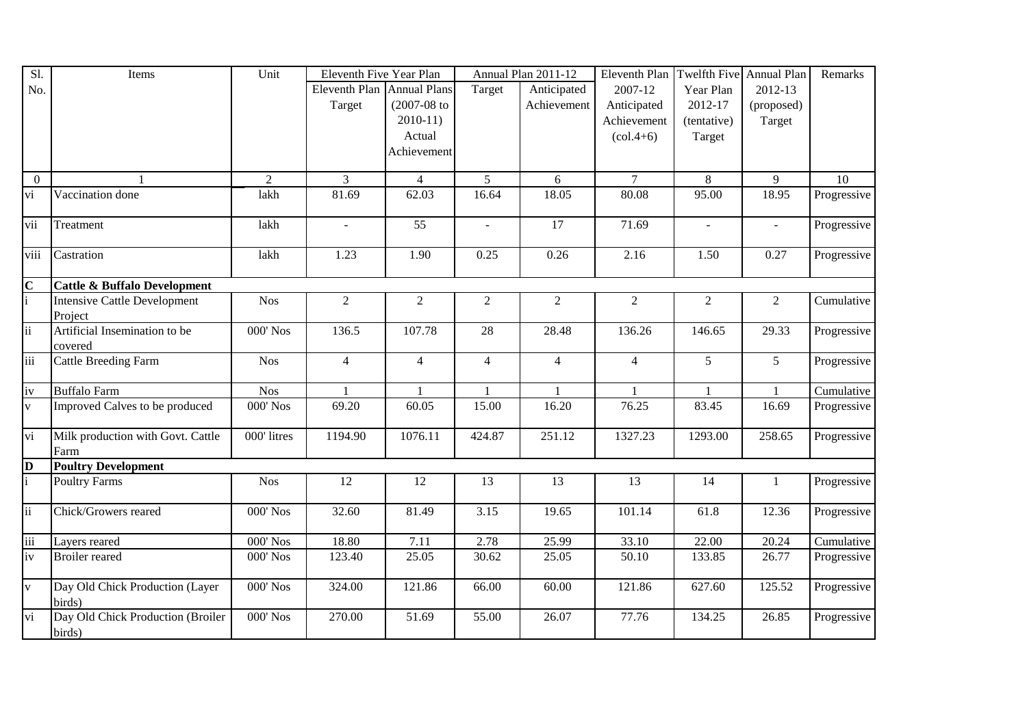| Sl.                     | Items                                       | Unit           | Eleventh Five Year Plan    |                  |                | Annual Plan 2011-12 | Eleventh Plan  | Twelfth Five   | Annual Plan                 | Remarks     |
|-------------------------|---------------------------------------------|----------------|----------------------------|------------------|----------------|---------------------|----------------|----------------|-----------------------------|-------------|
| No.                     |                                             |                | Eleventh Plan Annual Plans |                  | Target         | Anticipated         | 2007-12        | Year Plan      | 2012-13                     |             |
|                         |                                             |                | Target                     | $(2007 - 08)$ to |                | Achievement         | Anticipated    | 2012-17        | (proposed)                  |             |
|                         |                                             |                |                            | $2010-11$        |                |                     | Achievement    | (tentative)    | Target                      |             |
|                         |                                             |                |                            | Actual           |                |                     | $(col.4+6)$    | Target         |                             |             |
|                         |                                             |                |                            | Achievement      |                |                     |                |                |                             |             |
|                         |                                             |                |                            |                  |                |                     |                |                |                             |             |
| $\overline{0}$          |                                             | $\overline{2}$ | $\overline{3}$             | $\overline{4}$   | 5 <sup>5</sup> | 6                   | $\overline{7}$ | 8              | 9                           | 10          |
| vi                      | Vaccination done                            | lakh           | 81.69                      | 62.03            | 16.64          | 18.05               | 80.08          | 95.00          | 18.95                       | Progressive |
| vii                     | Treatment                                   | lakh           | $\sim$                     | $\overline{55}$  | $\mathbf{r}$   | $\overline{17}$     | 71.69          | $\sim$         | $\mathcal{L}^{\mathcal{A}}$ | Progressive |
| viii                    | Castration                                  | lakh           | 1.23                       | 1.90             | 0.25           | 0.26                | 2.16           | 1.50           | 0.27                        | Progressive |
| $\overline{\mathbf{C}}$ | <b>Cattle &amp; Buffalo Development</b>     |                |                            |                  |                |                     |                |                |                             |             |
| $\frac{1}{1}$           | <b>Intensive Cattle Development</b>         | <b>Nos</b>     | $\overline{2}$             | $\overline{2}$   | $\overline{2}$ | $\overline{2}$      | 2              | $\overline{2}$ | $\overline{2}$              | Cumulative  |
|                         | Project                                     |                |                            |                  |                |                     |                |                |                             |             |
| $\overline{\text{ii}}$  | Artificial Insemination to be               | 000' Nos       | 136.5                      | 107.78           | 28             | 28.48               | 136.26         | 146.65         | 29.33                       | Progressive |
|                         | covered                                     |                |                            |                  |                |                     |                |                |                             |             |
| iii                     | <b>Cattle Breeding Farm</b>                 | <b>Nos</b>     | $\overline{4}$             | $\overline{4}$   | $\overline{4}$ | $\overline{4}$      | $\overline{4}$ | 5              | 5 <sup>5</sup>              | Progressive |
| iv                      | <b>Buffalo Farm</b>                         | <b>Nos</b>     | 1                          | 1                | $\mathbf{1}$   | $\mathbf{1}$        | 1              | $\mathbf{1}$   | $\mathbf{1}$                | Cumulative  |
| $\bar{V}$               | Improved Calves to be produced              | 000' Nos       | 69.20                      | 60.05            | 15.00          | 16.20               | 76.25          | 83.45          | 16.69                       | Progressive |
| vi                      | Milk production with Govt. Cattle<br>Farm   | 000' litres    | 1194.90                    | 1076.11          | 424.87         | 251.12              | 1327.23        | 1293.00        | 258.65                      | Progressive |
| $\overline{\mathbf{D}}$ | <b>Poultry Development</b>                  |                |                            |                  |                |                     |                |                |                             |             |
| $\mathbf{i}$            | <b>Poultry Farms</b>                        | <b>Nos</b>     | 12                         | 12               | 13             | 13                  | 13             | 14             | 1                           | Progressive |
| $\overline{\text{ii}}$  | Chick/Growers reared                        | 000' Nos       | 32.60                      | 81.49            | 3.15           | 19.65               | 101.14         | 61.8           | 12.36                       | Progressive |
| $\overline{\text{iii}}$ | Layers reared                               | 000' Nos       | 18.80                      | 7.11             | 2.78           | 25.99               | 33.10          | 22.00          | 20.24                       | Cumulative  |
| iv                      | <b>Broiler</b> reared                       | 000' Nos       | 123.40                     | 25.05            | 30.62          | 25.05               | 50.10          | 133.85         | 26.77                       | Progressive |
| $\overline{\mathbf{v}}$ | Day Old Chick Production (Layer<br>birds)   | 000' Nos       | 324.00                     | 121.86           | 66.00          | 60.00               | 121.86         | 627.60         | 125.52                      | Progressive |
| $\overline{vi}$         | Day Old Chick Production (Broiler<br>birds) | 000' Nos       | 270.00                     | 51.69            | 55.00          | 26.07               | 77.76          | 134.25         | 26.85                       | Progressive |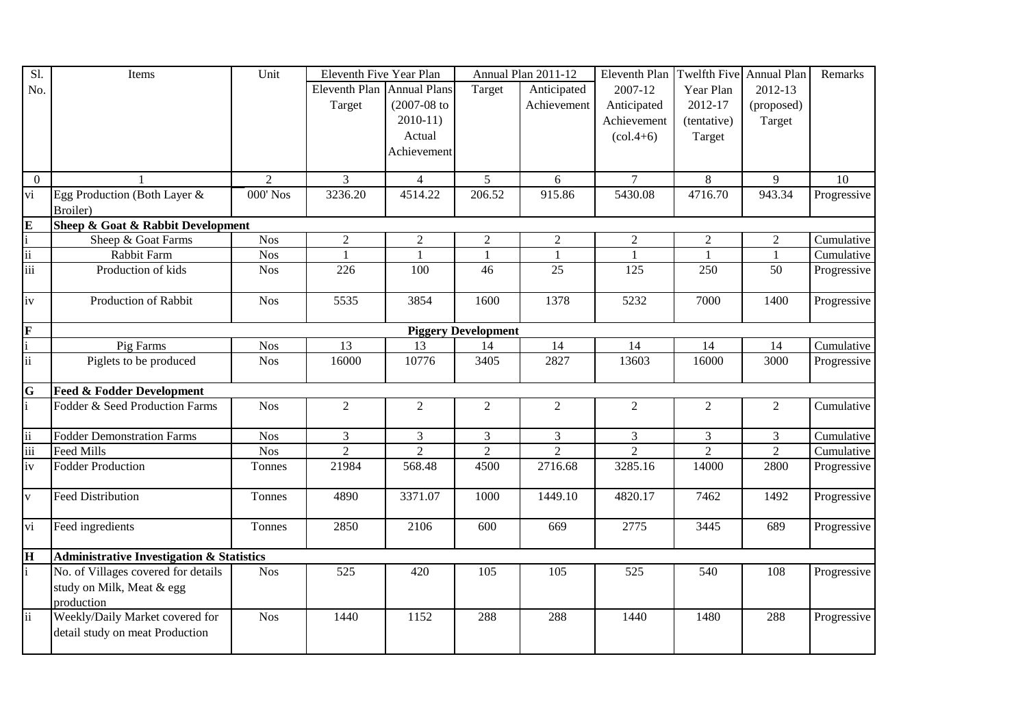| Sl.                             | Items                                                | Unit             | Eleventh Five Year Plan    |                  |                            | Annual Plan 2011-12 | Eleventh Plan Twelfth Five Annual Plan |                |                | Remarks     |
|---------------------------------|------------------------------------------------------|------------------|----------------------------|------------------|----------------------------|---------------------|----------------------------------------|----------------|----------------|-------------|
| No.                             |                                                      |                  | Eleventh Plan Annual Plans |                  | Target                     | Anticipated         | 2007-12                                | Year Plan      | 2012-13        |             |
|                                 |                                                      |                  | Target                     | $(2007 - 08)$ to |                            | Achievement         | Anticipated                            | 2012-17        | (proposed)     |             |
|                                 |                                                      |                  |                            | $2010-11)$       |                            |                     | Achievement                            | (tentative)    | Target         |             |
|                                 |                                                      |                  |                            | Actual           |                            |                     | $\left( \text{col.4+6} \right)$        | Target         |                |             |
|                                 |                                                      |                  |                            | Achievement      |                            |                     |                                        |                |                |             |
|                                 |                                                      |                  |                            |                  |                            |                     |                                        |                |                |             |
| $\overline{0}$                  | $\mathbf{1}$                                         | $\overline{2}$   | 3                          | $\overline{4}$   | $5\overline{)}$            | 6                   | $\tau$                                 | 8              | 9              | 10          |
| $\overline{vi}$                 | Egg Production (Both Layer &                         | 000' Nos         | 3236.20                    | 4514.22          | 206.52                     | 915.86              | 5430.08                                | 4716.70        | 943.34         | Progressive |
|                                 | Broiler)                                             |                  |                            |                  |                            |                     |                                        |                |                |             |
| $\frac{E}{i}$ $\frac{ii}{iii}$  | Sheep & Goat & Rabbit Development                    |                  |                            |                  |                            |                     |                                        |                |                |             |
|                                 | Sheep & Goat Farms                                   | Nos <sup>1</sup> | $\overline{c}$             | $\overline{c}$   | $\overline{c}$             | $\sqrt{2}$          | $\overline{2}$                         | $\overline{c}$ | $\overline{2}$ | Cumulative  |
|                                 | Rabbit Farm                                          | Nos              | $\mathbf{1}$               | $\overline{1}$   | $\mathbf{1}$               | $\mathbf{1}$        | $\overline{1}$                         | $\overline{1}$ | $\mathbf{1}$   | Cumulative  |
|                                 | Production of kids                                   | <b>Nos</b>       | 226                        | 100              | 46                         | 25                  | 125                                    | 250            | 50             | Progressive |
|                                 |                                                      |                  |                            |                  |                            |                     |                                        |                |                |             |
| iv                              | Production of Rabbit                                 | <b>Nos</b>       | 5535                       | 3854             | 1600                       | 1378                | 5232                                   | 7000           | 1400           | Progressive |
|                                 |                                                      |                  |                            |                  |                            |                     |                                        |                |                |             |
| $\frac{\mathbf{F}}{\mathbf{i}}$ |                                                      |                  |                            |                  | <b>Piggery Development</b> |                     |                                        |                |                |             |
|                                 | Pig Farms                                            | <b>Nos</b>       | 13                         | 13               | 14                         | 14                  | 14                                     | 14             | 14             | Cumulative  |
| $\overline{\text{ii}}$          | Piglets to be produced                               | <b>Nos</b>       | 16000                      | 10776            | 3405                       | 2827                | 13603                                  | 16000          | 3000           | Progressive |
|                                 |                                                      |                  |                            |                  |                            |                     |                                        |                |                |             |
| $\frac{G}{i}$                   | <b>Feed &amp; Fodder Development</b>                 |                  |                            |                  |                            |                     |                                        |                |                |             |
|                                 | Fodder & Seed Production Farms                       | <b>Nos</b>       | $\overline{2}$             | $\overline{2}$   | $\overline{2}$             | $\overline{2}$      | 2                                      | $\overline{2}$ | $\overline{2}$ | Cumulative  |
|                                 |                                                      |                  |                            |                  |                            |                     |                                        |                |                |             |
| $\frac{\text{ii}}{\text{iii}}$  | <b>Fodder Demonstration Farms</b>                    | <b>Nos</b>       | $\overline{3}$             | $\overline{3}$   | $\overline{3}$             | $\overline{3}$      | $\overline{3}$                         | $\overline{3}$ | $\overline{3}$ | Cumulative  |
|                                 | <b>Feed Mills</b>                                    | <b>Nos</b>       | $\overline{2}$             | $\overline{2}$   | $\overline{2}$             | $\overline{2}$      | $\overline{2}$                         | $\overline{2}$ | $\overline{2}$ | Cumulative  |
|                                 | <b>Fodder Production</b>                             | Tonnes           | 21984                      | 568.48           | 4500                       | 2716.68             | 3285.16                                | 14000          | 2800           | Progressive |
|                                 |                                                      |                  |                            |                  |                            |                     |                                        |                |                |             |
| $\overline{\mathbf{v}}$         | <b>Feed Distribution</b>                             | Tonnes           | 4890                       | 3371.07          | 1000                       | 1449.10             | 4820.17                                | 7462           | 1492           | Progressive |
|                                 |                                                      |                  |                            |                  |                            |                     |                                        |                |                |             |
| vi                              | Feed ingredients                                     | Tonnes           | 2850                       | 2106             | 600                        | 669                 | 2775                                   | 3445           | 689            | Progressive |
|                                 |                                                      |                  |                            |                  |                            |                     |                                        |                |                |             |
| $\overline{\mathbf{H}}$         | <b>Administrative Investigation &amp; Statistics</b> |                  |                            |                  |                            |                     |                                        |                |                |             |
| $\mathbf{i}$                    | No. of Villages covered for details                  | <b>Nos</b>       | 525                        | 420              | 105                        | 105                 | 525                                    | 540            | 108            | Progressive |
|                                 | study on Milk, Meat & egg                            |                  |                            |                  |                            |                     |                                        |                |                |             |
|                                 | production                                           |                  |                            |                  |                            |                     |                                        |                |                |             |
| $\ddot{\mathbf{i}}$             | Weekly/Daily Market covered for                      | <b>Nos</b>       | 1440                       | 1152             | 288                        | 288                 | 1440                                   | 1480           | 288            | Progressive |
|                                 | detail study on meat Production                      |                  |                            |                  |                            |                     |                                        |                |                |             |
|                                 |                                                      |                  |                            |                  |                            |                     |                                        |                |                |             |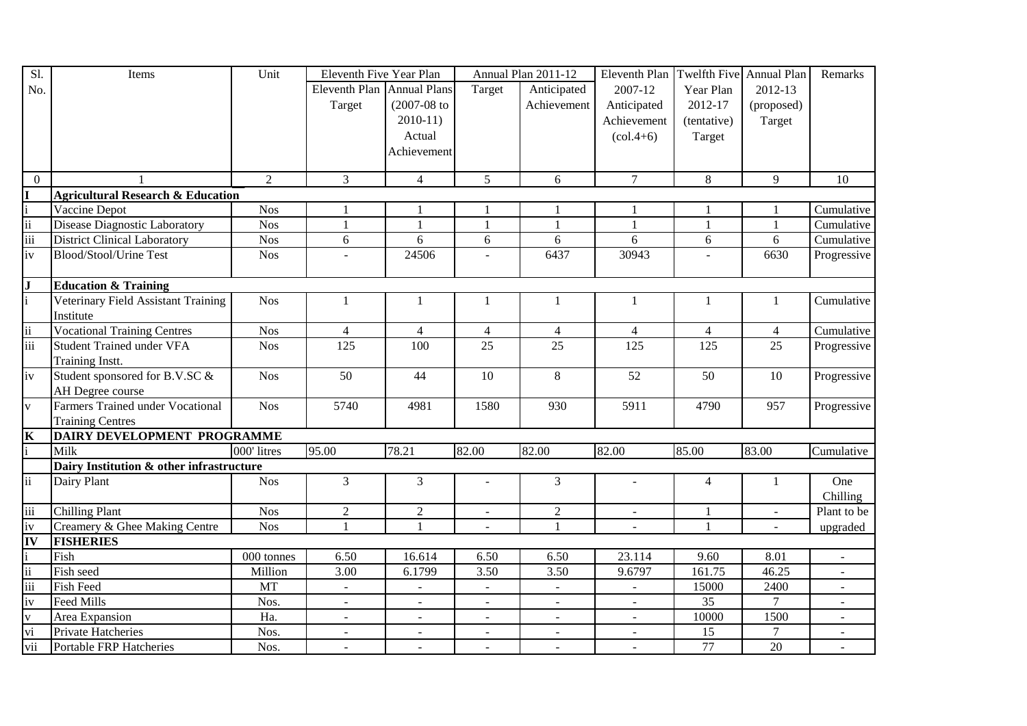| Sl.                             | Items                                        | Unit           | Eleventh Five Year Plan    |                          |                | Annual Plan 2011-12 | Eleventh Plan                   | Twelfth Five Annual Plan |                          | Remarks                  |
|---------------------------------|----------------------------------------------|----------------|----------------------------|--------------------------|----------------|---------------------|---------------------------------|--------------------------|--------------------------|--------------------------|
| No.                             |                                              |                | Eleventh Plan Annual Plans |                          | Target         | Anticipated         | 2007-12                         | Year Plan                | 2012-13                  |                          |
|                                 |                                              |                | Target                     | $(2007 - 08)$ to         |                | Achievement         | Anticipated                     | 2012-17                  | (proposed)               |                          |
|                                 |                                              |                |                            | $2010-11$                |                |                     | Achievement                     | (tentative)              | Target                   |                          |
|                                 |                                              |                |                            | Actual                   |                |                     | $\left( \text{col.4+6} \right)$ | Target                   |                          |                          |
|                                 |                                              |                |                            | Achievement              |                |                     |                                 |                          |                          |                          |
|                                 |                                              |                |                            |                          |                |                     |                                 |                          |                          |                          |
| $\mathbf{0}$                    |                                              | $\overline{2}$ | 3                          | $\overline{4}$           | 5              | 6                   | $\overline{7}$                  | 8                        | 9                        | 10                       |
| $\mathbf{I}$                    | <b>Agricultural Research &amp; Education</b> |                |                            |                          |                |                     |                                 |                          |                          |                          |
| $\frac{i}{\text{iii}}$          | Vaccine Depot                                | <b>Nos</b>     | $\mathbf{1}$               |                          | 1              | 1                   | -1                              | 1                        | 1                        | Cumulative               |
|                                 | <b>Disease Diagnostic Laboratory</b>         | <b>Nos</b>     | $\mathbf{1}$               | $\mathbf{1}$             | $\mathbf{1}$   | $\mathbf{1}$        | $\mathbf{1}$                    | $\mathbf{1}$             | $\mathbf{1}$             | Cumulative               |
|                                 | <b>District Clinical Laboratory</b>          | Nos            | 6                          | 6                        | 6              | 6                   | 6                               | $6\,$                    | 6                        | Cumulative               |
| iv                              | Blood/Stool/Urine Test                       | <b>Nos</b>     |                            | 24506                    |                | 6437                | 30943                           |                          | 6630                     | Progressive              |
|                                 |                                              |                |                            |                          |                |                     |                                 |                          |                          |                          |
| $\frac{1}{i}$                   | <b>Education &amp; Training</b>              |                |                            |                          |                |                     |                                 |                          |                          |                          |
|                                 | Veterinary Field Assistant Training          | <b>Nos</b>     | $\mathbf{1}$               | $\mathbf{1}$             | 1              | $\mathbf{1}$        | $\mathbf{1}$                    | 1                        | $\mathbf{1}$             | Cumulative               |
|                                 | Institute                                    |                |                            |                          |                |                     |                                 |                          |                          |                          |
| $\frac{1}{11}$                  | <b>Vocational Training Centres</b>           | <b>Nos</b>     | $\overline{4}$             | $\overline{4}$           | $\overline{4}$ | $\overline{4}$      | $\overline{4}$                  | $\overline{4}$           | $\overline{4}$           | Cumulative               |
| $\frac{1}{111}$                 | <b>Student Trained under VFA</b>             | <b>Nos</b>     | 125                        | 100                      | 25             | 25                  | 125                             | 125                      | 25                       | Progressive              |
|                                 | Training Instt.                              |                |                            |                          |                |                     |                                 |                          |                          |                          |
| iv                              | Student sponsored for B.V.SC &               | <b>Nos</b>     | 50                         | 44                       | 10             | 8                   | 52                              | 50                       | 10                       | Progressive              |
|                                 | AH Degree course                             |                |                            |                          |                |                     |                                 |                          |                          |                          |
| $\overline{\mathbf{V}}$         | <b>Farmers Trained under Vocational</b>      | <b>Nos</b>     | 5740                       | 4981                     | 1580           | 930                 | 5911                            | 4790                     | 957                      | Progressive              |
|                                 | <b>Training Centres</b>                      |                |                            |                          |                |                     |                                 |                          |                          |                          |
|                                 | DAIRY DEVELOPMENT PROGRAMME                  |                |                            |                          |                |                     |                                 |                          |                          |                          |
| $\frac{\mathbf{K}}{\mathbf{i}}$ | Milk                                         | 000' litres    | 95.00                      | 78.21                    | 82.00          | 82.00               | 82.00                           | 85.00                    | 83.00                    | Cumulative               |
|                                 | Dairy Institution & other infrastructure     |                |                            |                          |                |                     |                                 |                          |                          |                          |
| $\overline{\text{ii}}$          | Dairy Plant                                  | <b>Nos</b>     | 3                          | $\overline{3}$           |                | $\overline{3}$      |                                 | $\overline{4}$           | $\mathbf{1}$             | One                      |
|                                 |                                              |                |                            |                          |                |                     |                                 |                          |                          | Chilling                 |
| iii                             | <b>Chilling Plant</b>                        | <b>Nos</b>     | $\overline{2}$             | $\overline{2}$           | $\mathbf{r}$   | $\overline{2}$      | $\equiv$                        | $\mathbf{1}$             | $\omega$                 | Plant to be              |
| iv                              | Creamery & Ghee Making Centre                | <b>Nos</b>     | $\mathbf{1}$               |                          |                | 1                   | $\overline{a}$                  | $\mathbf{1}$             | $\overline{\phantom{a}}$ | upgraded                 |
| IV                              | <b>FISHERIES</b>                             |                |                            |                          |                |                     |                                 |                          |                          |                          |
| $\frac{i}{\text{ii}}$           | Fish                                         | $000$ tonnes   | 6.50                       | 16.614                   | 6.50           | 6.50                | 23.114                          | 9.60                     | 8.01                     | $\blacksquare$           |
|                                 | Fish seed                                    | Million        | 3.00                       | 6.1799                   | 3.50           | 3.50                | 9.6797                          | 161.75                   | 46.25                    | $\blacksquare$           |
|                                 | <b>Fish Feed</b>                             | <b>MT</b>      | $\blacksquare$             | $\overline{\phantom{a}}$ | $\blacksquare$ | $\blacksquare$      | $\blacksquare$                  | 15000                    | 2400                     | $\blacksquare$           |
| iv                              | <b>Feed Mills</b>                            | Nos.           | $\sim$                     |                          |                | $\blacksquare$      |                                 | 35                       | $\tau$                   |                          |
| $\frac{v}{vi}$                  | Area Expansion                               | Ha.            | $\sim$                     | $\overline{\phantom{a}}$ |                | $\overline{a}$      | $\blacksquare$                  | 10000                    | 1500                     |                          |
|                                 | Private Hatcheries                           | Nos.           | $\blacksquare$             | $\blacksquare$           | $\blacksquare$ | $\blacksquare$      | $\blacksquare$                  | 15                       | $\overline{7}$           | $\overline{\phantom{a}}$ |
| vii                             | Portable FRP Hatcheries                      | Nos.           | $\sim$                     | $\sim$                   |                | $\sim$              | $\sim$                          | 77                       | 20                       |                          |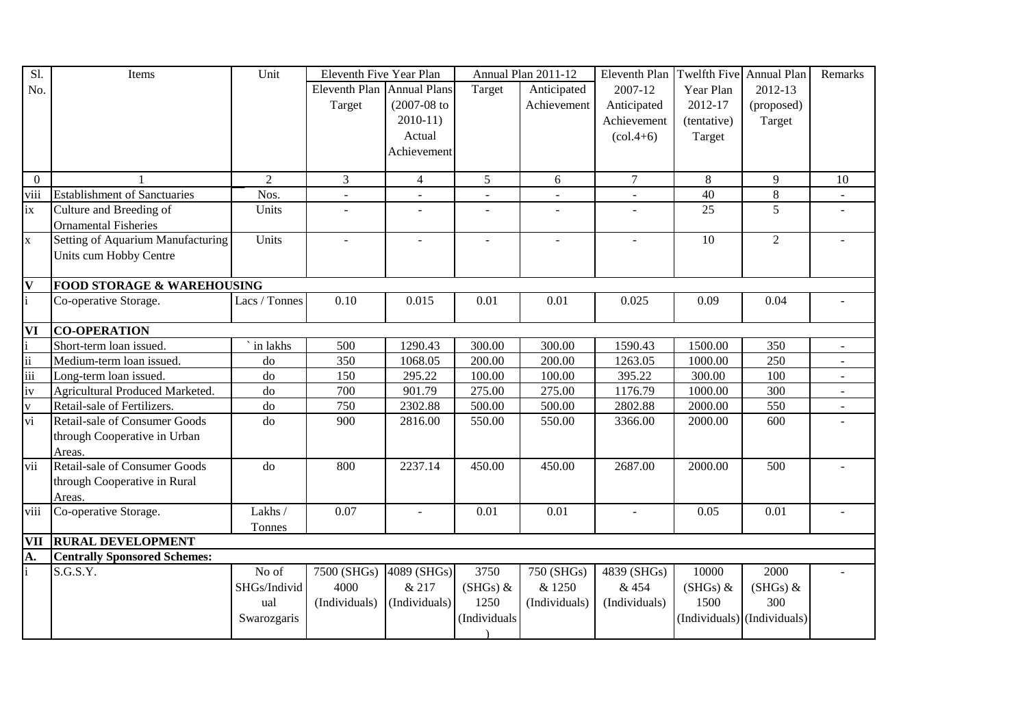| Sl.                     | Items                                 | Unit           | Eleventh Five Year Plan    |                  |                | Annual Plan 2011-12 | Eleventh Plan                   |             | Twelfth Five Annual Plan    | Remarks        |
|-------------------------|---------------------------------------|----------------|----------------------------|------------------|----------------|---------------------|---------------------------------|-------------|-----------------------------|----------------|
| No.                     |                                       |                | Eleventh Plan Annual Plans |                  | Target         | Anticipated         | 2007-12                         | Year Plan   | 2012-13                     |                |
|                         |                                       |                | Target                     | $(2007 - 08)$ to |                | Achievement         | Anticipated                     | 2012-17     | (proposed)                  |                |
|                         |                                       |                |                            | $2010-11$        |                |                     | Achievement                     | (tentative) | Target                      |                |
|                         |                                       |                |                            | Actual           |                |                     | $\left( \text{col.4+6} \right)$ | Target      |                             |                |
|                         |                                       |                |                            | Achievement      |                |                     |                                 |             |                             |                |
|                         |                                       |                |                            |                  |                |                     |                                 |             |                             |                |
| $\overline{0}$          |                                       | $\overline{2}$ | 3                          | $\overline{4}$   | 5              | 6                   | $\tau$                          | 8           | 9                           | 10             |
| viii                    | <b>Establishment of Sanctuaries</b>   | Nos.           |                            |                  |                |                     |                                 | 40          | 8                           |                |
| ix                      | Culture and Breeding of               | Units          | $\overline{\phantom{a}}$   |                  | $\overline{a}$ | $\overline{a}$      |                                 | 25          | 5                           |                |
|                         | <b>Ornamental Fisheries</b>           |                |                            |                  |                |                     |                                 |             |                             |                |
| $\mathbf{x}$            | Setting of Aquarium Manufacturing     | Units          | $\sim$                     | $\overline{a}$   | $\sim$         | $\sim$              | $\sim$                          | 10          | $\overline{2}$              |                |
|                         | Units cum Hobby Centre                |                |                            |                  |                |                     |                                 |             |                             |                |
|                         |                                       |                |                            |                  |                |                     |                                 |             |                             |                |
| $\overline{\mathbf{V}}$ | <b>FOOD STORAGE &amp; WAREHOUSING</b> |                |                            |                  |                |                     |                                 |             |                             |                |
| $\mathbf{i}$            | Co-operative Storage.                 | Lacs / Tonnes  | 0.10                       | 0.015            | 0.01           | 0.01                | 0.025                           | 0.09        | 0.04                        |                |
|                         |                                       |                |                            |                  |                |                     |                                 |             |                             |                |
| VI                      | <b>CO-OPERATION</b>                   |                |                            |                  |                |                     |                                 |             |                             |                |
|                         | Short-term loan issued.               | ` in lakhs     | 500                        | 1290.43          | 300.00         | 300.00              | 1590.43                         | 1500.00     | 350                         | $\blacksquare$ |
| $\overline{\text{ii}}$  | Medium-term loan issued.              | do             | 350                        | 1068.05          | 200.00         | 200.00              | 1263.05                         | 1000.00     | 250                         | $\blacksquare$ |
| $\frac{1}{111}$         | Long-term loan issued.                | do             | 150                        | 295.22           | 100.00         | 100.00              | 395.22                          | 300.00      | 100                         | $\blacksquare$ |
| iv                      | Agricultural Produced Marketed.       | do             | 700                        | 901.79           | 275.00         | 275.00              | 1176.79                         | 1000.00     | 300                         | $\blacksquare$ |
| $\mathbf V$             | Retail-sale of Fertilizers.           | do             | 750                        | 2302.88          | 500.00         | 500.00              | 2802.88                         | 2000.00     | 550                         | $\blacksquare$ |
| $\overline{vi}$         | <b>Retail-sale of Consumer Goods</b>  | do             | 900                        | 2816.00          | 550.00         | 550.00              | 3366.00                         | 2000.00     | 600                         |                |
|                         | through Cooperative in Urban          |                |                            |                  |                |                     |                                 |             |                             |                |
|                         | Areas.                                |                |                            |                  |                |                     |                                 |             |                             |                |
| vii                     | <b>Retail-sale of Consumer Goods</b>  | do             | 800                        | 2237.14          | 450.00         | 450.00              | 2687.00                         | 2000.00     | 500                         |                |
|                         | through Cooperative in Rural          |                |                            |                  |                |                     |                                 |             |                             |                |
|                         | Areas.                                |                |                            |                  |                |                     |                                 |             |                             |                |
| viii                    | Co-operative Storage.                 | Lakhs /        | 0.07                       |                  | 0.01           | 0.01                | $\sim$                          | 0.05        | 0.01                        |                |
|                         |                                       | Tonnes         |                            |                  |                |                     |                                 |             |                             |                |
| <b>VII</b>              | <b>RURAL DEVELOPMENT</b>              |                |                            |                  |                |                     |                                 |             |                             |                |
| $\overline{A}$ .<br>i   | <b>Centrally Sponsored Schemes:</b>   |                |                            |                  |                |                     |                                 |             |                             |                |
|                         | S.G.S.Y.                              | No of          | $\overline{7500}$ (SHGs)   | 4089 (SHGs)      | 3750           | 750 (SHGs)          | 4839 (SHGs)                     | 10000       | 2000                        |                |
|                         |                                       | SHGs/Individ   | 4000                       | & 217            | $(SHGs)$ &     | & 1250              | & 454                           | $(SHGs)$ &  | $(SHGs)$ &                  |                |
|                         |                                       | ual            | (Individuals)              | (Individuals)    | 1250           | (Individuals)       | (Individuals)                   | 1500        | 300                         |                |
|                         |                                       | Swarozgaris    |                            |                  | (Individuals   |                     |                                 |             | (Individuals) (Individuals) |                |
|                         |                                       |                |                            |                  |                |                     |                                 |             |                             |                |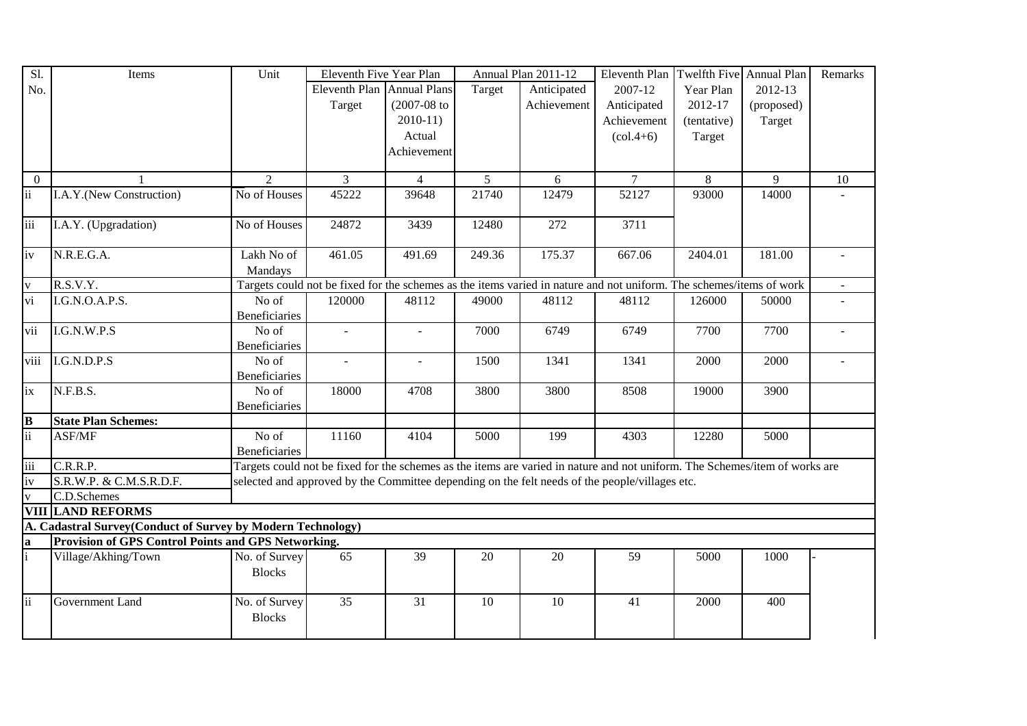| Sl.             | Items                                                       | Unit                 | Eleventh Five Year Plan    |                  |                | Annual Plan 2011-12 | Eleventh Plan                                                                                                               | Twelfth Five Annual Plan |            | Remarks |
|-----------------|-------------------------------------------------------------|----------------------|----------------------------|------------------|----------------|---------------------|-----------------------------------------------------------------------------------------------------------------------------|--------------------------|------------|---------|
| No.             |                                                             |                      | Eleventh Plan Annual Plans |                  | Target         | Anticipated         | 2007-12                                                                                                                     | Year Plan                | 2012-13    |         |
|                 |                                                             |                      | Target                     | $(2007 - 08)$ to |                | Achievement         | Anticipated                                                                                                                 | 2012-17                  | (proposed) |         |
|                 |                                                             |                      |                            | $2010-11$        |                |                     | Achievement                                                                                                                 | (tentative)              | Target     |         |
|                 |                                                             |                      |                            | Actual           |                |                     | $(col.4+6)$                                                                                                                 | Target                   |            |         |
|                 |                                                             |                      |                            | Achievement      |                |                     |                                                                                                                             |                          |            |         |
|                 |                                                             |                      |                            |                  |                |                     |                                                                                                                             |                          |            |         |
| $\overline{0}$  |                                                             | 2                    | $\overline{3}$             | $\overline{4}$   | 5 <sup>5</sup> | 6                   | $\overline{7}$                                                                                                              | 8                        | 9          | 10      |
| $\ddot{\rm i}$  | I.A.Y.(New Construction)                                    | No of Houses         | 45222                      | 39648            | 21740          | 12479               | 52127                                                                                                                       | 93000                    | 14000      |         |
| iii             | I.A.Y. (Upgradation)                                        | No of Houses         | 24872                      | 3439             | 12480          | 272                 | 3711                                                                                                                        |                          |            |         |
| iv              | N.R.E.G.A.                                                  | Lakh No of           | 461.05                     | 491.69           | 249.36         | 175.37              | 667.06                                                                                                                      | 2404.01                  | 181.00     |         |
|                 |                                                             | Mandays              |                            |                  |                |                     |                                                                                                                             |                          |            |         |
| $\mathbf{V}$    | R.S.V.Y.                                                    |                      |                            |                  |                |                     | Targets could not be fixed for the schemes as the items varied in nature and not uniform. The schemes/items of work         |                          |            |         |
| $\overline{vi}$ | I.G.N.O.A.P.S.                                              | No of                | 120000                     | 48112            | 49000          | 48112               | 48112                                                                                                                       | 126000                   | 50000      |         |
|                 |                                                             | Beneficiaries        |                            |                  |                |                     |                                                                                                                             |                          |            |         |
| vii             | I.G.N.W.P.S                                                 | No of                | $\sim$                     | $\sim$           | 7000           | 6749                | 6749                                                                                                                        | 7700                     | 7700       |         |
|                 |                                                             | Beneficiaries        |                            |                  |                |                     |                                                                                                                             |                          |            |         |
| viii            | I.G.N.D.P.S                                                 | No of                | $\mathbf{r}$               | $\sim$           | 1500           | 1341                | 1341                                                                                                                        | 2000                     | 2000       |         |
|                 |                                                             | Beneficiaries        |                            |                  |                |                     |                                                                                                                             |                          |            |         |
| ix              | N.F.B.S.                                                    | No of                | 18000                      | 4708             | 3800           | 3800                | 8508                                                                                                                        | 19000                    | 3900       |         |
|                 |                                                             | Beneficiaries        |                            |                  |                |                     |                                                                                                                             |                          |            |         |
| $\, {\bf B}$    | <b>State Plan Schemes:</b>                                  |                      |                            |                  |                |                     |                                                                                                                             |                          |            |         |
| $\overline{ii}$ | ASF/MF                                                      | No of                | 11160                      | 4104             | 5000           | 199                 | 4303                                                                                                                        | 12280                    | 5000       |         |
|                 |                                                             | <b>Beneficiaries</b> |                            |                  |                |                     |                                                                                                                             |                          |            |         |
| iii             | C.R.R.P.                                                    |                      |                            |                  |                |                     | Targets could not be fixed for the schemes as the items are varied in nature and not uniform. The Schemes/item of works are |                          |            |         |
| iv              | S.R.W.P. & C.M.S.R.D.F.                                     |                      |                            |                  |                |                     | selected and approved by the Committee depending on the felt needs of the people/villages etc.                              |                          |            |         |
| $\mathbf{V}$    | C.D.Schemes                                                 |                      |                            |                  |                |                     |                                                                                                                             |                          |            |         |
|                 | <b>VIII LAND REFORMS</b>                                    |                      |                            |                  |                |                     |                                                                                                                             |                          |            |         |
|                 | A. Cadastral Survey(Conduct of Survey by Modern Technology) |                      |                            |                  |                |                     |                                                                                                                             |                          |            |         |
| $\bf{a}$        | Provision of GPS Control Points and GPS Networking.         |                      |                            |                  |                |                     |                                                                                                                             |                          |            |         |
|                 | Village/Akhing/Town                                         | No. of Survey        | 65                         | 39               | 20             | 20                  | 59                                                                                                                          | 5000                     | 1000       |         |
|                 |                                                             | <b>Blocks</b>        |                            |                  |                |                     |                                                                                                                             |                          |            |         |
|                 |                                                             |                      |                            |                  |                |                     |                                                                                                                             |                          |            |         |
| ii              | Government Land                                             | No. of Survey        | 35                         | 31               | 10             | 10                  | 41                                                                                                                          | 2000                     | 400        |         |
|                 |                                                             | <b>Blocks</b>        |                            |                  |                |                     |                                                                                                                             |                          |            |         |
|                 |                                                             |                      |                            |                  |                |                     |                                                                                                                             |                          |            |         |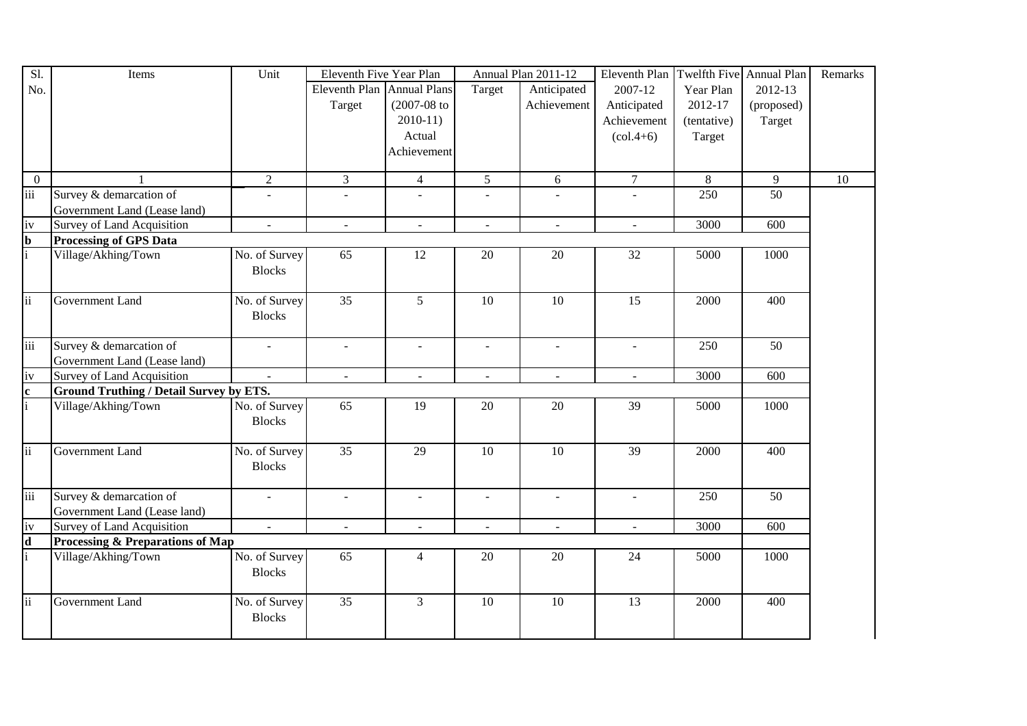| S1.                     | Items                                          | Unit                      | Eleventh Five Year Plan    |                  |                 | Annual Plan 2011-12 | Eleventh Plan   Twelfth Five   Annual Plan |                |                  | Remarks         |
|-------------------------|------------------------------------------------|---------------------------|----------------------------|------------------|-----------------|---------------------|--------------------------------------------|----------------|------------------|-----------------|
| No.                     |                                                |                           | Eleventh Plan Annual Plans |                  | Target          | Anticipated         | 2007-12                                    | Year Plan      | 2012-13          |                 |
|                         |                                                |                           | Target                     | $(2007 - 08)$ to |                 | Achievement         | Anticipated                                | 2012-17        | (proposed)       |                 |
|                         |                                                |                           |                            | $2010-11$        |                 |                     | Achievement                                | (tentative)    | Target           |                 |
|                         |                                                |                           |                            | Actual           |                 |                     | $\left( \text{col.4+6} \right)$            | Target         |                  |                 |
|                         |                                                |                           |                            | Achievement      |                 |                     |                                            |                |                  |                 |
|                         |                                                |                           |                            |                  |                 |                     |                                            |                |                  |                 |
| $\Omega$                |                                                | $\overline{2}$            | $\overline{3}$             | $\overline{4}$   | $\overline{5}$  | 6                   | $\overline{7}$                             | $\overline{8}$ | 9                | $\overline{10}$ |
| $\overline{\text{iii}}$ | Survey & demarcation of                        |                           |                            |                  |                 |                     |                                            | 250            | 50               |                 |
|                         | Government Land (Lease land)                   |                           |                            |                  |                 |                     |                                            |                |                  |                 |
| iv                      | Survey of Land Acquisition                     | $\blacksquare$            | $\omega$                   | $\blacksquare$   | $\mathbf{r}$    | $\blacksquare$      | $\equiv$                                   | 3000           | $\overline{600}$ |                 |
| $\mathbf{b}$            | <b>Processing of GPS Data</b>                  |                           |                            |                  |                 |                     |                                            |                |                  |                 |
| $\mathbf{i}$            | Village/Akhing/Town                            | No. of Survey             | $\overline{65}$            | 12               | 20              | 20                  | 32                                         | 5000           | 1000             |                 |
|                         |                                                | <b>Blocks</b>             |                            |                  |                 |                     |                                            |                |                  |                 |
|                         |                                                |                           |                            |                  |                 |                     |                                            |                |                  |                 |
| $\overline{ii}$         | Government Land                                | No. of Survey             | $\overline{35}$            | $\overline{5}$   | $\overline{10}$ | $\overline{10}$     | $\overline{15}$                            | 2000           | 400              |                 |
|                         |                                                | <b>Blocks</b>             |                            |                  |                 |                     |                                            |                |                  |                 |
|                         |                                                |                           |                            |                  |                 |                     |                                            |                |                  |                 |
| iii                     | Survey & demarcation of                        | $\blacksquare$            | $\blacksquare$             | $\equiv$         | $\blacksquare$  | $\blacksquare$      | $\equiv$                                   | 250            | 50               |                 |
|                         | Government Land (Lease land)                   |                           |                            |                  |                 |                     |                                            |                |                  |                 |
| iv                      | Survey of Land Acquisition                     | $\mathbb{Z}^{\mathbb{Z}}$ | $\omega$                   | $\mathbb{Z}^2$   | $\omega$        | $\mathbf{r}$        | $\omega$                                   | 3000           | 600              |                 |
| $\mathbf{c}$            | <b>Ground Truthing / Detail Survey by ETS.</b> |                           |                            |                  |                 |                     |                                            |                |                  |                 |
| $\mathbf{i}$            | Village/Akhing/Town                            | No. of Survey             | 65                         | 19               | 20              | 20                  | 39                                         | 5000           | 1000             |                 |
|                         |                                                | <b>Blocks</b>             |                            |                  |                 |                     |                                            |                |                  |                 |
|                         |                                                |                           |                            |                  |                 |                     |                                            |                |                  |                 |
| <sup>ii</sup>           | Government Land                                | No. of Survey             | 35                         | 29               | 10              | 10                  | 39                                         | 2000           | 400              |                 |
|                         |                                                | <b>Blocks</b>             |                            |                  |                 |                     |                                            |                |                  |                 |
|                         |                                                |                           |                            |                  |                 |                     |                                            |                |                  |                 |
| iii                     | Survey & demarcation of                        | $\mathbb{L}^{\mathbb{N}}$ | $\equiv$                   | $\equiv$         | $\sim$          | $\blacksquare$      | $\omega$                                   | 250            | 50               |                 |
|                         | Government Land (Lease land)                   |                           |                            |                  |                 |                     |                                            |                |                  |                 |
| iv                      | Survey of Land Acquisition                     | $\blacksquare$            | $\overline{\phantom{a}}$   | $\blacksquare$   | $\blacksquare$  | $\blacksquare$      | $\blacksquare$                             | 3000           | 600              |                 |
| $\mathbf d$             | Processing & Preparations of Map               |                           |                            |                  |                 |                     |                                            |                |                  |                 |
| li.                     | Village/Akhing/Town                            | No. of Survey             | 65                         | $\overline{4}$   | 20              | 20                  | 24                                         | 5000           | 1000             |                 |
|                         |                                                | <b>Blocks</b>             |                            |                  |                 |                     |                                            |                |                  |                 |
|                         |                                                |                           |                            |                  |                 |                     |                                            |                |                  |                 |
| <sup>ii</sup>           | Government Land                                | No. of Survey             | 35                         | $\overline{3}$   | 10              | 10                  | 13                                         | 2000           | 400              |                 |
|                         |                                                | <b>Blocks</b>             |                            |                  |                 |                     |                                            |                |                  |                 |
|                         |                                                |                           |                            |                  |                 |                     |                                            |                |                  |                 |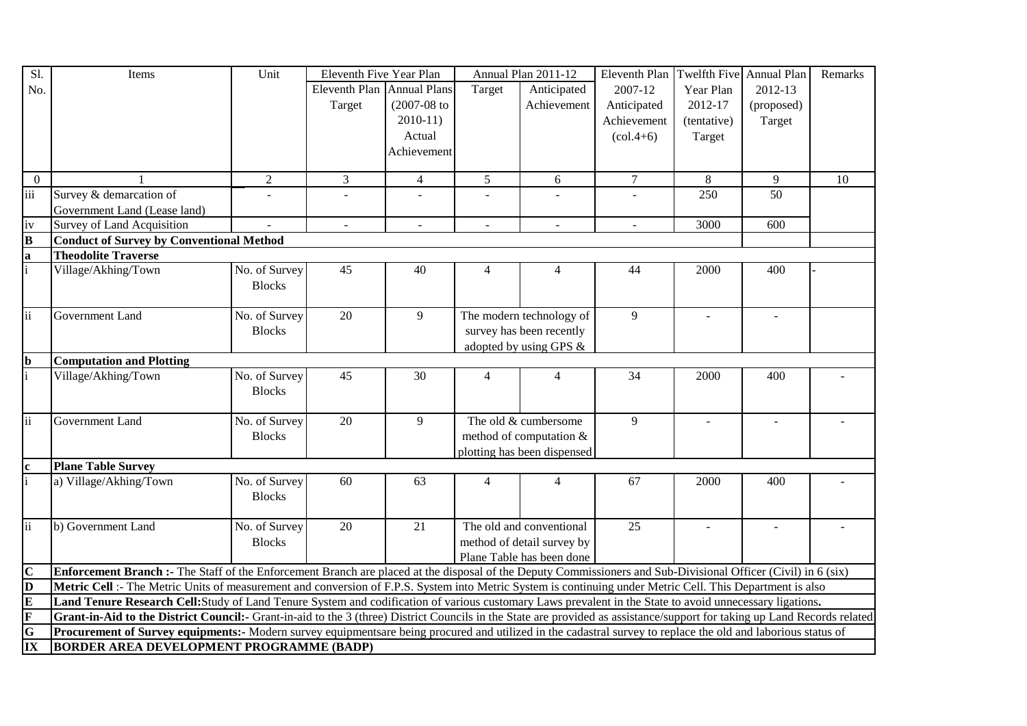| S1.                               | Items                                                                                                                                                                     | Unit           | Eleventh Five Year Plan    |                             |                 | Annual Plan 2011-12         | Eleventh Plan                   | Twelfth Five Annual Plan |            | Remarks |
|-----------------------------------|---------------------------------------------------------------------------------------------------------------------------------------------------------------------------|----------------|----------------------------|-----------------------------|-----------------|-----------------------------|---------------------------------|--------------------------|------------|---------|
| No.                               |                                                                                                                                                                           |                | Eleventh Plan Annual Plans |                             | Target          | Anticipated                 | 2007-12                         | Year Plan                | 2012-13    |         |
|                                   |                                                                                                                                                                           |                | Target                     | $(2007-08$ to               |                 | Achievement                 | Anticipated                     | 2012-17                  | (proposed) |         |
|                                   |                                                                                                                                                                           |                |                            | $2010-11$                   |                 |                             | Achievement                     | (tentative)              | Target     |         |
|                                   |                                                                                                                                                                           |                |                            | Actual                      |                 |                             | $\left( \text{col.4+6} \right)$ | Target                   |            |         |
|                                   |                                                                                                                                                                           |                |                            | Achievement                 |                 |                             |                                 |                          |            |         |
|                                   |                                                                                                                                                                           |                |                            |                             |                 |                             |                                 |                          |            |         |
| $\mathbf{0}$                      |                                                                                                                                                                           | $\overline{2}$ | 3                          | $\overline{4}$              | $5\overline{)}$ | 6                           | $\overline{7}$                  | 8                        | 9          | 10      |
| iii                               | Survey & demarcation of                                                                                                                                                   |                |                            |                             |                 |                             |                                 | 250                      | 50         |         |
|                                   | Government Land (Lease land)                                                                                                                                              |                |                            |                             |                 |                             |                                 |                          |            |         |
| iv                                | <b>Survey of Land Acquisition</b>                                                                                                                                         |                | $\blacksquare$             | $\mathcal{L}_{\mathcal{A}}$ | $\blacksquare$  | $\blacksquare$              | $\overline{\phantom{a}}$        | 3000                     | 600        |         |
| $\overline{\mathbf{B}}$           | <b>Conduct of Survey by Conventional Method</b>                                                                                                                           |                |                            |                             |                 |                             |                                 |                          |            |         |
| $\bf{a}$                          | <b>Theodolite Traverse</b>                                                                                                                                                |                |                            |                             |                 |                             |                                 |                          |            |         |
| $\mathbf{i}$                      | Village/Akhing/Town                                                                                                                                                       | No. of Survey  | 45                         | 40                          | $\overline{4}$  | 4                           | 44                              | 2000                     | 400        |         |
|                                   |                                                                                                                                                                           | <b>Blocks</b>  |                            |                             |                 |                             |                                 |                          |            |         |
|                                   |                                                                                                                                                                           |                |                            |                             |                 |                             |                                 |                          |            |         |
| ii                                | Government Land                                                                                                                                                           | No. of Survey  | 20                         | 9                           |                 | The modern technology of    | 9                               | $\overline{a}$           |            |         |
|                                   |                                                                                                                                                                           | <b>Blocks</b>  |                            |                             |                 | survey has been recently    |                                 |                          |            |         |
|                                   |                                                                                                                                                                           |                |                            |                             |                 | adopted by using GPS &      |                                 |                          |            |         |
| <sub>b</sub>                      | <b>Computation and Plotting</b>                                                                                                                                           |                |                            |                             |                 |                             |                                 |                          |            |         |
| $\mathbf{i}$                      | Village/Akhing/Town                                                                                                                                                       | No. of Survey  | 45                         | 30                          | $\overline{4}$  | 4                           | 34                              | 2000                     | 400        |         |
|                                   |                                                                                                                                                                           | <b>Blocks</b>  |                            |                             |                 |                             |                                 |                          |            |         |
|                                   |                                                                                                                                                                           |                |                            |                             |                 |                             |                                 |                          |            |         |
| ii                                | Government Land                                                                                                                                                           | No. of Survey  | 20                         | 9                           |                 | The old & cumbersome        | 9                               |                          |            |         |
|                                   |                                                                                                                                                                           | <b>Blocks</b>  |                            |                             |                 | method of computation &     |                                 |                          |            |         |
|                                   |                                                                                                                                                                           |                |                            |                             |                 | plotting has been dispensed |                                 |                          |            |         |
| $\mathbf c$                       | <b>Plane Table Survey</b>                                                                                                                                                 |                |                            |                             |                 |                             |                                 |                          |            |         |
|                                   | a) Village/Akhing/Town                                                                                                                                                    | No. of Survey  | 60                         | 63                          | $\overline{4}$  | 4                           | 67                              | 2000                     | 400        |         |
|                                   |                                                                                                                                                                           | <b>Blocks</b>  |                            |                             |                 |                             |                                 |                          |            |         |
| ii                                | b) Government Land                                                                                                                                                        | No. of Survey  | 20                         | 21                          |                 | The old and conventional    | 25                              | $\overline{\phantom{a}}$ | $\sim$     |         |
|                                   |                                                                                                                                                                           | <b>Blocks</b>  |                            |                             |                 | method of detail survey by  |                                 |                          |            |         |
|                                   |                                                                                                                                                                           |                |                            |                             |                 |                             |                                 |                          |            |         |
| $\mathbf C$                       | Enforcement Branch :- The Staff of the Enforcement Branch are placed at the disposal of the Deputy Commissioners and Sub-Divisional Officer (Civil) in 6 (six)            |                |                            |                             |                 | Plane Table has been done   |                                 |                          |            |         |
| $\overline{\mathbf{D}}$           | Metric Cell :- The Metric Units of measurement and conversion of F.P.S. System into Metric System is continuing under Metric Cell. This Department is also                |                |                            |                             |                 |                             |                                 |                          |            |         |
| $\overline{\mathbf{E}}$           | Land Tenure Research Cell: Study of Land Tenure System and codification of various customary Laws prevalent in the State to avoid unnecessary ligations.                  |                |                            |                             |                 |                             |                                 |                          |            |         |
| $\overline{\mathbf{F}}$           | Grant-in-Aid to the District Council:- Grant-in-aid to the 3 (three) District Councils in the State are provided as assistance/support for taking up Land Records related |                |                            |                             |                 |                             |                                 |                          |            |         |
| $\overline{\mathbf{G}}$           | Procurement of Survey equipments:- Modern survey equipmentsare being procured and utilized in the cadastral survey to replace the old and laborious status of             |                |                            |                             |                 |                             |                                 |                          |            |         |
| $\overline{\mathbf{I}\mathbf{X}}$ | <b>BORDER AREA DEVELOPMENT PROGRAMME (BADP)</b>                                                                                                                           |                |                            |                             |                 |                             |                                 |                          |            |         |
|                                   |                                                                                                                                                                           |                |                            |                             |                 |                             |                                 |                          |            |         |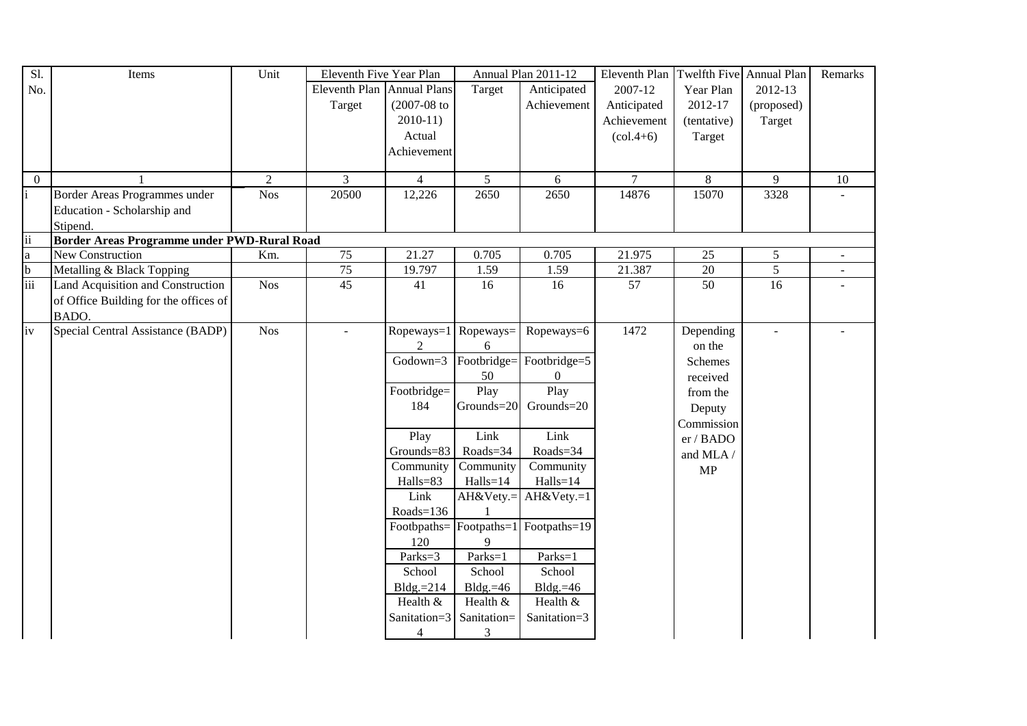| Sl.              | Items                                       | Unit             | Eleventh Five Year Plan    |                  |                 | Annual Plan 2011-12                             | Eleventh Plan                   | Twelfth Five Annual Plan |                 | Remarks                  |
|------------------|---------------------------------------------|------------------|----------------------------|------------------|-----------------|-------------------------------------------------|---------------------------------|--------------------------|-----------------|--------------------------|
| No.              |                                             |                  | Eleventh Plan Annual Plans |                  | Target          | Anticipated                                     | 2007-12                         | Year Plan                | 2012-13         |                          |
|                  |                                             |                  | Target                     | $(2007 - 08)$ to |                 | Achievement                                     | Anticipated                     | 2012-17                  | (proposed)      |                          |
|                  |                                             |                  |                            | $2010-11$        |                 |                                                 | Achievement                     | (tentative)              | Target          |                          |
|                  |                                             |                  |                            | Actual           |                 |                                                 | $\left( \text{col.4+6} \right)$ | Target                   |                 |                          |
|                  |                                             |                  |                            | Achievement      |                 |                                                 |                                 |                          |                 |                          |
|                  |                                             |                  |                            |                  |                 |                                                 |                                 |                          |                 |                          |
| $\overline{0}$   |                                             | 2                | 3                          | $\overline{4}$   | $5\overline{)}$ | 6                                               | $\tau$                          | 8                        | 9               | 10                       |
|                  | Border Areas Programmes under               | Nos <sup>1</sup> | 20500                      | 12,226           | 2650            | 2650                                            | 14876                           | 15070                    | 3328            |                          |
|                  | Education - Scholarship and                 |                  |                            |                  |                 |                                                 |                                 |                          |                 |                          |
|                  | Stipend.                                    |                  |                            |                  |                 |                                                 |                                 |                          |                 |                          |
| $\frac{1}{a}$ ii | Border Areas Programme under PWD-Rural Road |                  |                            |                  |                 |                                                 |                                 |                          |                 |                          |
|                  | New Construction                            | Km.              | 75                         | 21.27            | 0.705           | 0.705                                           | 21.975                          | 25                       | 5               | ÷.                       |
|                  | Metalling & Black Topping                   |                  | 75                         | 19.797           | 1.59            | 1.59                                            | 21.387                          | $20\,$                   | $\overline{5}$  | $\overline{\phantom{0}}$ |
| $\frac{1}{111}$  | Land Acquisition and Construction           | Nos <sup>1</sup> | $\overline{45}$            | 41               | 16              | 16                                              | $\overline{57}$                 | 50                       | $\overline{16}$ |                          |
|                  | of Office Building for the offices of       |                  |                            |                  |                 |                                                 |                                 |                          |                 |                          |
|                  | BADO.                                       |                  |                            |                  |                 |                                                 |                                 |                          |                 |                          |
| iv               | Special Central Assistance (BADP)           | <b>Nos</b>       | $\sim$                     | Ropeways=1       | Ropeways=       | Ropeways=6                                      | 1472                            | Depending                | $\sim$          |                          |
|                  |                                             |                  |                            |                  | 6               |                                                 |                                 | on the                   |                 |                          |
|                  |                                             |                  |                            | Godown=3         | Footbridge=     | Footbridge=5                                    |                                 | <b>Schemes</b>           |                 |                          |
|                  |                                             |                  |                            |                  | 50              | $\overline{0}$                                  |                                 | received                 |                 |                          |
|                  |                                             |                  |                            | Footbridge=      | Play            | Play                                            |                                 | from the                 |                 |                          |
|                  |                                             |                  |                            | 184              | Grounds=20      | Grounds=20                                      |                                 | Deputy                   |                 |                          |
|                  |                                             |                  |                            |                  |                 |                                                 |                                 | Commission               |                 |                          |
|                  |                                             |                  |                            | Play             | Link            | Link                                            |                                 | er / BADO                |                 |                          |
|                  |                                             |                  |                            | $Grounds = 83$   | Roads=34        | Roads=34                                        |                                 | and MLA /                |                 |                          |
|                  |                                             |                  |                            | Community        | Community       | Community                                       |                                 | MP                       |                 |                          |
|                  |                                             |                  |                            | Halls=83         | $Halls = 14$    | Halls=14                                        |                                 |                          |                 |                          |
|                  |                                             |                  |                            | Link             | AH&Vety.=       | AH&Vety.=1                                      |                                 |                          |                 |                          |
|                  |                                             |                  |                            | $Roads = 136$    |                 |                                                 |                                 |                          |                 |                          |
|                  |                                             |                  |                            |                  |                 | Footbpaths= $ $ Footpaths= $1 $ Footpaths= $19$ |                                 |                          |                 |                          |
|                  |                                             |                  |                            | 120              | 9               |                                                 |                                 |                          |                 |                          |
|                  |                                             |                  |                            | Parks=3          | Parks=1         | Parks=1                                         |                                 |                          |                 |                          |
|                  |                                             |                  |                            | School           | School          | School                                          |                                 |                          |                 |                          |
|                  |                                             |                  |                            | $Bldg = 214$     | $Bldg = 46$     | Bldg. $=46$                                     |                                 |                          |                 |                          |
|                  |                                             |                  |                            | Health &         | Health &        | Health &                                        |                                 |                          |                 |                          |
|                  |                                             |                  |                            | Sanitation=3     | Sanitation=     | Sanitation=3                                    |                                 |                          |                 |                          |
|                  |                                             |                  |                            | 4                | 3               |                                                 |                                 |                          |                 |                          |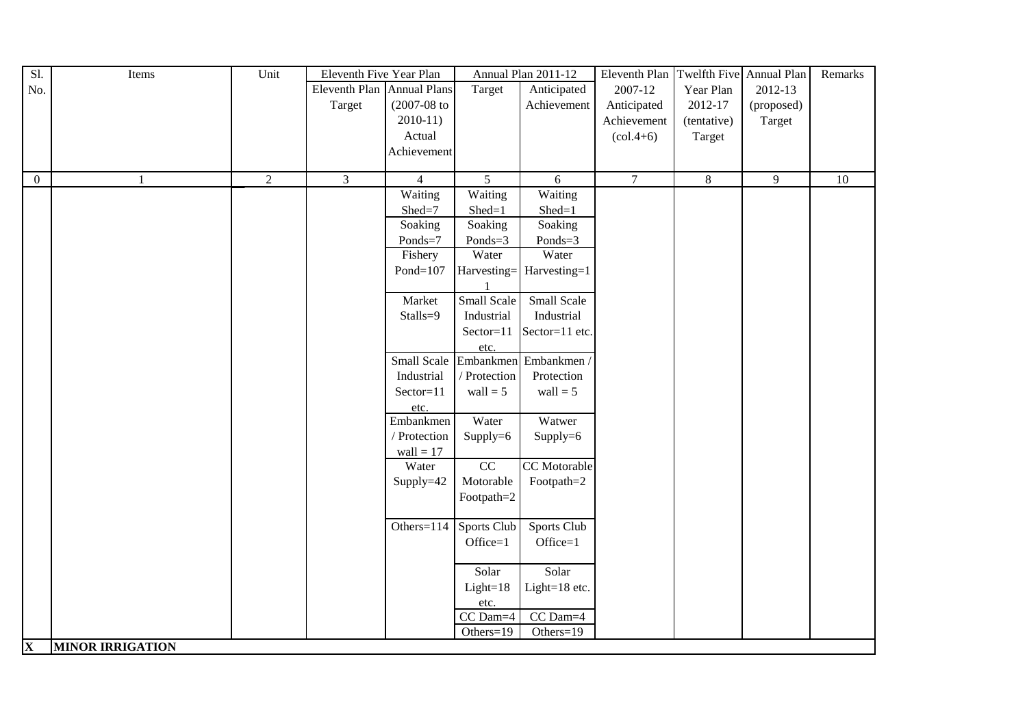| Sl.                     | Items                   | Unit | Eleventh Five Year Plan    |                |                 | Annual Plan 2011-12  | Eleventh Plan                   | Twelfth Five Annual Plan |            | Remarks |
|-------------------------|-------------------------|------|----------------------------|----------------|-----------------|----------------------|---------------------------------|--------------------------|------------|---------|
| No.                     |                         |      | Eleventh Plan Annual Plans |                | Target          | Anticipated          | 2007-12                         | Year Plan                | 2012-13    |         |
|                         |                         |      | Target                     | $(2007-08$ to  |                 | Achievement          | Anticipated                     | 2012-17                  | (proposed) |         |
|                         |                         |      |                            | $2010-11)$     |                 |                      | Achievement                     | (tentative)              | Target     |         |
|                         |                         |      |                            | Actual         |                 |                      | $\left( \text{col.4+6} \right)$ | Target                   |            |         |
|                         |                         |      |                            | Achievement    |                 |                      |                                 |                          |            |         |
|                         |                         |      |                            |                |                 |                      |                                 |                          |            |         |
| $\overline{0}$          | $\mathbf{1}$            | 2    | $\mathfrak{Z}$             | $\overline{4}$ | 5               | 6                    | $\tau$                          | $8\,$                    | 9          | $10\,$  |
|                         |                         |      |                            | Waiting        | Waiting         | Waiting              |                                 |                          |            |         |
|                         |                         |      |                            | Shed=7         | $Shed=1$        | $Shed=1$             |                                 |                          |            |         |
|                         |                         |      |                            | Soaking        | Soaking         | Soaking              |                                 |                          |            |         |
|                         |                         |      |                            | Ponds=7        | Ponds=3         | Ponds=3              |                                 |                          |            |         |
|                         |                         |      |                            | Fishery        | Water           | Water                |                                 |                          |            |         |
|                         |                         |      |                            | $Pond=107$     | Harvesting=     | Harvesting=1         |                                 |                          |            |         |
|                         |                         |      |                            |                |                 |                      |                                 |                          |            |         |
|                         |                         |      |                            | Market         | Small Scale     | Small Scale          |                                 |                          |            |         |
|                         |                         |      |                            | Stalls=9       | Industrial      | Industrial           |                                 |                          |            |         |
|                         |                         |      |                            |                | Sector=11       | Sector=11 etc.       |                                 |                          |            |         |
|                         |                         |      |                            |                | etc.            |                      |                                 |                          |            |         |
|                         |                         |      |                            | Small Scale    |                 | Embankmen Embankmen/ |                                 |                          |            |         |
|                         |                         |      |                            | Industrial     | / Protection    | Protection           |                                 |                          |            |         |
|                         |                         |      |                            | Sector=11      | wall $= 5$      | $wall = 5$           |                                 |                          |            |         |
|                         |                         |      |                            | etc.           |                 |                      |                                 |                          |            |         |
|                         |                         |      |                            | Embankmen      | Water           | Watwer               |                                 |                          |            |         |
|                         |                         |      |                            | / Protection   | Supply=6        | Supply=6             |                                 |                          |            |         |
|                         |                         |      |                            | wall = $17$    |                 |                      |                                 |                          |            |         |
|                         |                         |      |                            | Water          | $\overline{CC}$ | CC Motorable         |                                 |                          |            |         |
|                         |                         |      |                            | Supply=42      | Motorable       | Footpath=2           |                                 |                          |            |         |
|                         |                         |      |                            |                | Footpath=2      |                      |                                 |                          |            |         |
|                         |                         |      |                            |                |                 |                      |                                 |                          |            |         |
|                         |                         |      |                            | Others= $114$  | Sports Club     | Sports Club          |                                 |                          |            |         |
|                         |                         |      |                            |                | $Office=1$      | Office=1             |                                 |                          |            |         |
|                         |                         |      |                            |                |                 |                      |                                 |                          |            |         |
|                         |                         |      |                            |                | Solar           | Solar                |                                 |                          |            |         |
|                         |                         |      |                            |                | $Light=18$      | Light=18 etc.        |                                 |                          |            |         |
|                         |                         |      |                            |                | etc.            |                      |                                 |                          |            |         |
|                         |                         |      |                            |                | CC Dam=4        | CC Dam=4             |                                 |                          |            |         |
|                         |                         |      |                            |                | Others=19       | Others=19            |                                 |                          |            |         |
| $\overline{\mathbf{X}}$ | <b>MINOR IRRIGATION</b> |      |                            |                |                 |                      |                                 |                          |            |         |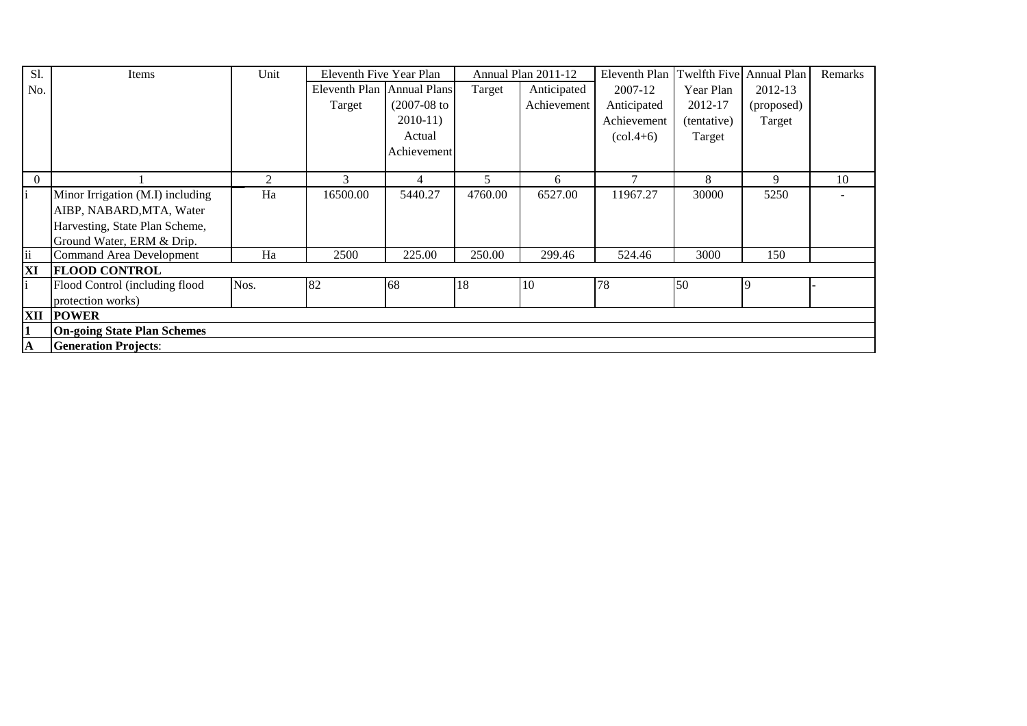| S1.                 | Items                              | Unit | Eleventh Five Year Plan    |                |         | Annual Plan 2011-12 | Eleventh Plan Twelfth Five Annual Plan |             |            | Remarks |
|---------------------|------------------------------------|------|----------------------------|----------------|---------|---------------------|----------------------------------------|-------------|------------|---------|
| No.                 |                                    |      | Eleventh Plan Annual Plans |                | Target  | Anticipated         | 2007-12                                | Year Plan   | 2012-13    |         |
|                     |                                    |      | Target                     | $(2007-08)$ to |         | Achievement         | Anticipated                            | 2012-17     | (proposed) |         |
|                     |                                    |      |                            | $2010-11$      |         |                     | Achievement                            | (tentative) | Target     |         |
|                     |                                    |      |                            | Actual         |         |                     | $\left( \text{col.4+6} \right)$        | Target      |            |         |
|                     |                                    |      |                            | Achievement    |         |                     |                                        |             |            |         |
|                     |                                    |      |                            |                |         |                     |                                        |             |            |         |
| $\Omega$            |                                    |      | 3                          | 4              |         | 6                   |                                        | 8           | 9          | 10      |
|                     | Minor Irrigation (M.I) including   | Ha   | 16500.00                   | 5440.27        | 4760.00 | 6527.00             | 11967.27                               | 30000       | 5250       |         |
|                     | AIBP, NABARD, MTA, Water           |      |                            |                |         |                     |                                        |             |            |         |
|                     | Harvesting, State Plan Scheme,     |      |                            |                |         |                     |                                        |             |            |         |
|                     | Ground Water, ERM & Drip.          |      |                            |                |         |                     |                                        |             |            |         |
| $\ddot{\mathbf{i}}$ | Command Area Development           | Ha   | 2500                       | 225.00         | 250.00  | 299.46              | 524.46                                 | 3000        | 150        |         |
| XI                  | <b>FLOOD CONTROL</b>               |      |                            |                |         |                     |                                        |             |            |         |
|                     | Flood Control (including flood     | Nos. | 82                         | 68             | 18      | 10                  | 78                                     | 50          |            |         |
|                     | protection works)                  |      |                            |                |         |                     |                                        |             |            |         |
| XII                 | <b>POWER</b>                       |      |                            |                |         |                     |                                        |             |            |         |
|                     | <b>On-going State Plan Schemes</b> |      |                            |                |         |                     |                                        |             |            |         |
| $\mathbf A$         | <b>Generation Projects:</b>        |      |                            |                |         |                     |                                        |             |            |         |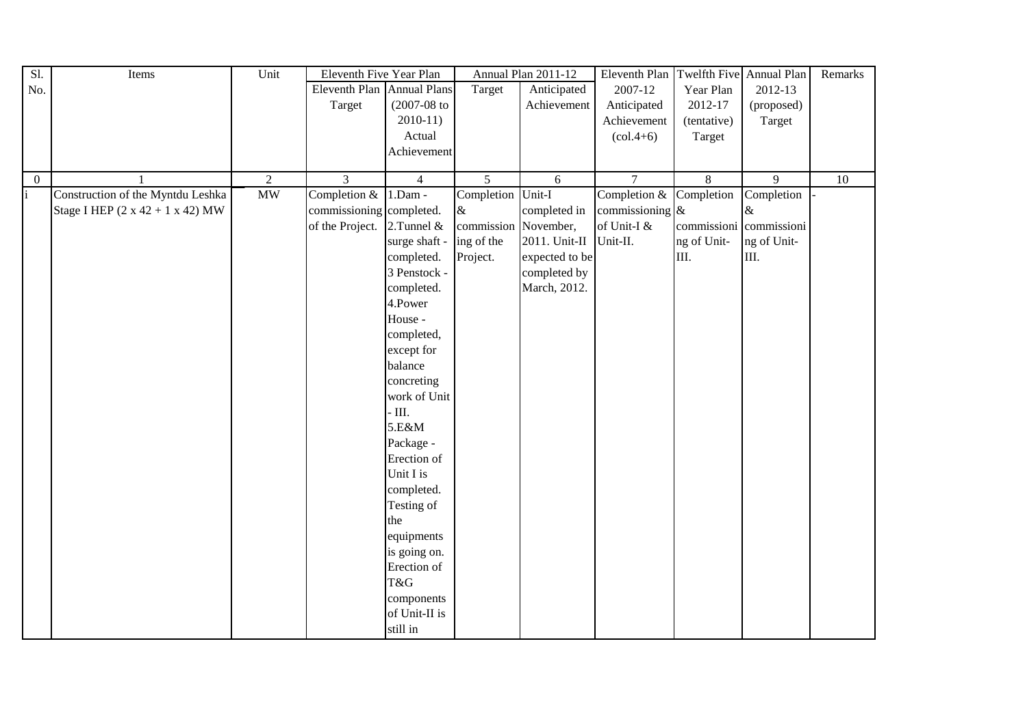| $\overline{S}$ l. | Items                                        | Unit           | Eleventh Five Year Plan    |                  |                      | Annual Plan 2011-12 | Eleventh Plan Twelfth Five Annual Plan |                |                         | Remarks |
|-------------------|----------------------------------------------|----------------|----------------------------|------------------|----------------------|---------------------|----------------------------------------|----------------|-------------------------|---------|
| No.               |                                              |                | Eleventh Plan Annual Plans |                  | Target               | Anticipated         | 2007-12                                | Year Plan      | 2012-13                 |         |
|                   |                                              |                | Target                     | $(2007 - 08)$ to |                      | Achievement         | Anticipated                            | 2012-17        | (proposed)              |         |
|                   |                                              |                |                            | $2010-11)$       |                      |                     | Achievement                            | (tentative)    | Target                  |         |
|                   |                                              |                |                            | Actual           |                      |                     | $\left( \text{col.4+6} \right)$        | Target         |                         |         |
|                   |                                              |                |                            | Achievement      |                      |                     |                                        |                |                         |         |
|                   |                                              |                |                            |                  |                      |                     |                                        |                |                         |         |
| $\overline{0}$    |                                              | $\overline{2}$ | $\overline{3}$             | $\overline{4}$   | $\overline{5}$       | 6                   | $\overline{7}$                         | $\overline{8}$ | $\overline{9}$          | 10      |
| i                 | Construction of the Myntdu Leshka            | MW             | Completion $&$             | $1.Dam -$        | Completion           | Unit-I              | Completion $&$ Completion              |                | Completion              |         |
|                   | Stage I HEP $(2 \times 42 + 1 \times 42)$ MW |                | commissioning completed.   |                  | $\&$                 | completed in        | commissioning $\&$                     |                | &                       |         |
|                   |                                              |                | of the Project.            | 2.Tunnel &       | commission November, |                     | of Unit-I &                            |                | commissioni commissioni |         |
|                   |                                              |                |                            | surge shaft -    | ing of the           | 2011. Unit-II       | Unit-II.                               | ng of Unit-    | ng of Unit-             |         |
|                   |                                              |                |                            | completed.       | Project.             | expected to be      |                                        | III.           | III.                    |         |
|                   |                                              |                |                            | 3 Penstock -     |                      | completed by        |                                        |                |                         |         |
|                   |                                              |                |                            | completed.       |                      | March, 2012.        |                                        |                |                         |         |
|                   |                                              |                |                            | 4.Power          |                      |                     |                                        |                |                         |         |
|                   |                                              |                |                            | House -          |                      |                     |                                        |                |                         |         |
|                   |                                              |                |                            | completed,       |                      |                     |                                        |                |                         |         |
|                   |                                              |                |                            | except for       |                      |                     |                                        |                |                         |         |
|                   |                                              |                |                            | balance          |                      |                     |                                        |                |                         |         |
|                   |                                              |                |                            | concreting       |                      |                     |                                        |                |                         |         |
|                   |                                              |                |                            | work of Unit     |                      |                     |                                        |                |                         |         |
|                   |                                              |                |                            | $\cdot$ III.     |                      |                     |                                        |                |                         |         |
|                   |                                              |                |                            | 5.E&M            |                      |                     |                                        |                |                         |         |
|                   |                                              |                |                            | Package -        |                      |                     |                                        |                |                         |         |
|                   |                                              |                |                            | Erection of      |                      |                     |                                        |                |                         |         |
|                   |                                              |                |                            | Unit I is        |                      |                     |                                        |                |                         |         |
|                   |                                              |                |                            | completed.       |                      |                     |                                        |                |                         |         |
|                   |                                              |                |                            | Testing of       |                      |                     |                                        |                |                         |         |
|                   |                                              |                |                            | the              |                      |                     |                                        |                |                         |         |
|                   |                                              |                |                            | equipments       |                      |                     |                                        |                |                         |         |
|                   |                                              |                |                            | is going on.     |                      |                     |                                        |                |                         |         |
|                   |                                              |                |                            | Erection of      |                      |                     |                                        |                |                         |         |
|                   |                                              |                |                            | T&G              |                      |                     |                                        |                |                         |         |
|                   |                                              |                |                            | components       |                      |                     |                                        |                |                         |         |
|                   |                                              |                |                            | of Unit-II is    |                      |                     |                                        |                |                         |         |
|                   |                                              |                |                            |                  |                      |                     |                                        |                |                         |         |
|                   |                                              |                |                            | still in         |                      |                     |                                        |                |                         |         |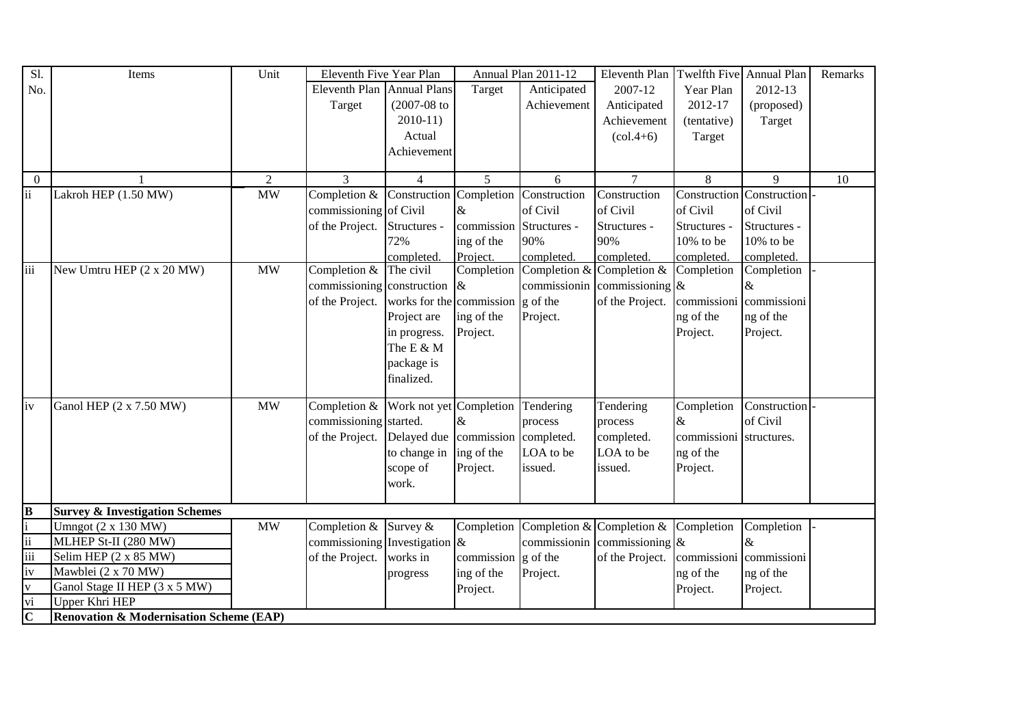| Sl.                      | Items                                              | Unit           | Eleventh Five Year Plan          |                                           |                                      | Annual Plan 2011-12       | Eleventh Plan      | Twelfth Five Annual Plan |                         | Remarks |
|--------------------------|----------------------------------------------------|----------------|----------------------------------|-------------------------------------------|--------------------------------------|---------------------------|--------------------|--------------------------|-------------------------|---------|
| No.                      |                                                    |                | Eleventh Plan Annual Plans       |                                           | Target                               | Anticipated               | 2007-12            | Year Plan                | 2012-13                 |         |
|                          |                                                    |                | Target                           | $(2007 - 08)$ to                          |                                      | Achievement               | Anticipated        | 2012-17                  | (proposed)              |         |
|                          |                                                    |                |                                  | $2010-11$                                 |                                      |                           | Achievement        | (tentative)              | Target                  |         |
|                          |                                                    |                |                                  | Actual                                    |                                      |                           | $(col.4+6)$        | Target                   |                         |         |
|                          |                                                    |                |                                  | Achievement                               |                                      |                           |                    |                          |                         |         |
|                          |                                                    |                |                                  |                                           |                                      |                           |                    |                          |                         |         |
| $\overline{0}$           |                                                    | $\overline{2}$ | 3                                | $\overline{4}$                            | 5                                    | 6                         | $\tau$             | 8                        | 9                       | 10      |
| ii                       | Lakroh HEP (1.50 MW)                               | <b>MW</b>      | Completion &                     | Construction Completion                   |                                      | Construction              | Construction       | Construction             | Construction            |         |
|                          |                                                    |                | commissioning of Civil           |                                           | &                                    | of Civil                  | of Civil           | of Civil                 | of Civil                |         |
|                          |                                                    |                | of the Project.                  | Structures -                              | commission                           | Structures -              | Structures -       | Structures -             | Structures -            |         |
|                          |                                                    |                |                                  | 72%                                       | ing of the                           | 90%                       | 90%                | 10% to be                | $10\%$ to be            |         |
|                          |                                                    |                |                                  | completed.                                | Project.                             | completed.                | completed.         | completed.               | completed.              |         |
| iii                      | New Umtru HEP (2 x 20 MW)                          | <b>MW</b>      | Completion &                     | The civil                                 | Completion                           | Completion &              | Completion &       | Completion               | Completion              |         |
|                          |                                                    |                | commissioning construction       |                                           | &                                    | commissionin              | commissioning $\&$ |                          | &                       |         |
|                          |                                                    |                | of the Project.                  | works for the commission $\gtrsim$ of the |                                      |                           | of the Project.    |                          | commissioni commissioni |         |
|                          |                                                    |                |                                  | Project are                               | ing of the                           | Project.                  |                    | ng of the                | ng of the               |         |
|                          |                                                    |                |                                  | in progress.                              | Project.                             |                           |                    | Project.                 | Project.                |         |
|                          |                                                    |                |                                  | The E & M                                 |                                      |                           |                    |                          |                         |         |
|                          |                                                    |                |                                  | package is                                |                                      |                           |                    |                          |                         |         |
|                          |                                                    |                |                                  | finalized.                                |                                      |                           |                    |                          |                         |         |
|                          |                                                    |                |                                  |                                           |                                      |                           |                    |                          |                         |         |
| iv                       | Ganol HEP (2 x 7.50 MW)                            | <b>MW</b>      | Completion &                     | Work not yet Completion                   |                                      | Tendering                 | Tendering          | Completion               | Construction            |         |
|                          |                                                    |                | commissioning started.           |                                           | &                                    | process                   | process            | $\&$                     | of Civil                |         |
|                          |                                                    |                | of the Project.                  | Delayed due commission completed.         |                                      |                           | completed.         | commissioni structures.  |                         |         |
|                          |                                                    |                |                                  | to change in                              | ing of the                           | LOA to be                 | LOA to be          | ng of the                |                         |         |
|                          |                                                    |                |                                  | scope of                                  | Project.                             | issued.                   | issued.            | Project.                 |                         |         |
|                          |                                                    |                |                                  | work.                                     |                                      |                           |                    |                          |                         |         |
|                          |                                                    |                |                                  |                                           |                                      |                           |                    |                          |                         |         |
| $\overline{\mathbf{B}}$  | <b>Survey &amp; Investigation Schemes</b>          |                |                                  |                                           |                                      |                           |                    |                          |                         |         |
|                          | Umngot $(2 \times 130 \text{ MW})$                 | <b>MW</b>      | Completion & Survey &            |                                           | Completion                           | Completion & Completion & |                    | Completion               | Completion              |         |
| $\overline{\mathbf{ii}}$ | MLHEP St-II (280 MW)                               |                | commissioning Investigation $\&$ |                                           |                                      | commissionin              | commissioning $\&$ |                          | $\&$                    |         |
| iii                      | Selim HEP (2 x 85 MW)                              |                | of the Project.                  | works in                                  | commission $\left  \right $ g of the |                           | of the Project.    | commissioni commissioni  |                         |         |
| iv                       | Mawblei (2 x 70 MW)                                |                |                                  | progress                                  | ing of the                           | Project.                  |                    | ng of the                | ng of the               |         |
| V                        | Ganol Stage II HEP (3 x 5 MW)                      |                |                                  |                                           | Project.                             |                           |                    | Project.                 | Project.                |         |
| vi                       | Upper Khri HEP                                     |                |                                  |                                           |                                      |                           |                    |                          |                         |         |
| $\overline{\mathbf{C}}$  | <b>Renovation &amp; Modernisation Scheme (EAP)</b> |                |                                  |                                           |                                      |                           |                    |                          |                         |         |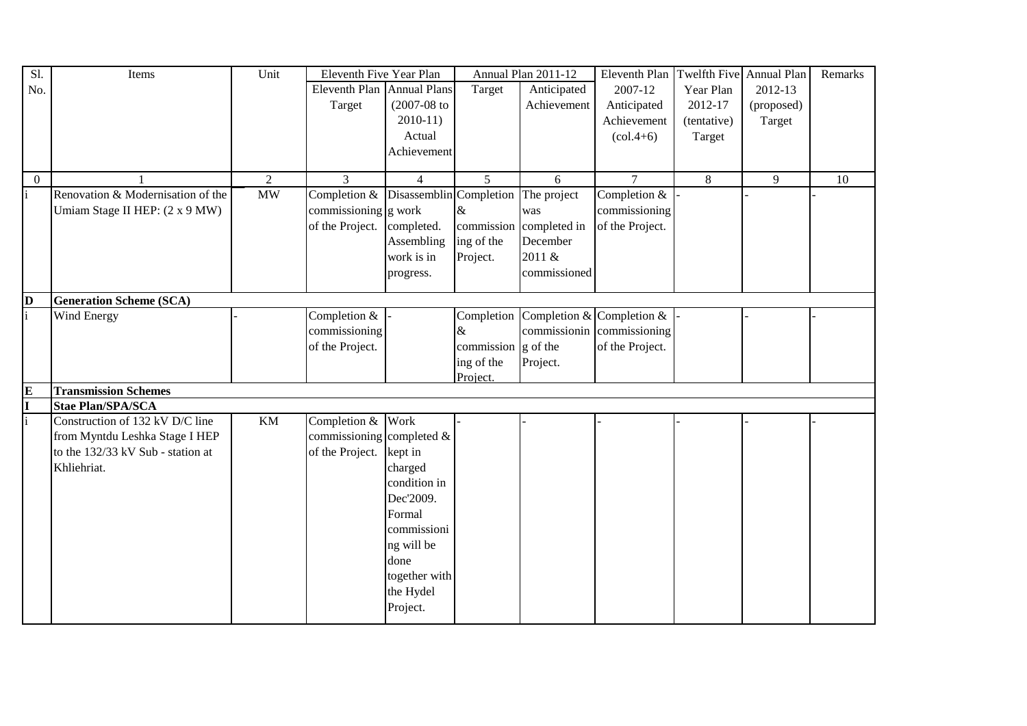| Sl.          | Items                             | Unit                   | Eleventh Five Year Plan      |                         |                                      | Annual Plan 2011-12 | Eleventh Plan                   | Twelfth Five Annual Plan |            | Remarks |
|--------------|-----------------------------------|------------------------|------------------------------|-------------------------|--------------------------------------|---------------------|---------------------------------|--------------------------|------------|---------|
| No.          |                                   |                        | Eleventh Plan Annual Plans   |                         | Target                               | Anticipated         | 2007-12                         | Year Plan                | 2012-13    |         |
|              |                                   |                        | Target                       | $(2007 - 08)$ to        |                                      | Achievement         | Anticipated                     | 2012-17                  | (proposed) |         |
|              |                                   |                        |                              | $2010-11$               |                                      |                     | Achievement                     | (tentative)              | Target     |         |
|              |                                   |                        |                              | Actual                  |                                      |                     | $\left( \text{col.4+6} \right)$ | Target                   |            |         |
|              |                                   |                        |                              | Achievement             |                                      |                     |                                 |                          |            |         |
|              |                                   |                        |                              |                         |                                      |                     |                                 |                          |            |         |
| $\theta$     |                                   | 2                      | 3                            | $\overline{4}$          | $5\overline{)}$                      | 6                   | $\tau$                          | 8                        | 9          | 10      |
|              | Renovation & Modernisation of the | $\overline{\text{MW}}$ | Completion &                 | Disassemblin Completion |                                      | The project         | Completion &                    |                          |            |         |
|              | Umiam Stage II HEP: (2 x 9 MW)    |                        | commissioning g work         |                         | &                                    | was                 | commissioning                   |                          |            |         |
|              |                                   |                        | of the Project.              | completed.              | commission                           | completed in        | of the Project.                 |                          |            |         |
|              |                                   |                        |                              | Assembling              | ing of the                           | December            |                                 |                          |            |         |
|              |                                   |                        |                              | work is in              | Project.                             | 2011 &              |                                 |                          |            |         |
|              |                                   |                        |                              | progress.               |                                      | commissioned        |                                 |                          |            |         |
|              |                                   |                        |                              |                         |                                      |                     |                                 |                          |            |         |
| $\bf{D}$     | <b>Generation Scheme (SCA)</b>    |                        |                              |                         |                                      |                     |                                 |                          |            |         |
| $\mathbf{i}$ | Wind Energy                       |                        | Completion &                 |                         | Completion                           |                     | Completion & Completion &       |                          |            |         |
|              |                                   |                        | commissioning                |                         | &                                    |                     | commissionin commissioning      |                          |            |         |
|              |                                   |                        | of the Project.              |                         | commission $\left  \right $ g of the |                     | of the Project.                 |                          |            |         |
|              |                                   |                        |                              |                         | ing of the                           | Project.            |                                 |                          |            |         |
|              |                                   |                        |                              |                         | Project.                             |                     |                                 |                          |            |         |
| E            | <b>Transmission Schemes</b>       |                        |                              |                         |                                      |                     |                                 |                          |            |         |
|              | <b>Stae Plan/SPA/SCA</b>          |                        |                              |                         |                                      |                     |                                 |                          |            |         |
|              | Construction of 132 kV D/C line   | KM                     | Completion & Work            |                         |                                      |                     |                                 |                          |            |         |
|              | from Myntdu Leshka Stage I HEP    |                        | commissioning completed $\&$ |                         |                                      |                     |                                 |                          |            |         |
|              | to the 132/33 kV Sub - station at |                        | of the Project. kept in      |                         |                                      |                     |                                 |                          |            |         |
|              | Khliehriat.                       |                        |                              | charged                 |                                      |                     |                                 |                          |            |         |
|              |                                   |                        |                              | condition in            |                                      |                     |                                 |                          |            |         |
|              |                                   |                        |                              | Dec'2009.               |                                      |                     |                                 |                          |            |         |
|              |                                   |                        |                              | Formal                  |                                      |                     |                                 |                          |            |         |
|              |                                   |                        |                              | commissioni             |                                      |                     |                                 |                          |            |         |
|              |                                   |                        |                              | ng will be              |                                      |                     |                                 |                          |            |         |
|              |                                   |                        |                              |                         |                                      |                     |                                 |                          |            |         |
|              |                                   |                        |                              | done                    |                                      |                     |                                 |                          |            |         |
|              |                                   |                        |                              | together with           |                                      |                     |                                 |                          |            |         |
|              |                                   |                        |                              | the Hydel               |                                      |                     |                                 |                          |            |         |
|              |                                   |                        |                              | Project.                |                                      |                     |                                 |                          |            |         |
|              |                                   |                        |                              |                         |                                      |                     |                                 |                          |            |         |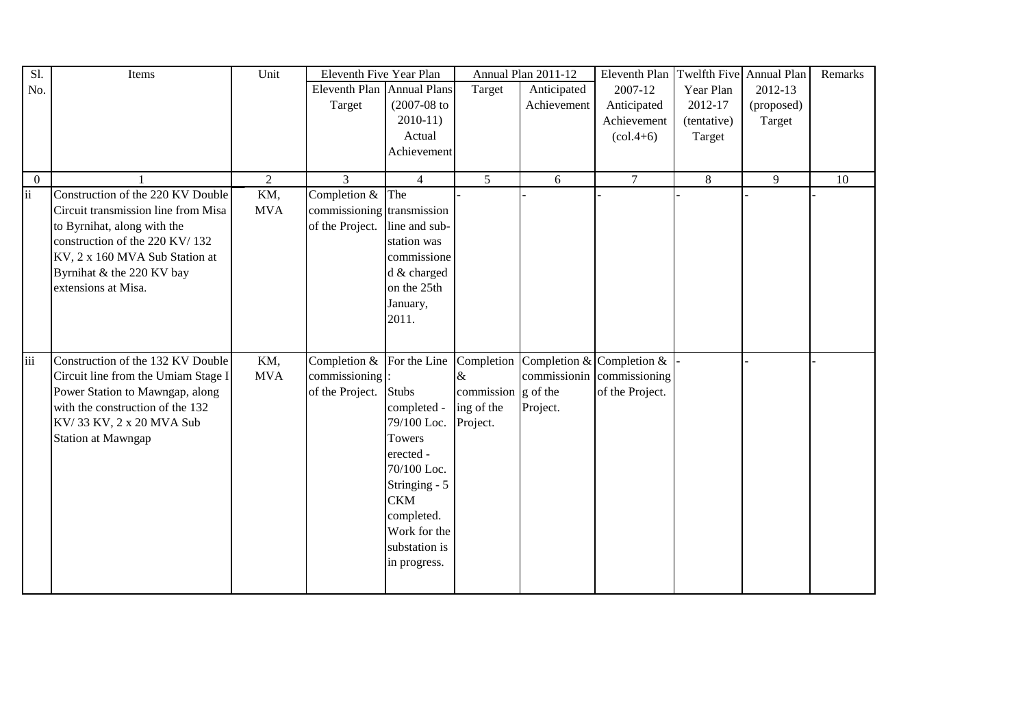| Sl.                      | Items                               | Unit           | Eleventh Five Year Plan       |                |                                      | Annual Plan 2011-12       | Eleventh Plan                   | Twelfth Five Annual Plan |            | Remarks |
|--------------------------|-------------------------------------|----------------|-------------------------------|----------------|--------------------------------------|---------------------------|---------------------------------|--------------------------|------------|---------|
| No.                      |                                     |                | Eleventh Plan Annual Plans    |                | Target                               | Anticipated               | 2007-12                         | Year Plan                | 2012-13    |         |
|                          |                                     |                | Target                        | $(2007-08$ to  |                                      | Achievement               | Anticipated                     | 2012-17                  | (proposed) |         |
|                          |                                     |                |                               | $2010-11$      |                                      |                           | Achievement                     | (tentative)              | Target     |         |
|                          |                                     |                |                               | Actual         |                                      |                           | $\left( \text{col.4+6} \right)$ | Target                   |            |         |
|                          |                                     |                |                               | Achievement    |                                      |                           |                                 |                          |            |         |
|                          |                                     |                |                               |                |                                      |                           |                                 |                          |            |         |
| $\overline{0}$           |                                     | $\overline{2}$ | 3                             | $\overline{4}$ | $5\phantom{.0}$                      | 6                         | $\overline{7}$                  | $8\,$                    | 9          | 10      |
| $\overline{\textbf{ii}}$ | Construction of the 220 KV Double   | KM,            | Completion $&$ The            |                |                                      |                           |                                 |                          |            |         |
|                          | Circuit transmission line from Misa | <b>MVA</b>     | commissioning transmission    |                |                                      |                           |                                 |                          |            |         |
|                          | to Byrnihat, along with the         |                | of the Project. line and sub- |                |                                      |                           |                                 |                          |            |         |
|                          | construction of the 220 KV/132      |                |                               | station was    |                                      |                           |                                 |                          |            |         |
|                          | KV, 2 x 160 MVA Sub Station at      |                |                               | commissione    |                                      |                           |                                 |                          |            |         |
|                          | Byrnihat & the 220 KV bay           |                |                               | d & charged    |                                      |                           |                                 |                          |            |         |
|                          | extensions at Misa.                 |                |                               | on the 25th    |                                      |                           |                                 |                          |            |         |
|                          |                                     |                |                               | January,       |                                      |                           |                                 |                          |            |         |
|                          |                                     |                |                               | 2011.          |                                      |                           |                                 |                          |            |         |
|                          |                                     |                |                               |                |                                      |                           |                                 |                          |            |         |
|                          |                                     |                |                               |                |                                      |                           |                                 |                          |            |         |
| $\overline{\text{iii}}$  | Construction of the 132 KV Double   | KM,            | Completion &                  | For the Line   | Completion                           | Completion & Completion & |                                 |                          |            |         |
|                          | Circuit line from the Umiam Stage I | <b>MVA</b>     | commissioning                 |                | &                                    | commissionin              | commissioning                   |                          |            |         |
|                          | Power Station to Mawngap, along     |                | of the Project.               | Stubs          | commission $\left  \right $ g of the |                           | of the Project.                 |                          |            |         |
|                          | with the construction of the 132    |                |                               | completed -    | ing of the                           | Project.                  |                                 |                          |            |         |
|                          | KV/33 KV, 2 x 20 MVA Sub            |                |                               | 79/100 Loc.    | Project.                             |                           |                                 |                          |            |         |
|                          | <b>Station at Mawngap</b>           |                |                               | <b>Towers</b>  |                                      |                           |                                 |                          |            |         |
|                          |                                     |                |                               | erected -      |                                      |                           |                                 |                          |            |         |
|                          |                                     |                |                               | 70/100 Loc.    |                                      |                           |                                 |                          |            |         |
|                          |                                     |                |                               | Stringing - 5  |                                      |                           |                                 |                          |            |         |
|                          |                                     |                |                               | <b>CKM</b>     |                                      |                           |                                 |                          |            |         |
|                          |                                     |                |                               | completed.     |                                      |                           |                                 |                          |            |         |
|                          |                                     |                |                               | Work for the   |                                      |                           |                                 |                          |            |         |
|                          |                                     |                |                               | substation is  |                                      |                           |                                 |                          |            |         |
|                          |                                     |                |                               |                |                                      |                           |                                 |                          |            |         |
|                          |                                     |                |                               | in progress.   |                                      |                           |                                 |                          |            |         |
|                          |                                     |                |                               |                |                                      |                           |                                 |                          |            |         |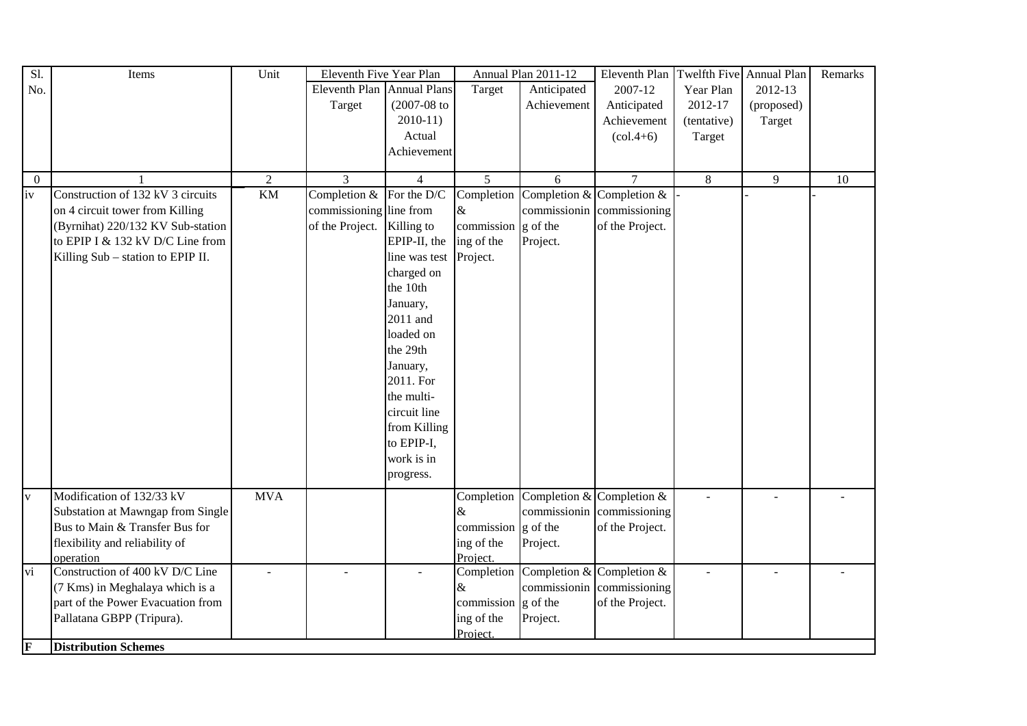| Sl.             | Items                             | Unit            | Eleventh Five Year Plan    |                |            | Annual Plan 2011-12 | Eleventh Plan                   | Twelfth Five Annual Plan |            | Remarks |
|-----------------|-----------------------------------|-----------------|----------------------------|----------------|------------|---------------------|---------------------------------|--------------------------|------------|---------|
| No.             |                                   |                 | Eleventh Plan Annual Plans |                | Target     | Anticipated         | 2007-12                         | Year Plan                | 2012-13    |         |
|                 |                                   |                 | Target                     | $(2007-08)$ to |            | Achievement         | Anticipated                     | 2012-17                  | (proposed) |         |
|                 |                                   |                 |                            | $2010-11$      |            |                     | Achievement                     | (tentative)              | Target     |         |
|                 |                                   |                 |                            | Actual         |            |                     | $\left( \text{col.4+6} \right)$ | Target                   |            |         |
|                 |                                   |                 |                            | Achievement    |            |                     |                                 |                          |            |         |
|                 |                                   |                 |                            |                |            |                     |                                 |                          |            |         |
| $\Omega$        |                                   | $\overline{2}$  | 3                          | $\overline{4}$ | 5          | 6                   | $\tau$                          | 8                        | 9          | 10      |
| iv              | Construction of 132 kV 3 circuits | $\overline{KM}$ | Completion &               | For the D/C    | Completion |                     | Completion & Completion &       |                          |            |         |
|                 | on 4 circuit tower from Killing   |                 | commissioning line from    |                | $\&$       | commissionin        | commissioning                   |                          |            |         |
|                 | (Byrnihat) 220/132 KV Sub-station |                 | of the Project.            | Killing to     | commission | g of the            | of the Project.                 |                          |            |         |
|                 | to EPIP I & 132 kV D/C Line from  |                 |                            | EPIP-II, the   | ing of the | Project.            |                                 |                          |            |         |
|                 | Killing Sub - station to EPIP II. |                 |                            | line was test  | Project.   |                     |                                 |                          |            |         |
|                 |                                   |                 |                            | charged on     |            |                     |                                 |                          |            |         |
|                 |                                   |                 |                            | the 10th       |            |                     |                                 |                          |            |         |
|                 |                                   |                 |                            | January,       |            |                     |                                 |                          |            |         |
|                 |                                   |                 |                            | 2011 and       |            |                     |                                 |                          |            |         |
|                 |                                   |                 |                            | loaded on      |            |                     |                                 |                          |            |         |
|                 |                                   |                 |                            | the 29th       |            |                     |                                 |                          |            |         |
|                 |                                   |                 |                            | January,       |            |                     |                                 |                          |            |         |
|                 |                                   |                 |                            | 2011. For      |            |                     |                                 |                          |            |         |
|                 |                                   |                 |                            | the multi-     |            |                     |                                 |                          |            |         |
|                 |                                   |                 |                            | circuit line   |            |                     |                                 |                          |            |         |
|                 |                                   |                 |                            | from Killing   |            |                     |                                 |                          |            |         |
|                 |                                   |                 |                            | to EPIP-I,     |            |                     |                                 |                          |            |         |
|                 |                                   |                 |                            | work is in     |            |                     |                                 |                          |            |         |
|                 |                                   |                 |                            | progress.      |            |                     |                                 |                          |            |         |
| $\mathbf V$     | Modification of 132/33 kV         | <b>MVA</b>      |                            |                | Completion |                     | Completion & Completion &       |                          |            |         |
|                 | Substation at Mawngap from Single |                 |                            |                | $\&$       |                     | commissionin commissioning      |                          |            |         |
|                 | Bus to Main & Transfer Bus for    |                 |                            |                | commission | g of the            | of the Project.                 |                          |            |         |
|                 | flexibility and reliability of    |                 |                            |                | ing of the | Project.            |                                 |                          |            |         |
|                 | operation                         |                 |                            |                | Project.   |                     |                                 |                          |            |         |
| $\overline{vi}$ | Construction of 400 kV D/C Line   |                 | $\overline{a}$             |                | Completion |                     | Completion & Completion &       | $\blacksquare$           |            |         |
|                 | (7 Kms) in Meghalaya which is a   |                 |                            |                | &          |                     | commissionin commissioning      |                          |            |         |
|                 | part of the Power Evacuation from |                 |                            |                | commission | g of the            | of the Project.                 |                          |            |         |
|                 | Pallatana GBPP (Tripura).         |                 |                            |                | ing of the | Project.            |                                 |                          |            |         |
|                 |                                   |                 |                            |                | Project    |                     |                                 |                          |            |         |
| F               | <b>Distribution Schemes</b>       |                 |                            |                |            |                     |                                 |                          |            |         |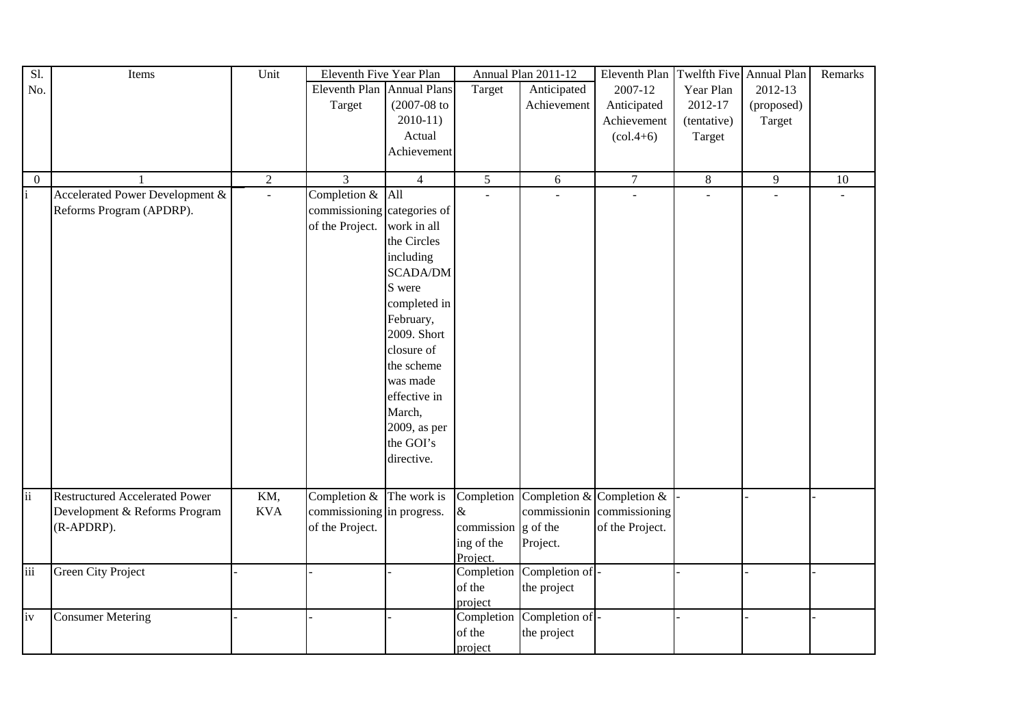| Sl.              | Items                                 | Unit           | Eleventh Five Year Plan     |                  |                                      | Annual Plan 2011-12 | Eleventh Plan                   |             | Twelfth Five Annual Plan | Remarks |
|------------------|---------------------------------------|----------------|-----------------------------|------------------|--------------------------------------|---------------------|---------------------------------|-------------|--------------------------|---------|
| No.              |                                       |                | Eleventh Plan Annual Plans  |                  | Target                               | Anticipated         | 2007-12                         | Year Plan   | 2012-13                  |         |
|                  |                                       |                | Target                      | $(2007 - 08)$ to |                                      | Achievement         | Anticipated                     | 2012-17     | (proposed)               |         |
|                  |                                       |                |                             | $2010-11$        |                                      |                     | Achievement                     | (tentative) | Target                   |         |
|                  |                                       |                |                             | Actual           |                                      |                     | $\left( \text{col.4+6} \right)$ | Target      |                          |         |
|                  |                                       |                |                             | Achievement      |                                      |                     |                                 |             |                          |         |
|                  |                                       |                |                             |                  |                                      |                     |                                 |             |                          |         |
| $\boldsymbol{0}$ |                                       | $\overline{2}$ | 3                           | $\overline{4}$   | $\mathfrak{S}$                       | 6                   | $\tau$                          | $8\,$       | $\overline{9}$           | $10\,$  |
| i                | Accelerated Power Development &       | $\overline{a}$ | Completion $&$ All          |                  | $\sim$                               |                     |                                 | L.          | $\overline{a}$           |         |
|                  | Reforms Program (APDRP).              |                | commissioning categories of |                  |                                      |                     |                                 |             |                          |         |
|                  |                                       |                | of the Project.             | work in all      |                                      |                     |                                 |             |                          |         |
|                  |                                       |                |                             | the Circles      |                                      |                     |                                 |             |                          |         |
|                  |                                       |                |                             | including        |                                      |                     |                                 |             |                          |         |
|                  |                                       |                |                             | <b>SCADA/DM</b>  |                                      |                     |                                 |             |                          |         |
|                  |                                       |                |                             | S were           |                                      |                     |                                 |             |                          |         |
|                  |                                       |                |                             | completed in     |                                      |                     |                                 |             |                          |         |
|                  |                                       |                |                             | February,        |                                      |                     |                                 |             |                          |         |
|                  |                                       |                |                             | 2009. Short      |                                      |                     |                                 |             |                          |         |
|                  |                                       |                |                             | closure of       |                                      |                     |                                 |             |                          |         |
|                  |                                       |                |                             | the scheme       |                                      |                     |                                 |             |                          |         |
|                  |                                       |                |                             | was made         |                                      |                     |                                 |             |                          |         |
|                  |                                       |                |                             | effective in     |                                      |                     |                                 |             |                          |         |
|                  |                                       |                |                             | March,           |                                      |                     |                                 |             |                          |         |
|                  |                                       |                |                             | 2009, as per     |                                      |                     |                                 |             |                          |         |
|                  |                                       |                |                             | the GOI's        |                                      |                     |                                 |             |                          |         |
|                  |                                       |                |                             | directive.       |                                      |                     |                                 |             |                          |         |
|                  |                                       |                |                             |                  |                                      |                     |                                 |             |                          |         |
|                  |                                       |                |                             |                  |                                      |                     |                                 |             |                          |         |
| $\overline{ii}$  | <b>Restructured Accelerated Power</b> | KM,            | Completion $&$ The work is  |                  | Completion                           |                     | Completion & Completion &       |             |                          |         |
|                  | Development & Reforms Program         | <b>KVA</b>     | commissioning in progress.  |                  | $\&$                                 | commissionin        | commissioning                   |             |                          |         |
|                  | (R-APDRP).                            |                | of the Project.             |                  | commission $\left  \right $ g of the |                     | of the Project.                 |             |                          |         |
|                  |                                       |                |                             |                  | ing of the                           | Project.            |                                 |             |                          |         |
|                  |                                       |                |                             |                  | Project.                             |                     |                                 |             |                          |         |
| iii              | <b>Green City Project</b>             |                |                             |                  | Completion                           | Completion of -     |                                 |             |                          |         |
|                  |                                       |                |                             |                  | of the                               | the project         |                                 |             |                          |         |
|                  |                                       |                |                             |                  | project                              |                     |                                 |             |                          |         |
| iv               | <b>Consumer Metering</b>              |                |                             |                  | Completion                           | Completion of -     |                                 |             |                          |         |
|                  |                                       |                |                             |                  | of the                               | the project         |                                 |             |                          |         |
|                  |                                       |                |                             |                  | project                              |                     |                                 |             |                          |         |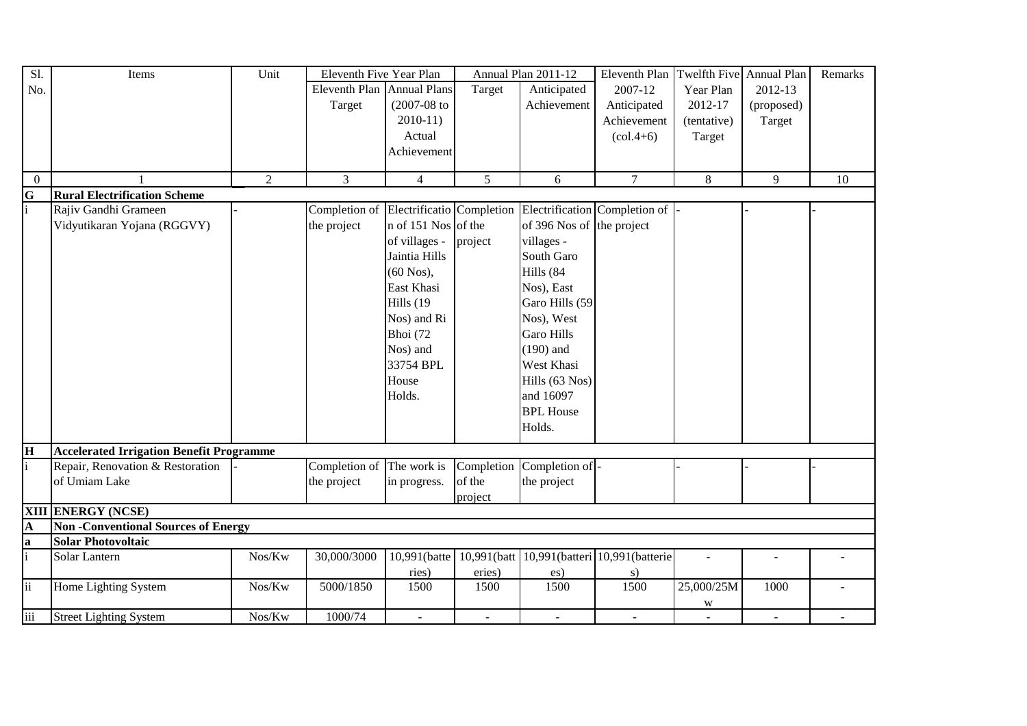| Sl.                      | Items                                           | Unit   | Eleventh Five Year Plan    |                           |            | Annual Plan 2011-12       | Eleventh Plan                              | Twelfth Five Annual Plan |            | Remarks |
|--------------------------|-------------------------------------------------|--------|----------------------------|---------------------------|------------|---------------------------|--------------------------------------------|--------------------------|------------|---------|
| No.                      |                                                 |        | Eleventh Plan Annual Plans |                           | Target     | Anticipated               | 2007-12                                    | Year Plan                | 2012-13    |         |
|                          |                                                 |        | Target                     | $(2007-08$ to             |            | Achievement               | Anticipated                                | 2012-17                  | (proposed) |         |
|                          |                                                 |        |                            | $2010-11$                 |            |                           | Achievement                                | (tentative)              | Target     |         |
|                          |                                                 |        |                            | Actual                    |            |                           | $\left( \text{col.4+6} \right)$            | Target                   |            |         |
|                          |                                                 |        |                            | Achievement               |            |                           |                                            |                          |            |         |
|                          |                                                 |        |                            |                           |            |                           |                                            |                          |            |         |
| $\overline{0}$           |                                                 | 2      | 3                          | $\overline{4}$            | 5          | 6                         | $\overline{7}$                             | 8                        | 9          | 10      |
| $\frac{G}{i}$            | <b>Rural Electrification Scheme</b>             |        |                            |                           |            |                           |                                            |                          |            |         |
|                          | Rajiv Gandhi Grameen                            |        | Completion of              | Electrificatio Completion |            |                           | Electrification Completion of              |                          |            |         |
|                          | Vidyutikaran Yojana (RGGVY)                     |        | the project                | n of 151 Nos of the       |            | of 396 Nos of the project |                                            |                          |            |         |
|                          |                                                 |        |                            | of villages -             | project    | villages -                |                                            |                          |            |         |
|                          |                                                 |        |                            | Jaintia Hills             |            | South Garo                |                                            |                          |            |         |
|                          |                                                 |        |                            | $(60$ Nos),               |            | Hills (84                 |                                            |                          |            |         |
|                          |                                                 |        |                            | East Khasi                |            | Nos), East                |                                            |                          |            |         |
|                          |                                                 |        |                            | Hills (19                 |            | Garo Hills (59            |                                            |                          |            |         |
|                          |                                                 |        |                            | Nos) and Ri               |            | Nos), West                |                                            |                          |            |         |
|                          |                                                 |        |                            | Bhoi (72                  |            | <b>Garo Hills</b>         |                                            |                          |            |         |
|                          |                                                 |        |                            | Nos) and                  |            | $(190)$ and               |                                            |                          |            |         |
|                          |                                                 |        |                            | 33754 BPL                 |            | West Khasi                |                                            |                          |            |         |
|                          |                                                 |        |                            |                           |            |                           |                                            |                          |            |         |
|                          |                                                 |        |                            | House                     |            | Hills (63 Nos)            |                                            |                          |            |         |
|                          |                                                 |        |                            | Holds.                    |            | and 16097                 |                                            |                          |            |         |
|                          |                                                 |        |                            |                           |            | <b>BPL House</b>          |                                            |                          |            |         |
|                          |                                                 |        |                            |                           |            | Holds.                    |                                            |                          |            |         |
| $\overline{\mathbf{H}}$  | <b>Accelerated Irrigation Benefit Programme</b> |        |                            |                           |            |                           |                                            |                          |            |         |
|                          | Repair, Renovation & Restoration                |        | Completion of              | The work is               | Completion | Completion of -           |                                            |                          |            |         |
|                          | of Umiam Lake                                   |        | the project                | in progress.              | of the     | the project               |                                            |                          |            |         |
|                          |                                                 |        |                            |                           | project    |                           |                                            |                          |            |         |
|                          | <b>XIII ENERGY (NCSE)</b>                       |        |                            |                           |            |                           |                                            |                          |            |         |
|                          | <b>Non-Conventional Sources of Energy</b>       |        |                            |                           |            |                           |                                            |                          |            |         |
| $\frac{A}{a}$            | <b>Solar Photovoltaic</b>                       |        |                            |                           |            |                           |                                            |                          |            |         |
|                          | Solar Lantern                                   | Nos/Kw | 30,000/3000                | 10,991(batte              |            |                           | 10,991(batt 10,991(batteri 10,991(batterie |                          |            |         |
|                          |                                                 |        |                            | ries)                     | eries)     | es)                       | s)                                         |                          |            |         |
| $\overline{\textbf{ii}}$ | Home Lighting System                            | Nos/Kw | 5000/1850                  | 1500                      | 1500       | 1500                      | 1500                                       | 25,000/25M               | 1000       |         |
|                          |                                                 |        |                            |                           |            |                           |                                            | W                        |            |         |
| $\overline{\text{iii}}$  | <b>Street Lighting System</b>                   | Nos/Kw | 1000/74                    | $\sim$                    | $\sim$     | $\sim$                    | $\sim$                                     |                          | $\sim$     |         |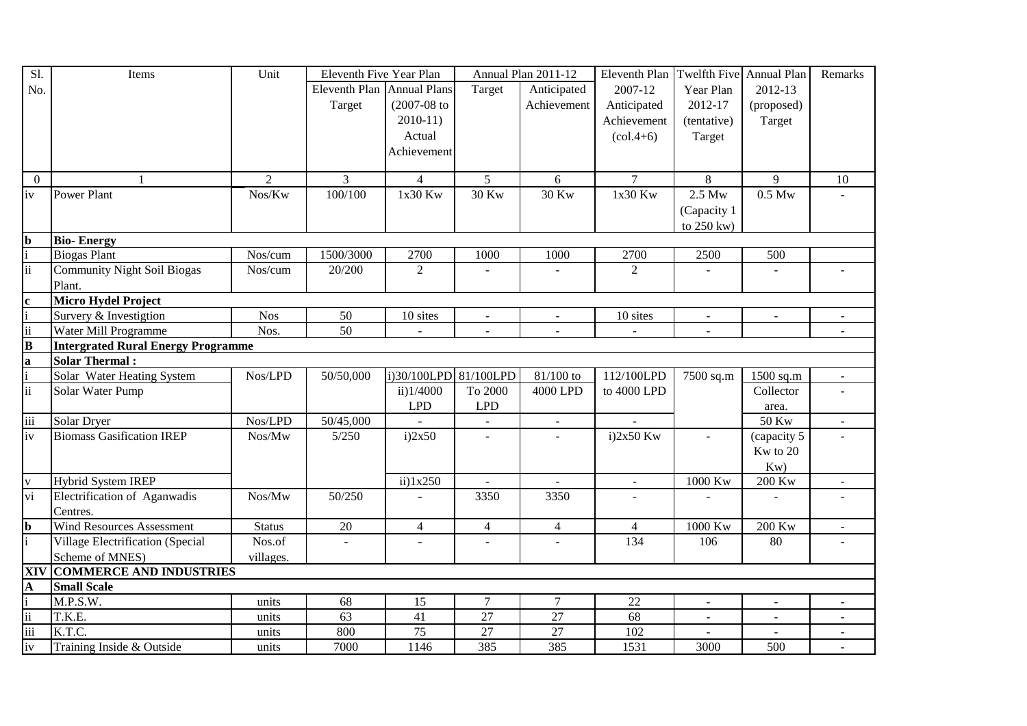| Sl.                     | Items                                     | Unit           | Eleventh Five Year Plan    |                       |                           | Annual Plan 2011-12       | Eleventh Plan Twelfth Five Annual Plan |                |                    | Remarks                   |
|-------------------------|-------------------------------------------|----------------|----------------------------|-----------------------|---------------------------|---------------------------|----------------------------------------|----------------|--------------------|---------------------------|
| No.                     |                                           |                | Eleventh Plan Annual Plans |                       | Target                    | Anticipated               | 2007-12                                | Year Plan      | 2012-13            |                           |
|                         |                                           |                | Target                     | $(2007-08)$ to        |                           | Achievement               | Anticipated                            | 2012-17        | (proposed)         |                           |
|                         |                                           |                |                            | $2010-11$             |                           |                           | Achievement                            | (tentative)    | Target             |                           |
|                         |                                           |                |                            | Actual                |                           |                           | $\left( \text{col.4+6} \right)$        | Target         |                    |                           |
|                         |                                           |                |                            | Achievement           |                           |                           |                                        |                |                    |                           |
|                         |                                           |                |                            |                       |                           |                           |                                        |                |                    |                           |
| $\boldsymbol{0}$        | 1                                         | $\overline{2}$ | 3                          | $\overline{4}$        | 5                         | 6                         | $\tau$                                 | 8              | 9                  | 10                        |
| iv                      | <b>Power Plant</b>                        | Nos/Kw         | 100/100                    | 1x30 Kw               | 30 Kw                     | 30 Kw                     | 1x30 Kw                                | 2.5 Mw         | 0.5 Mw             |                           |
|                         |                                           |                |                            |                       |                           |                           |                                        | (Capacity 1    |                    |                           |
|                         |                                           |                |                            |                       |                           |                           |                                        | to 250 kw)     |                    |                           |
| $\mathbf b$             | <b>Bio-Energy</b>                         |                |                            |                       |                           |                           |                                        |                |                    |                           |
|                         | <b>Biogas Plant</b>                       | Nos/cum        | 1500/3000                  | 2700                  | 1000                      | 1000                      | 2700                                   | 2500           | 500                |                           |
| ii                      | <b>Community Night Soil Biogas</b>        | Nos/cum        | 20/200                     | $\overline{2}$        |                           |                           | $\overline{2}$                         |                |                    |                           |
|                         | Plant.                                    |                |                            |                       |                           |                           |                                        |                |                    |                           |
| $\mathbf{c}$            | Micro Hydel Project                       |                |                            |                       |                           |                           |                                        |                |                    |                           |
|                         | Survery & Investigtion                    | <b>Nos</b>     | 50                         | 10 sites              | $\mathbf{r}$              | $\blacksquare$            | 10 sites                               | $\mathbf{r}$   | $\mathbf{r}$       |                           |
| ii                      | Water Mill Programme                      | Nos.           | 50                         | $\mathbf{r}$          | $\mathbf{r}$              | $\blacksquare$            | $\sim$                                 | $\sim$         |                    | $\sim$                    |
| $\overline{\mathbf{B}}$ | <b>Intergrated Rural Energy Programme</b> |                |                            |                       |                           |                           |                                        |                |                    |                           |
| $\mathbf{a}$            | Solar Thermal:                            |                |                            |                       |                           |                           |                                        |                |                    |                           |
|                         | Solar Water Heating System                | Nos/LPD        | 50/50,000                  | i)30/100LPD 81/100LPD |                           | 81/100 to                 | 112/100LPD                             | 7500 sq.m      | 1500 sq.m          | $\blacksquare$            |
| ii                      | Solar Water Pump                          |                |                            | ii)1/4000             | To 2000                   | 4000 LPD                  | to 4000 LPD                            |                | Collector          |                           |
|                         |                                           |                |                            | LPD                   | <b>LPD</b>                |                           |                                        |                | area.              |                           |
| iii                     | <b>Solar Dryer</b>                        | Nos/LPD        | 50/45,000                  |                       | $\sim$                    | $\blacksquare$            |                                        |                | 50 Kw              | $\mathbf{r}$              |
| iv                      | <b>Biomass Gasification IREP</b>          | $Nos/Mw$       | 5/250                      | i)2x50                | $\overline{a}$            |                           | $i)2x50$ Kw                            |                | (capacity 5        |                           |
|                         |                                           |                |                            |                       |                           |                           |                                        |                | Kw to 20           |                           |
|                         |                                           |                |                            |                       |                           |                           |                                        |                | Kw                 |                           |
| $\overline{\mathbf{V}}$ | Hybrid System IREP                        |                |                            | $ii)$ 1x250           | $\mathbb{Z}^{\mathbb{Z}}$ | $\mathbb{Z}^{\mathbb{Z}}$ | $\mathbb{Z}^{\mathbb{Z}}$              | 1000 Kw        | $200\ \mathrm{Kw}$ | $\mathbb{R}^{\mathbb{Z}}$ |
| $\overline{vi}$         | Electrification of Aganwadis              | Nos/Mw         | 50/250                     |                       | 3350                      | 3350                      |                                        |                |                    |                           |
|                         | Centres.                                  |                |                            |                       |                           |                           |                                        |                |                    |                           |
| $\mathbf b$             | Wind Resources Assessment                 | <b>Status</b>  | $20\,$                     | $\overline{4}$        | $\overline{4}$            | $\overline{4}$            | $\overline{4}$                         | 1000 Kw        | 200 Kw             | $\sim$                    |
|                         | Village Electrification (Special          | Nos.of         | $\blacksquare$             |                       | ÷.                        | $\omega$                  | 134                                    | 106            | 80                 |                           |
|                         | Scheme of MNES)                           | villages.      |                            |                       |                           |                           |                                        |                |                    |                           |
| XIV                     | <b>COMMERCE AND INDUSTRIES</b>            |                |                            |                       |                           |                           |                                        |                |                    |                           |
| $\mathbf{A}$            | <b>Small Scale</b>                        |                |                            |                       |                           |                           |                                        |                |                    |                           |
|                         | M.P.S.W.                                  | units          | 68                         | 15                    | $\overline{7}$            | $\overline{7}$            | 22                                     | $\blacksquare$ | $\blacksquare$     |                           |
| $\mathbf{ii}$           | T.K.E.                                    | units          | 63                         | 41                    | $\overline{27}$           | $\overline{27}$           | 68                                     | $\sim$         | $\blacksquare$     | $\blacksquare$            |
| $\overline{\text{iii}}$ | K.T.C.                                    | units          | 800                        | $\overline{75}$       | 27                        | 27                        | 102                                    |                | $\mathbf{r}$       | $\sim$                    |
| iv                      | Training Inside & Outside                 | units          | 7000                       | 1146                  | 385                       | 385                       | 1531                                   | 3000           | 500                |                           |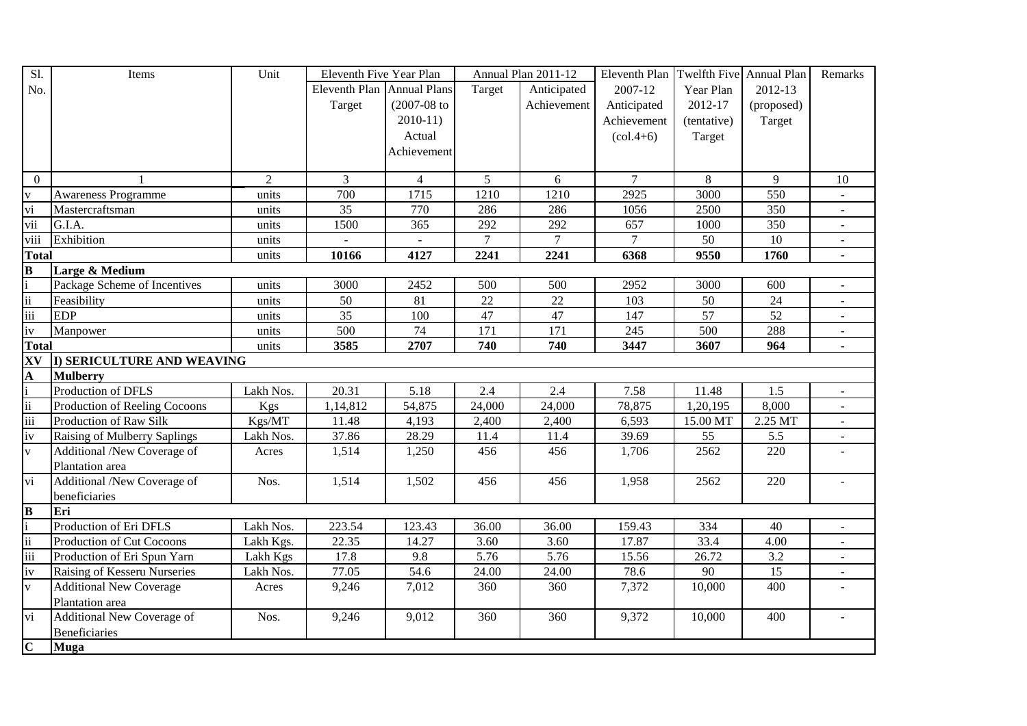| Sl.                      | Items                             | Unit           | Eleventh Five Year Plan    |                  |                 | Annual Plan 2011-12 | Eleventh Plan   Twelfth Five   Annual Plan |             |            | Remarks                   |
|--------------------------|-----------------------------------|----------------|----------------------------|------------------|-----------------|---------------------|--------------------------------------------|-------------|------------|---------------------------|
| No.                      |                                   |                | Eleventh Plan Annual Plans |                  | Target          | Anticipated         | 2007-12                                    | Year Plan   | 2012-13    |                           |
|                          |                                   |                | Target                     | $(2007 - 08)$ to |                 | Achievement         | Anticipated                                | 2012-17     | (proposed) |                           |
|                          |                                   |                |                            | $2010-11$        |                 |                     | Achievement                                | (tentative) | Target     |                           |
|                          |                                   |                |                            | Actual           |                 |                     | $\left(\text{col.4+6}\right)$              | Target      |            |                           |
|                          |                                   |                |                            | Achievement      |                 |                     |                                            |             |            |                           |
|                          |                                   |                |                            |                  |                 |                     |                                            |             |            |                           |
| $\boldsymbol{0}$         |                                   | $\overline{2}$ | 3                          | $\overline{4}$   | $5\overline{)}$ | 6                   | $\overline{7}$                             | 8           | 9          | 10                        |
| $\mathbf{V}$             | <b>Awareness Programme</b>        | units          | 700                        | 1715             | 1210            | 1210                | 2925                                       | 3000        | 550        | $\sim$                    |
| vi                       | Mastercraftsman                   | units          | 35                         | 770              | 286             | 286                 | 1056                                       | 2500        | 350        |                           |
| vii                      | G.I.A.                            | units          | 1500                       | 365              | 292             | 292                 | 657                                        | 1000        | 350        |                           |
| viii                     | Exhibition                        | units          |                            | $\blacksquare$   | $\tau$          | $\tau$              | $\overline{7}$                             | 50          | 10         | $\blacksquare$            |
| <b>Total</b>             |                                   | units          | 10166                      | 4127             | 2241            | 2241                | 6368                                       | 9550        | 1760       | $\blacksquare$            |
| $\overline{\mathbf{B}}$  | Large & Medium                    |                |                            |                  |                 |                     |                                            |             |            |                           |
|                          | Package Scheme of Incentives      | units          | 3000                       | 2452             | 500             | 500                 | 2952                                       | 3000        | 600        |                           |
| $\overline{\textbf{ii}}$ | Feasibility                       | units          | 50                         | 81               | $\overline{22}$ | $\overline{22}$     | 103                                        | 50          | 24         |                           |
| iii                      | <b>EDP</b>                        | units          | 35                         | 100              | 47              | 47                  | 147                                        | 57          | 52         |                           |
| iv                       | Manpower                          | units          | 500                        | 74               | 171             | 171                 | 245                                        | 500         | 288        | $\sim$                    |
| <b>Total</b>             |                                   | units          | 3585                       | 2707             | 740             | 740                 | 3447                                       | 3607        | 964        | $\mathbb{R}^{\mathbb{Z}}$ |
| XV                       | <b>I) SERICULTURE AND WEAVING</b> |                |                            |                  |                 |                     |                                            |             |            |                           |
| A                        | <b>Mulberry</b>                   |                |                            |                  |                 |                     |                                            |             |            |                           |
|                          | Production of DFLS                | Lakh Nos.      | 20.31                      | 5.18             | 2.4             | 2.4                 | 7.58                                       | 11.48       | 1.5        | $\blacksquare$            |
| $\ddot{\rm ii}$          | Production of Reeling Cocoons     | Kgs            | 1,14,812                   | 54,875           | 24,000          | 24,000              | 78,875                                     | 1,20,195    | 8,000      |                           |
| iii                      | Production of Raw Silk            | Kgs/MT         | 11.48                      | 4,193            | 2,400           | 2,400               | 6,593                                      | 15.00 MT    | 2.25 MT    |                           |
| iv                       | Raising of Mulberry Saplings      | Lakh Nos.      | 37.86                      | 28.29            | 11.4            | 11.4                | 39.69                                      | 55          | 5.5        | $\blacksquare$            |
| $\bar{V}$                | Additional /New Coverage of       | Acres          | 1,514                      | 1,250            | 456             | 456                 | 1,706                                      | 2562        | 220        |                           |
|                          | Plantation area                   |                |                            |                  |                 |                     |                                            |             |            |                           |
| vi                       | Additional /New Coverage of       | Nos.           | 1,514                      | 1,502            | 456             | 456                 | 1,958                                      | 2562        | 220        |                           |
|                          | beneficiaries                     |                |                            |                  |                 |                     |                                            |             |            |                           |
| $\bf{B}$                 | Eri                               |                |                            |                  |                 |                     |                                            |             |            |                           |
|                          | Production of Eri DFLS            | Lakh Nos.      | 223.54                     | 123.43           | 36.00           | 36.00               | 159.43                                     | 334         | 40         | $\sim$                    |
| $\ddot{\mathbf{i}}$      | Production of Cut Cocoons         | Lakh Kgs.      | 22.35                      | 14.27            | 3.60            | 3.60                | 17.87                                      | 33.4        | 4.00       | $\sim$                    |
| $\overline{\text{iii}}$  | Production of Eri Spun Yarn       | Lakh Kgs       | 17.8                       | 9.8              | 5.76            | 5.76                | 15.56                                      | 26.72       | 3.2        | $\blacksquare$            |
| iv                       | Raising of Kesseru Nurseries      | Lakh Nos.      | 77.05                      | 54.6             | 24.00           | 24.00               | 78.6                                       | 90          | 15         | $\blacksquare$            |
| $\overline{\mathbf{V}}$  | <b>Additional New Coverage</b>    | Acres          | 9,246                      | 7,012            | 360             | 360                 | 7,372                                      | 10,000      | 400        |                           |
|                          | Plantation area                   |                |                            |                  |                 |                     |                                            |             |            |                           |
| vi                       | Additional New Coverage of        | Nos.           | 9,246                      | 9,012            | 360             | 360                 | 9,372                                      | 10,000      | 400        |                           |
|                          | <b>Beneficiaries</b>              |                |                            |                  |                 |                     |                                            |             |            |                           |
| $\overline{C}$           | <b>Muga</b>                       |                |                            |                  |                 |                     |                                            |             |            |                           |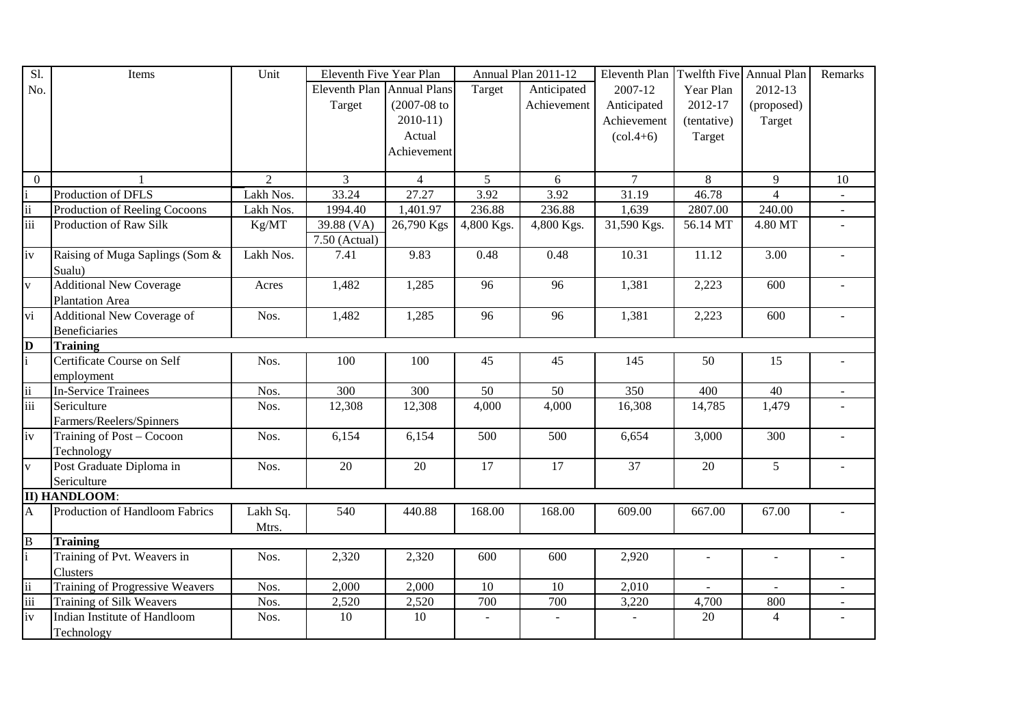| Sl.                      | Items                                  | Unit           | Eleventh Five Year Plan    |                  |                         | Annual Plan 2011-12 | Eleventh Plan                   | Twelfth Five Annual Plan |                | Remarks        |
|--------------------------|----------------------------------------|----------------|----------------------------|------------------|-------------------------|---------------------|---------------------------------|--------------------------|----------------|----------------|
| No.                      |                                        |                | Eleventh Plan Annual Plans |                  | Target                  | Anticipated         | 2007-12                         | Year Plan                | 2012-13        |                |
|                          |                                        |                | Target                     | $(2007 - 08)$ to |                         | Achievement         | Anticipated                     | 2012-17                  | (proposed)     |                |
|                          |                                        |                |                            | $2010-11$        |                         |                     | Achievement                     | (tentative)              | Target         |                |
|                          |                                        |                |                            | Actual           |                         |                     | $\left( \text{col.4+6} \right)$ | Target                   |                |                |
|                          |                                        |                |                            | Achievement      |                         |                     |                                 |                          |                |                |
|                          |                                        |                |                            |                  |                         |                     |                                 |                          |                |                |
| $\overline{0}$           |                                        | $\overline{2}$ | $\overline{3}$             | $\overline{4}$   | 5 <sup>5</sup>          | 6                   | $\overline{7}$                  | 8                        | 9              | 10             |
|                          | Production of DFLS                     | Lakh Nos.      | 33.24                      | 27.27            | 3.92                    | 3.92                | 31.19                           | 46.78                    | $\Delta$       |                |
| $\overline{\textbf{ii}}$ | Production of Reeling Cocoons          | Lakh Nos.      | 1994.40                    | 1,401.97         | 236.88                  | 236.88              | 1,639                           | 2807.00                  | 240.00         |                |
| $\overline{\text{iii}}$  | Production of Raw Silk                 | Kg/MT          | 39.88 (VA)                 | 26,790 Kgs       | $\overline{4,800}$ Kgs. | $4,800$ Kgs.        | 31,590 Kgs.                     | 56.14 MT                 | 4.80 MT        |                |
|                          |                                        |                | 7.50 (Actual)              |                  |                         |                     |                                 |                          |                |                |
| iv                       | Raising of Muga Saplings (Som &        | Lakh Nos.      | 7.41                       | 9.83             | 0.48                    | 0.48                | 10.31                           | 11.12                    | 3.00           |                |
|                          | Sualu)                                 |                |                            |                  |                         |                     |                                 |                          |                |                |
| $\mathbf{V}$             | <b>Additional New Coverage</b>         | Acres          | 1,482                      | 1,285            | 96                      | $\overline{96}$     | 1,381                           | 2,223                    | 600            |                |
|                          | Plantation Area                        |                |                            |                  |                         |                     |                                 |                          |                |                |
| $\overline{vi}$          | <b>Additional New Coverage of</b>      | Nos.           | 1,482                      | 1,285            | 96                      | 96                  | 1,381                           | 2,223                    | 600            |                |
|                          | <b>Beneficiaries</b>                   |                |                            |                  |                         |                     |                                 |                          |                |                |
| $\mathbf{D}$             | <b>Training</b>                        |                |                            |                  |                         |                     |                                 |                          |                |                |
|                          | Certificate Course on Self             | Nos.           | 100                        | 100              | 45                      | 45                  | 145                             | 50                       | 15             |                |
|                          | employment                             |                |                            |                  |                         |                     |                                 |                          |                |                |
| ii                       | <b>In-Service Trainees</b>             | Nos.           | 300                        | 300              | 50                      | 50                  | 350                             | 400                      | 40             | $\blacksquare$ |
| iii                      | Sericulture                            | Nos.           | 12,308                     | 12,308           | 4,000                   | 4,000               | 16,308                          | 14,785                   | 1,479          |                |
|                          | Farmers/Reelers/Spinners               |                |                            |                  |                         |                     |                                 |                          |                |                |
| iv                       | Training of Post - Cocoon              | Nos.           | 6,154                      | 6,154            | 500                     | 500                 | 6,654                           | 3,000                    | 300            |                |
|                          | Technology                             |                |                            |                  |                         |                     |                                 |                          |                |                |
| $\mathbf{V}$             | Post Graduate Diploma in               | Nos.           | 20                         | 20               | 17                      | 17                  | 37                              | 20                       | 5              |                |
|                          | Sericulture                            |                |                            |                  |                         |                     |                                 |                          |                |                |
|                          | II) HANDLOOM:                          |                |                            |                  |                         |                     |                                 |                          |                |                |
| A                        | Production of Handloom Fabrics         | Lakh Sq.       | 540                        | 440.88           | 168.00                  | 168.00              | 609.00                          | 667.00                   | 67.00          |                |
|                          |                                        | Mtrs.          |                            |                  |                         |                     |                                 |                          |                |                |
| $\overline{B}$           | <b>Training</b>                        |                |                            |                  |                         |                     |                                 |                          |                |                |
|                          | Training of Pvt. Weavers in            | Nos.           | 2,320                      | 2,320            | 600                     | 600                 | 2,920                           |                          |                |                |
|                          | Clusters                               |                |                            |                  |                         |                     |                                 |                          |                |                |
| ii                       | <b>Training of Progressive Weavers</b> | Nos.           | 2,000                      | 2,000            | 10                      | 10                  | 2,010                           |                          |                |                |
| $\overline{iii}$         | <b>Training of Silk Weavers</b>        | Nos.           | 2,520                      | 2,520            | 700                     | 700                 | 3,220                           | 4,700                    | 800            |                |
| iv                       | Indian Institute of Handloom           | Nos.           | 10                         | 10               |                         |                     |                                 | 20                       | $\overline{4}$ |                |
|                          | Technology                             |                |                            |                  |                         |                     |                                 |                          |                |                |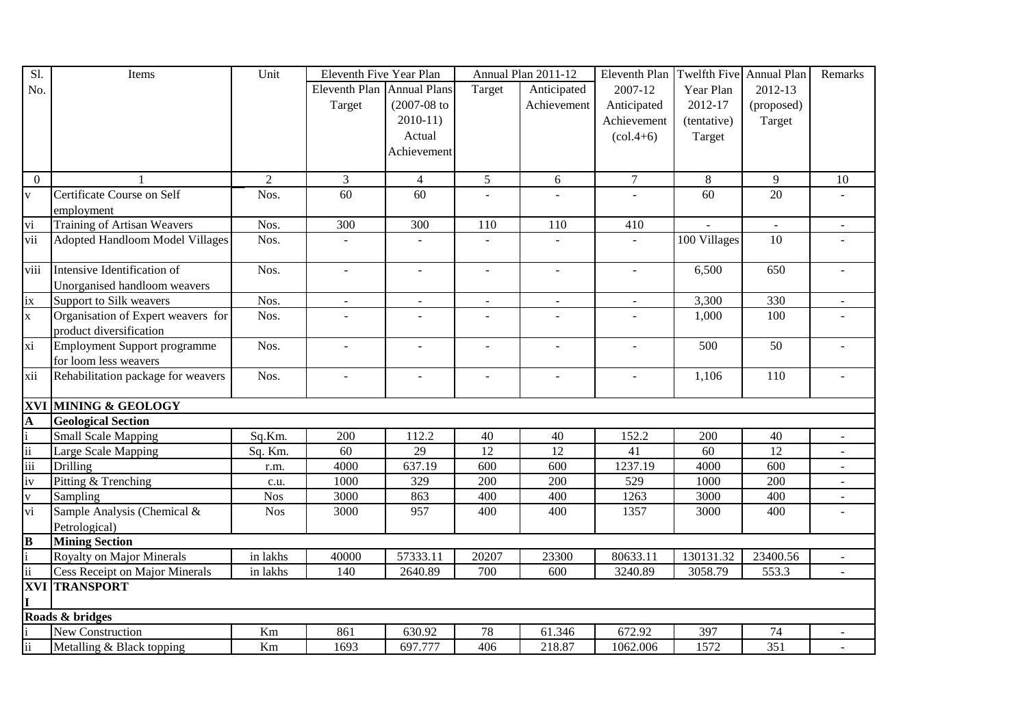| Sl.                 | Items                              | Unit           | Eleventh Five Year Plan    |                |                 | Annual Plan 2011-12 | Eleventh Plan Twelfth Five Annual Plan |              |            | Remarks |
|---------------------|------------------------------------|----------------|----------------------------|----------------|-----------------|---------------------|----------------------------------------|--------------|------------|---------|
| No.                 |                                    |                | Eleventh Plan Annual Plans |                | Target          | Anticipated         | 2007-12                                | Year Plan    | 2012-13    |         |
|                     |                                    |                | Target                     | $(2007-08$ to  |                 | Achievement         | Anticipated                            | 2012-17      | (proposed) |         |
|                     |                                    |                |                            | $2010-11$      |                 |                     | Achievement                            | (tentative)  | Target     |         |
|                     |                                    |                |                            | Actual         |                 |                     | $\left( \text{col.4+6} \right)$        | Target       |            |         |
|                     |                                    |                |                            | Achievement    |                 |                     |                                        |              |            |         |
|                     |                                    |                |                            |                |                 |                     |                                        |              |            |         |
| $\overline{0}$      |                                    | $\overline{2}$ | 3                          | $\overline{4}$ | $\mathfrak{S}$  | 6                   | $\tau$                                 | $\,8\,$      | 9          | 10      |
| $\mathbf{V}$        | Certificate Course on Self         | Nos.           | 60                         | 60             |                 |                     | $\overline{a}$                         | 60           | 20         |         |
|                     | employment                         |                |                            |                |                 |                     |                                        |              |            |         |
| vi                  | <b>Training of Artisan Weavers</b> | Nos.           | 300                        | 300            | 110             | 110                 | 410                                    |              | $\sim$     |         |
| vii                 | Adopted Handloom Model Villages    | Nos.           |                            |                |                 |                     |                                        | 100 Villages | 10         |         |
| viii                | Intensive Identification of        | Nos.           | $\sim$                     |                |                 |                     | $\overline{a}$                         | 6,500        | 650        |         |
|                     | Unorganised handloom weavers       |                |                            |                |                 |                     |                                        |              |            |         |
| ix                  | Support to Silk weavers            | Nos.           | $\overline{\phantom{a}}$   |                |                 |                     | $\blacksquare$                         | 3,300        | 330        |         |
| $\mathbf{X}$        | Organisation of Expert weavers for | Nos.           |                            |                |                 | ÷.                  |                                        | 1,000        | 100        |         |
|                     | product diversification            |                |                            |                |                 |                     |                                        |              |            |         |
| xi                  | Employment Support programme       | Nos.           | $\overline{\phantom{a}}$   | $\blacksquare$ | $\blacksquare$  | $\blacksquare$      | $\blacksquare$                         | 500          | 50         |         |
|                     | for loom less weavers              |                |                            |                |                 |                     |                                        |              |            |         |
| xii                 | Rehabilitation package for weavers | Nos.           | $\equiv$                   | $\blacksquare$ | $\blacksquare$  | $\blacksquare$      | $\blacksquare$                         | 1,106        | 110        |         |
|                     | <b>XVI MINING &amp; GEOLOGY</b>    |                |                            |                |                 |                     |                                        |              |            |         |
| $\mathbf{A}$        | <b>Geological Section</b>          |                |                            |                |                 |                     |                                        |              |            |         |
|                     | <b>Small Scale Mapping</b>         | Sq.Km.         | 200                        | 112.2          | 40              | 40                  | 152.2                                  | 200          | 40         |         |
| $\ddot{\mathbf{i}}$ | Large Scale Mapping                | Sq. Km.        | 60                         | 29             | $\overline{12}$ | $\overline{12}$     | 41                                     | 60           | 12         |         |
| $\overline{iii}$    | Drilling                           | r.m.           | 4000                       | 637.19         | 600             | 600                 | 1237.19                                | 4000         | 600        |         |
| iv                  | Pitting & Trenching                | c.u.           | 1000                       | 329            | 200             | 200                 | 529                                    | 1000         | 200        |         |
| V                   | Sampling                           | <b>Nos</b>     | 3000                       | 863            | 400             | 400                 | 1263                                   | 3000         | 400        |         |
| vi                  | Sample Analysis (Chemical &        | <b>Nos</b>     | 3000                       | 957            | 400             | 400                 | 1357                                   | 3000         | 400        |         |
|                     | Petrological)                      |                |                            |                |                 |                     |                                        |              |            |         |
| $\bf{B}$            | <b>Mining Section</b>              |                |                            |                |                 |                     |                                        |              |            |         |
|                     | Royalty on Major Minerals          | in lakhs       | 40000                      | 57333.11       | 20207           | 23300               | 80633.11                               | 130131.32    | 23400.56   |         |
| $\rm ii$            | Cess Receipt on Major Minerals     | in lakhs       | 140                        | 2640.89        | 700             | 600                 | 3240.89                                | 3058.79      | 553.3      |         |
|                     | <b>XVI TRANSPORT</b>               |                |                            |                |                 |                     |                                        |              |            |         |
| $\mathbf I$         |                                    |                |                            |                |                 |                     |                                        |              |            |         |
|                     | Roads & bridges                    |                |                            |                |                 |                     |                                        |              |            |         |
|                     | New Construction                   | $\rm Km$       | 861                        | 630.92         | 78              | 61.346              | 672.92                                 | 397          | 74         |         |
| $\ddot{\rm ii}$     | Metalling & Black topping          | Km             | 1693                       | 697.777        | 406             | 218.87              | 1062.006                               | 1572         | 351        |         |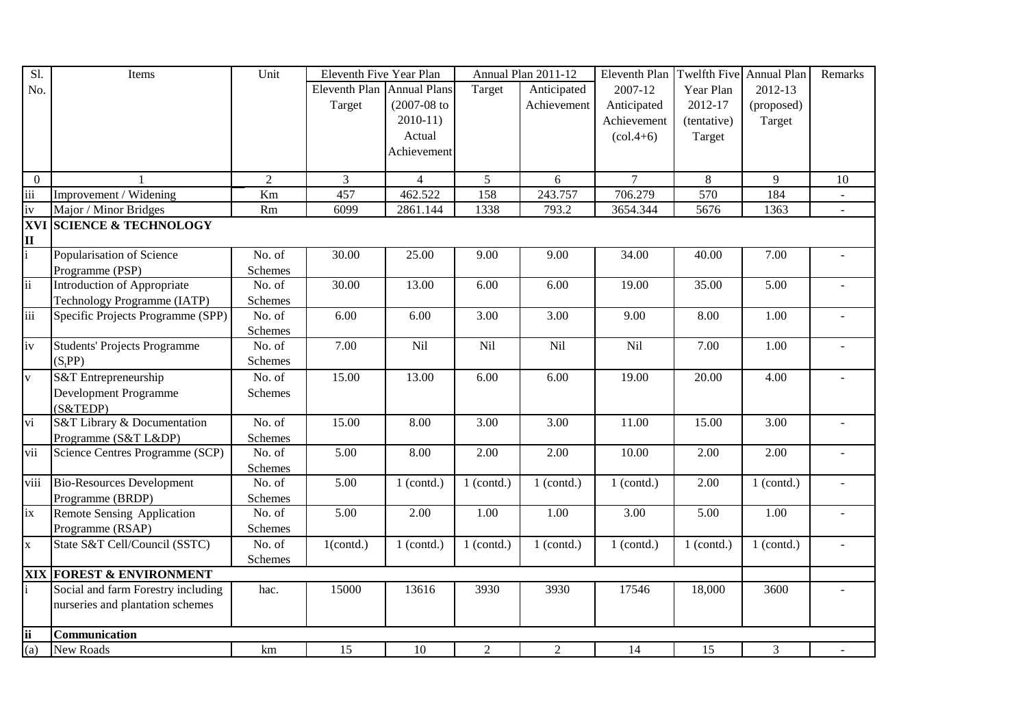| SI.                     | Items                               | Unit           | Eleventh Five Year Plan    |                  |                | Annual Plan 2011-12 | Eleventh Plan                   | Twelfth Five Annual Plan |              | Remarks        |
|-------------------------|-------------------------------------|----------------|----------------------------|------------------|----------------|---------------------|---------------------------------|--------------------------|--------------|----------------|
| No.                     |                                     |                | Eleventh Plan Annual Plans |                  | Target         | Anticipated         | 2007-12                         | Year Plan                | 2012-13      |                |
|                         |                                     |                | Target                     | $(2007 - 08)$ to |                | Achievement         | Anticipated                     | 2012-17                  | (proposed)   |                |
|                         |                                     |                |                            | $2010-11$        |                |                     | Achievement                     | (tentative)              | Target       |                |
|                         |                                     |                |                            | Actual           |                |                     | $\left( \text{col.4+6} \right)$ | Target                   |              |                |
|                         |                                     |                |                            | Achievement      |                |                     |                                 |                          |              |                |
|                         |                                     |                |                            |                  |                |                     |                                 |                          |              |                |
| $\mathbf{0}$            |                                     | $\overline{2}$ | 3                          | $\overline{4}$   | 5 <sup>5</sup> | 6                   | $\tau$                          | $8\,$                    | 9            | 10             |
| iii                     | Improvement / Widening              | Km             | 457                        | 462.522          | 158            | 243.757             | 706.279                         | 570                      | 184          | $\sim$         |
| iv                      | Major / Minor Bridges               | Rm             | 6099                       | 2861.144         | 1338           | 793.2               | 3654.344                        | 5676                     | 1363         | $\blacksquare$ |
|                         | <b>XVI SCIENCE &amp; TECHNOLOGY</b> |                |                            |                  |                |                     |                                 |                          |              |                |
| $\mathbf{I}$            |                                     |                |                            |                  |                |                     |                                 |                          |              |                |
|                         | Popularisation of Science           | No. of         | 30.00                      | 25.00            | 9.00           | 9.00                | 34.00                           | 40.00                    | 7.00         |                |
|                         | Programme (PSP)                     | Schemes        |                            |                  |                |                     |                                 |                          |              |                |
| $\overline{\text{ii}}$  | <b>Introduction of Appropriate</b>  | No. of         | 30.00                      | 13.00            | 6.00           | 6.00                | 19.00                           | 35.00                    | 5.00         |                |
|                         | Technology Programme (IATP)         | Schemes        |                            |                  |                |                     |                                 |                          |              |                |
| iii                     | Specific Projects Programme (SPP)   | No. of         | 6.00                       | 6.00             | 3.00           | 3.00                | 9.00                            | 8.00                     | 1.00         |                |
|                         |                                     | Schemes        |                            |                  |                |                     |                                 |                          |              |                |
| $\overline{iv}$         | <b>Students' Projects Programme</b> | No. of         | 7.00                       | Nil              | Nil            | Nil                 | Nil                             | 7.00                     | 1.00         |                |
|                         | (S <sub>t</sub> PP)                 | Schemes        |                            |                  |                |                     |                                 |                          |              |                |
| $\overline{\mathbf{V}}$ | S&T Entrepreneurship                | No. of         | 15.00                      | 13.00            | 6.00           | 6.00                | 19.00                           | 20.00                    | 4.00         |                |
|                         | Development Programme               | Schemes        |                            |                  |                |                     |                                 |                          |              |                |
|                         | $(S&\text{TEDP})$                   |                |                            |                  |                |                     |                                 |                          |              |                |
| vi                      | S&T Library & Documentation         | No. of         | 15.00                      | 8.00             | 3.00           | 3.00                | 11.00                           | 15.00                    | 3.00         |                |
|                         | Programme (S&T L&DP)                | Schemes        |                            |                  |                |                     |                                 |                          |              |                |
| vii                     | Science Centres Programme (SCP)     | No. of         | 5.00                       | 8.00             | 2.00           | 2.00                | 10.00                           | 2.00                     | 2.00         |                |
|                         |                                     | Schemes        |                            |                  |                |                     |                                 |                          |              |                |
| viii                    | <b>Bio-Resources Development</b>    | No. of         | 5.00                       | $1$ (contd.)     | $1$ (contd.)   | $1$ (contd.)        | $1$ (contd.)                    | 2.00                     | $1$ (contd.) |                |
|                         | Programme (BRDP)                    | Schemes        |                            |                  |                |                     |                                 |                          |              |                |
| ix                      | Remote Sensing Application          | No. of         | 5.00                       | 2.00             | 1.00           | 1.00                | 3.00                            | 5.00                     | 1.00         |                |
|                         | Programme (RSAP)                    | Schemes        |                            |                  |                |                     |                                 |                          |              |                |
| $\mathbf{X}$            | State S&T Cell/Council (SSTC)       | No. of         | $1$ (contd.)               | $1$ (contd.)     | $1$ (contd.)   | $1$ (contd.)        | $1$ (contd.)                    | $1$ (contd.)             | $1$ (contd.) |                |
|                         |                                     | Schemes        |                            |                  |                |                     |                                 |                          |              |                |
|                         | <b>XIX FOREST &amp; ENVIRONMENT</b> |                |                            |                  |                |                     |                                 |                          |              |                |
|                         | Social and farm Forestry including  | hac.           | 15000                      | 13616            | 3930           | 3930                | 17546                           | 18,000                   | 3600         |                |
|                         | nurseries and plantation schemes    |                |                            |                  |                |                     |                                 |                          |              |                |
|                         |                                     |                |                            |                  |                |                     |                                 |                          |              |                |
| <b>ii</b>               | Communication                       |                |                            |                  |                |                     |                                 |                          |              |                |
| (a)                     | New Roads                           | km             | 15                         | 10               | 2              | $\overline{2}$      | 14                              | 15                       | 3            |                |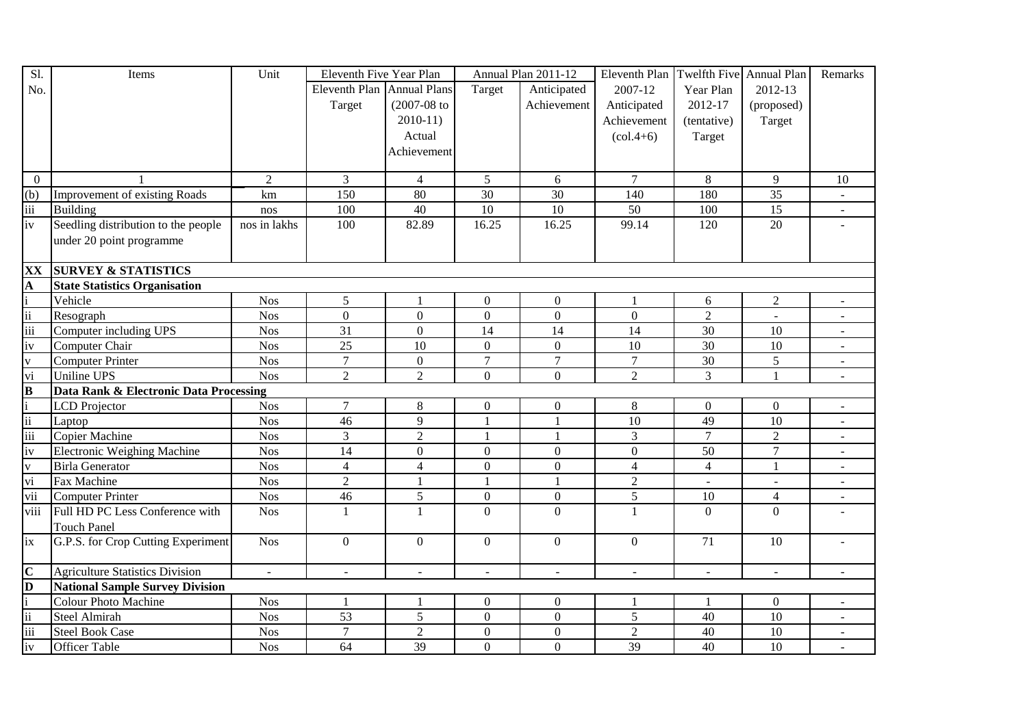| Sl.                      | Items                                  | Unit           | Eleventh Five Year Plan    |                          |                 | Annual Plan 2011-12      | Eleventh Plan Twelfth Five Annual Plan |                |                  | Remarks                  |
|--------------------------|----------------------------------------|----------------|----------------------------|--------------------------|-----------------|--------------------------|----------------------------------------|----------------|------------------|--------------------------|
| No.                      |                                        |                | Eleventh Plan Annual Plans |                          | Target          | Anticipated              | 2007-12                                | Year Plan      | 2012-13          |                          |
|                          |                                        |                | Target                     | $(2007 - 08)$ to         |                 | Achievement              | Anticipated                            | 2012-17        | (proposed)       |                          |
|                          |                                        |                |                            | $2010-11$                |                 |                          | Achievement                            | (tentative)    | Target           |                          |
|                          |                                        |                |                            | Actual                   |                 |                          | $\left( \text{col.4+6} \right)$        | Target         |                  |                          |
|                          |                                        |                |                            | Achievement              |                 |                          |                                        |                |                  |                          |
|                          |                                        |                |                            |                          |                 |                          |                                        |                |                  |                          |
| $\overline{0}$           |                                        | $\mathfrak{2}$ | 3                          | $\overline{4}$           | $\overline{5}$  | 6                        | $\overline{7}$                         | 8              | 9                | 10                       |
| (b)                      | Improvement of existing Roads          | km             | 150                        | 80                       | $\overline{30}$ | $\overline{30}$          | 140                                    | 180            | 35               |                          |
| iii                      | <b>Building</b>                        | nos            | 100                        | 40                       | $\overline{10}$ | $\overline{10}$          | 50                                     | 100            | 15               |                          |
| iv                       | Seedling distribution to the people    | nos in lakhs   | 100                        | 82.89                    | 16.25           | 16.25                    | 99.14                                  | 120            | 20               |                          |
|                          | under 20 point programme               |                |                            |                          |                 |                          |                                        |                |                  |                          |
|                          |                                        |                |                            |                          |                 |                          |                                        |                |                  |                          |
| XX                       | <b>SURVEY &amp; STATISTICS</b>         |                |                            |                          |                 |                          |                                        |                |                  |                          |
| A                        | <b>State Statistics Organisation</b>   |                |                            |                          |                 |                          |                                        |                |                  |                          |
|                          | Vehicle                                | <b>Nos</b>     | 5                          |                          | $\Omega$        | $\Omega$                 | $\mathbf{1}$                           | 6              | $\overline{2}$   |                          |
| $\overline{\mathrm{ii}}$ | Resograph                              | <b>Nos</b>     | $\mathbf{0}$               | $\overline{0}$           | $\overline{0}$  | $\overline{0}$           | $\theta$                               | $\overline{2}$ | $\overline{a}$   |                          |
| iii                      | Computer including UPS                 | <b>Nos</b>     | 31                         | $\mathbf{0}$             | 14              | 14                       | 14                                     | 30             | 10               | $\sim$                   |
| iv                       | Computer Chair                         | <b>Nos</b>     | 25                         | 10                       | $\overline{0}$  | $\mathbf{0}$             | 10                                     | 30             | 10               | $\sim$                   |
| $\bar{V}$                | <b>Computer Printer</b>                | <b>Nos</b>     | $\tau$                     | $\mathbf{0}$             | $\overline{7}$  | $\overline{7}$           | $\overline{7}$                         | 30             | $\sqrt{5}$       | $\blacksquare$           |
| vi                       | <b>Uniline UPS</b>                     | <b>Nos</b>     | $\overline{2}$             | $\overline{2}$           | $\Omega$        | $\overline{0}$           | $\overline{2}$                         | $\overline{3}$ | $\mathbf{1}$     |                          |
| $\bf{B}$                 | Data Rank & Electronic Data Processing |                |                            |                          |                 |                          |                                        |                |                  |                          |
|                          | <b>LCD</b> Projector                   | <b>Nos</b>     | $\overline{7}$             | 8                        | $\overline{0}$  | $\mathbf{0}$             | $8\,$                                  | $\overline{0}$ | $\boldsymbol{0}$ |                          |
| ii                       | Laptop                                 | <b>Nos</b>     | $\overline{46}$            | 9                        | $\mathbf{1}$    | $\mathbf{1}$             | $\overline{10}$                        | 49             | 10               | $\overline{\phantom{a}}$ |
| iii                      | Copier Machine                         | <b>Nos</b>     | 3                          | $\overline{2}$           | $\mathbf{1}$    | $\mathbf{1}$             | 3                                      | $\overline{7}$ | $\overline{2}$   | $\sim$                   |
| iv                       | <b>Electronic Weighing Machine</b>     | <b>Nos</b>     | 14                         | $\overline{0}$           | $\mathbf{0}$    | $\mathbf{0}$             | $\overline{0}$                         | 50             | $\overline{7}$   |                          |
| $\mathbf{V}$             | <b>Birla Generator</b>                 | <b>Nos</b>     | $\overline{4}$             | $\overline{4}$           | $\Omega$        | $\Omega$                 | $\overline{4}$                         | $\overline{4}$ | $\mathbf{1}$     |                          |
| $\overline{vi}$          | Fax Machine                            | <b>Nos</b>     | $\overline{2}$             |                          | $\overline{1}$  | $\mathbf{1}$             | $\overline{2}$                         | $\mathbf{r}$   | $\mathbf{L}$     |                          |
| vii                      | <b>Computer Printer</b>                | <b>Nos</b>     | 46                         | 5                        | $\overline{0}$  | $\mathbf{0}$             | $\mathfrak{S}$                         | 10             | $\overline{4}$   |                          |
| viii                     | Full HD PC Less Conference with        | <b>Nos</b>     | $\mathbf{1}$               | $\mathbf{1}$             | $\overline{0}$  | $\Omega$                 | $\mathbf{1}$                           | $\overline{0}$ | $\overline{0}$   |                          |
|                          | <b>Touch Panel</b>                     |                |                            |                          |                 |                          |                                        |                |                  |                          |
| ix                       | G.P.S. for Crop Cutting Experiment     | <b>Nos</b>     | $\overline{0}$             | $\Omega$                 | $\Omega$        | $\Omega$                 | $\theta$                               | 71             | 10               |                          |
|                          |                                        |                |                            |                          |                 |                          |                                        |                |                  |                          |
| $\overline{\mathbf{C}}$  | <b>Agriculture Statistics Division</b> | ÷,             | $\overline{\phantom{a}}$   | $\overline{\phantom{a}}$ | $\blacksquare$  | $\overline{\phantom{a}}$ | $\blacksquare$                         | $\sim$         | $\blacksquare$   |                          |
| $\mathbf{D}$             | <b>National Sample Survey Division</b> |                |                            |                          |                 |                          |                                        |                |                  |                          |
|                          | <b>Colour Photo Machine</b>            | <b>Nos</b>     | $\mathbf{1}$               |                          | $\overline{0}$  | $\boldsymbol{0}$         |                                        | $\mathbf{1}$   | $\boldsymbol{0}$ | $\sim$                   |
| ii                       | <b>Steel Almirah</b>                   | <b>Nos</b>     | 53                         | 5                        | $\overline{0}$  | $\mathbf{0}$             | 5                                      | 40             | 10               |                          |
| iii                      | <b>Steel Book Case</b>                 | <b>Nos</b>     | $\overline{7}$             | $\overline{2}$           | $\overline{0}$  | $\mathbf{0}$             | $\overline{2}$                         | 40             | 10               |                          |
| iv                       | <b>Officer Table</b>                   | <b>Nos</b>     | 64                         | 39                       | $\overline{0}$  | $\overline{0}$           | 39                                     | 40             | 10               |                          |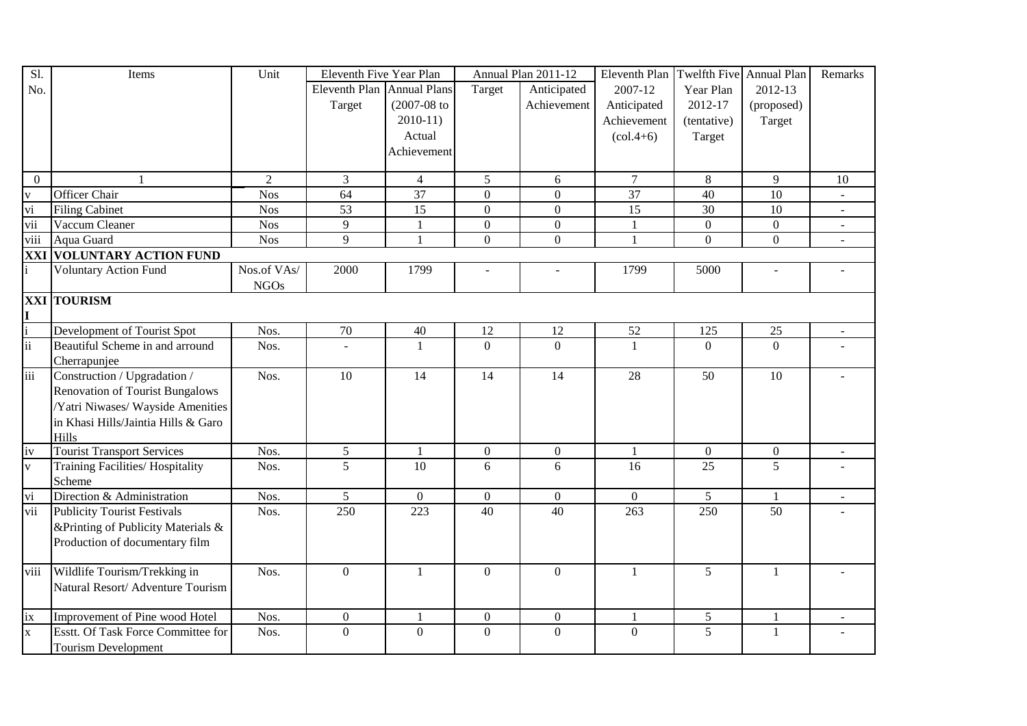| Sl.                     | Items                                  | Unit           | Eleventh Five Year Plan    |                  |                | Annual Plan 2011-12 | Eleventh Plan                   | Twelfth Five Annual Plan |                | Remarks        |
|-------------------------|----------------------------------------|----------------|----------------------------|------------------|----------------|---------------------|---------------------------------|--------------------------|----------------|----------------|
| No.                     |                                        |                | Eleventh Plan Annual Plans |                  | Target         | Anticipated         | 2007-12                         | Year Plan                | 2012-13        |                |
|                         |                                        |                | Target                     | $(2007 - 08)$ to |                | Achievement         | Anticipated                     | 2012-17                  | (proposed)     |                |
|                         |                                        |                |                            | $2010-11$        |                |                     | Achievement                     | (tentative)              | Target         |                |
|                         |                                        |                |                            | Actual           |                |                     | $\left( \text{col.4+6} \right)$ | Target                   |                |                |
|                         |                                        |                |                            | Achievement      |                |                     |                                 |                          |                |                |
|                         |                                        |                |                            |                  |                |                     |                                 |                          |                |                |
| $\overline{0}$          | 1                                      | $\overline{2}$ | $\mathfrak{Z}$             | $\overline{4}$   | $\mathfrak{S}$ | 6                   | $\tau$                          | 8                        | 9              | 10             |
| $\overline{\mathbf{V}}$ | <b>Officer Chair</b>                   | <b>Nos</b>     | 64                         | 37               | $\mathbf{0}$   | $\overline{0}$      | $\overline{37}$                 | 40                       | 10             |                |
| vi                      | <b>Filing Cabinet</b>                  | <b>Nos</b>     | $\overline{53}$            | $\overline{15}$  | $\overline{0}$ | $\mathbf{0}$        | 15                              | 30                       | 10             |                |
| vii                     | Vaccum Cleaner                         | <b>Nos</b>     | $\overline{9}$             |                  | $\mathbf{0}$   | $\boldsymbol{0}$    | $\overline{1}$                  | $\mathbf{0}$             | $\overline{0}$ | $\blacksquare$ |
| viii                    | Aqua Guard                             | <b>Nos</b>     | 9                          |                  | $\overline{0}$ | $\overline{0}$      | $\mathbf{1}$                    | $\mathbf{0}$             | $\overline{0}$ | $\blacksquare$ |
|                         | <b>XXI VOLUNTARY ACTION FUND</b>       |                |                            |                  |                |                     |                                 |                          |                |                |
| $\mathbf{i}$            | <b>Voluntary Action Fund</b>           | Nos.of VAs/    | 2000                       | 1799             |                |                     | 1799                            | 5000                     | $\blacksquare$ |                |
|                         |                                        | <b>NGOs</b>    |                            |                  |                |                     |                                 |                          |                |                |
|                         | <b>XXI TOURISM</b>                     |                |                            |                  |                |                     |                                 |                          |                |                |
| $\frac{I}{i}$           |                                        |                |                            |                  |                |                     |                                 |                          |                |                |
|                         | Development of Tourist Spot            | Nos.           | $70\,$                     | 40               | 12             | 12                  | 52                              | 125                      | 25             | $\blacksquare$ |
| $\frac{1}{11}$          | Beautiful Scheme in and arround        | Nos.           | $\overline{\phantom{a}}$   | $\mathbf{1}$     | $\Omega$       | $\Omega$            | $\mathbf{1}$                    | $\overline{0}$           | $\overline{0}$ |                |
|                         | Cherrapunjee                           |                |                            |                  |                |                     |                                 |                          |                |                |
| iii                     | Construction / Upgradation /           | Nos.           | 10                         | 14               | 14             | 14                  | 28                              | 50                       | 10             |                |
|                         | <b>Renovation of Tourist Bungalows</b> |                |                            |                  |                |                     |                                 |                          |                |                |
|                         | Yatri Niwases/ Wayside Amenities       |                |                            |                  |                |                     |                                 |                          |                |                |
|                         | in Khasi Hills/Jaintia Hills & Garo    |                |                            |                  |                |                     |                                 |                          |                |                |
|                         | Hills                                  |                |                            |                  |                |                     |                                 |                          |                |                |
| iv                      | <b>Tourist Transport Services</b>      | Nos.           | $\mathfrak{S}$             | $\mathbf{1}$     | $\mathbf{0}$   | $\mathbf{0}$        | $\overline{1}$                  | $\mathbf{0}$             | $\overline{0}$ |                |
| $\overline{\mathbf{v}}$ | Training Facilities/Hospitality        | Nos.           | 5                          | 10               | 6              | 6                   | 16                              | 25                       | 5              |                |
|                         | Scheme                                 |                |                            |                  |                |                     |                                 |                          |                |                |
| vi                      | Direction & Administration             | Nos.           | 5                          | $\overline{0}$   | $\mathbf{0}$   | $\overline{0}$      | $\mathbf{0}$                    | 5                        | $\mathbf{1}$   | $\mathbf{r}$   |
| vii                     | <b>Publicity Tourist Festivals</b>     | Nos.           | 250                        | 223              | 40             | 40                  | 263                             | 250                      | 50             |                |
|                         | &Printing of Publicity Materials &     |                |                            |                  |                |                     |                                 |                          |                |                |
|                         | Production of documentary film         |                |                            |                  |                |                     |                                 |                          |                |                |
|                         |                                        |                |                            |                  |                |                     |                                 |                          |                |                |
| viii                    | Wildlife Tourism/Trekking in           | Nos.           | $\boldsymbol{0}$           | 1                | $\Omega$       | $\Omega$            | $\mathbf{1}$                    | 5                        | 1              |                |
|                         | Natural Resort/ Adventure Tourism      |                |                            |                  |                |                     |                                 |                          |                |                |
|                         |                                        |                |                            |                  |                |                     |                                 |                          |                |                |
| ix                      | Improvement of Pine wood Hotel         | Nos.           | $\boldsymbol{0}$           |                  | $\mathbf{0}$   | $\boldsymbol{0}$    | $\overline{1}$                  | 5                        | 1              |                |
| $\overline{\mathbf{x}}$ | Esstt. Of Task Force Committee for     | Nos.           | $\boldsymbol{0}$           | $\boldsymbol{0}$ | $\overline{0}$ | $\overline{0}$      | $\overline{0}$                  | 5                        | 1              |                |
|                         | <b>Tourism Development</b>             |                |                            |                  |                |                     |                                 |                          |                |                |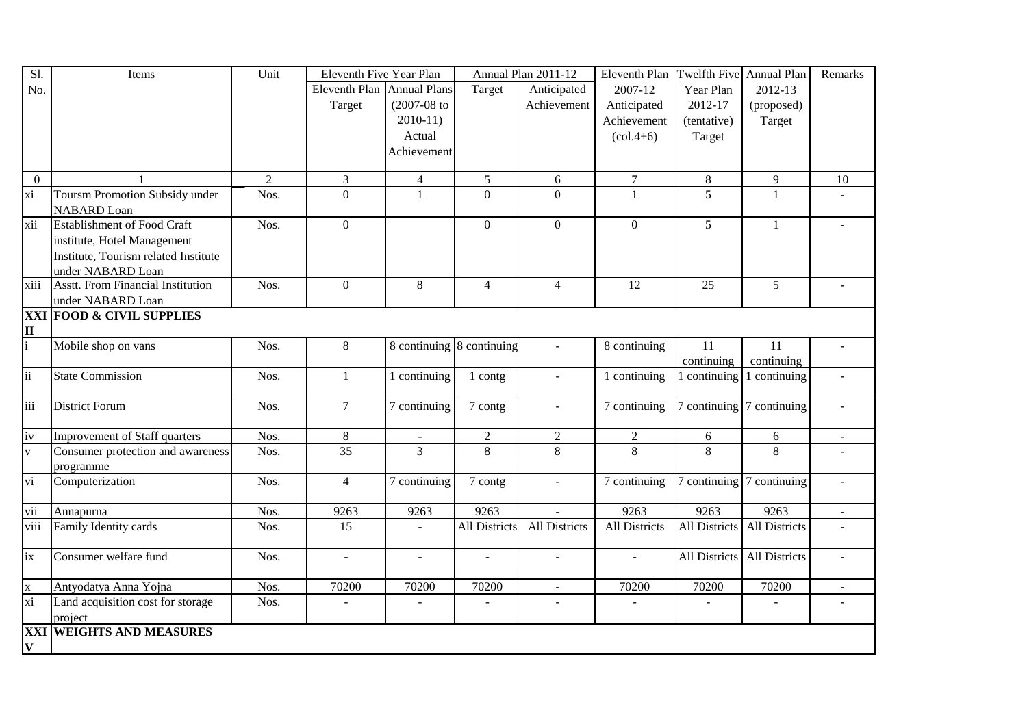| Sl.               | Items                                      | Unit           | Eleventh Five Year Plan    |                  |                           | Annual Plan 2011-12      | Eleventh Plan                   | Twelfth Five Annual Plan |                | Remarks |
|-------------------|--------------------------------------------|----------------|----------------------------|------------------|---------------------------|--------------------------|---------------------------------|--------------------------|----------------|---------|
| No.               |                                            |                | Eleventh Plan Annual Plans |                  | Target                    | Anticipated              | 2007-12                         | Year Plan                | 2012-13        |         |
|                   |                                            |                | Target                     | $(2007 - 08)$ to |                           | Achievement              | Anticipated                     | 2012-17                  | (proposed)     |         |
|                   |                                            |                |                            | $2010-11$        |                           |                          | Achievement                     | (tentative)              | Target         |         |
|                   |                                            |                |                            | Actual           |                           |                          | $\left( \text{col.4+6} \right)$ | Target                   |                |         |
|                   |                                            |                |                            | Achievement      |                           |                          |                                 |                          |                |         |
|                   |                                            |                |                            |                  |                           |                          |                                 |                          |                |         |
| $\boldsymbol{0}$  |                                            | $\overline{2}$ | $\mathfrak{Z}$             | $\overline{4}$   | 5                         | 6                        | $\tau$                          | $\,8\,$                  | $\overline{9}$ | $10\,$  |
| $\overline{xi}$   | Toursm Promotion Subsidy under             | Nos.           | $\mathbf{0}$               | $\mathbf{1}$     | $\overline{0}$            | $\overline{0}$           | $\mathbf{1}$                    | $\overline{5}$           | $\mathbf{1}$   |         |
|                   | <b>NABARD</b> Loan                         |                |                            |                  |                           |                          |                                 |                          |                |         |
| xii               | <b>Establishment of Food Craft</b>         | Nos.           | $\boldsymbol{0}$           |                  | $\overline{0}$            | $\overline{0}$           | $\mathbf{0}$                    | 5                        | $\mathbf{1}$   |         |
|                   | institute, Hotel Management                |                |                            |                  |                           |                          |                                 |                          |                |         |
|                   | Institute, Tourism related Institute       |                |                            |                  |                           |                          |                                 |                          |                |         |
|                   | under NABARD Loan                          |                |                            |                  |                           |                          |                                 |                          |                |         |
| xiii              | <b>Asstt. From Financial Institution</b>   | Nos.           | $\boldsymbol{0}$           | 8                | $\overline{4}$            | $\overline{4}$           | $\overline{12}$                 | 25                       | 5              |         |
|                   | under NABARD Loan                          |                |                            |                  |                           |                          |                                 |                          |                |         |
|                   | XXI FOOD & CIVIL SUPPLIES                  |                |                            |                  |                           |                          |                                 |                          |                |         |
| $\mathbf{I}$      |                                            |                |                            |                  |                           |                          |                                 |                          |                |         |
|                   | Mobile shop on vans                        | Nos.           | 8                          |                  | 8 continuing 8 continuing | $\overline{a}$           | 8 continuing                    | 11                       | 11             |         |
|                   |                                            |                |                            |                  |                           |                          |                                 | continuing               | continuing     |         |
| $\mathbf{ii}$     | <b>State Commission</b>                    | Nos.           | $\mathbf{1}$               | 1 continuing     | 1 contg                   | $\overline{a}$           | 1 continuing                    | 1 continuing             | continuing     |         |
|                   |                                            |                |                            |                  |                           |                          |                                 |                          |                |         |
| iii               | <b>District Forum</b>                      | Nos.           | $\overline{7}$             | 7 continuing     | 7 contg                   | $\overline{\phantom{a}}$ | 7 continuing                    | 7 continuing             | 7 continuing   |         |
|                   |                                            |                |                            |                  |                           |                          |                                 |                          |                |         |
| iv                | <b>Improvement of Staff quarters</b>       | Nos.           | $8\,$                      |                  | $\overline{2}$            | $\overline{2}$           | $\sqrt{2}$                      | $6\,$                    | $\sqrt{6}$     |         |
| $\overline{V}$    | Consumer protection and awareness          | Nos.           | 35                         | 3                | 8                         | 8                        | 8                               | 8                        | 8              |         |
|                   | programme                                  |                |                            |                  |                           |                          |                                 |                          |                |         |
| vi                | Computerization                            | Nos.           | $\overline{4}$             | 7 continuing     | 7 contg                   | $\overline{a}$           | 7 continuing                    | 7 continuing             | 7 continuing   |         |
|                   |                                            |                |                            |                  |                           |                          |                                 |                          |                |         |
| vii               | Annapurna                                  | Nos.           | 9263                       | 9263             | 9263                      |                          | 9263                            | 9263                     | 9263           | $\sim$  |
| viii              | Family Identity cards                      | Nos.           | 15                         |                  | <b>All Districts</b>      | All Districts            | All Districts                   | All Districts            | All Districts  |         |
|                   |                                            |                |                            |                  |                           |                          |                                 |                          |                |         |
| ix                | Consumer welfare fund                      | Nos.           | $\sim$                     | $\sim$           | $\blacksquare$            | $\sim$                   |                                 | All Districts            | All Districts  |         |
|                   | Antyodatya Anna Yojna                      | Nos.           | 70200                      | 70200            |                           |                          | 70200                           |                          |                |         |
| $\mathbf X$<br>xi |                                            | Nos.           |                            |                  | 70200                     | $\blacksquare$           |                                 | 70200                    | 70200          |         |
|                   | Land acquisition cost for storage          |                |                            |                  |                           | $\overline{a}$           |                                 |                          | ÷,             |         |
|                   | project<br><b>XXI WEIGHTS AND MEASURES</b> |                |                            |                  |                           |                          |                                 |                          |                |         |
|                   |                                            |                |                            |                  |                           |                          |                                 |                          |                |         |
| $\mathbf{V}$      |                                            |                |                            |                  |                           |                          |                                 |                          |                |         |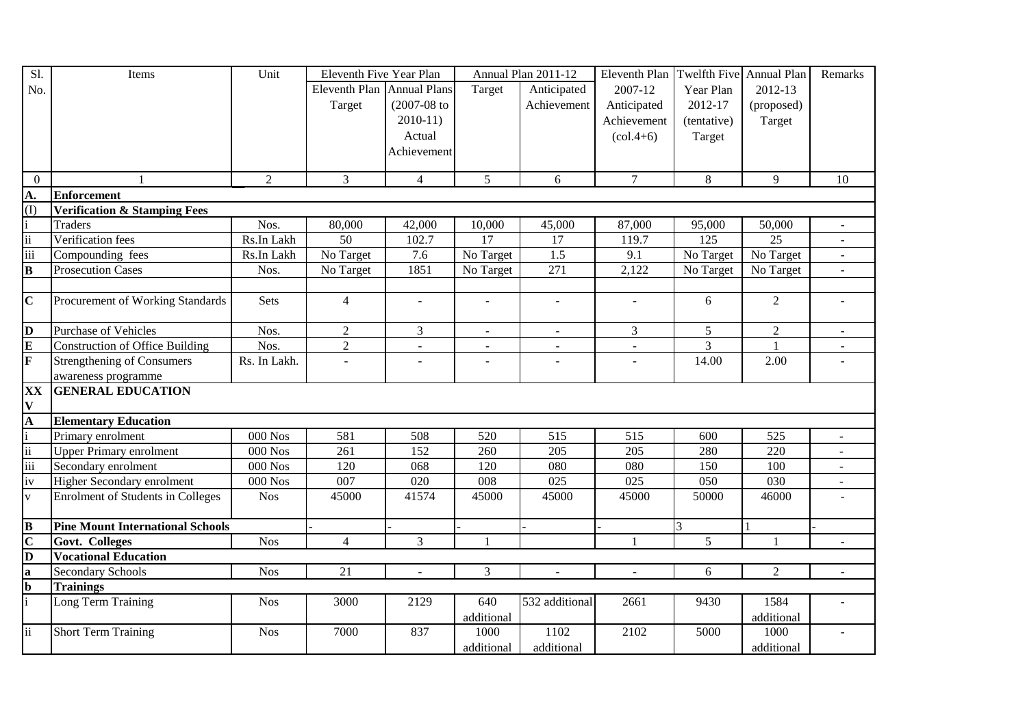| $\overline{SI}$                 | Items                                    | Unit         | Eleventh Five Year Plan    |                          |                          | Annual Plan 2011-12      | Eleventh Plan            |                  | Twelfth Five Annual Plan | Remarks                  |
|---------------------------------|------------------------------------------|--------------|----------------------------|--------------------------|--------------------------|--------------------------|--------------------------|------------------|--------------------------|--------------------------|
| No.                             |                                          |              | Eleventh Plan Annual Plans |                          | Target                   | Anticipated              | 2007-12                  | Year Plan        | 2012-13                  |                          |
|                                 |                                          |              | Target                     | $(2007 - 08)$ to         |                          | Achievement              | Anticipated              | 2012-17          | (proposed)               |                          |
|                                 |                                          |              |                            | $2010-11$                |                          |                          | Achievement              | (tentative)      | Target                   |                          |
|                                 |                                          |              |                            | Actual                   |                          |                          | $(col.4+6)$              | Target           |                          |                          |
|                                 |                                          |              |                            | Achievement              |                          |                          |                          |                  |                          |                          |
|                                 |                                          |              |                            |                          |                          |                          |                          |                  |                          |                          |
| $\overline{0}$                  | $\mathbf{1}$                             | 2            | 3                          | $\overline{4}$           | 5 <sup>5</sup>           | 6                        | $\tau$                   | 8                | 9                        | 10                       |
| A.                              | <b>Enforcement</b>                       |              |                            |                          |                          |                          |                          |                  |                          |                          |
| $\overline{(\mathrm{I})}$       | <b>Verification &amp; Stamping Fees</b>  |              |                            |                          |                          |                          |                          |                  |                          |                          |
| $\frac{1}{11}$                  | <b>Traders</b>                           | Nos.         | 80,000                     | 42,000                   | 10,000                   | 45,000                   | 87,000                   | 95,000           | 50,000                   |                          |
|                                 | Verification fees                        | Rs.In Lakh   | $\overline{50}$            | 102.7                    | 17                       | $\overline{17}$          | 119.7                    | $\overline{125}$ | $\overline{25}$          |                          |
| $\overline{\text{iii}}$         | Compounding fees                         | Rs.In Lakh   | No Target                  | 7.6                      | No Target                | 1.5                      | 9.1                      | No Target        | No Target                | $\overline{a}$           |
| $\overline{\mathbf{B}}$         | <b>Prosecution Cases</b>                 | Nos.         | No Target                  | 1851                     | No Target                | 271                      | 2,122                    | No Target        | No Target                | $\blacksquare$           |
|                                 |                                          |              |                            |                          |                          |                          |                          |                  |                          |                          |
| $\overline{\mathbf{C}}$         | Procurement of Working Standards         | Sets         | $\overline{4}$             |                          |                          |                          |                          | 6                | $\overline{2}$           |                          |
|                                 | <b>Purchase of Vehicles</b>              | Nos.         | $\overline{2}$             | $\overline{3}$           | $\equiv$                 | $\mathbf{r}$             | $\overline{3}$           | 5                | $\overline{2}$           | $\overline{\phantom{a}}$ |
| $\frac{\mathbf{D}}{\mathbf{E}}$ | <b>Construction of Office Building</b>   | Nos.         |                            |                          |                          |                          |                          | 3                | $\mathbf{1}$             |                          |
|                                 |                                          |              | $\overline{2}$             | $\blacksquare$           |                          |                          |                          |                  |                          |                          |
|                                 | Strengthening of Consumers               | Rs. In Lakh. | $\bar{\phantom{a}}$        | $\overline{\phantom{a}}$ | $\overline{\phantom{a}}$ | $\overline{a}$           | $\blacksquare$           | 14.00            | 2.00                     |                          |
|                                 | awareness programme                      |              |                            |                          |                          |                          |                          |                  |                          |                          |
| XX<br>$\mathbf V$               | <b>GENERAL EDUCATION</b>                 |              |                            |                          |                          |                          |                          |                  |                          |                          |
|                                 | <b>Elementary Education</b>              |              |                            |                          |                          |                          |                          |                  |                          |                          |
| $\frac{A}{i}$<br>$\frac{A}{ii}$ | Primary enrolment                        | $000$ Nos    | 581                        | 508                      | 520                      | 515                      | 515                      | 600              | 525                      |                          |
|                                 | <b>Upper Primary enrolment</b>           | $000$ Nos    | 261                        | 152                      | 260                      | $\overline{205}$         | 205                      | 280              | 220                      |                          |
| $\overline{\text{iii}}$         | Secondary enrolment                      | $000$ Nos    | 120                        | 068                      | 120                      | 080                      | 080                      | 150              | 100                      |                          |
| iv                              | Higher Secondary enrolment               | $000$ Nos    | 007                        | 020                      | 008                      | 025                      | 025                      | 050              | 030                      |                          |
| $\overline{\mathbf{v}}$         | <b>Enrolment of Students in Colleges</b> | <b>Nos</b>   | 45000                      | 41574                    | 45000                    | 45000                    | 45000                    | 50000            | 46000                    |                          |
|                                 |                                          |              |                            |                          |                          |                          |                          |                  |                          |                          |
| $\overline{\mathbf{B}}$         | <b>Pine Mount International Schools</b>  |              |                            |                          |                          |                          |                          | 3                |                          |                          |
| $\overline{\mathbf{C}}$         | Govt. Colleges                           | <b>Nos</b>   | $\overline{4}$             | 3                        | $\mathbf{1}$             |                          | 1                        | 5 <sup>5</sup>   | $\mathbf{1}$             | $\blacksquare$           |
| $\overline{\mathbf{a}}$         | <b>Vocational Education</b>              |              |                            |                          |                          |                          |                          |                  |                          |                          |
| $\bf{a}$                        | <b>Secondary Schools</b>                 | <b>Nos</b>   | 21                         | $\blacksquare$           | $\overline{3}$           | $\overline{\phantom{a}}$ | $\overline{\phantom{a}}$ | 6                | $\overline{2}$           | $\blacksquare$           |
| $\frac{\mathbf{b}}{\mathbf{i}}$ | <b>Trainings</b>                         |              |                            |                          |                          |                          |                          |                  |                          |                          |
|                                 | Long Term Training                       | <b>Nos</b>   | 3000                       | 2129                     | 640                      | 532 additional           | 2661                     | 9430             | 1584                     |                          |
|                                 |                                          |              |                            |                          | additional               |                          |                          |                  | additional               |                          |
| $\ddot{\mathbf{i}}$             | <b>Short Term Training</b>               | <b>Nos</b>   | 7000                       | 837                      | 1000                     | 1102                     | 2102                     | 5000             | 1000                     |                          |
|                                 |                                          |              |                            |                          | additional               | additional               |                          |                  | additional               |                          |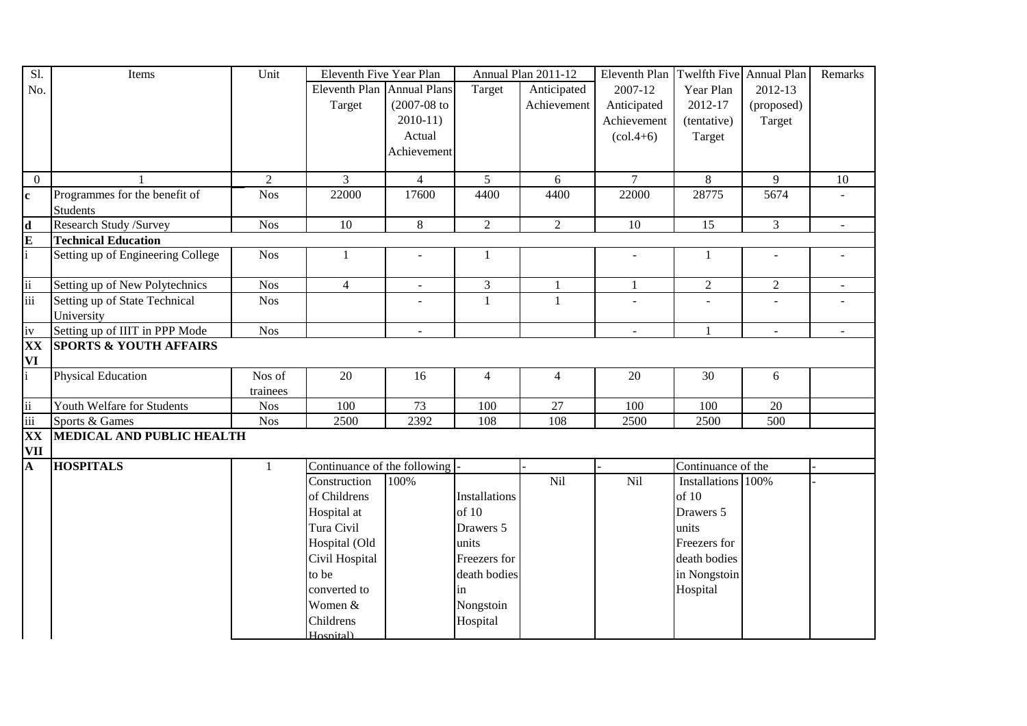| S1.                                    | Items                                            | Unit         | Eleventh Five Year Plan      |                  |                      | Annual Plan 2011-12 | Eleventh Plan                   | Twelfth Five Annual Plan |                          | Remarks        |
|----------------------------------------|--------------------------------------------------|--------------|------------------------------|------------------|----------------------|---------------------|---------------------------------|--------------------------|--------------------------|----------------|
| No.                                    |                                                  |              | Eleventh Plan Annual Plans   |                  | Target               | Anticipated         | 2007-12                         | Year Plan                | 2012-13                  |                |
|                                        |                                                  |              | Target                       | $(2007 - 08)$ to |                      | Achievement         | Anticipated                     | 2012-17                  | (proposed)               |                |
|                                        |                                                  |              |                              | $2010-11$        |                      |                     | Achievement                     | (tentative)              | Target                   |                |
|                                        |                                                  |              |                              | Actual           |                      |                     | $\left( \text{col.4+6} \right)$ | Target                   |                          |                |
|                                        |                                                  |              |                              | Achievement      |                      |                     |                                 |                          |                          |                |
|                                        |                                                  |              |                              |                  |                      |                     |                                 |                          |                          |                |
| $\overline{0}$                         | $\mathbf{1}$                                     | 2            | 3                            | $\overline{4}$   | 5 <sup>5</sup>       | 6                   | $\overline{7}$                  | 8                        | 9                        | 10             |
| $\mathbf{c}$                           | Programmes for the benefit of<br><b>Students</b> | Nos          | 22000                        | 17600            | 4400                 | 4400                | 22000                           | 28775                    | 5674                     |                |
| $\mathbf d$                            | Research Study /Survey                           | Nos          | 10                           | 8                | $\overline{2}$       | $\overline{2}$      | $\overline{10}$                 | 15                       | $\overline{3}$           |                |
| $\mathbf E$                            | <b>Technical Education</b>                       |              |                              |                  |                      |                     |                                 |                          |                          |                |
|                                        | Setting up of Engineering College                | <b>Nos</b>   | $\mathbf{1}$                 | $\blacksquare$   | -1                   |                     | $\blacksquare$                  | $\mathbf{1}$             | $\overline{\phantom{a}}$ |                |
| $\overline{\mathrm{ii}}$               | Setting up of New Polytechnics                   | <b>Nos</b>   | $\overline{4}$               | $\omega$         | $\overline{3}$       | 1                   | $\mathbf{1}$                    | $\overline{2}$           | $\sqrt{2}$               | $\blacksquare$ |
| $\overline{\text{iii}}$                | Setting up of State Technical                    | <b>Nos</b>   |                              |                  | $\mathbf{1}$         | 1                   | ÷,                              | ÷,                       | ÷,                       |                |
|                                        | University                                       |              |                              |                  |                      |                     |                                 |                          |                          |                |
| iv                                     | Setting up of IIIT in PPP Mode                   | <b>Nos</b>   |                              | $\blacksquare$   |                      |                     | $\overline{\phantom{a}}$        | $\mathbf{1}$             | $\blacksquare$           | $\blacksquare$ |
| XX                                     | <b>SPORTS &amp; YOUTH AFFAIRS</b>                |              |                              |                  |                      |                     |                                 |                          |                          |                |
| VI                                     |                                                  |              |                              |                  |                      |                     |                                 |                          |                          |                |
|                                        | <b>Physical Education</b>                        | Nos of       | 20                           | 16               | $\overline{4}$       | $\overline{4}$      | 20                              | 30                       | $\sqrt{6}$               |                |
|                                        |                                                  | trainees     |                              |                  |                      |                     |                                 |                          |                          |                |
| ii                                     | Youth Welfare for Students                       | <b>Nos</b>   | 100                          | 73               | 100                  | 27                  | 100                             | 100                      | 20                       |                |
| iii                                    | Sports & Games                                   | <b>Nos</b>   | 2500                         | 2392             | 108                  | 108                 | 2500                            | 2500                     | 500                      |                |
| $\overline{\mathbf{XX}}$<br><b>VII</b> | MEDICAL AND PUBLIC HEALTH                        |              |                              |                  |                      |                     |                                 |                          |                          |                |
| A                                      | <b>HOSPITALS</b>                                 | $\mathbf{1}$ | Continuance of the following |                  |                      |                     |                                 | Continuance of the       |                          |                |
|                                        |                                                  |              | Construction                 | 100%             |                      | Nil                 | Nil                             | Installations 100%       |                          |                |
|                                        |                                                  |              | of Childrens                 |                  | <b>Installations</b> |                     |                                 | of 10                    |                          |                |
|                                        |                                                  |              | Hospital at                  |                  | of 10                |                     |                                 | Drawers 5                |                          |                |
|                                        |                                                  |              | Tura Civil                   |                  | Drawers 5            |                     |                                 | units                    |                          |                |
|                                        |                                                  |              | Hospital (Old                |                  | units                |                     |                                 | Freezers for             |                          |                |
|                                        |                                                  |              | Civil Hospital               |                  | Freezers for         |                     |                                 | death bodies             |                          |                |
|                                        |                                                  |              | to be                        |                  | death bodies         |                     |                                 | in Nongstoin             |                          |                |
|                                        |                                                  |              | converted to                 |                  | in                   |                     |                                 | Hospital                 |                          |                |
|                                        |                                                  |              | Women &                      |                  | Nongstoin            |                     |                                 |                          |                          |                |
|                                        |                                                  |              | Childrens                    |                  | Hospital             |                     |                                 |                          |                          |                |
|                                        |                                                  |              | Hosnitall                    |                  |                      |                     |                                 |                          |                          |                |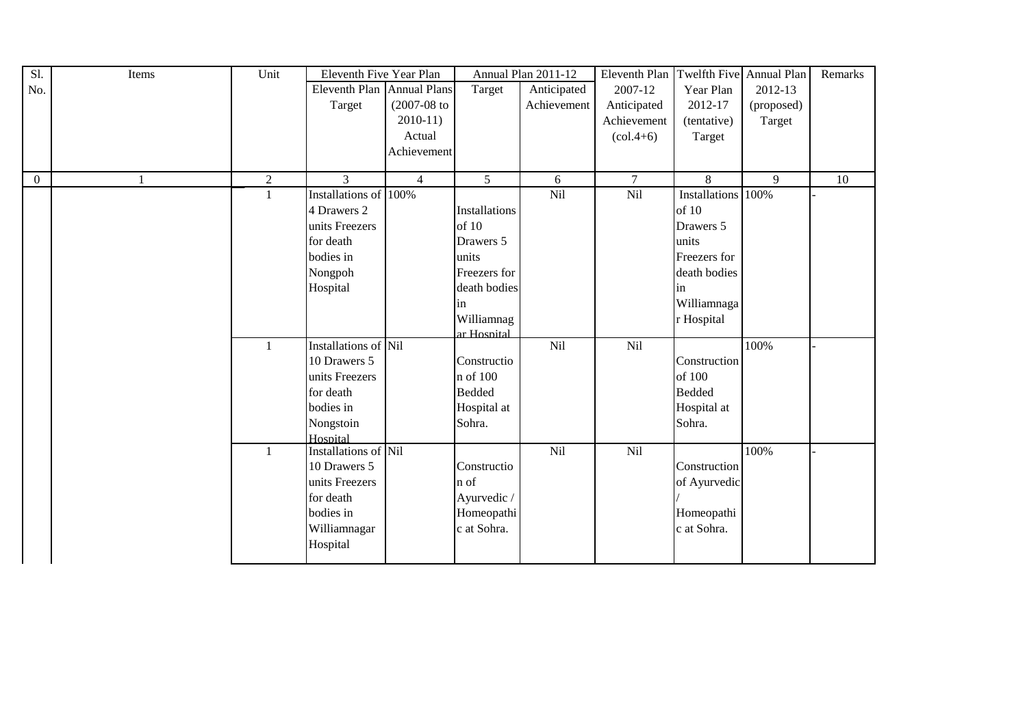| Sl.          | Items | Unit         | Eleventh Five Year Plan |                     |                | Annual Plan 2011-12 | Eleventh Plan Twelfth Five Annual Plan |                    |                | Remarks         |
|--------------|-------|--------------|-------------------------|---------------------|----------------|---------------------|----------------------------------------|--------------------|----------------|-----------------|
| No.          |       |              | Eleventh Plan           | <b>Annual Plans</b> | Target         | Anticipated         | 2007-12                                | Year Plan          | 2012-13        |                 |
|              |       |              | Target                  | $(2007 - 08)$ to    |                | Achievement         | Anticipated                            | 2012-17            | (proposed)     |                 |
|              |       |              |                         | $2010-11$           |                |                     | Achievement                            | (tentative)        | Target         |                 |
|              |       |              |                         | Actual              |                |                     | $\left(\text{col.4+6}\right)$          | Target             |                |                 |
|              |       |              |                         | Achievement         |                |                     |                                        |                    |                |                 |
|              |       |              |                         |                     |                |                     |                                        |                    |                |                 |
| $\mathbf{0}$ | 1     | $\sqrt{2}$   | $\overline{3}$          | $\overline{4}$      | $\overline{5}$ | 6                   | $\overline{7}$                         | $\overline{8}$     | $\overline{9}$ | $\overline{10}$ |
|              |       | $\mathbf{1}$ | Installations of 100%   |                     |                | Nil                 | Nil                                    | Installations 100% |                |                 |
|              |       |              | 4 Drawers 2             |                     | Installations  |                     |                                        | of 10              |                |                 |
|              |       |              | units Freezers          |                     | of 10          |                     |                                        | Drawers 5          |                |                 |
|              |       |              | for death               |                     | Drawers 5      |                     |                                        | units              |                |                 |
|              |       |              | bodies in               |                     | units          |                     |                                        | Freezers for       |                |                 |
|              |       |              | Nongpoh                 |                     | Freezers for   |                     |                                        | death bodies       |                |                 |
|              |       |              | Hospital                |                     | death bodies   |                     |                                        | in                 |                |                 |
|              |       |              |                         |                     | in             |                     |                                        | Williamnaga        |                |                 |
|              |       |              |                         |                     | Williamnag     |                     |                                        | r Hospital         |                |                 |
|              |       |              |                         |                     | ar Hosnital    |                     |                                        |                    |                |                 |
|              |       | $\mathbf{1}$ | Installations of Nil    |                     |                | Nil                 | Nil                                    |                    | 100%           |                 |
|              |       |              | 10 Drawers 5            |                     | Constructio    |                     |                                        | Construction       |                |                 |
|              |       |              | units Freezers          |                     | n of 100       |                     |                                        | of 100             |                |                 |
|              |       |              | for death               |                     | <b>Bedded</b>  |                     |                                        | <b>Bedded</b>      |                |                 |
|              |       |              | bodies in               |                     | Hospital at    |                     |                                        | Hospital at        |                |                 |
|              |       |              | Nongstoin               |                     | Sohra.         |                     |                                        | Sohra.             |                |                 |
|              |       |              | Hospital                |                     |                |                     |                                        |                    |                |                 |
|              |       | $\mathbf{1}$ | Installations of Nil    |                     |                | Nil                 | Nil                                    |                    | 100%           |                 |
|              |       |              | 10 Drawers 5            |                     | Constructio    |                     |                                        | Construction       |                |                 |
|              |       |              | units Freezers          |                     | n of           |                     |                                        | of Ayurvedic       |                |                 |
|              |       |              | for death               |                     | Ayurvedic /    |                     |                                        |                    |                |                 |
|              |       |              | bodies in               |                     | Homeopathi     |                     |                                        | Homeopathi         |                |                 |
|              |       |              | Williamnagar            |                     | c at Sohra.    |                     |                                        | c at Sohra.        |                |                 |
|              |       |              | Hospital                |                     |                |                     |                                        |                    |                |                 |
|              |       |              |                         |                     |                |                     |                                        |                    |                |                 |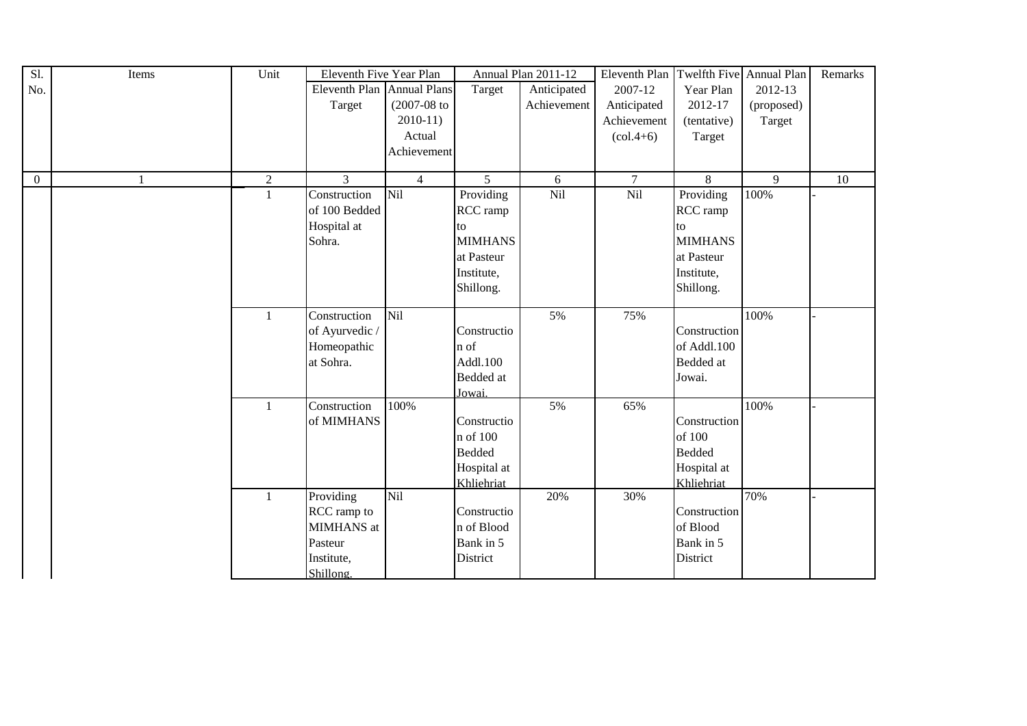| Sl.            | Items | Unit           | Eleventh Five Year Plan |                     |                | Annual Plan 2011-12 | Eleventh Plan                   | Twelfth Five Annual Plan |            | Remarks |
|----------------|-------|----------------|-------------------------|---------------------|----------------|---------------------|---------------------------------|--------------------------|------------|---------|
| No.            |       |                | <b>Eleventh Plan</b>    | <b>Annual Plans</b> | Target         | Anticipated         | 2007-12                         | Year Plan                | 2012-13    |         |
|                |       |                | Target                  | $(2007-08)$ to      |                | Achievement         | Anticipated                     | 2012-17                  | (proposed) |         |
|                |       |                |                         | $2010-11)$          |                |                     | Achievement                     | (tentative)              | Target     |         |
|                |       |                |                         | Actual              |                |                     | $\left( \text{col.4+6} \right)$ | Target                   |            |         |
|                |       |                |                         | Achievement         |                |                     |                                 |                          |            |         |
|                |       |                |                         |                     |                |                     |                                 |                          |            |         |
| $\overline{0}$ |       | $\overline{2}$ | 3                       | $\overline{4}$      | 5              | 6                   | $\overline{7}$                  | 8                        | 9          | 10      |
|                |       | $\mathbf{1}$   | Construction            | Nil                 | Providing      | Nil                 | Nil                             | Providing                | 100%       |         |
|                |       |                | of 100 Bedded           |                     | RCC ramp       |                     |                                 | RCC ramp                 |            |         |
|                |       |                | Hospital at             |                     | to             |                     |                                 | to                       |            |         |
|                |       |                | Sohra.                  |                     | <b>MIMHANS</b> |                     |                                 | <b>MIMHANS</b>           |            |         |
|                |       |                |                         |                     | at Pasteur     |                     |                                 | at Pasteur               |            |         |
|                |       |                |                         |                     | Institute,     |                     |                                 | Institute,               |            |         |
|                |       |                |                         |                     | Shillong.      |                     |                                 | Shillong.                |            |         |
|                |       |                |                         |                     |                |                     |                                 |                          |            |         |
|                |       | 1              | Construction            | Nil                 |                | 5%                  | 75%                             |                          | 100%       |         |
|                |       |                | of Ayurvedic /          |                     | Constructio    |                     |                                 | Construction             |            |         |
|                |       |                | Homeopathic             |                     | n of           |                     |                                 | of Addl.100              |            |         |
|                |       |                | at Sohra.               |                     | Addl.100       |                     |                                 | Bedded at                |            |         |
|                |       |                |                         |                     | Bedded at      |                     |                                 | Jowai.                   |            |         |
|                |       |                |                         |                     | Jowai.         |                     |                                 |                          |            |         |
|                |       | $\mathbf{1}$   | Construction            | 100%                |                | 5%                  | 65%                             |                          | 100%       |         |
|                |       |                | of MIMHANS              |                     | Constructio    |                     |                                 | Construction             |            |         |
|                |       |                |                         |                     | n of 100       |                     |                                 | of 100                   |            |         |
|                |       |                |                         |                     | <b>Bedded</b>  |                     |                                 | <b>Bedded</b>            |            |         |
|                |       |                |                         |                     | Hospital at    |                     |                                 | Hospital at              |            |         |
|                |       |                |                         |                     | Khliehriat     |                     |                                 | Khliehriat               |            |         |
|                |       | $\mathbf{1}$   | Providing               | <b>Nil</b>          |                | 20%                 | 30%                             |                          | 70%        |         |
|                |       |                | RCC ramp to             |                     | Constructio    |                     |                                 | Construction             |            |         |
|                |       |                | MIMHANS at              |                     | n of Blood     |                     |                                 | of Blood                 |            |         |
|                |       |                | Pasteur                 |                     | Bank in 5      |                     |                                 | Bank in 5                |            |         |
|                |       |                | Institute,              |                     | District       |                     |                                 | District                 |            |         |
|                |       |                | Shillong.               |                     |                |                     |                                 |                          |            |         |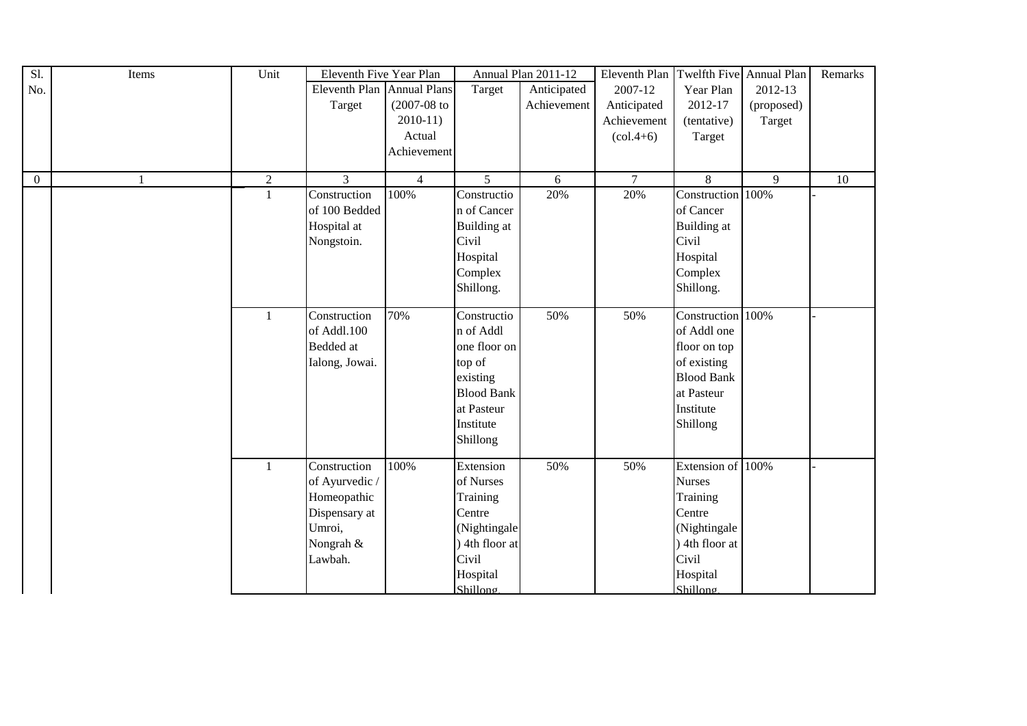| Sl.            | Items | Unit         | Eleventh Five Year Plan    |                |                   | Annual Plan 2011-12 | Eleventh Plan   Twelfth Five   Annual Plan |                    |            | Remarks |
|----------------|-------|--------------|----------------------------|----------------|-------------------|---------------------|--------------------------------------------|--------------------|------------|---------|
| No.            |       |              | Eleventh Plan Annual Plans |                | Target            | Anticipated         | 2007-12                                    | Year Plan          | 2012-13    |         |
|                |       |              | Target                     | $(2007-08$ to  |                   | Achievement         | Anticipated                                | 2012-17            | (proposed) |         |
|                |       |              |                            | $2010-11$      |                   |                     | Achievement                                | (tentative)        | Target     |         |
|                |       |              |                            | Actual         |                   |                     | $\left( \text{col.4+6} \right)$            | Target             |            |         |
|                |       |              |                            | Achievement    |                   |                     |                                            |                    |            |         |
|                |       |              |                            |                |                   |                     |                                            |                    |            |         |
| $\overline{0}$ | 1     | $\sqrt{2}$   | $\overline{3}$             | $\overline{4}$ | $\overline{5}$    | 6                   | $\overline{7}$                             | 8                  | 9          | 10      |
|                |       | $\mathbf{1}$ | Construction               | 100%           | Constructio       | 20%                 | 20%                                        | Construction 100%  |            |         |
|                |       |              | of 100 Bedded              |                | n of Cancer       |                     |                                            | of Cancer          |            |         |
|                |       |              | Hospital at                |                | Building at       |                     |                                            | <b>Building</b> at |            |         |
|                |       |              | Nongstoin.                 |                | Civil             |                     |                                            | Civil              |            |         |
|                |       |              |                            |                | Hospital          |                     |                                            | Hospital           |            |         |
|                |       |              |                            |                | Complex           |                     |                                            | Complex            |            |         |
|                |       |              |                            |                | Shillong.         |                     |                                            | Shillong.          |            |         |
|                |       |              |                            |                |                   |                     |                                            |                    |            |         |
|                |       | $\mathbf{1}$ | Construction               | 70%            | Constructio       | 50%                 | 50%                                        | Construction 100%  |            |         |
|                |       |              | of Addl.100                |                | n of Addl         |                     |                                            | of Addl one        |            |         |
|                |       |              | Bedded at                  |                | one floor on      |                     |                                            | floor on top       |            |         |
|                |       |              | Ialong, Jowai.             |                | top of            |                     |                                            | of existing        |            |         |
|                |       |              |                            |                | existing          |                     |                                            | <b>Blood Bank</b>  |            |         |
|                |       |              |                            |                | <b>Blood Bank</b> |                     |                                            | at Pasteur         |            |         |
|                |       |              |                            |                | at Pasteur        |                     |                                            | Institute          |            |         |
|                |       |              |                            |                | Institute         |                     |                                            | Shillong           |            |         |
|                |       |              |                            |                | Shillong          |                     |                                            |                    |            |         |
|                |       |              |                            |                |                   |                     |                                            |                    |            |         |
|                |       | $\mathbf{1}$ | Construction               | 100%           | Extension         | 50%                 | 50%                                        | Extension of 100%  |            |         |
|                |       |              | of Ayurvedic /             |                | of Nurses         |                     |                                            | <b>Nurses</b>      |            |         |
|                |       |              | Homeopathic                |                | Training          |                     |                                            | Training           |            |         |
|                |       |              | Dispensary at              |                | Centre            |                     |                                            | Centre             |            |         |
|                |       |              | Umroi,                     |                | (Nightingale      |                     |                                            | (Nightingale       |            |         |
|                |       |              | Nongrah &                  |                | 4th floor at      |                     |                                            | ) 4th floor at     |            |         |
|                |       |              | Lawbah.                    |                | Civil             |                     |                                            | Civil              |            |         |
|                |       |              |                            |                | Hospital          |                     |                                            | Hospital           |            |         |
|                |       |              |                            |                | Shillong          |                     |                                            | Shillong           |            |         |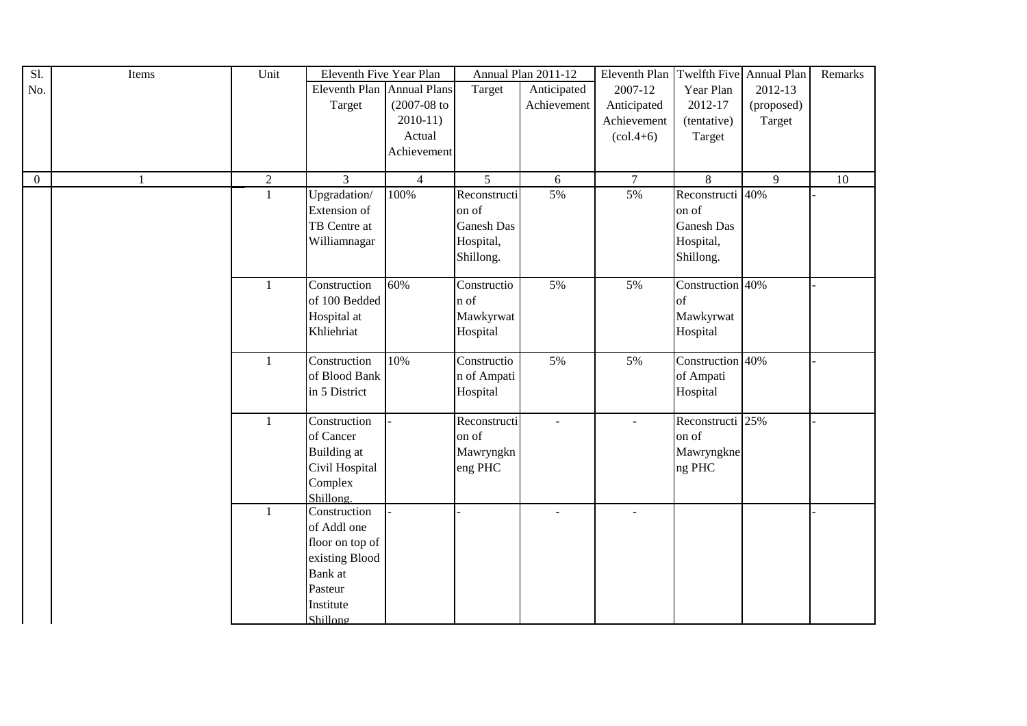| $\overline{SI}$ | Items | Unit           | Eleventh Five Year Plan    |                |                   | Annual Plan 2011-12 | Eleventh Plan Twelfth Five Annual Plan |                   |            | Remarks |
|-----------------|-------|----------------|----------------------------|----------------|-------------------|---------------------|----------------------------------------|-------------------|------------|---------|
| No.             |       |                | Eleventh Plan Annual Plans |                | Target            | Anticipated         | 2007-12                                | Year Plan         | 2012-13    |         |
|                 |       |                | Target                     | $(2007-08$ to  |                   | Achievement         | Anticipated                            | 2012-17           | (proposed) |         |
|                 |       |                |                            | $2010-11$      |                   |                     | Achievement                            | (tentative)       | Target     |         |
|                 |       |                |                            | Actual         |                   |                     | $\left( \text{col.4+6} \right)$        | Target            |            |         |
|                 |       |                |                            | Achievement    |                   |                     |                                        |                   |            |         |
|                 |       |                |                            |                |                   |                     |                                        |                   |            |         |
| $\overline{0}$  |       | $\overline{2}$ | $\overline{3}$             | $\overline{4}$ | $\overline{5}$    | 6                   | $\overline{7}$                         | 8                 | 9          | 10      |
|                 |       | $\mathbf{1}$   | Upgradation/               | 100%           | Reconstructi      | 5%                  | 5%                                     | Reconstructi 40%  |            |         |
|                 |       |                | Extension of               |                | on of             |                     |                                        | on of             |            |         |
|                 |       |                | TB Centre at               |                | <b>Ganesh Das</b> |                     |                                        | <b>Ganesh Das</b> |            |         |
|                 |       |                | Williamnagar               |                | Hospital,         |                     |                                        | Hospital,         |            |         |
|                 |       |                |                            |                | Shillong.         |                     |                                        | Shillong.         |            |         |
|                 |       |                |                            |                |                   |                     |                                        |                   |            |         |
|                 |       | $\mathbf{1}$   | Construction               | 60%            | Constructio       | 5%                  | 5%                                     | Construction 40%  |            |         |
|                 |       |                | of 100 Bedded              |                | n of              |                     |                                        | of                |            |         |
|                 |       |                | Hospital at                |                | Mawkyrwat         |                     |                                        | Mawkyrwat         |            |         |
|                 |       |                | Khliehriat                 |                | Hospital          |                     |                                        | Hospital          |            |         |
|                 |       |                |                            |                |                   |                     |                                        |                   |            |         |
|                 |       | $\mathbf{1}$   | Construction               | 10%            | Constructio       | 5%                  | 5%                                     | Construction 40%  |            |         |
|                 |       |                | of Blood Bank              |                | n of Ampati       |                     |                                        | of Ampati         |            |         |
|                 |       |                | in 5 District              |                | Hospital          |                     |                                        | Hospital          |            |         |
|                 |       |                |                            |                |                   |                     |                                        |                   |            |         |
|                 |       | $\mathbf{1}$   | Construction               |                | Reconstructi      | $\blacksquare$      | $\mathbf{r}$                           | Reconstructi 25%  |            |         |
|                 |       |                | of Cancer                  |                | on of             |                     |                                        | on of             |            |         |
|                 |       |                | <b>Building</b> at         |                | Mawryngkn         |                     |                                        | Mawryngkne        |            |         |
|                 |       |                | Civil Hospital             |                | eng PHC           |                     |                                        | ng PHC            |            |         |
|                 |       |                | Complex                    |                |                   |                     |                                        |                   |            |         |
|                 |       |                | Shillong.                  |                |                   |                     |                                        |                   |            |         |
|                 |       | $\mathbf{1}$   | Construction               |                |                   | $\blacksquare$      | $\overline{a}$                         |                   |            |         |
|                 |       |                | of Addl one                |                |                   |                     |                                        |                   |            |         |
|                 |       |                | floor on top of            |                |                   |                     |                                        |                   |            |         |
|                 |       |                | existing Blood             |                |                   |                     |                                        |                   |            |         |
|                 |       |                | Bank at                    |                |                   |                     |                                        |                   |            |         |
|                 |       |                | Pasteur                    |                |                   |                     |                                        |                   |            |         |
|                 |       |                | Institute                  |                |                   |                     |                                        |                   |            |         |
|                 |       |                | Shillong                   |                |                   |                     |                                        |                   |            |         |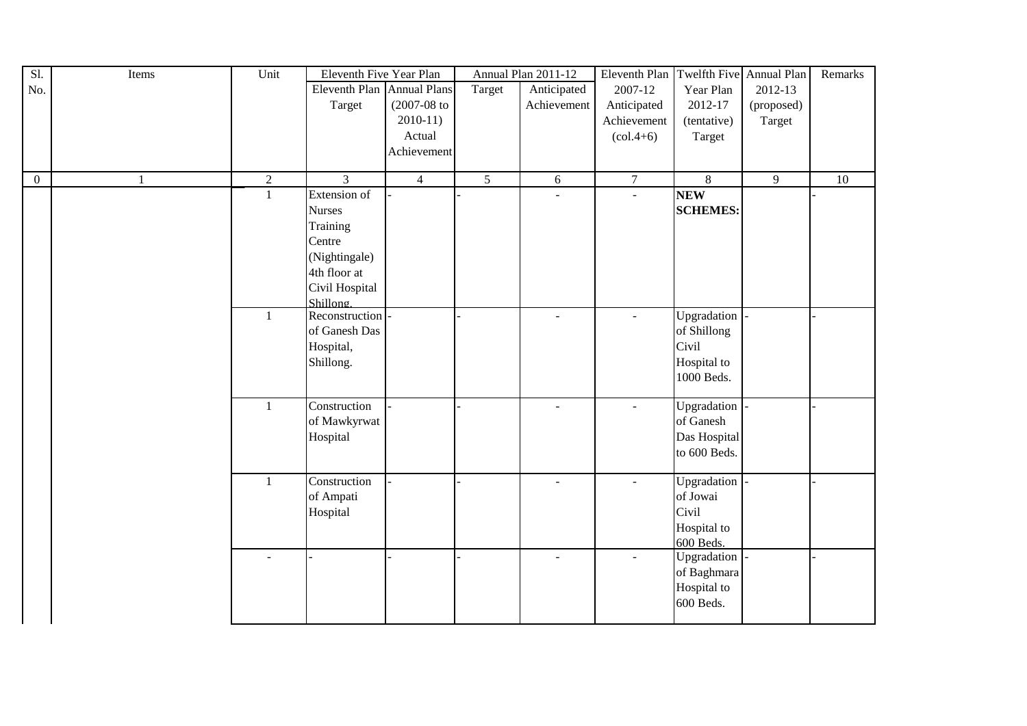| $\overline{SI}$ . | Items        | Unit           | Eleventh Five Year Plan    |                  |                | Annual Plan 2011-12      | Eleventh Plan   Twelfth Five   Annual Plan |                 |            | Remarks |
|-------------------|--------------|----------------|----------------------------|------------------|----------------|--------------------------|--------------------------------------------|-----------------|------------|---------|
| No.               |              |                | Eleventh Plan Annual Plans |                  | Target         | Anticipated              | 2007-12                                    | Year Plan       | 2012-13    |         |
|                   |              |                | Target                     | $(2007 - 08)$ to |                | Achievement              | Anticipated                                | 2012-17         | (proposed) |         |
|                   |              |                |                            | $2010-11)$       |                |                          | Achievement                                | (tentative)     | Target     |         |
|                   |              |                |                            | Actual           |                |                          | $\left( \text{col.4+6} \right)$            | Target          |            |         |
|                   |              |                |                            | Achievement      |                |                          |                                            |                 |            |         |
|                   |              |                |                            |                  |                |                          |                                            |                 |            |         |
| $\overline{0}$    | $\mathbf{1}$ | $\overline{2}$ | 3                          | $\overline{4}$   | $\overline{5}$ | $\sqrt{6}$               | $\overline{7}$                             | $8\,$           | 9          | 10      |
|                   |              | $\mathbf{1}$   | Extension of               |                  |                | $\blacksquare$           |                                            | <b>NEW</b>      |            |         |
|                   |              |                | <b>Nurses</b>              |                  |                |                          |                                            | <b>SCHEMES:</b> |            |         |
|                   |              |                | Training                   |                  |                |                          |                                            |                 |            |         |
|                   |              |                | Centre                     |                  |                |                          |                                            |                 |            |         |
|                   |              |                | (Nightingale)              |                  |                |                          |                                            |                 |            |         |
|                   |              |                | 4th floor at               |                  |                |                          |                                            |                 |            |         |
|                   |              |                | Civil Hospital             |                  |                |                          |                                            |                 |            |         |
|                   |              |                | Shillong.                  |                  |                |                          |                                            |                 |            |         |
|                   |              | -1             | Reconstruction             |                  |                | $\blacksquare$           | $\blacksquare$                             | Upgradation     |            |         |
|                   |              |                | of Ganesh Das              |                  |                |                          |                                            | of Shillong     |            |         |
|                   |              |                | Hospital,                  |                  |                |                          |                                            | Civil           |            |         |
|                   |              |                | Shillong.                  |                  |                |                          |                                            | Hospital to     |            |         |
|                   |              |                |                            |                  |                |                          |                                            | 1000 Beds.      |            |         |
|                   |              |                |                            |                  |                |                          |                                            |                 |            |         |
|                   |              | $\mathbf{1}$   | Construction               |                  |                | $\mathbb{Z}^2$           | $\mathbf{u}$                               | Upgradation     |            |         |
|                   |              |                | of Mawkyrwat               |                  |                |                          |                                            | of Ganesh       |            |         |
|                   |              |                | Hospital                   |                  |                |                          |                                            | Das Hospital    |            |         |
|                   |              |                |                            |                  |                |                          |                                            | to 600 Beds.    |            |         |
|                   |              |                |                            |                  |                |                          |                                            |                 |            |         |
|                   |              | $\mathbf{1}$   | Construction               |                  |                | $\blacksquare$           | $\overline{\phantom{0}}$                   | Upgradation     |            |         |
|                   |              |                | of Ampati                  |                  |                |                          |                                            | of Jowai        |            |         |
|                   |              |                | Hospital                   |                  |                |                          |                                            | Civil           |            |         |
|                   |              |                |                            |                  |                |                          |                                            | Hospital to     |            |         |
|                   |              |                |                            |                  |                |                          |                                            | 600 Beds.       |            |         |
|                   |              |                |                            |                  |                | $\overline{\phantom{a}}$ | $\blacksquare$                             | Upgradation     |            |         |
|                   |              |                |                            |                  |                |                          |                                            | of Baghmara     |            |         |
|                   |              |                |                            |                  |                |                          |                                            | Hospital to     |            |         |
|                   |              |                |                            |                  |                |                          |                                            | 600 Beds.       |            |         |
|                   |              |                |                            |                  |                |                          |                                            |                 |            |         |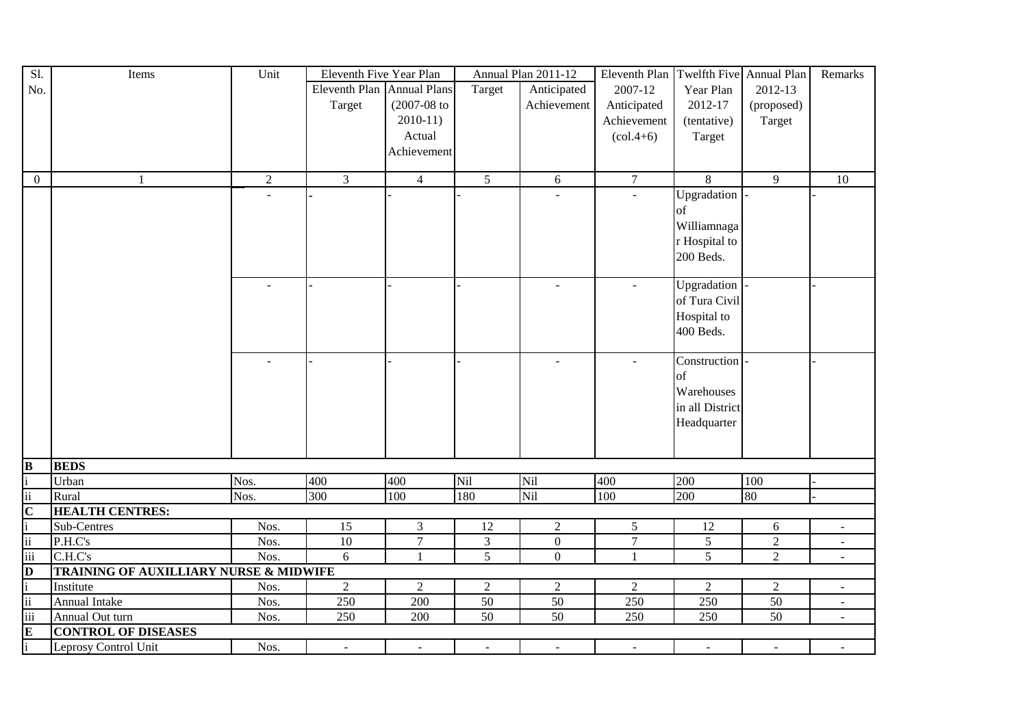| Sl.                      | Items                                  | Unit                      | Eleventh Five Year Plan    |                |                | Annual Plan 2011-12 | Eleventh Plan   Twelfth Five   Annual Plan |                          |                  | Remarks                  |
|--------------------------|----------------------------------------|---------------------------|----------------------------|----------------|----------------|---------------------|--------------------------------------------|--------------------------|------------------|--------------------------|
| No.                      |                                        |                           | Eleventh Plan Annual Plans |                | Target         | Anticipated         | 2007-12                                    | Year Plan                | 2012-13          |                          |
|                          |                                        |                           | Target                     | $(2007-08$ to  |                | Achievement         | Anticipated                                | 2012-17                  | (proposed)       |                          |
|                          |                                        |                           |                            | $2010-11$      |                |                     | Achievement                                | (tentative)              | Target           |                          |
|                          |                                        |                           |                            | Actual         |                |                     | $\left( \text{col.4+6} \right)$            | Target                   |                  |                          |
|                          |                                        |                           |                            | Achievement    |                |                     |                                            |                          |                  |                          |
|                          |                                        |                           |                            |                |                |                     |                                            |                          |                  |                          |
| $\overline{0}$           | $\mathbf{1}$                           | $\sqrt{2}$                | $\mathfrak{Z}$             | $\overline{4}$ | 5              | 6                   | $\overline{7}$                             | 8                        | 9                | 10                       |
|                          |                                        |                           |                            |                |                |                     |                                            | Upgradation              |                  |                          |
|                          |                                        |                           |                            |                |                |                     |                                            | of                       |                  |                          |
|                          |                                        |                           |                            |                |                |                     |                                            | Williamnaga              |                  |                          |
|                          |                                        |                           |                            |                |                |                     |                                            | r Hospital to            |                  |                          |
|                          |                                        |                           |                            |                |                |                     |                                            | 200 Beds.                |                  |                          |
|                          |                                        |                           |                            |                |                |                     |                                            |                          |                  |                          |
|                          |                                        |                           |                            |                |                |                     |                                            | Upgradation              |                  |                          |
|                          |                                        |                           |                            |                |                |                     |                                            | of Tura Civil            |                  |                          |
|                          |                                        |                           |                            |                |                |                     |                                            | Hospital to              |                  |                          |
|                          |                                        |                           |                            |                |                |                     |                                            | 400 Beds.                |                  |                          |
|                          |                                        |                           |                            |                |                |                     |                                            |                          |                  |                          |
|                          |                                        |                           |                            |                |                |                     | $\sim$                                     | Construction             |                  |                          |
|                          |                                        |                           |                            |                |                |                     |                                            | of                       |                  |                          |
|                          |                                        |                           |                            |                |                |                     |                                            | Warehouses               |                  |                          |
|                          |                                        |                           |                            |                |                |                     |                                            | in all District          |                  |                          |
|                          |                                        |                           |                            |                |                |                     |                                            | Headquarter              |                  |                          |
|                          |                                        |                           |                            |                |                |                     |                                            |                          |                  |                          |
|                          |                                        |                           |                            |                |                |                     |                                            |                          |                  |                          |
| $\bf{B}$                 | <b>BEDS</b>                            |                           |                            |                |                |                     |                                            |                          |                  |                          |
|                          | Urban                                  | $\overline{\text{N}}$ os. | 400                        | 400            | Nil            | Nil                 | 400                                        | 200                      | 100              |                          |
| ii                       | Rural                                  | Nos.                      | 300                        | 100            | 180            | Nil                 | 100                                        | 200                      | 80               |                          |
| $\overline{C}$           | <b>HEALTH CENTRES:</b>                 |                           |                            |                |                |                     |                                            |                          |                  |                          |
| $\mathbf{i}$             | Sub-Centres                            | Nos.                      | 15                         | $\overline{3}$ | 12             | $\sqrt{2}$          | $\mathfrak{S}$                             | 12                       | $\boldsymbol{6}$ | $\omega$                 |
| $\overline{\mathbf{ii}}$ | P.H.C's                                | Nos.                      | $10\,$                     | $\overline{7}$ | $\overline{3}$ | $\boldsymbol{0}$    | $\boldsymbol{7}$                           | 5                        | $\overline{2}$   | $\sim$                   |
| iii                      | C.H.C's                                | Nos.                      | 6                          | $\mathbf{1}$   | 5              | $\mathbf{0}$        | $\overline{1}$                             | 5                        | $\overline{2}$   | $\blacksquare$           |
| D                        | TRAINING OF AUXILLIARY NURSE & MIDWIFE |                           |                            |                |                |                     |                                            |                          |                  |                          |
| i                        | Institute                              | Nos.                      | $\sqrt{2}$                 | $\sqrt{2}$     | $\sqrt{2}$     | $\overline{2}$      | $\sqrt{2}$                                 | $\overline{2}$           | $\overline{2}$   | $\overline{\phantom{a}}$ |
| ii                       | Annual Intake                          | Nos.                      | 250                        | 200            | 50             | $\overline{50}$     | 250                                        | 250                      | $\overline{50}$  | $\blacksquare$           |
| iii                      | Annual Out turn                        | Nos.                      | 250                        | 200            | 50             | $\overline{50}$     | 250                                        | 250                      | 50               | $\omega$                 |
| E                        | <b>CONTROL OF DISEASES</b>             |                           |                            |                |                |                     |                                            |                          |                  |                          |
| $\mathbf{i}$             | Leprosy Control Unit                   | Nos.                      | $\sim$                     | $\overline{a}$ |                |                     | $\blacksquare$                             | $\overline{\phantom{a}}$ | $\sim$           |                          |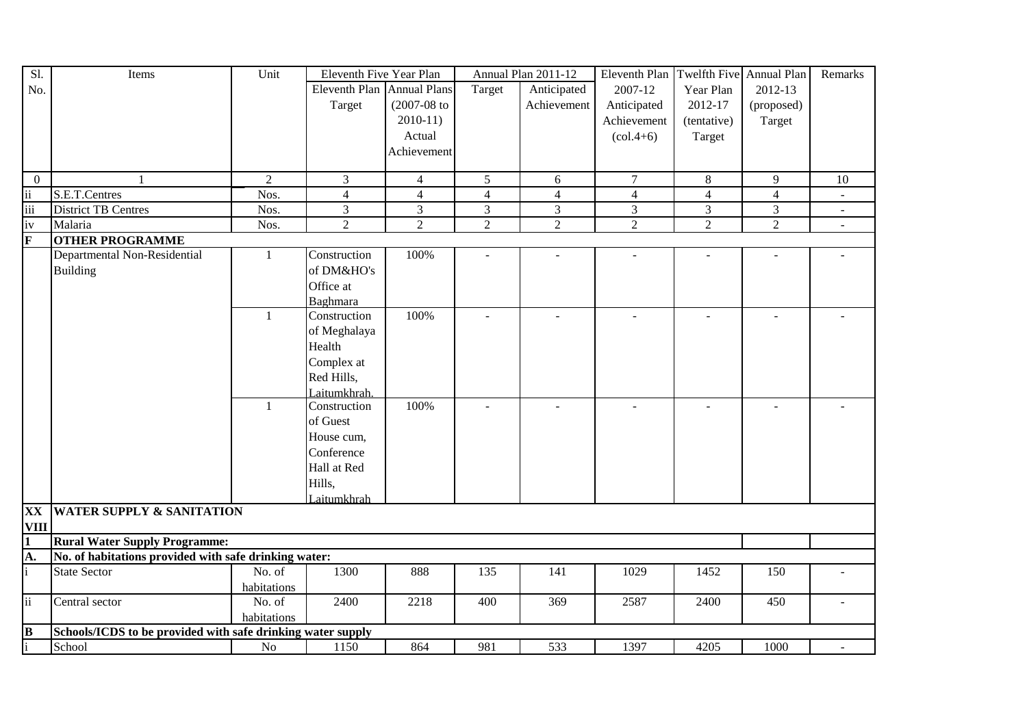| Sl.                     | Items                                                       | Unit           | Eleventh Five Year Plan    |                  |                | Annual Plan 2011-12 | Eleventh Plan Twelfth Five Annual Plan |                |                | Remarks                  |
|-------------------------|-------------------------------------------------------------|----------------|----------------------------|------------------|----------------|---------------------|----------------------------------------|----------------|----------------|--------------------------|
| No.                     |                                                             |                | Eleventh Plan Annual Plans |                  | Target         | Anticipated         | 2007-12                                | Year Plan      | 2012-13        |                          |
|                         |                                                             |                | Target                     | $(2007 - 08)$ to |                | Achievement         | Anticipated                            | 2012-17        | (proposed)     |                          |
|                         |                                                             |                |                            | $2010-11$        |                |                     | Achievement                            | (tentative)    | Target         |                          |
|                         |                                                             |                |                            | Actual           |                |                     | $\left( \text{col.4+6} \right)$        | Target         |                |                          |
|                         |                                                             |                |                            | Achievement      |                |                     |                                        |                |                |                          |
|                         |                                                             |                |                            |                  |                |                     |                                        |                |                |                          |
| $\overline{0}$          | -1                                                          | $\overline{2}$ | 3                          | $\overline{4}$   | 5              | 6                   | $\tau$                                 | 8              | 9              | 10                       |
| $\ddot{\rm n}$          | S.E.T.Centres                                               | Nos.           | $\overline{4}$             | $\overline{4}$   | $\overline{4}$ | $\overline{4}$      | $\overline{4}$                         | $\overline{4}$ | $\overline{4}$ | $\overline{\phantom{a}}$ |
| $\overline{\text{iii}}$ | <b>District TB Centres</b>                                  | Nos.           | 3                          | 3                | 3              | $\mathfrak{Z}$      | $\mathfrak{Z}$                         | $\mathfrak{Z}$ | $\mathfrak{Z}$ |                          |
| iv                      | Malaria                                                     | Nos.           | $\overline{2}$             | $\overline{2}$   | $\overline{2}$ | $\overline{2}$      | $\overline{2}$                         | $\overline{2}$ | $\overline{2}$ | $\blacksquare$           |
| $\mathbf{F}$            | <b>OTHER PROGRAMME</b>                                      |                |                            |                  |                |                     |                                        |                |                |                          |
|                         | Departmental Non-Residential                                | $\mathbf{1}$   | Construction               | 100%             |                |                     |                                        |                |                |                          |
|                         | <b>Building</b>                                             |                | of DM&HO's                 |                  |                |                     |                                        |                |                |                          |
|                         |                                                             |                | Office at                  |                  |                |                     |                                        |                |                |                          |
|                         |                                                             |                | Baghmara                   |                  |                |                     |                                        |                |                |                          |
|                         |                                                             | $\mathbf{1}$   | Construction               | 100%             |                |                     | $\mathbf{r}$                           | $\overline{a}$ | $\overline{a}$ |                          |
|                         |                                                             |                | of Meghalaya               |                  |                |                     |                                        |                |                |                          |
|                         |                                                             |                | Health                     |                  |                |                     |                                        |                |                |                          |
|                         |                                                             |                | Complex at                 |                  |                |                     |                                        |                |                |                          |
|                         |                                                             |                | Red Hills,                 |                  |                |                     |                                        |                |                |                          |
|                         |                                                             |                | Laitumkhrah.               |                  |                |                     |                                        |                |                |                          |
|                         |                                                             | 1              | Construction               | 100%             |                |                     |                                        |                |                |                          |
|                         |                                                             |                | of Guest                   |                  |                |                     |                                        |                |                |                          |
|                         |                                                             |                | House cum,                 |                  |                |                     |                                        |                |                |                          |
|                         |                                                             |                | Conference                 |                  |                |                     |                                        |                |                |                          |
|                         |                                                             |                | Hall at Red                |                  |                |                     |                                        |                |                |                          |
|                         |                                                             |                | Hills,                     |                  |                |                     |                                        |                |                |                          |
|                         |                                                             |                | Laitumkhrah                |                  |                |                     |                                        |                |                |                          |
| <b>XX</b>               | <b>WATER SUPPLY &amp; SANITATION</b>                        |                |                            |                  |                |                     |                                        |                |                |                          |
| <b>VIII</b>             |                                                             |                |                            |                  |                |                     |                                        |                |                |                          |
| $\mathbf{1}$            | <b>Rural Water Supply Programme:</b>                        |                |                            |                  |                |                     |                                        |                |                |                          |
| A.                      | No. of habitations provided with safe drinking water:       |                |                            |                  |                |                     |                                        |                |                |                          |
|                         | <b>State Sector</b>                                         | No. of         | 1300                       | 888              | 135            | 141                 | 1029                                   | 1452           | 150            |                          |
|                         |                                                             | habitations    |                            |                  |                |                     |                                        |                |                |                          |
| ii                      | Central sector                                              | No. of         | 2400                       | 2218             | 400            | 369                 | 2587                                   | 2400           | 450            |                          |
|                         |                                                             | habitations    |                            |                  |                |                     |                                        |                |                |                          |
| $\bf{B}$                | Schools/ICDS to be provided with safe drinking water supply |                |                            |                  |                |                     |                                        |                |                |                          |
|                         | School                                                      | No             | 1150                       | 864              | 981            | 533                 | 1397                                   | 4205           | 1000           |                          |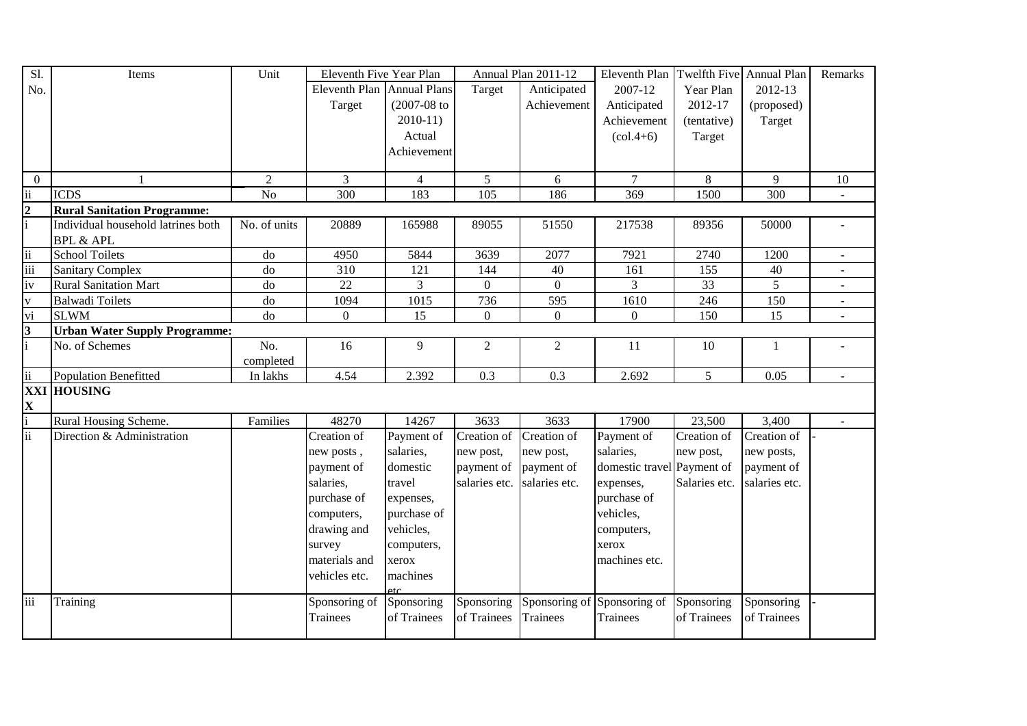| Sl.                      | Items                                | Unit            | Eleventh Five Year Plan    |                   |                  | Annual Plan 2011-12 | Eleventh Plan                          | Twelfth Five Annual Plan |               | Remarks        |
|--------------------------|--------------------------------------|-----------------|----------------------------|-------------------|------------------|---------------------|----------------------------------------|--------------------------|---------------|----------------|
| No.                      |                                      |                 | Eleventh Plan Annual Plans |                   | Target           | Anticipated         | 2007-12                                | Year Plan                | 2012-13       |                |
|                          |                                      |                 | Target                     | $(2007-08$ to     |                  | Achievement         | Anticipated                            | 2012-17                  | (proposed)    |                |
|                          |                                      |                 |                            | $2010-11$         |                  |                     | Achievement                            | (tentative)              | Target        |                |
|                          |                                      |                 |                            | Actual            |                  |                     | $(col.4+6)$                            | Target                   |               |                |
|                          |                                      |                 |                            | Achievement       |                  |                     |                                        |                          |               |                |
|                          |                                      |                 |                            |                   |                  |                     |                                        |                          |               |                |
| $\overline{0}$           |                                      | $\overline{2}$  | $\overline{3}$             | $\overline{4}$    | 5 <sup>5</sup>   | 6                   | $\overline{7}$                         | 8                        | 9             | 10             |
| $\overline{\textbf{ii}}$ | <b>ICDS</b>                          | $\overline{No}$ | 300                        | 183               | 105              | 186                 | 369                                    | 1500                     | 300           |                |
| $\frac{2}{i}$            | <b>Rural Sanitation Programme:</b>   |                 |                            |                   |                  |                     |                                        |                          |               |                |
|                          | Individual household latrines both   | No. of units    | 20889                      | 165988            | 89055            | 51550               | 217538                                 | 89356                    | 50000         |                |
|                          | <b>BPL &amp; APL</b>                 |                 |                            |                   |                  |                     |                                        |                          |               |                |
| $\ddot{\rm ii}$          | <b>School Toilets</b>                | do              | 4950                       | 5844              | 3639             | 2077                | 7921                                   | 2740                     | 1200          |                |
| $\overline{\text{iii}}$  | <b>Sanitary Complex</b>              | do              | 310                        | 121               | 144              | $\overline{40}$     | 161                                    | 155                      | 40            |                |
| iv                       | <b>Rural Sanitation Mart</b>         | ${\rm do}$      | $22\,$                     | 3                 | $\boldsymbol{0}$ | $\overline{0}$      | 3                                      | 33                       | 5             |                |
| $\overline{\mathbf{v}}$  | <b>Balwadi Toilets</b>               | do              | 1094                       | 1015              | 736              | 595                 | $\frac{1610}{ }$                       | 246                      | 150           |                |
| vi                       | <b>SLWM</b>                          | do              | $\overline{0}$             | 15                | $\Omega$         | $\overline{0}$      | $\Omega$                               | 150                      | 15            | $\mathbf{r}$   |
| $\frac{3}{1}$            | <b>Urban Water Supply Programme:</b> |                 |                            |                   |                  |                     |                                        |                          |               |                |
|                          | No. of Schemes                       | No.             | 16                         | 9                 | $\overline{2}$   | $\overline{2}$      | 11                                     | 10                       | $\mathbf{1}$  |                |
|                          |                                      | completed       |                            |                   |                  |                     |                                        |                          |               |                |
| $\overline{ii}$          | <b>Population Benefitted</b>         | In lakhs        | 4.54                       | 2.392             | 0.3              | 0.3                 | 2.692                                  | 5                        | 0.05          | $\blacksquare$ |
|                          | <b>XXI HOUSING</b>                   |                 |                            |                   |                  |                     |                                        |                          |               |                |
| $\frac{\mathbf{X}}{i}$   |                                      |                 |                            |                   |                  |                     |                                        |                          |               |                |
|                          | Rural Housing Scheme.                | Families        | 48270                      | 14267             | 3633             | 3633                | 17900                                  | 23,500                   | 3,400         | $\blacksquare$ |
| $\ddot{\mathbf{i}}$      | Direction & Administration           |                 | Creation of                | Payment of        | Creation of      | Creation of         | Payment of                             | Creation of              | Creation of   |                |
|                          |                                      |                 | new posts,                 | salaries,         | new post,        | new post,           | salaries,                              | new post,                | new posts,    |                |
|                          |                                      |                 | payment of                 | domestic          | payment of       | payment of          | domestic travel Payment of             |                          | payment of    |                |
|                          |                                      |                 | salaries,                  | travel            | salaries etc.    | salaries etc.       | expenses,                              | Salaries etc.            | salaries etc. |                |
|                          |                                      |                 | purchase of                | expenses,         |                  |                     | purchase of                            |                          |               |                |
|                          |                                      |                 | computers,                 | purchase of       |                  |                     | vehicles,                              |                          |               |                |
|                          |                                      |                 | drawing and                | vehicles,         |                  |                     | computers,                             |                          |               |                |
|                          |                                      |                 | survey                     | computers,        |                  |                     | xerox                                  |                          |               |                |
|                          |                                      |                 | materials and              | xerox             |                  |                     | machines etc.                          |                          |               |                |
|                          |                                      |                 | vehicles etc.              | machines          |                  |                     |                                        |                          |               |                |
|                          |                                      |                 |                            | $_{\mathsf{efc}}$ |                  |                     |                                        |                          |               |                |
| iii                      | Training                             |                 | Sponsoring of              | Sponsoring        | Sponsoring       |                     | Sponsoring of Sponsoring of Sponsoring |                          | Sponsoring    |                |
|                          |                                      |                 | Trainees                   | of Trainees       | of Trainees      | Trainees            | <b>Trainees</b>                        | of Trainees              | of Trainees   |                |
|                          |                                      |                 |                            |                   |                  |                     |                                        |                          |               |                |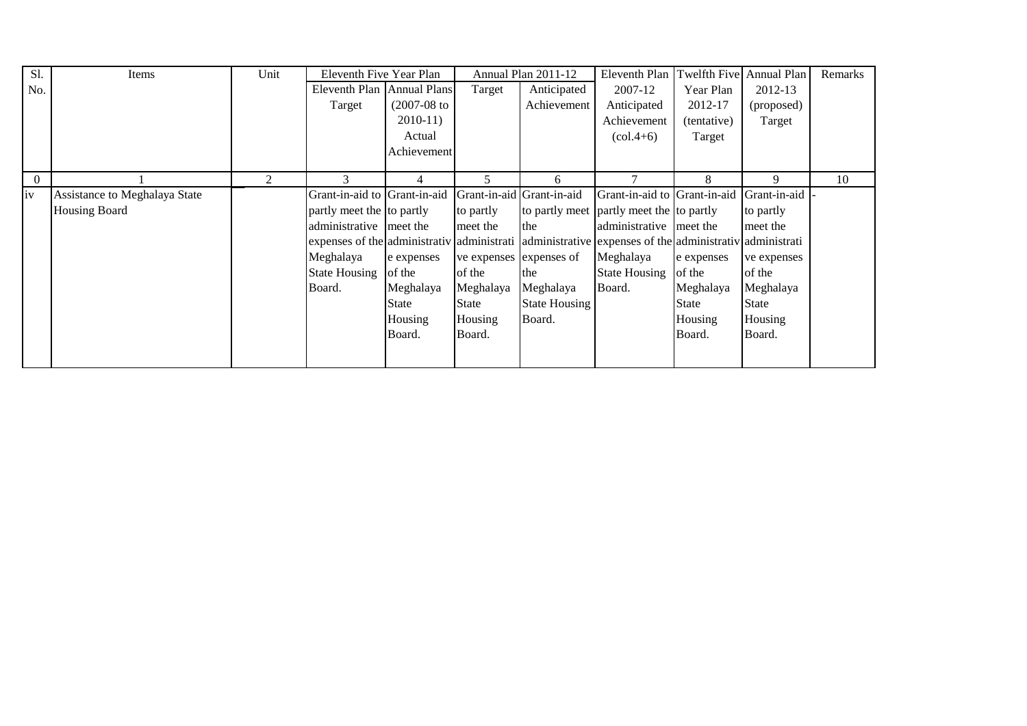| S1.      | Items                         | Unit           | Eleventh Five Year Plan      |               |                         | Annual Plan 2011-12       | Eleventh Plan Twelfth Five Annual Plan                                       |             |              | Remarks |
|----------|-------------------------------|----------------|------------------------------|---------------|-------------------------|---------------------------|------------------------------------------------------------------------------|-------------|--------------|---------|
| No.      |                               |                | Eleventh Plan Annual Plans   |               | Target                  | Anticipated               | 2007-12                                                                      | Year Plan   | 2012-13      |         |
|          |                               |                | Target                       | $(2007-08$ to |                         | Achievement               | Anticipated                                                                  | 2012-17     | (proposed)   |         |
|          |                               |                |                              | $2010-11$     |                         |                           | Achievement                                                                  | (tentative) | Target       |         |
|          |                               |                |                              | Actual        |                         |                           | $\left(\text{col.4+6}\right)$                                                | Target      |              |         |
|          |                               |                |                              | Achievement   |                         |                           |                                                                              |             |              |         |
|          |                               |                |                              |               |                         |                           |                                                                              |             |              |         |
| $\theta$ |                               | $\overline{2}$ |                              | 4             | 5.                      | 6                         |                                                                              | 8           | 9            | 10      |
| iv       | Assistance to Meghalaya State |                | Grant-in-aid to Grant-in-aid |               |                         | Grant-in-aid Grant-in-aid | Grant-in-aid to Grant-in-aid                                                 |             | Grant-in-aid |         |
|          | <b>Housing Board</b>          |                | partly meet the to partly    |               | to partly               |                           | to partly meet partly meet the to partly                                     |             | to partly    |         |
|          |                               |                | administrative meet the      |               | meet the                | the                       | administrative meet the                                                      |             | meet the     |         |
|          |                               |                |                              |               |                         |                           | expenses of the administrativ administrative dexpenses of the administrative |             | administrati |         |
|          |                               |                | Meghalaya                    | e expenses    | ve expenses expenses of |                           | Meghalaya                                                                    | e expenses  | ve expenses  |         |
|          |                               |                | State Housing of the         |               | of the                  | the                       | <b>State Housing</b>                                                         | of the      | of the       |         |
|          |                               |                | Board.                       | Meghalaya     | Meghalaya               | Meghalaya                 | Board.                                                                       | Meghalaya   | Meghalaya    |         |
|          |                               |                |                              | State         | State                   | <b>State Housing</b>      |                                                                              | State       | State        |         |
|          |                               |                |                              | Housing       | Housing                 | Board.                    |                                                                              | Housing     | Housing      |         |
|          |                               |                |                              | Board.        | Board.                  |                           |                                                                              | Board.      | Board.       |         |
|          |                               |                |                              |               |                         |                           |                                                                              |             |              |         |
|          |                               |                |                              |               |                         |                           |                                                                              |             |              |         |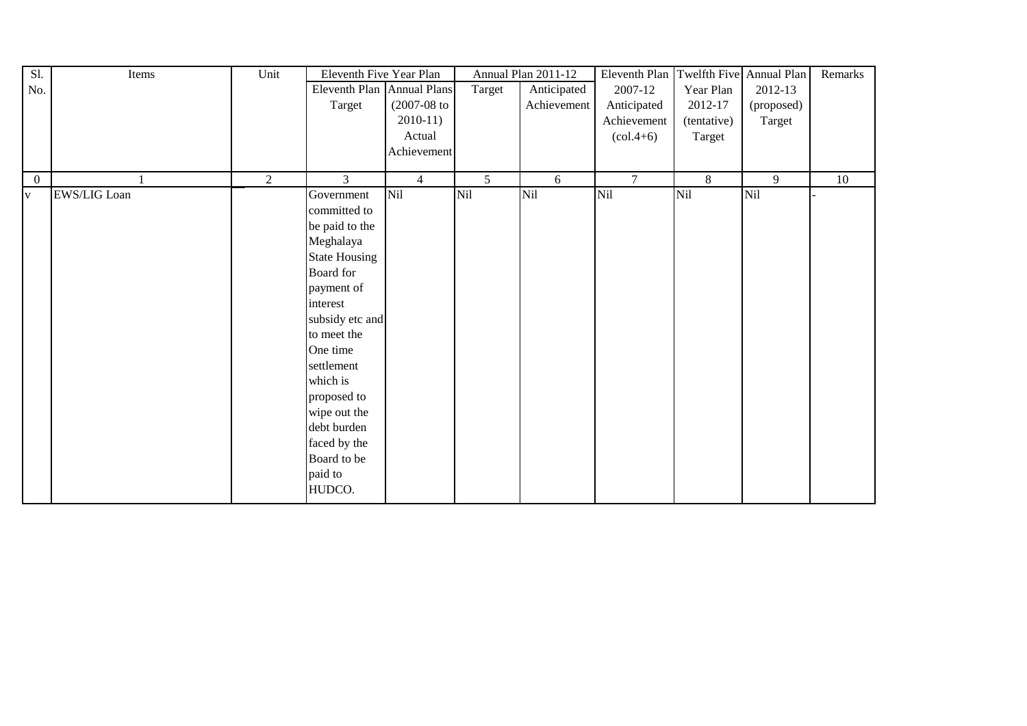| Sl.            | Items               | Unit | Eleventh Five Year Plan    |                |                | Annual Plan 2011-12 | Eleventh Plan                   | Twelfth Five Annual Plan |            | Remarks |
|----------------|---------------------|------|----------------------------|----------------|----------------|---------------------|---------------------------------|--------------------------|------------|---------|
| No.            |                     |      | Eleventh Plan Annual Plans |                | Target         | Anticipated         | 2007-12                         | Year Plan                | 2012-13    |         |
|                |                     |      | Target                     | $(2007-08$ to  |                | Achievement         | Anticipated                     | 2012-17                  | (proposed) |         |
|                |                     |      |                            | $2010-11$      |                |                     | Achievement                     | (tentative)              | Target     |         |
|                |                     |      |                            | Actual         |                |                     | $\left( \text{col.4+6} \right)$ | Target                   |            |         |
|                |                     |      |                            | Achievement    |                |                     |                                 |                          |            |         |
|                |                     |      |                            |                |                |                     |                                 |                          |            |         |
| $\overline{0}$ |                     | 2    | 3                          | $\overline{4}$ | 5 <sup>1</sup> | 6                   | $\tau$                          | 8                        | 9          | 10      |
| $\mathbf{V}$   | <b>EWS/LIG Loan</b> |      | Government                 | Nil            | Nil            | Nil                 | Nil                             | Nil                      | Nil        |         |
|                |                     |      | committed to               |                |                |                     |                                 |                          |            |         |
|                |                     |      | be paid to the             |                |                |                     |                                 |                          |            |         |
|                |                     |      | Meghalaya                  |                |                |                     |                                 |                          |            |         |
|                |                     |      | <b>State Housing</b>       |                |                |                     |                                 |                          |            |         |
|                |                     |      | Board for                  |                |                |                     |                                 |                          |            |         |
|                |                     |      | payment of                 |                |                |                     |                                 |                          |            |         |
|                |                     |      | interest                   |                |                |                     |                                 |                          |            |         |
|                |                     |      | subsidy etc and            |                |                |                     |                                 |                          |            |         |
|                |                     |      | to meet the                |                |                |                     |                                 |                          |            |         |
|                |                     |      | One time                   |                |                |                     |                                 |                          |            |         |
|                |                     |      | settlement                 |                |                |                     |                                 |                          |            |         |
|                |                     |      | which is                   |                |                |                     |                                 |                          |            |         |
|                |                     |      | proposed to                |                |                |                     |                                 |                          |            |         |
|                |                     |      | wipe out the               |                |                |                     |                                 |                          |            |         |
|                |                     |      | debt burden                |                |                |                     |                                 |                          |            |         |
|                |                     |      | faced by the               |                |                |                     |                                 |                          |            |         |
|                |                     |      | Board to be                |                |                |                     |                                 |                          |            |         |
|                |                     |      | paid to                    |                |                |                     |                                 |                          |            |         |
|                |                     |      | HUDCO.                     |                |                |                     |                                 |                          |            |         |
|                |                     |      |                            |                |                |                     |                                 |                          |            |         |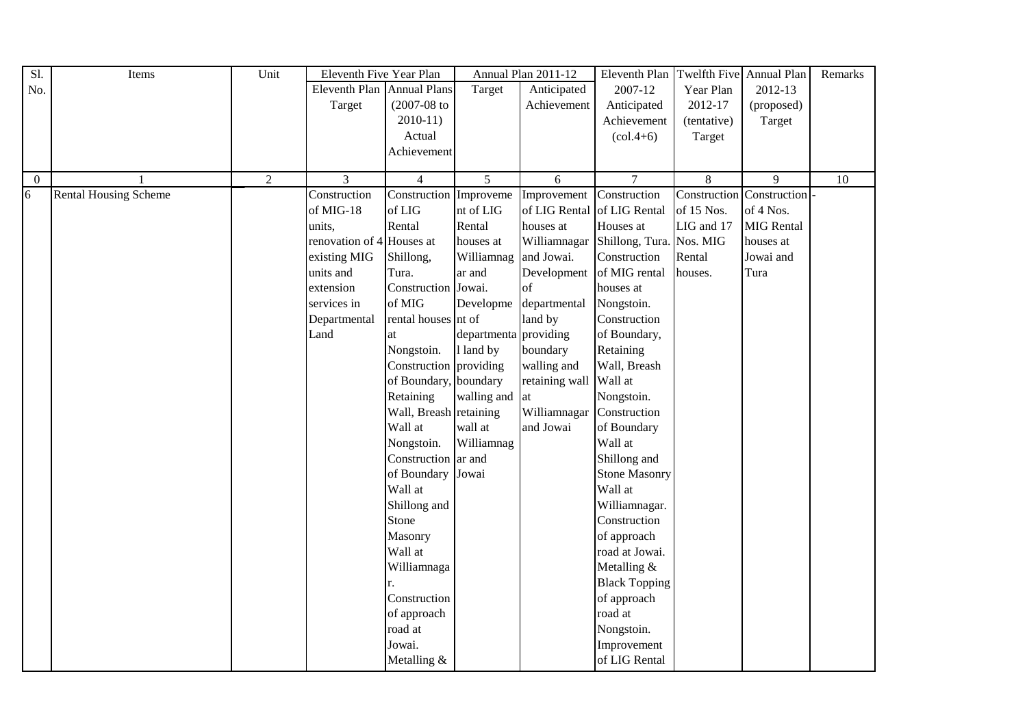| Sl.            | Items                        | Unit           | Eleventh Five Year Plan    |                        |                       | Annual Plan 2011-12 | Eleventh Plan Twelfth Five Annual Plan |                |                   | Remarks         |
|----------------|------------------------------|----------------|----------------------------|------------------------|-----------------------|---------------------|----------------------------------------|----------------|-------------------|-----------------|
| No.            |                              |                | Eleventh Plan Annual Plans |                        | Target                | Anticipated         | 2007-12                                | Year Plan      | 2012-13           |                 |
|                |                              |                | Target                     | $(2007 - 08)$ to       |                       | Achievement         | Anticipated                            | 2012-17        | (proposed)        |                 |
|                |                              |                |                            | $2010-11$              |                       |                     | Achievement                            | (tentative)    | Target            |                 |
|                |                              |                |                            | Actual                 |                       |                     | $\left( \text{col.4+6} \right)$        | Target         |                   |                 |
|                |                              |                |                            | Achievement            |                       |                     |                                        |                |                   |                 |
|                |                              |                |                            |                        |                       |                     |                                        |                |                   |                 |
| $\overline{0}$ |                              | $\overline{2}$ | $\overline{3}$             | $\overline{4}$         | $\overline{5}$        | 6                   | $\overline{7}$                         | $\overline{8}$ | $\overline{9}$    | $\overline{10}$ |
| 6              | <b>Rental Housing Scheme</b> |                | Construction               | Construction Improveme |                       | Improvement         | Construction                           | Construction   | Construction      |                 |
|                |                              |                | of MIG-18                  | of LIG                 | nt of LIG             | of LIG Rental       | of LIG Rental                          | of 15 Nos.     | of 4 Nos.         |                 |
|                |                              |                | units,                     | Rental                 | Rental                | houses at           | Houses at                              | LIG and 17     | <b>MIG</b> Rental |                 |
|                |                              |                | renovation of 4 Houses at  |                        | houses at             | Williamnagar        | Shillong, Tura. Nos. MIG               |                | houses at         |                 |
|                |                              |                | existing MIG               | Shillong,              | Williamnag            | and Jowai.          | Construction                           | Rental         | Jowai and         |                 |
|                |                              |                | units and                  | Tura.                  | ar and                | Development         | of MIG rental                          | houses.        | Tura              |                 |
|                |                              |                | extension                  | Construction Jowai.    |                       | of                  | houses at                              |                |                   |                 |
|                |                              |                | services in                | of MIG                 | Developme             | departmental        | Nongstoin.                             |                |                   |                 |
|                |                              |                | Departmental               | rental houses nt of    |                       | land by             | Construction                           |                |                   |                 |
|                |                              |                | Land                       | at                     | departmenta providing |                     | of Boundary,                           |                |                   |                 |
|                |                              |                |                            | Nongstoin.             | 1 land by             | boundary            | Retaining                              |                |                   |                 |
|                |                              |                |                            | Construction providing |                       | walling and         | Wall, Breash                           |                |                   |                 |
|                |                              |                |                            | of Boundary, boundary  |                       | retaining wall      | Wall at                                |                |                   |                 |
|                |                              |                |                            | Retaining              | walling and           | at                  | Nongstoin.                             |                |                   |                 |
|                |                              |                |                            | Wall, Breash retaining |                       | Williamnagar        | Construction                           |                |                   |                 |
|                |                              |                |                            | Wall at                | wall at               | and Jowai           | of Boundary                            |                |                   |                 |
|                |                              |                |                            | Nongstoin.             | Williamnag            |                     | Wall at                                |                |                   |                 |
|                |                              |                |                            | Construction ar and    |                       |                     | Shillong and                           |                |                   |                 |
|                |                              |                |                            | of Boundary Jowai      |                       |                     | <b>Stone Masonry</b>                   |                |                   |                 |
|                |                              |                |                            | Wall at                |                       |                     | Wall at                                |                |                   |                 |
|                |                              |                |                            | Shillong and           |                       |                     | Williamnagar.                          |                |                   |                 |
|                |                              |                |                            | Stone                  |                       |                     | Construction                           |                |                   |                 |
|                |                              |                |                            | Masonry                |                       |                     | of approach                            |                |                   |                 |
|                |                              |                |                            | Wall at                |                       |                     | road at Jowai.                         |                |                   |                 |
|                |                              |                |                            | Williamnaga            |                       |                     | Metalling &                            |                |                   |                 |
|                |                              |                |                            |                        |                       |                     | <b>Black Topping</b>                   |                |                   |                 |
|                |                              |                |                            | Construction           |                       |                     | of approach                            |                |                   |                 |
|                |                              |                |                            | of approach            |                       |                     | road at                                |                |                   |                 |
|                |                              |                |                            | road at                |                       |                     | Nongstoin.                             |                |                   |                 |
|                |                              |                |                            | Jowai.                 |                       |                     | Improvement                            |                |                   |                 |
|                |                              |                |                            | Metalling &            |                       |                     | of LIG Rental                          |                |                   |                 |
|                |                              |                |                            |                        |                       |                     |                                        |                |                   |                 |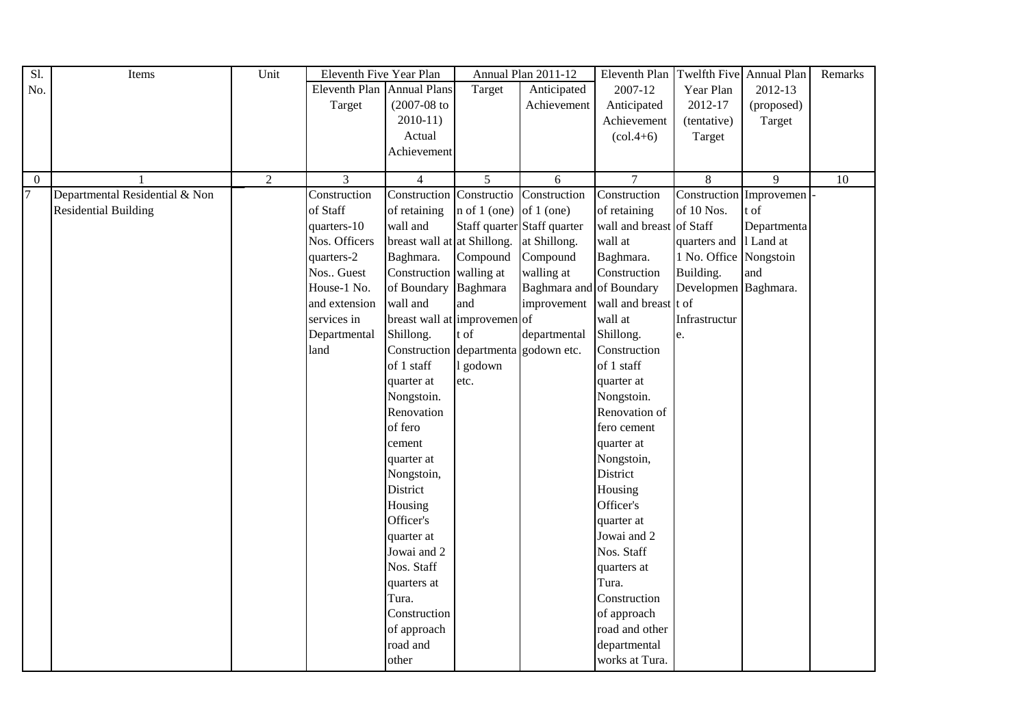| Sl.            | Items                          | Unit           | Eleventh Five Year Plan    |                              |                | Annual Plan 2011-12         | Eleventh Plan   Twelfth Five   Annual Plan |                        |                         | Remarks |
|----------------|--------------------------------|----------------|----------------------------|------------------------------|----------------|-----------------------------|--------------------------------------------|------------------------|-------------------------|---------|
| No.            |                                |                | Eleventh Plan Annual Plans |                              | Target         | Anticipated                 | 2007-12                                    | Year Plan              | 2012-13                 |         |
|                |                                |                | Target                     | $(2007 - 08)$ to             |                | Achievement                 | Anticipated                                | 2012-17                | (proposed)              |         |
|                |                                |                |                            | $2010-11$                    |                |                             | Achievement                                | (tentative)            | Target                  |         |
|                |                                |                |                            | Actual                       |                |                             | $\left( \text{col.4+6} \right)$            | Target                 |                         |         |
|                |                                |                |                            | Achievement                  |                |                             |                                            |                        |                         |         |
|                |                                |                |                            |                              |                |                             |                                            |                        |                         |         |
| $\Omega$       |                                | $\overline{c}$ | 3                          | $\overline{4}$               | 5              | 6                           | $\overline{7}$                             | $8\,$                  | 9                       | 10      |
| $\overline{7}$ | Departmental Residential & Non |                | Construction               | Construction Constructio     |                | Construction                | Construction                               |                        | Construction Improvemen |         |
|                | <b>Residential Building</b>    |                | of Staff                   | of retaining                 | $n$ of 1 (one) | of $1$ (one)                | of retaining                               | of 10 Nos.             | t of                    |         |
|                |                                |                | quarters-10                | wall and                     |                | Staff quarter Staff quarter | wall and breast of Staff                   |                        | Departmenta             |         |
|                |                                |                | Nos. Officers              | breast wall at at Shillong.  |                | at Shillong.                | wall at                                    | quarters and 1 Land at |                         |         |
|                |                                |                | quarters-2                 | Baghmara.                    | Compound       | Compound                    | Baghmara.                                  | 1 No. Office Nongstoin |                         |         |
|                |                                |                | Nos Guest                  | Construction walling at      |                | walling at                  | Construction                               | Building.              | and                     |         |
|                |                                |                | House-1 No.                | of Boundary Baghmara         |                | Baghmara and of Boundary    |                                            | Developmen Baghmara.   |                         |         |
|                |                                |                | and extension              | wall and                     | and            | improvement                 | wall and breast t of                       |                        |                         |         |
|                |                                |                | services in                | breast wall at improvemen of |                |                             | wall at                                    | Infrastructur          |                         |         |
|                |                                |                | Departmental               | Shillong.                    | t of           | departmental                | Shillong.                                  | e.                     |                         |         |
|                |                                |                | land                       | Construction departmenta     |                | godown etc.                 | Construction                               |                        |                         |         |
|                |                                |                |                            | of 1 staff                   | l godown       |                             | of 1 staff                                 |                        |                         |         |
|                |                                |                |                            | quarter at                   | etc.           |                             | quarter at                                 |                        |                         |         |
|                |                                |                |                            | Nongstoin.                   |                |                             | Nongstoin.                                 |                        |                         |         |
|                |                                |                |                            | Renovation                   |                |                             | Renovation of                              |                        |                         |         |
|                |                                |                |                            | of fero                      |                |                             | fero cement                                |                        |                         |         |
|                |                                |                |                            | cement                       |                |                             | quarter at                                 |                        |                         |         |
|                |                                |                |                            | quarter at                   |                |                             | Nongstoin,                                 |                        |                         |         |
|                |                                |                |                            | Nongstoin,                   |                |                             | District                                   |                        |                         |         |
|                |                                |                |                            | District                     |                |                             | Housing                                    |                        |                         |         |
|                |                                |                |                            | Housing                      |                |                             | Officer's                                  |                        |                         |         |
|                |                                |                |                            | Officer's                    |                |                             | quarter at                                 |                        |                         |         |
|                |                                |                |                            | quarter at                   |                |                             | Jowai and 2                                |                        |                         |         |
|                |                                |                |                            | Jowai and 2                  |                |                             | Nos. Staff                                 |                        |                         |         |
|                |                                |                |                            | Nos. Staff                   |                |                             | quarters at                                |                        |                         |         |
|                |                                |                |                            | quarters at                  |                |                             | Tura.                                      |                        |                         |         |
|                |                                |                |                            | Tura.                        |                |                             | Construction                               |                        |                         |         |
|                |                                |                |                            | Construction                 |                |                             | of approach                                |                        |                         |         |
|                |                                |                |                            | of approach                  |                |                             | road and other                             |                        |                         |         |
|                |                                |                |                            | road and                     |                |                             | departmental                               |                        |                         |         |
|                |                                |                |                            | other                        |                |                             | works at Tura.                             |                        |                         |         |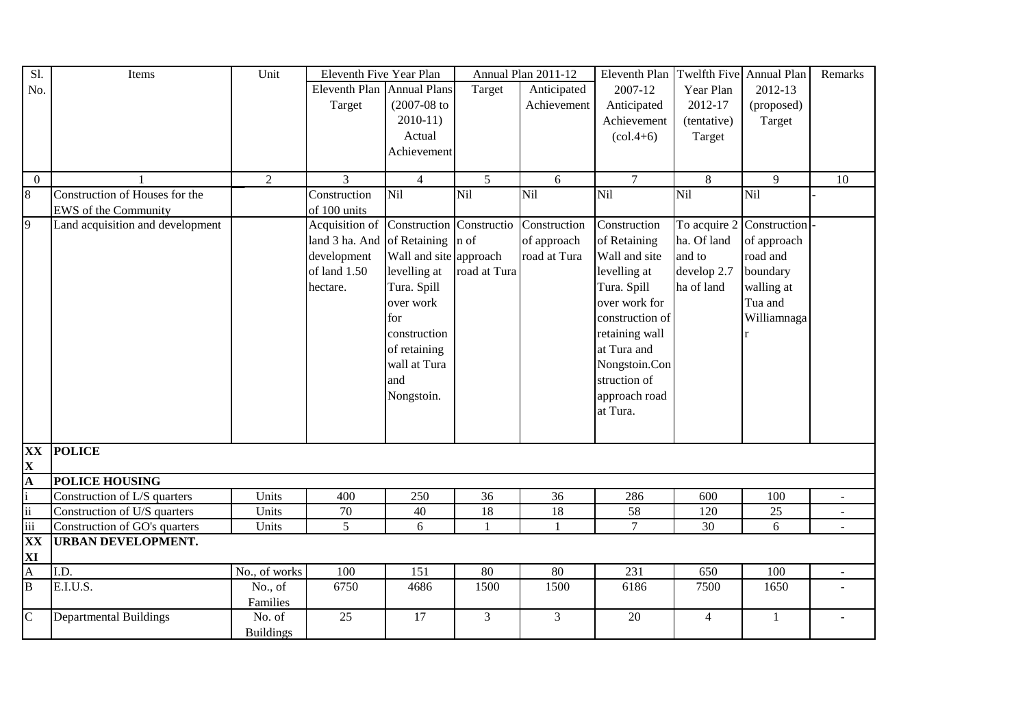| Sl.                                                              | Items                            | Unit             | Eleventh Five Year Plan              |                          |                | Annual Plan 2011-12 | Eleventh Plan                   |                | Twelfth Five Annual Plan  | Remarks         |
|------------------------------------------------------------------|----------------------------------|------------------|--------------------------------------|--------------------------|----------------|---------------------|---------------------------------|----------------|---------------------------|-----------------|
| No.                                                              |                                  |                  | Eleventh Plan Annual Plans           |                          | Target         | Anticipated         | 2007-12                         | Year Plan      | 2012-13                   |                 |
|                                                                  |                                  |                  | Target                               | $(2007 - 08)$ to         |                | Achievement         | Anticipated                     | 2012-17        | (proposed)                |                 |
|                                                                  |                                  |                  |                                      | $2010-11$                |                |                     | Achievement                     | (tentative)    | Target                    |                 |
|                                                                  |                                  |                  |                                      | Actual                   |                |                     | $\left( \text{col.4+6} \right)$ | Target         |                           |                 |
|                                                                  |                                  |                  |                                      | Achievement              |                |                     |                                 |                |                           |                 |
|                                                                  |                                  |                  |                                      |                          |                |                     |                                 |                |                           |                 |
| $\overline{0}$                                                   |                                  | 2                | $\overline{3}$                       | $\overline{4}$           | $\overline{5}$ | 6                   | $\overline{7}$                  | $\overline{8}$ | $\overline{9}$            | $\overline{10}$ |
| $\overline{8}$                                                   | Construction of Houses for the   |                  | Construction                         | <b>Nil</b>               | Nil            | Nil                 | Nil                             | Nil            | Nil                       |                 |
|                                                                  | EWS of the Community             |                  | of 100 units                         |                          |                |                     |                                 |                |                           |                 |
| $\overline{9}$                                                   | Land acquisition and development |                  | Acquisition of                       | Construction Constructio |                | Construction        | Construction                    |                | To acquire 2 Construction |                 |
|                                                                  |                                  |                  | land 3 ha. And of Retaining $\ln$ of |                          |                | of approach         | of Retaining                    | ha. Of land    | of approach               |                 |
|                                                                  |                                  |                  | development                          | Wall and site approach   |                | road at Tura        | Wall and site                   | and to         | road and                  |                 |
|                                                                  |                                  |                  | of land 1.50                         | levelling at             | road at Tura   |                     | levelling at                    | develop 2.7    | boundary                  |                 |
|                                                                  |                                  |                  | hectare.                             | Tura. Spill              |                |                     | Tura. Spill                     | ha of land     | walling at                |                 |
|                                                                  |                                  |                  |                                      | over work                |                |                     | over work for                   |                | Tua and                   |                 |
|                                                                  |                                  |                  |                                      | for                      |                |                     | construction of                 |                | Williamnaga               |                 |
|                                                                  |                                  |                  |                                      | construction             |                |                     | retaining wall                  |                |                           |                 |
|                                                                  |                                  |                  |                                      | of retaining             |                |                     | at Tura and                     |                |                           |                 |
|                                                                  |                                  |                  |                                      | wall at Tura             |                |                     | Nongstoin.Con                   |                |                           |                 |
|                                                                  |                                  |                  |                                      | and                      |                |                     | struction of                    |                |                           |                 |
|                                                                  |                                  |                  |                                      | Nongstoin.               |                |                     | approach road                   |                |                           |                 |
|                                                                  |                                  |                  |                                      |                          |                |                     | at Tura.                        |                |                           |                 |
|                                                                  |                                  |                  |                                      |                          |                |                     |                                 |                |                           |                 |
|                                                                  |                                  |                  |                                      |                          |                |                     |                                 |                |                           |                 |
| <b>XX</b>                                                        | <b>POLICE</b>                    |                  |                                      |                          |                |                     |                                 |                |                           |                 |
| $\frac{\mathbf{X}}{\mathbf{A}}$                                  |                                  |                  |                                      |                          |                |                     |                                 |                |                           |                 |
|                                                                  | <b>POLICE HOUSING</b>            |                  |                                      |                          |                |                     |                                 |                |                           |                 |
| $\mathbf{i}$                                                     | Construction of L/S quarters     | Units            | 400                                  | 250                      | 36             | 36                  | 286                             | 600            | 100                       |                 |
| $\overline{\textbf{ii}}$                                         | Construction of U/S quarters     | Units            | 70                                   | 40                       | 18             | 18                  | 58                              | 120            | $25\,$                    |                 |
| iii                                                              | Construction of GO's quarters    | Units            | 5                                    | 6                        | $\mathbf{1}$   |                     | $\overline{7}$                  | 30             | 6                         |                 |
| XX                                                               | <b>URBAN DEVELOPMENT.</b>        |                  |                                      |                          |                |                     |                                 |                |                           |                 |
|                                                                  |                                  |                  |                                      |                          |                |                     |                                 |                |                           |                 |
| $\frac{\mathbf{XI}}{\mathbf{A}}$ $\frac{\mathbf{A}}{\mathbf{B}}$ | I.D.                             | No., of works    | 100                                  | 151                      | 80             | $80\,$              | 231                             | 650            | 100                       | $\sim$          |
|                                                                  | E.I.U.S.                         | No., of          | 6750                                 | 4686                     | 1500           | 1500                | 6186                            | 7500           | 1650                      |                 |
|                                                                  |                                  | Families         |                                      |                          |                |                     |                                 |                |                           |                 |
| $\overline{C}$                                                   | <b>Departmental Buildings</b>    | No. of           | 25                                   | 17                       | 3              | 3                   | 20                              | $\overline{4}$ | 1                         |                 |
|                                                                  |                                  | <b>Buildings</b> |                                      |                          |                |                     |                                 |                |                           |                 |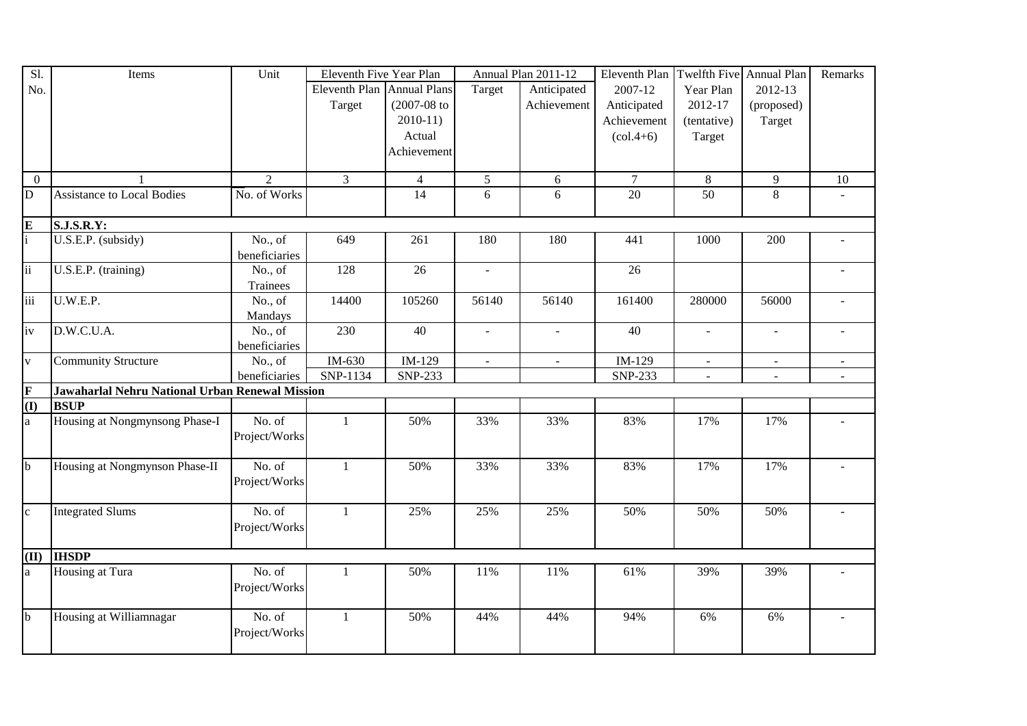| Sl.                               | Items                                           | Unit           | Eleventh Five Year Plan    |                     |                             | Annual Plan 2011-12 | Eleventh Plan                   | Twelfth Five Annual Plan |                | Remarks        |
|-----------------------------------|-------------------------------------------------|----------------|----------------------------|---------------------|-----------------------------|---------------------|---------------------------------|--------------------------|----------------|----------------|
| No.                               |                                                 |                | Eleventh Plan Annual Plans |                     | Target                      | Anticipated         | 2007-12                         | Year Plan                | 2012-13        |                |
|                                   |                                                 |                | Target                     | $(2007 - 08)$ to    |                             | Achievement         | Anticipated                     | 2012-17                  | (proposed)     |                |
|                                   |                                                 |                |                            | $2010-11$           |                             |                     | Achievement                     | (tentative)              | Target         |                |
|                                   |                                                 |                |                            | Actual              |                             |                     | $\left( \text{col.4+6} \right)$ | Target                   |                |                |
|                                   |                                                 |                |                            | Achievement         |                             |                     |                                 |                          |                |                |
|                                   |                                                 |                |                            |                     |                             |                     |                                 |                          |                |                |
| $\mathbf{0}$                      |                                                 | $\overline{2}$ | 3                          | $\overline{4}$      | $\mathfrak{S}$              | 6                   | $\tau$                          | $8\,$                    | $\overline{9}$ | 10             |
| $\overline{D}$                    | <b>Assistance to Local Bodies</b>               | No. of Works   |                            | $\overline{14}$     | 6                           | 6                   | $\overline{20}$                 | $\overline{50}$          | $\,8\,$        |                |
|                                   | <b>S.J.S.R.Y:</b>                               |                |                            |                     |                             |                     |                                 |                          |                |                |
| $\frac{E}{i}$                     | U.S.E.P. (subsidy)                              | No., of        | 649                        | 261                 | 180                         | 180                 | 441                             | 1000                     | 200            |                |
|                                   |                                                 | beneficiaries  |                            |                     |                             |                     |                                 |                          |                |                |
| $\overline{\mathbf{ii}}$          | U.S.E.P. (training)                             | No., of        | 128                        | $\overline{26}$     |                             |                     | $\overline{26}$                 |                          |                |                |
|                                   |                                                 | Trainees       |                            |                     |                             |                     |                                 |                          |                |                |
| $\dddot{\mathbf{u}}$              | U.W.E.P.                                        | No., of        | 14400                      | 105260              | 56140                       | 56140               | 161400                          | 280000                   | 56000          |                |
|                                   |                                                 | Mandays        |                            |                     |                             |                     |                                 |                          |                |                |
| iv                                | D.W.C.U.A.                                      | No., of        | 230                        | 40                  | $\omega$                    | $\overline{a}$      | 40                              | $\mathbf{r}$             | $\sim$         | $\sim$         |
|                                   |                                                 | beneficiaries  |                            |                     |                             |                     |                                 |                          |                |                |
| $\overline{\mathbf{v}}$           | <b>Community Structure</b>                      | No., of        | IM-630                     | $\overline{IM-129}$ | $\mathcal{L}_{\mathcal{A}}$ | $\sim$              | IM-129                          | $\overline{\phantom{a}}$ | $\sim$         | $\sim$         |
|                                   |                                                 | beneficiaries  | $\overline{SNP-1134}$      | SNP-233             |                             |                     | SNP-233                         | $\blacksquare$           | $\blacksquare$ | $\blacksquare$ |
| $\frac{\mathbf{F}}{(\mathbf{I})}$ | Jawaharlal Nehru National Urban Renewal Mission |                |                            |                     |                             |                     |                                 |                          |                |                |
|                                   | <b>BSUP</b>                                     |                |                            |                     |                             |                     |                                 |                          |                |                |
| $\mathbf{a}$                      | Housing at Nongmynsong Phase-I                  | No. of         | $\mathbf{1}$               | 50%                 | 33%                         | 33%                 | 83%                             | 17%                      | 17%            |                |
|                                   |                                                 | Project/Works  |                            |                     |                             |                     |                                 |                          |                |                |
|                                   |                                                 |                |                            |                     |                             |                     |                                 |                          |                |                |
| $\mathbf b$                       | Housing at Nongmynson Phase-II                  | No. of         | $\mathbf{1}$               | 50%                 | 33%                         | 33%                 | 83%                             | 17%                      | 17%            |                |
|                                   |                                                 | Project/Works  |                            |                     |                             |                     |                                 |                          |                |                |
|                                   |                                                 |                |                            |                     |                             |                     |                                 |                          |                |                |
| $\mathbf{c}$                      | <b>Integrated Slums</b>                         | No. of         | $\mathbf{1}$               | 25%                 | 25%                         | 25%                 | 50%                             | 50%                      | 50%            |                |
|                                   |                                                 | Project/Works  |                            |                     |                             |                     |                                 |                          |                |                |
| (III)                             | <b>IHSDP</b>                                    |                |                            |                     |                             |                     |                                 |                          |                |                |
| $\mathbf{a}$                      | Housing at Tura                                 | No. of         | $\mathbf{1}$               | 50%                 | 11%                         | 11%                 | 61%                             | 39%                      | 39%            |                |
|                                   |                                                 | Project/Works  |                            |                     |                             |                     |                                 |                          |                |                |
|                                   |                                                 |                |                            |                     |                             |                     |                                 |                          |                |                |
| $\mathbf b$                       | Housing at Williamnagar                         | No. of         | $\mathbf{1}$               | 50%                 | 44%                         | 44%                 | 94%                             | 6%                       | 6%             |                |
|                                   |                                                 | Project/Works  |                            |                     |                             |                     |                                 |                          |                |                |
|                                   |                                                 |                |                            |                     |                             |                     |                                 |                          |                |                |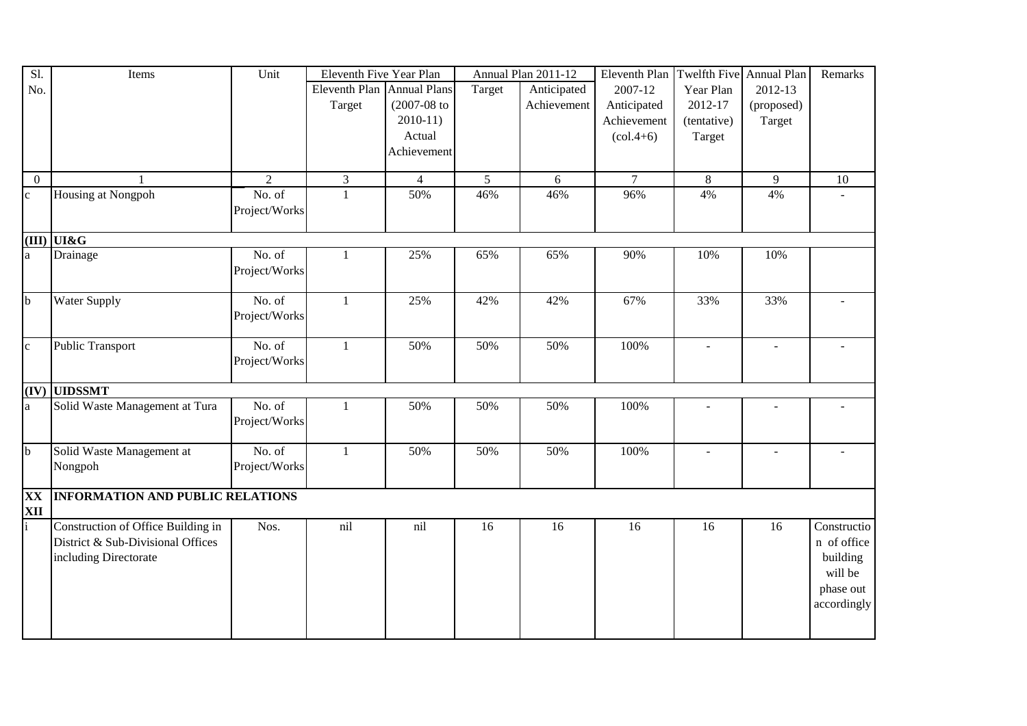| Sl.            | Items                                   | Unit                 | Eleventh Five Year Plan    |                  |                | Annual Plan 2011-12 | Eleventh Plan Twelfth Five Annual Plan |                          |                | Remarks     |
|----------------|-----------------------------------------|----------------------|----------------------------|------------------|----------------|---------------------|----------------------------------------|--------------------------|----------------|-------------|
| No.            |                                         |                      | Eleventh Plan Annual Plans |                  | Target         | Anticipated         | 2007-12                                | Year Plan                | 2012-13        |             |
|                |                                         |                      | Target                     | $(2007 - 08)$ to |                | Achievement         | Anticipated                            | 2012-17                  | (proposed)     |             |
|                |                                         |                      |                            | $2010-11$        |                |                     | Achievement                            | (tentative)              | Target         |             |
|                |                                         |                      |                            | Actual           |                |                     | $(col.4+6)$                            | Target                   |                |             |
|                |                                         |                      |                            | Achievement      |                |                     |                                        |                          |                |             |
|                |                                         |                      |                            |                  |                |                     |                                        |                          |                |             |
| $\overline{0}$ | $\mathbf{1}$                            | $\overline{2}$       | $\overline{3}$             | $\overline{4}$   | 5 <sup>5</sup> | 6                   | $\overline{7}$                         | $\overline{8}$           | 9              | 10          |
| $\mathbf c$    | Housing at Nongpoh                      | No. of               | $\mathbf{1}$               | 50%              | 46%            | 46%                 | 96%                                    | 4%                       | 4%             |             |
|                |                                         | Project/Works        |                            |                  |                |                     |                                        |                          |                |             |
|                |                                         |                      |                            |                  |                |                     |                                        |                          |                |             |
|                | (III) UI&G                              |                      |                            |                  |                |                     |                                        |                          |                |             |
| a              | Drainage                                | No. of               | $\mathbf{1}$               | 25%              | 65%            | 65%                 | 90%                                    | 10%                      | 10%            |             |
|                |                                         | Project/Works        |                            |                  |                |                     |                                        |                          |                |             |
| $\mathbf b$    | <b>Water Supply</b>                     | No. of               | $\mathbf{1}$               | 25%              | 42%            | 42%                 | 67%                                    | 33%                      | 33%            |             |
|                |                                         | Project/Works        |                            |                  |                |                     |                                        |                          |                |             |
|                |                                         |                      |                            |                  |                |                     |                                        |                          |                |             |
| $\mathbf{c}$   | <b>Public Transport</b>                 | $\overline{No}$ . of | $\mathbf{1}$               | 50%              | 50%            | 50%                 | 100%                                   | $\sim$                   | $\blacksquare$ |             |
|                |                                         | Project/Works        |                            |                  |                |                     |                                        |                          |                |             |
|                |                                         |                      |                            |                  |                |                     |                                        |                          |                |             |
| (IV)           | <b>UIDSSMT</b>                          |                      |                            |                  |                |                     |                                        |                          |                |             |
| a              | Solid Waste Management at Tura          | No. of               | $\mathbf{1}$               | 50%              | 50%            | 50%                 | 100%                                   | $\overline{\phantom{m}}$ | $\sim$         |             |
|                |                                         | Project/Works        |                            |                  |                |                     |                                        |                          |                |             |
|                |                                         |                      |                            |                  |                |                     |                                        |                          |                |             |
| $\mathbf b$    | Solid Waste Management at               | No. of               | $\mathbf{1}$               | 50%              | 50%            | 50%                 | 100%                                   | $\blacksquare$           | $\sim$         |             |
|                | Nongpoh                                 | Project/Works        |                            |                  |                |                     |                                        |                          |                |             |
|                |                                         |                      |                            |                  |                |                     |                                        |                          |                |             |
| XX             | <b>INFORMATION AND PUBLIC RELATIONS</b> |                      |                            |                  |                |                     |                                        |                          |                |             |
| XII            | Construction of Office Building in      | Nos.                 | nil                        | nil              | 16             | 16                  | 16                                     | 16                       | 16             | Constructio |
|                | District & Sub-Divisional Offices       |                      |                            |                  |                |                     |                                        |                          |                | n of office |
|                | including Directorate                   |                      |                            |                  |                |                     |                                        |                          |                | building    |
|                |                                         |                      |                            |                  |                |                     |                                        |                          |                | will be     |
|                |                                         |                      |                            |                  |                |                     |                                        |                          |                |             |
|                |                                         |                      |                            |                  |                |                     |                                        |                          |                | phase out   |
|                |                                         |                      |                            |                  |                |                     |                                        |                          |                | accordingly |
|                |                                         |                      |                            |                  |                |                     |                                        |                          |                |             |
|                |                                         |                      |                            |                  |                |                     |                                        |                          |                |             |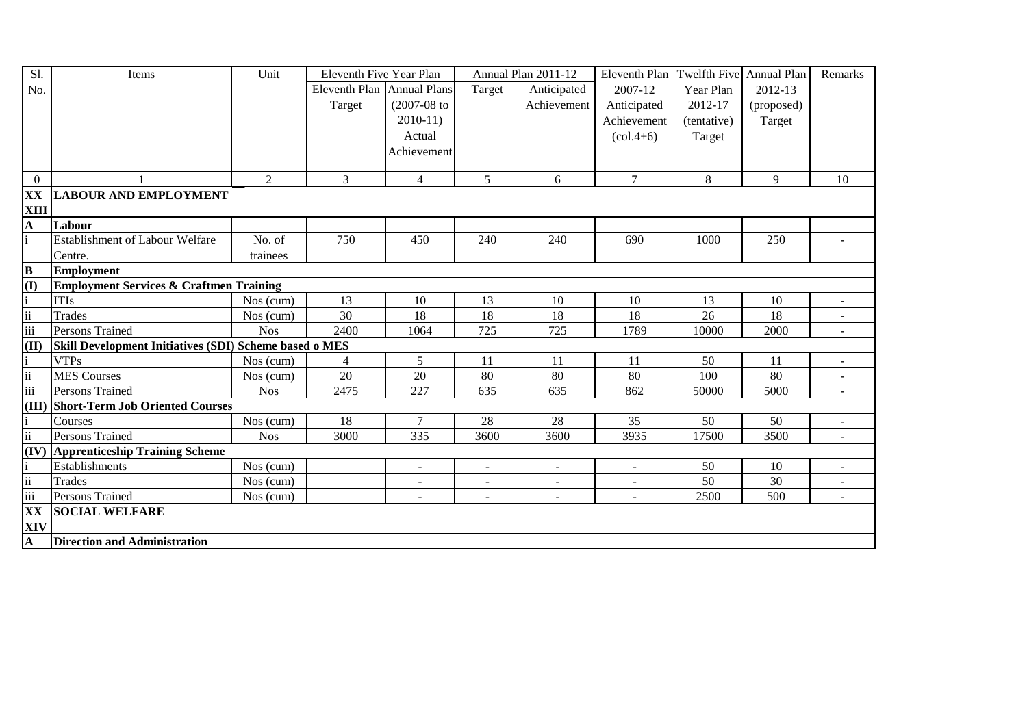| Sl.                      | Items                                                  | Unit       | Eleventh Five Year Plan    |                |                | Annual Plan 2011-12      | Eleventh Plan  | Twelfth Five Annual Plan |            | Remarks                  |
|--------------------------|--------------------------------------------------------|------------|----------------------------|----------------|----------------|--------------------------|----------------|--------------------------|------------|--------------------------|
| No.                      |                                                        |            | Eleventh Plan Annual Plans |                | Target         | Anticipated              | 2007-12        | Year Plan                | 2012-13    |                          |
|                          |                                                        |            | Target                     | $(2007-08)$ to |                | Achievement              | Anticipated    | 2012-17                  | (proposed) |                          |
|                          |                                                        |            |                            | $2010-11$      |                |                          | Achievement    | (tentative)              | Target     |                          |
|                          |                                                        |            |                            | Actual         |                |                          | $(col.4+6)$    | Target                   |            |                          |
|                          |                                                        |            |                            | Achievement    |                |                          |                |                          |            |                          |
|                          |                                                        |            |                            |                |                |                          |                |                          |            |                          |
| $\mathbf{0}$             |                                                        | 2          | 3                          | $\overline{4}$ | 5 <sup>5</sup> | 6                        | $\overline{7}$ | $8\,$                    | 9          | 10                       |
| XX                       | <b>LABOUR AND EMPLOYMENT</b>                           |            |                            |                |                |                          |                |                          |            |                          |
| XIII                     |                                                        |            |                            |                |                |                          |                |                          |            |                          |
| A                        | Labour                                                 |            |                            |                |                |                          |                |                          |            |                          |
|                          | <b>Establishment of Labour Welfare</b>                 | No. of     | 750                        | 450            | 240            | 240                      | 690            | 1000                     | 250        |                          |
|                          | Centre.                                                | trainees   |                            |                |                |                          |                |                          |            |                          |
| $\bf{B}$                 | <b>Employment</b>                                      |            |                            |                |                |                          |                |                          |            |                          |
| (I)                      | <b>Employment Services &amp; Craftmen Training</b>     |            |                            |                |                |                          |                |                          |            |                          |
|                          | <b>ITIs</b>                                            | Nos (cum)  | 13                         | 10             | 13             | 10                       | 10             | 13                       | 10         | $\overline{\phantom{a}}$ |
| ii                       | <b>Trades</b>                                          | Nos (cum)  | 30                         | 18             | 18             | 18                       | 18             | 26                       | 18         |                          |
| iii                      | Persons Trained                                        | <b>Nos</b> | 2400                       | 1064           | 725            | 725                      | 1789           | 10000                    | 2000       |                          |
| (II)                     | Skill Development Initiatives (SDI) Scheme based o MES |            |                            |                |                |                          |                |                          |            |                          |
|                          | <b>VTPs</b>                                            | Nos (cum)  | $\overline{4}$             | 5              | 11             | 11                       | 11             | 50                       | 11         | $\sim$                   |
| $\ddot{\mathbf{i}}$      | <b>MES Courses</b>                                     | Nos (cum)  | 20                         | 20             | 80             | 80                       | 80             | 100                      | 80         |                          |
| iii                      | <b>Persons Trained</b>                                 | <b>Nos</b> | 2475                       | 227            | 635            | 635                      | 862            | 50000                    | 5000       |                          |
|                          | (III) Short-Term Job Oriented Courses                  |            |                            |                |                |                          |                |                          |            |                          |
|                          | Courses                                                | Nos (cum)  | 18                         | $\tau$         | 28             | 28                       | 35             | 50                       | 50         |                          |
| $\overline{\textbf{ii}}$ | Persons Trained                                        | <b>Nos</b> | 3000                       | 335            | 3600           | 3600                     | 3935           | 17500                    | 3500       |                          |
|                          | (IV) Apprenticeship Training Scheme                    |            |                            |                |                |                          |                |                          |            |                          |
|                          | Establishments                                         | Nos (cum)  |                            | $\blacksquare$ | $\blacksquare$ | $\overline{\phantom{a}}$ |                | 50                       | 10         |                          |
| ii                       | <b>Trades</b>                                          | Nos (cum)  |                            | $\blacksquare$ | $\blacksquare$ | $\blacksquare$           | $\blacksquare$ | 50                       | 30         |                          |
| $\overline{\text{iii}}$  | Persons Trained                                        | Nos (cum)  |                            | $\mathbf{r}$   | $\mathbf{r}$   | $\mathbf{r}$             | $\sim$         | 2500                     | 500        | $\sim$                   |
| XX                       | <b>SOCIAL WELFARE</b>                                  |            |                            |                |                |                          |                |                          |            |                          |
| XIV                      |                                                        |            |                            |                |                |                          |                |                          |            |                          |
| A                        | <b>Direction and Administration</b>                    |            |                            |                |                |                          |                |                          |            |                          |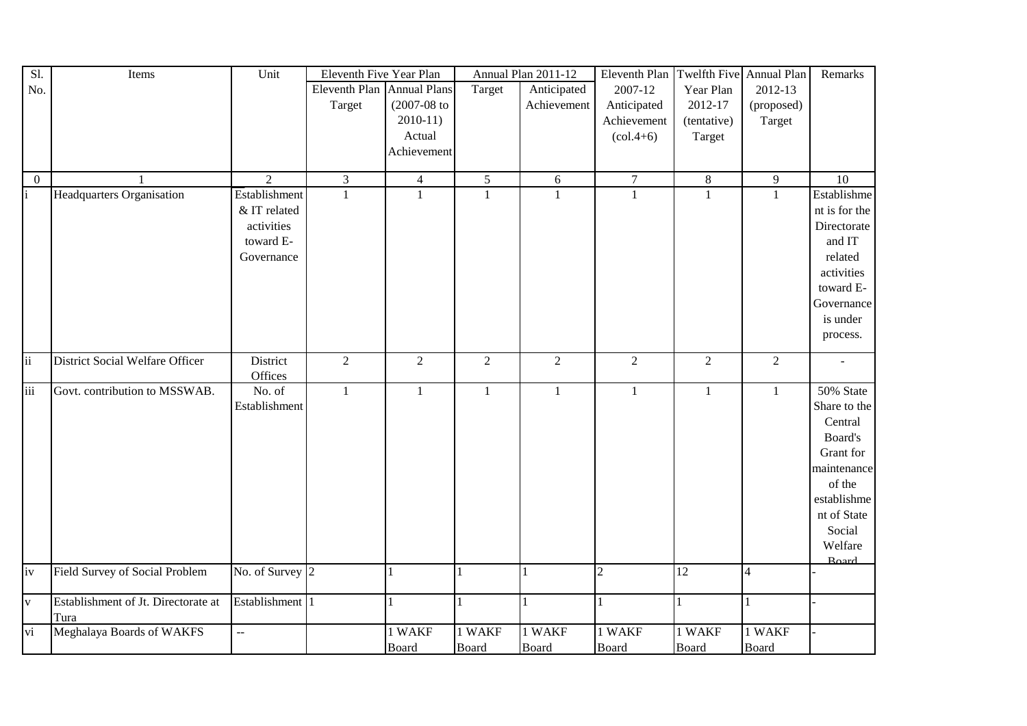| Sl.             | Items                               | Unit                          | Eleventh Five Year Plan    |                  |                | Annual Plan 2011-12 | Eleventh Plan                   |                | Twelfth Five Annual Plan | Remarks       |
|-----------------|-------------------------------------|-------------------------------|----------------------------|------------------|----------------|---------------------|---------------------------------|----------------|--------------------------|---------------|
| No.             |                                     |                               | Eleventh Plan Annual Plans |                  | Target         | Anticipated         | 2007-12                         | Year Plan      | 2012-13                  |               |
|                 |                                     |                               | Target                     | $(2007 - 08)$ to |                | Achievement         | Anticipated                     | 2012-17        | (proposed)               |               |
|                 |                                     |                               |                            | $2010-11)$       |                |                     | Achievement                     | (tentative)    | Target                   |               |
|                 |                                     |                               |                            | Actual           |                |                     | $\left( \text{col.4+6} \right)$ | Target         |                          |               |
|                 |                                     |                               |                            | Achievement      |                |                     |                                 |                |                          |               |
|                 |                                     |                               |                            |                  |                |                     |                                 |                |                          |               |
| $\mathbf{0}$    |                                     | $\overline{2}$                | $\mathfrak{Z}$             | $\overline{4}$   | $\mathfrak{S}$ | $6\,$               | $\boldsymbol{7}$                | $8\,$          | $\overline{9}$           | 10            |
| $\mathbf{i}$    | <b>Headquarters Organisation</b>    | Establishment                 | $\mathbf{1}$               | $\mathbf{1}$     | $\mathbf{1}$   | $\mathbf{1}$        | $\mathbf{1}$                    | $\mathbf{1}$   | $\mathbf{1}$             | Establishme   |
|                 |                                     | & IT related                  |                            |                  |                |                     |                                 |                |                          | nt is for the |
|                 |                                     | activities                    |                            |                  |                |                     |                                 |                |                          | Directorate   |
|                 |                                     | toward E-                     |                            |                  |                |                     |                                 |                |                          | and IT        |
|                 |                                     | Governance                    |                            |                  |                |                     |                                 |                |                          | related       |
|                 |                                     |                               |                            |                  |                |                     |                                 |                |                          | activities    |
|                 |                                     |                               |                            |                  |                |                     |                                 |                |                          | toward E-     |
|                 |                                     |                               |                            |                  |                |                     |                                 |                |                          | Governance    |
|                 |                                     |                               |                            |                  |                |                     |                                 |                |                          | is under      |
|                 |                                     |                               |                            |                  |                |                     |                                 |                |                          | process.      |
| $\overline{ii}$ |                                     |                               |                            |                  |                |                     |                                 |                |                          |               |
|                 | District Social Welfare Officer     | District<br>Offices           | $\overline{2}$             | $\overline{2}$   | $\overline{2}$ | $\overline{2}$      | $\overline{2}$                  | $\overline{2}$ | $\overline{2}$           |               |
| iii             | Govt. contribution to MSSWAB.       | No. of                        | $\mathbf{1}$               | $\mathbf{1}$     | $\mathbf{1}$   | $\mathbf{1}$        | $\mathbf{1}$                    | $\mathbf{1}$   | $\mathbf{1}$             | 50% State     |
|                 |                                     | Establishment                 |                            |                  |                |                     |                                 |                |                          | Share to the  |
|                 |                                     |                               |                            |                  |                |                     |                                 |                |                          | Central       |
|                 |                                     |                               |                            |                  |                |                     |                                 |                |                          | Board's       |
|                 |                                     |                               |                            |                  |                |                     |                                 |                |                          | Grant for     |
|                 |                                     |                               |                            |                  |                |                     |                                 |                |                          | maintenance   |
|                 |                                     |                               |                            |                  |                |                     |                                 |                |                          | of the        |
|                 |                                     |                               |                            |                  |                |                     |                                 |                |                          | establishme   |
|                 |                                     |                               |                            |                  |                |                     |                                 |                |                          | nt of State   |
|                 |                                     |                               |                            |                  |                |                     |                                 |                |                          | Social        |
|                 |                                     |                               |                            |                  |                |                     |                                 |                |                          | Welfare       |
|                 |                                     |                               |                            |                  |                |                     |                                 |                |                          | <b>Roard</b>  |
| iv              | Field Survey of Social Problem      | No. of Survey $\vert 2 \vert$ |                            | 1                | 1              |                     | $\boldsymbol{2}$                | 12             | $\overline{4}$           |               |
|                 |                                     |                               |                            |                  |                |                     |                                 |                |                          |               |
| $\mathbf{V}$    | Establishment of Jt. Directorate at | Establishment 1               |                            | 1                | 1              |                     |                                 |                |                          |               |
|                 | Tura                                |                               |                            |                  |                |                     |                                 |                |                          |               |
| vi              | Meghalaya Boards of WAKFS           | $\overline{a}$                |                            | 1 WAKF           | 1 WAKF         | 1 WAKF              | 1 WAKF                          | 1 WAKF         | 1 WAKF                   |               |
|                 |                                     |                               |                            | Board            | Board          | <b>Board</b>        | Board                           | <b>Board</b>   | <b>Board</b>             |               |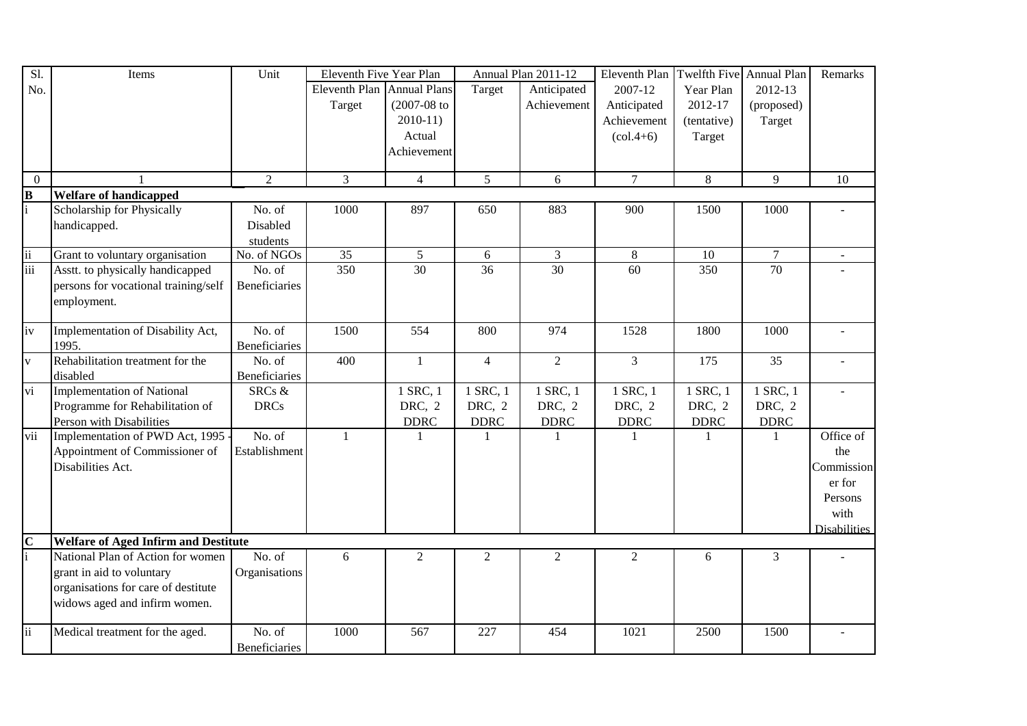| Sl.                     | Items                                       | Unit                 | Eleventh Five Year Plan    |                  |                 | Annual Plan 2011-12 | Eleventh Plan                   | Twelfth Five Annual Plan |             | Remarks             |
|-------------------------|---------------------------------------------|----------------------|----------------------------|------------------|-----------------|---------------------|---------------------------------|--------------------------|-------------|---------------------|
| No.                     |                                             |                      | Eleventh Plan Annual Plans |                  | Target          | Anticipated         | 2007-12                         | Year Plan                | 2012-13     |                     |
|                         |                                             |                      | Target                     | $(2007 - 08)$ to |                 | Achievement         | Anticipated                     | 2012-17                  | (proposed)  |                     |
|                         |                                             |                      |                            | $2010-11$        |                 |                     | Achievement                     | (tentative)              | Target      |                     |
|                         |                                             |                      |                            | Actual           |                 |                     | $\left( \text{col.4+6} \right)$ | Target                   |             |                     |
|                         |                                             |                      |                            | Achievement      |                 |                     |                                 |                          |             |                     |
|                         |                                             |                      |                            |                  |                 |                     |                                 |                          |             |                     |
| $\theta$                |                                             | $\overline{2}$       | 3                          | $\overline{4}$   | 5               | 6                   | $\overline{7}$                  | $\,8\,$                  | 9           | 10                  |
| $\bf{B}$                | <b>Welfare of handicapped</b>               |                      |                            |                  |                 |                     |                                 |                          |             |                     |
| $\mathbf{i}$            | Scholarship for Physically                  | No. of               | 1000                       | 897              | 650             | 883                 | 900                             | 1500                     | 1000        |                     |
|                         | handicapped.                                | Disabled             |                            |                  |                 |                     |                                 |                          |             |                     |
|                         |                                             | students             |                            |                  |                 |                     |                                 |                          |             |                     |
| $\ddot{\rm ii}$         | Grant to voluntary organisation             | No. of NGOs          | 35                         | 5                | 6               | $\mathfrak{Z}$      | $8\,$                           | 10                       | $\tau$      |                     |
| iii                     | Asstt. to physically handicapped            | No. of               | 350                        | 30               | $\overline{36}$ | 30                  | $\overline{60}$                 | 350                      | 70          |                     |
|                         | persons for vocational training/self        | <b>Beneficiaries</b> |                            |                  |                 |                     |                                 |                          |             |                     |
|                         | employment.                                 |                      |                            |                  |                 |                     |                                 |                          |             |                     |
|                         |                                             |                      |                            |                  |                 |                     |                                 |                          |             |                     |
| $\overline{iv}$         | Implementation of Disability Act,           | No. of               | 1500                       | 554              | 800             | 974                 | 1528                            | 1800                     | 1000        |                     |
|                         | 1995.                                       | <b>Beneficiaries</b> |                            |                  |                 |                     |                                 |                          |             |                     |
| $\overline{\mathbf{v}}$ | Rehabilitation treatment for the            | No. of               | 400                        | $\mathbf{1}$     | $\overline{4}$  | $\overline{2}$      | $\overline{3}$                  | 175                      | 35          |                     |
|                         | disabled                                    | Beneficiaries        |                            |                  |                 |                     |                                 |                          |             |                     |
| vi                      | <b>Implementation of National</b>           | SRCs &               |                            | 1 SRC, 1         | 1 SRC, 1        | 1 SRC, 1            | 1 SRC, 1                        | 1 SRC, 1                 | 1 SRC, 1    |                     |
|                         | Programme for Rehabilitation of             | <b>DRCs</b>          |                            | DRC, 2           | DRC, 2          | DRC, 2              | DRC, 2                          | DRC, 2                   | DRC, 2      |                     |
|                         | Person with Disabilities                    |                      |                            | <b>DDRC</b>      | <b>DDRC</b>     | <b>DDRC</b>         | <b>DDRC</b>                     | <b>DDRC</b>              | <b>DDRC</b> |                     |
| vii                     | Implementation of PWD Act, 1995 -           | No. of               | $\mathbf{1}$               |                  |                 |                     |                                 |                          | -1          | Office of           |
|                         | Appointment of Commissioner of              | Establishment        |                            |                  |                 |                     |                                 |                          |             | the                 |
|                         | Disabilities Act.                           |                      |                            |                  |                 |                     |                                 |                          |             | Commission          |
|                         |                                             |                      |                            |                  |                 |                     |                                 |                          |             | er for              |
|                         |                                             |                      |                            |                  |                 |                     |                                 |                          |             | Persons             |
|                         |                                             |                      |                            |                  |                 |                     |                                 |                          |             | with                |
|                         |                                             |                      |                            |                  |                 |                     |                                 |                          |             | <b>Disabilities</b> |
| $\mathbf C$             | <b>Welfare of Aged Infirm and Destitute</b> |                      |                            |                  |                 |                     |                                 |                          |             |                     |
| $\mathbf{i}$            | National Plan of Action for women           | No. of               | 6                          | $\overline{2}$   | $\overline{2}$  | $\overline{2}$      | 2                               | 6                        | 3           |                     |
|                         | grant in aid to voluntary                   | Organisations        |                            |                  |                 |                     |                                 |                          |             |                     |
|                         | organisations for care of destitute         |                      |                            |                  |                 |                     |                                 |                          |             |                     |
|                         | widows aged and infirm women.               |                      |                            |                  |                 |                     |                                 |                          |             |                     |
|                         |                                             |                      |                            |                  |                 |                     |                                 |                          |             |                     |
| $\overline{ii}$         | Medical treatment for the aged.             | No. of               | 1000                       | 567              | 227             | 454                 | 1021                            | 2500                     | 1500        |                     |
|                         |                                             | Beneficiaries        |                            |                  |                 |                     |                                 |                          |             |                     |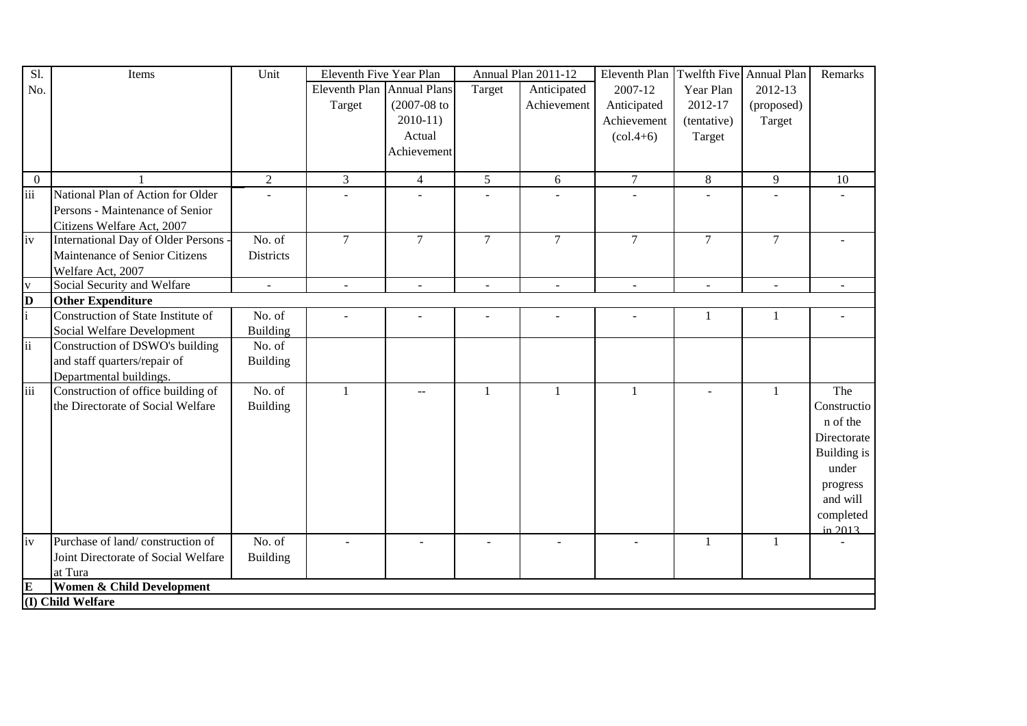| S1.            | Items                                     | Unit             | Eleventh Five Year Plan    |                  |                | Annual Plan 2011-12 | <b>Eleventh Plan</b>            | Twelfth Five Annual Plan |                | Remarks            |
|----------------|-------------------------------------------|------------------|----------------------------|------------------|----------------|---------------------|---------------------------------|--------------------------|----------------|--------------------|
| No.            |                                           |                  | Eleventh Plan Annual Plans |                  | Target         | Anticipated         | 2007-12                         | Year Plan                | 2012-13        |                    |
|                |                                           |                  | Target                     | $(2007 - 08)$ to |                | Achievement         | Anticipated                     | 2012-17                  | (proposed)     |                    |
|                |                                           |                  |                            | $2010-11$        |                |                     | Achievement                     | (tentative)              | Target         |                    |
|                |                                           |                  |                            | Actual           |                |                     | $\left( \text{col.4+6} \right)$ | Target                   |                |                    |
|                |                                           |                  |                            | Achievement      |                |                     |                                 |                          |                |                    |
|                |                                           |                  |                            |                  |                |                     |                                 |                          |                |                    |
| $\overline{0}$ |                                           | $\overline{2}$   | 3                          | $\overline{4}$   | 5              | 6                   | $\tau$                          | 8                        | 9              | 10                 |
| iii            | National Plan of Action for Older         |                  |                            |                  |                |                     |                                 |                          |                |                    |
|                | Persons - Maintenance of Senior           |                  |                            |                  |                |                     |                                 |                          |                |                    |
|                | Citizens Welfare Act, 2007                |                  |                            |                  |                |                     |                                 |                          |                |                    |
| iv             | <b>International Day of Older Persons</b> | No. of           | $\overline{7}$             | $\overline{7}$   | $\overline{7}$ | $\overline{7}$      | $\overline{7}$                  | $\overline{7}$           | $\overline{7}$ |                    |
|                | Maintenance of Senior Citizens            | <b>Districts</b> |                            |                  |                |                     |                                 |                          |                |                    |
|                | Welfare Act, 2007                         |                  |                            |                  |                |                     |                                 |                          |                |                    |
| $\mathbf{V}$   | Social Security and Welfare               | $\sim$           | $\sim$                     |                  |                |                     |                                 | $\sim$                   | $\sim$         |                    |
| $\bf{D}$       | <b>Other Expenditure</b>                  |                  |                            |                  |                |                     |                                 |                          |                |                    |
| $\mathbf{i}$   | Construction of State Institute of        | No. of           | $\overline{a}$             |                  |                |                     |                                 | 1                        | 1              |                    |
|                | Social Welfare Development                | <b>Building</b>  |                            |                  |                |                     |                                 |                          |                |                    |
| ii             | Construction of DSWO's building           | No. of           |                            |                  |                |                     |                                 |                          |                |                    |
|                | and staff quarters/repair of              | <b>Building</b>  |                            |                  |                |                     |                                 |                          |                |                    |
|                | Departmental buildings.                   |                  |                            |                  |                |                     |                                 |                          |                |                    |
| iii            | Construction of office building of        | No. of           | $\mathbf{1}$               | $-$              | 1              | 1                   | $\overline{1}$                  | $\sim$                   | $\mathbf{1}$   | The                |
|                | the Directorate of Social Welfare         | <b>Building</b>  |                            |                  |                |                     |                                 |                          |                | Constructio        |
|                |                                           |                  |                            |                  |                |                     |                                 |                          |                | n of the           |
|                |                                           |                  |                            |                  |                |                     |                                 |                          |                | Directorate        |
|                |                                           |                  |                            |                  |                |                     |                                 |                          |                | <b>Building</b> is |
|                |                                           |                  |                            |                  |                |                     |                                 |                          |                | under              |
|                |                                           |                  |                            |                  |                |                     |                                 |                          |                | progress           |
|                |                                           |                  |                            |                  |                |                     |                                 |                          |                | and will           |
|                |                                           |                  |                            |                  |                |                     |                                 |                          |                | completed          |
|                |                                           |                  |                            |                  |                |                     |                                 |                          |                | $\frac{1}{2013}$   |
| iv             | Purchase of land/construction of          | No. of           |                            |                  |                |                     |                                 | $\mathbf{1}$             | 1              |                    |
|                | Joint Directorate of Social Welfare       | <b>Building</b>  |                            |                  |                |                     |                                 |                          |                |                    |
|                | at Tura                                   |                  |                            |                  |                |                     |                                 |                          |                |                    |
| E              | Women & Child Development                 |                  |                            |                  |                |                     |                                 |                          |                |                    |
|                | (I) Child Welfare                         |                  |                            |                  |                |                     |                                 |                          |                |                    |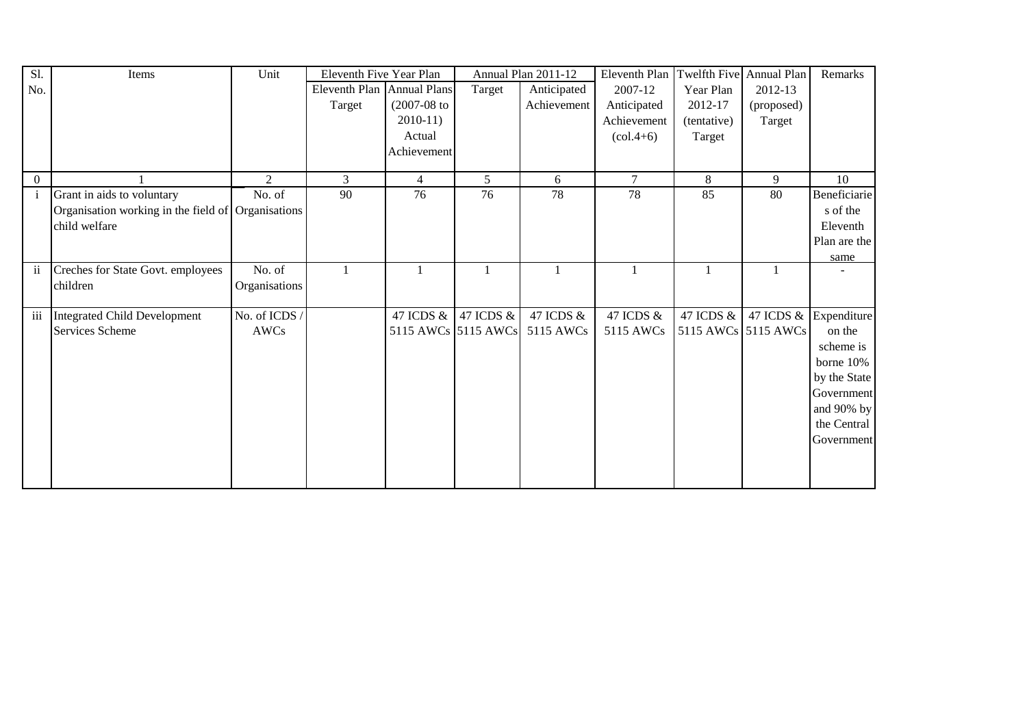| Sl.                     | Items                                              | Unit           | Eleventh Five Year Plan    |                |                     | Annual Plan 2011-12 | Eleventh Plan                 |             | Twelfth Five Annual Plan | Remarks                  |
|-------------------------|----------------------------------------------------|----------------|----------------------------|----------------|---------------------|---------------------|-------------------------------|-------------|--------------------------|--------------------------|
| No.                     |                                                    |                | Eleventh Plan Annual Plans |                | Target              | Anticipated         | 2007-12                       | Year Plan   | 2012-13                  |                          |
|                         |                                                    |                | Target                     | $(2007-08$ to  |                     | Achievement         | Anticipated                   | 2012-17     | (proposed)               |                          |
|                         |                                                    |                |                            | $2010-11$      |                     |                     | Achievement                   | (tentative) | Target                   |                          |
|                         |                                                    |                |                            | Actual         |                     |                     | $\left(\text{col.4+6}\right)$ | Target      |                          |                          |
|                         |                                                    |                |                            | Achievement    |                     |                     |                               |             |                          |                          |
|                         |                                                    |                |                            |                |                     |                     |                               |             |                          |                          |
| $\overline{0}$          |                                                    | $\mathfrak{D}$ | 3                          | $\overline{4}$ | 5                   | 6                   | $\tau$                        | 8           | 9                        | 10                       |
| $\mathbf{i}$            | Grant in aids to voluntary                         | No. of         | 90                         | 76             | 76                  | 78                  | 78                            | 85          | 80                       | Beneficiarie             |
|                         | Organisation working in the field of Organisations |                |                            |                |                     |                     |                               |             |                          | s of the                 |
|                         | child welfare                                      |                |                            |                |                     |                     |                               |             |                          | Eleventh                 |
|                         |                                                    |                |                            |                |                     |                     |                               |             |                          | Plan are the             |
|                         |                                                    |                |                            |                |                     |                     |                               |             |                          | same                     |
| $\ddot{\mathbf{u}}$     | Creches for State Govt. employees                  | No. of         |                            |                |                     |                     |                               |             |                          |                          |
|                         | children                                           | Organisations  |                            |                |                     |                     |                               |             |                          |                          |
|                         |                                                    |                |                            |                |                     |                     |                               |             |                          |                          |
| $\overline{\text{iii}}$ | Integrated Child Development                       | No. of ICDS /  |                            | 47 ICDS &      | 47 ICDS &           | 47 ICDS &           | 47 ICDS &                     | 47 ICDS &   |                          | 47 ICDS $\&$ Expenditure |
|                         | Services Scheme                                    | AWCs           |                            |                | 5115 AWCs 5115 AWCs | 5115 AWCs           | 5115 AWCs                     |             | 5115 AWCs 5115 AWCs      | on the                   |
|                         |                                                    |                |                            |                |                     |                     |                               |             |                          | scheme is                |
|                         |                                                    |                |                            |                |                     |                     |                               |             |                          | borne 10%                |
|                         |                                                    |                |                            |                |                     |                     |                               |             |                          | by the State             |
|                         |                                                    |                |                            |                |                     |                     |                               |             |                          | Government               |
|                         |                                                    |                |                            |                |                     |                     |                               |             |                          | and 90% by               |
|                         |                                                    |                |                            |                |                     |                     |                               |             |                          | the Central              |
|                         |                                                    |                |                            |                |                     |                     |                               |             |                          | Government               |
|                         |                                                    |                |                            |                |                     |                     |                               |             |                          |                          |
|                         |                                                    |                |                            |                |                     |                     |                               |             |                          |                          |
|                         |                                                    |                |                            |                |                     |                     |                               |             |                          |                          |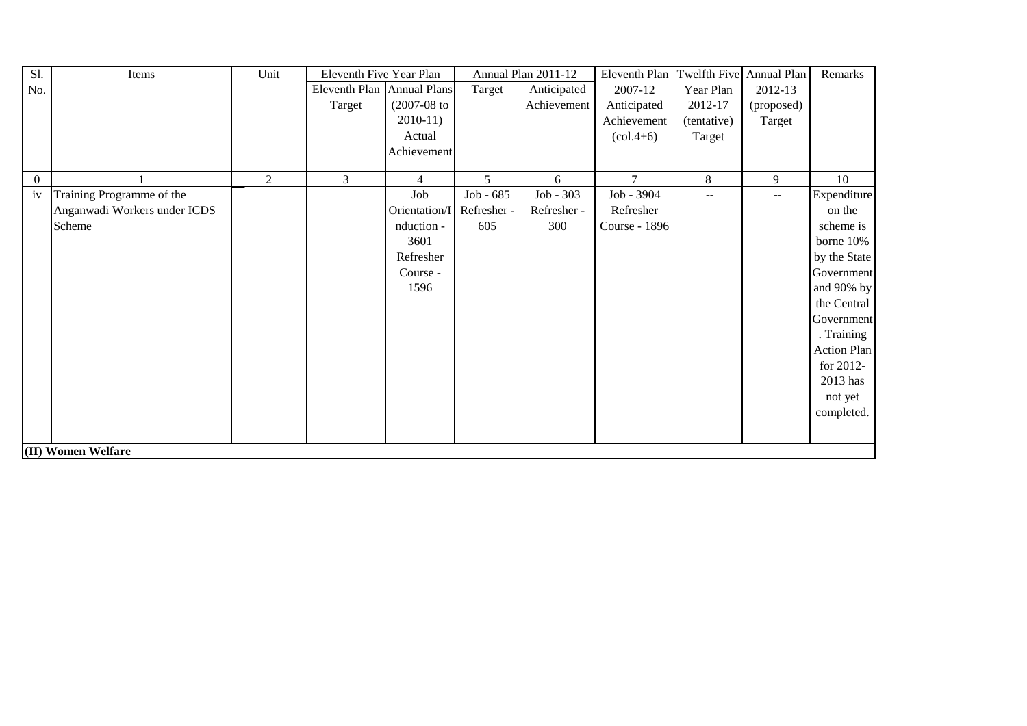| S1.            | Items                        | Unit          | Eleventh Five Year Plan    |                           |           | Annual Plan 2011-12 | Eleventh Plan Twelfth Five Annual Plan |             |            | Remarks            |
|----------------|------------------------------|---------------|----------------------------|---------------------------|-----------|---------------------|----------------------------------------|-------------|------------|--------------------|
| No.            |                              |               | Eleventh Plan Annual Plans |                           | Target    | Anticipated         | 2007-12                                | Year Plan   | 2012-13    |                    |
|                |                              |               | Target                     | $(2007-08$ to             |           | Achievement         | Anticipated                            | 2012-17     | (proposed) |                    |
|                |                              |               |                            | $2010-11$                 |           |                     | Achievement                            | (tentative) | Target     |                    |
|                |                              |               |                            | Actual                    |           |                     | $\left( \text{col.4+6} \right)$        | Target      |            |                    |
|                |                              |               |                            | Achievement               |           |                     |                                        |             |            |                    |
|                |                              |               |                            |                           |           |                     |                                        |             |            |                    |
| $\overline{0}$ |                              | $\mathcal{L}$ | 3                          | $\overline{4}$            | 5         | 6                   | $\tau$                                 | 8           | 9          | 10                 |
| iv             | Training Programme of the    |               |                            | Job                       | Job - 685 | Job - 303           | Job - 3904                             | --          | $- -$      | Expenditure        |
|                | Anganwadi Workers under ICDS |               |                            | Orientation/I Refresher - |           | Refresher -         | Refresher                              |             |            | on the             |
|                | Scheme                       |               |                            | nduction -                | 605       | 300                 | Course - 1896                          |             |            | scheme is          |
|                |                              |               |                            | 3601                      |           |                     |                                        |             |            | borne 10%          |
|                |                              |               |                            | Refresher                 |           |                     |                                        |             |            | by the State       |
|                |                              |               |                            | Course -                  |           |                     |                                        |             |            | Government         |
|                |                              |               |                            | 1596                      |           |                     |                                        |             |            | and 90% by         |
|                |                              |               |                            |                           |           |                     |                                        |             |            | the Central        |
|                |                              |               |                            |                           |           |                     |                                        |             |            | Government         |
|                |                              |               |                            |                           |           |                     |                                        |             |            | . Training         |
|                |                              |               |                            |                           |           |                     |                                        |             |            | <b>Action Plan</b> |
|                |                              |               |                            |                           |           |                     |                                        |             |            | for 2012-          |
|                |                              |               |                            |                           |           |                     |                                        |             |            | 2013 has           |
|                |                              |               |                            |                           |           |                     |                                        |             |            | not yet            |
|                |                              |               |                            |                           |           |                     |                                        |             |            | completed.         |
|                |                              |               |                            |                           |           |                     |                                        |             |            |                    |
|                | (II) Women Welfare           |               |                            |                           |           |                     |                                        |             |            |                    |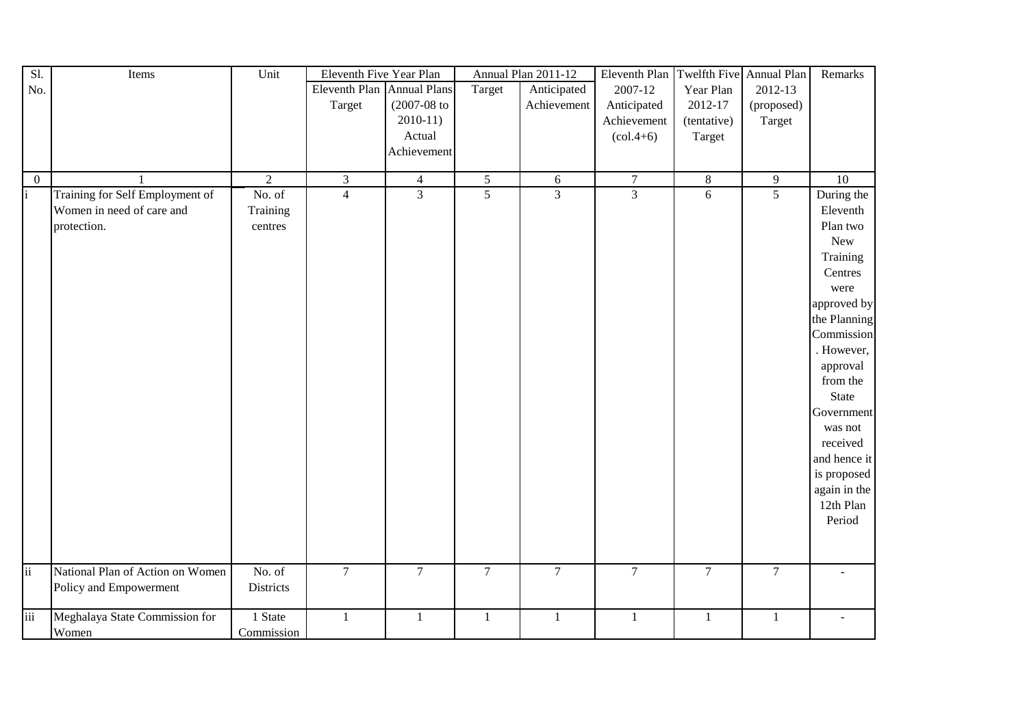| Sl.             | Items                            | Unit           | Eleventh Five Year Plan    |                |                | Annual Plan 2011-12 | Eleventh Plan                   |                | Twelfth Five Annual Plan | Remarks         |
|-----------------|----------------------------------|----------------|----------------------------|----------------|----------------|---------------------|---------------------------------|----------------|--------------------------|-----------------|
| No.             |                                  |                | Eleventh Plan Annual Plans |                | Target         | Anticipated         | 2007-12                         | Year Plan      | 2012-13                  |                 |
|                 |                                  |                | Target                     | $(2007-08$ to  |                | Achievement         | Anticipated                     | 2012-17        | (proposed)               |                 |
|                 |                                  |                |                            | $2010-11$      |                |                     | Achievement                     | (tentative)    | Target                   |                 |
|                 |                                  |                |                            | Actual         |                |                     | $\left( \text{col.4+6} \right)$ | Target         |                          |                 |
|                 |                                  |                |                            | Achievement    |                |                     |                                 |                |                          |                 |
|                 |                                  |                |                            |                |                |                     |                                 |                |                          |                 |
| $\overline{0}$  | $\overline{1}$                   | $\overline{2}$ | $\mathfrak{Z}$             | $\overline{4}$ | $\mathfrak{S}$ | 6                   | $\overline{7}$                  | $\overline{8}$ | $\overline{9}$           | $\overline{10}$ |
| i               | Training for Self Employment of  | No. of         | $\overline{4}$             | $\overline{3}$ | $\overline{5}$ | $\overline{3}$      | $\overline{3}$                  | 6              | $\overline{5}$           | During the      |
|                 | Women in need of care and        | Training       |                            |                |                |                     |                                 |                |                          | Eleventh        |
|                 | protection.                      | centres        |                            |                |                |                     |                                 |                |                          | Plan two        |
|                 |                                  |                |                            |                |                |                     |                                 |                |                          | New             |
|                 |                                  |                |                            |                |                |                     |                                 |                |                          | Training        |
|                 |                                  |                |                            |                |                |                     |                                 |                |                          | Centres         |
|                 |                                  |                |                            |                |                |                     |                                 |                |                          | were            |
|                 |                                  |                |                            |                |                |                     |                                 |                |                          | approved by     |
|                 |                                  |                |                            |                |                |                     |                                 |                |                          | the Planning    |
|                 |                                  |                |                            |                |                |                     |                                 |                |                          | Commission      |
|                 |                                  |                |                            |                |                |                     |                                 |                |                          | . However,      |
|                 |                                  |                |                            |                |                |                     |                                 |                |                          | approval        |
|                 |                                  |                |                            |                |                |                     |                                 |                |                          | from the        |
|                 |                                  |                |                            |                |                |                     |                                 |                |                          | State           |
|                 |                                  |                |                            |                |                |                     |                                 |                |                          | Government      |
|                 |                                  |                |                            |                |                |                     |                                 |                |                          | was not         |
|                 |                                  |                |                            |                |                |                     |                                 |                |                          | received        |
|                 |                                  |                |                            |                |                |                     |                                 |                |                          | and hence it    |
|                 |                                  |                |                            |                |                |                     |                                 |                |                          | is proposed     |
|                 |                                  |                |                            |                |                |                     |                                 |                |                          | again in the    |
|                 |                                  |                |                            |                |                |                     |                                 |                |                          | 12th Plan       |
|                 |                                  |                |                            |                |                |                     |                                 |                |                          | Period          |
|                 |                                  |                |                            |                |                |                     |                                 |                |                          |                 |
|                 |                                  |                |                            |                |                |                     |                                 |                |                          |                 |
|                 |                                  |                |                            |                |                |                     |                                 |                |                          |                 |
| $\ddot{\rm ii}$ | National Plan of Action on Women | No. of         | $\overline{7}$             | $\overline{7}$ | $\overline{7}$ | $\overline{7}$      | $\overline{7}$                  | $\overline{7}$ | $\overline{7}$           |                 |
|                 | Policy and Empowerment           | Districts      |                            |                |                |                     |                                 |                |                          |                 |
|                 |                                  |                |                            |                |                |                     |                                 |                |                          |                 |
| iii             | Meghalaya State Commission for   | 1 State        | $\mathbf{1}$               | 1              | $\mathbf{1}$   | $\mathbf{1}$        | $\mathbf{1}$                    | $\mathbf{1}$   | $\mathbf{1}$             |                 |
|                 | Women                            | Commission     |                            |                |                |                     |                                 |                |                          |                 |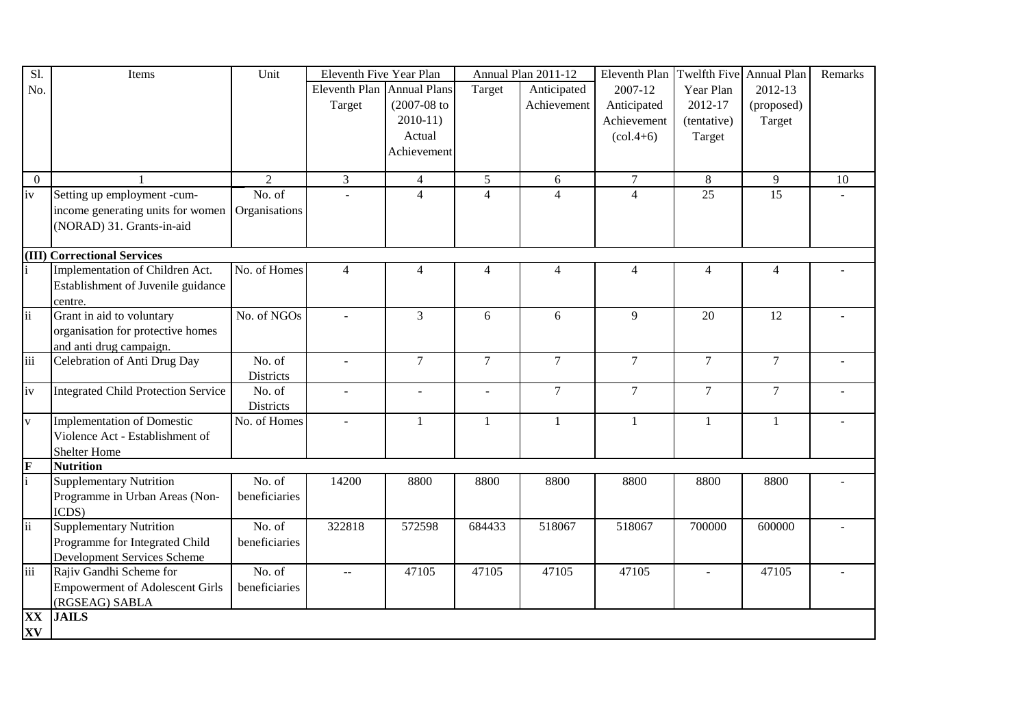| S1.             | Items                                      | Unit           | Eleventh Five Year Plan    |                          |                | Annual Plan 2011-12 | Eleventh Plan  | Twelfth Five     | Annual Plan     | Remarks |
|-----------------|--------------------------------------------|----------------|----------------------------|--------------------------|----------------|---------------------|----------------|------------------|-----------------|---------|
| No.             |                                            |                | Eleventh Plan Annual Plans |                          | Target         | Anticipated         | 2007-12        | Year Plan        | 2012-13         |         |
|                 |                                            |                | Target                     | $(2007 - 08)$ to         |                | Achievement         | Anticipated    | 2012-17          | (proposed)      |         |
|                 |                                            |                |                            | $2010-11$                |                |                     | Achievement    | (tentative)      | Target          |         |
|                 |                                            |                |                            | Actual                   |                |                     | $(col.4+6)$    | Target           |                 |         |
|                 |                                            |                |                            | Achievement              |                |                     |                |                  |                 |         |
|                 |                                            |                |                            |                          |                |                     |                |                  |                 |         |
| $\overline{0}$  |                                            | $\overline{2}$ | $\overline{3}$             | $\overline{4}$           | 5              | 6                   | $\overline{7}$ | 8                | 9               | 10      |
| iv              | Setting up employment -cum-                | No. of         |                            | $\overline{\mathcal{L}}$ | $\overline{4}$ | $\Delta$            | $\overline{4}$ | $\overline{25}$  | $\overline{15}$ |         |
|                 | income generating units for women          | Organisations  |                            |                          |                |                     |                |                  |                 |         |
|                 | (NORAD) 31. Grants-in-aid                  |                |                            |                          |                |                     |                |                  |                 |         |
|                 |                                            |                |                            |                          |                |                     |                |                  |                 |         |
|                 | (III) Correctional Services                |                |                            |                          |                |                     |                |                  |                 |         |
|                 | Implementation of Children Act.            | No. of Homes   | $\overline{4}$             | $\overline{4}$           | $\overline{4}$ | 4                   | $\overline{4}$ | $\overline{4}$   | $\overline{4}$  |         |
|                 | Establishment of Juvenile guidance         |                |                            |                          |                |                     |                |                  |                 |         |
|                 | centre.                                    |                |                            |                          |                |                     |                |                  |                 |         |
| $\overline{ii}$ | Grant in aid to voluntary                  | No. of NGOs    | $\sim$                     | 3                        | 6              | 6                   | 9              | 20               | 12              |         |
|                 | organisation for protective homes          |                |                            |                          |                |                     |                |                  |                 |         |
|                 | and anti drug campaign.                    |                |                            |                          |                |                     |                |                  |                 |         |
| iii             | Celebration of Anti Drug Day               | No. of         | $\sim$                     | $\overline{7}$           | $\tau$         | $\tau$              | $\tau$         | $\boldsymbol{7}$ | $\tau$          |         |
|                 |                                            | Districts      |                            |                          |                |                     |                |                  |                 |         |
| iv              | <b>Integrated Child Protection Service</b> | No. of         | $\overline{\phantom{a}}$   | $\overline{a}$           | $\sim$         | $\tau$              | $\tau$         | $\tau$           | $\tau$          |         |
|                 |                                            | Districts      |                            |                          |                |                     |                |                  |                 |         |
| $\mathbf{V}$    | <b>Implementation of Domestic</b>          | No. of Homes   | $\overline{\phantom{a}}$   | 1                        | 1              | 1                   | 1              | 1                | 1               |         |
|                 | Violence Act - Establishment of            |                |                            |                          |                |                     |                |                  |                 |         |
|                 | <b>Shelter Home</b>                        |                |                            |                          |                |                     |                |                  |                 |         |
| $\frac{F}{i}$   | <b>Nutrition</b>                           |                |                            |                          |                |                     |                |                  |                 |         |
|                 | <b>Supplementary Nutrition</b>             | No. of         | 14200                      | 8800                     | 8800           | 8800                | 8800           | 8800             | 8800            |         |
|                 | Programme in Urban Areas (Non-             | beneficiaries  |                            |                          |                |                     |                |                  |                 |         |
|                 | ICDS)                                      |                |                            |                          |                |                     |                |                  |                 |         |
| $\overline{ii}$ | <b>Supplementary Nutrition</b>             | No. of         | 322818                     | 572598                   | 684433         | 518067              | 518067         | 700000           | 600000          |         |
|                 | Programme for Integrated Child             | beneficiaries  |                            |                          |                |                     |                |                  |                 |         |
|                 | <b>Development Services Scheme</b>         |                |                            |                          |                |                     |                |                  |                 |         |
| iii             | Rajiv Gandhi Scheme for                    | No. of         | $\mathbf{u}$               | 47105                    | 47105          | 47105               | 47105          |                  | 47105           |         |
|                 | <b>Empowerment of Adolescent Girls</b>     | beneficiaries  |                            |                          |                |                     |                |                  |                 |         |
|                 | (RGSEAG) SABLA                             |                |                            |                          |                |                     |                |                  |                 |         |
| XX              | <b>JAILS</b>                               |                |                            |                          |                |                     |                |                  |                 |         |
| XV              |                                            |                |                            |                          |                |                     |                |                  |                 |         |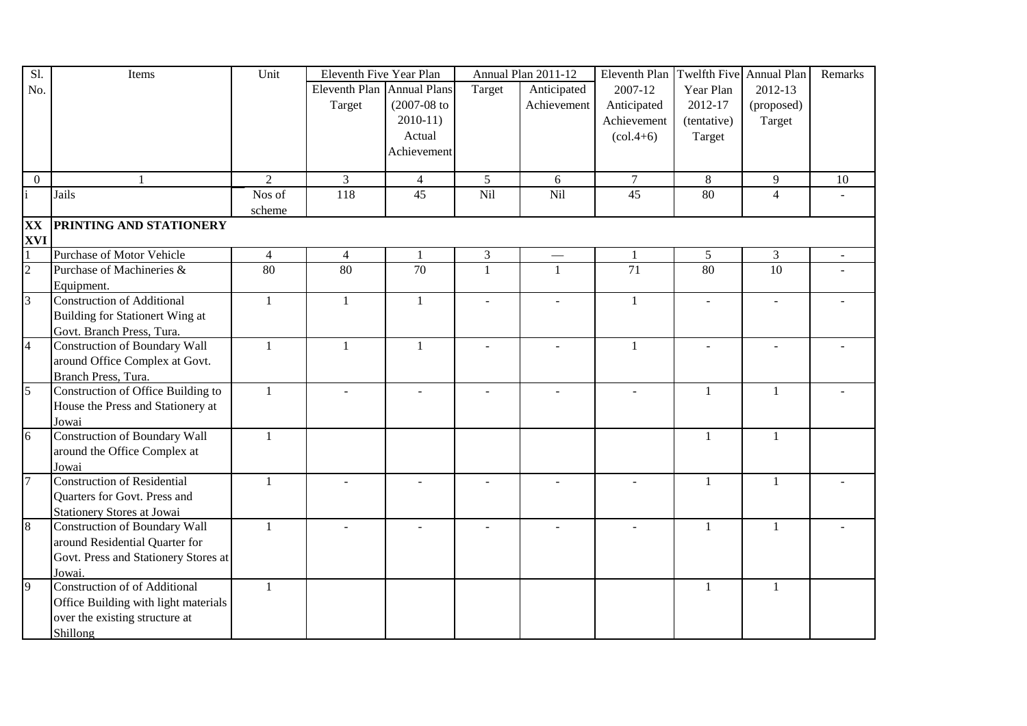| Sl.            | Items                                | Unit           | Eleventh Five Year Plan |                     |                          | Annual Plan 2011-12 | Eleventh Plan                   | <b>Twelfth Five</b> | Annual Plan    | Remarks |
|----------------|--------------------------------------|----------------|-------------------------|---------------------|--------------------------|---------------------|---------------------------------|---------------------|----------------|---------|
| No.            |                                      |                | Eleventh Plan           | <b>Annual Plans</b> | Target                   | Anticipated         | 2007-12                         | Year Plan           | 2012-13        |         |
|                |                                      |                | Target                  | $(2007 - 08)$ to    |                          | Achievement         | Anticipated                     | 2012-17             | (proposed)     |         |
|                |                                      |                |                         | $2010-11$           |                          |                     | Achievement                     | (tentative)         | Target         |         |
|                |                                      |                |                         | Actual              |                          |                     | $\left( \text{col.4+6} \right)$ | Target              |                |         |
|                |                                      |                |                         | Achievement         |                          |                     |                                 |                     |                |         |
|                |                                      |                |                         |                     |                          |                     |                                 |                     |                |         |
| $\overline{0}$ |                                      | $\overline{2}$ | $\mathfrak{Z}$          | $\overline{4}$      | $5\overline{)}$          | 6                   | $\overline{7}$                  | 8                   | 9              | 10      |
|                | Jails                                | Nos of         | 118                     | $\overline{45}$     | Nil                      | Nil                 | $\overline{45}$                 | 80                  | $\overline{4}$ |         |
|                |                                      | scheme         |                         |                     |                          |                     |                                 |                     |                |         |
| XX             | PRINTING AND STATIONERY              |                |                         |                     |                          |                     |                                 |                     |                |         |
| <b>XVI</b>     |                                      |                |                         |                     |                          |                     |                                 |                     |                |         |
|                | <b>Purchase of Motor Vehicle</b>     | $\overline{4}$ | $\overline{4}$          | $\mathbf{1}$        | $\mathfrak{Z}$           |                     | $\mathbf{1}$                    | 5 <sup>5</sup>      | $\overline{3}$ |         |
| $\overline{2}$ | Purchase of Machineries &            | 80             | 80                      | $\overline{70}$     | $\overline{1}$           |                     | $\overline{71}$                 | 80                  | 10             |         |
|                | Equipment.                           |                |                         |                     |                          |                     |                                 |                     |                |         |
| $\overline{3}$ | <b>Construction of Additional</b>    | $\mathbf{1}$   | $\mathbf{1}$            | $\mathbf{1}$        | $\sim$                   | L.                  | $\mathbf{1}$                    | $\sim$              | L.             |         |
|                | Building for Stationert Wing at      |                |                         |                     |                          |                     |                                 |                     |                |         |
|                | Govt. Branch Press, Tura.            |                |                         |                     |                          |                     |                                 |                     |                |         |
| $\overline{4}$ | <b>Construction of Boundary Wall</b> | $\mathbf{1}$   | $\mathbf{1}$            | 1                   | $\sim$                   | L,                  | $\mathbf{1}$                    | $\blacksquare$      | $\overline{a}$ |         |
|                | around Office Complex at Govt.       |                |                         |                     |                          |                     |                                 |                     |                |         |
|                | Branch Press, Tura.                  |                |                         |                     |                          |                     |                                 |                     |                |         |
| 5              | Construction of Office Building to   | $\mathbf{1}$   |                         |                     | $\overline{\phantom{a}}$ |                     | $\blacksquare$                  | $\mathbf{1}$        | $\mathbf{1}$   |         |
|                | House the Press and Stationery at    |                |                         |                     |                          |                     |                                 |                     |                |         |
|                | Jowai                                |                |                         |                     |                          |                     |                                 |                     |                |         |
| 6              | <b>Construction of Boundary Wall</b> | 1              |                         |                     |                          |                     |                                 | $\mathbf{1}$        | $\mathbf{1}$   |         |
|                | around the Office Complex at         |                |                         |                     |                          |                     |                                 |                     |                |         |
|                | Jowai                                |                |                         |                     |                          |                     |                                 |                     |                |         |
| $\overline{7}$ | <b>Construction of Residential</b>   | $\mathbf{1}$   |                         |                     |                          |                     |                                 | -1                  | $\mathbf{1}$   |         |
|                | Quarters for Govt. Press and         |                |                         |                     |                          |                     |                                 |                     |                |         |
|                | <b>Stationery Stores at Jowai</b>    |                |                         |                     |                          |                     |                                 |                     |                |         |
| 8              | <b>Construction of Boundary Wall</b> | $\mathbf{1}$   |                         |                     |                          |                     |                                 | 1                   | 1              |         |
|                | around Residential Quarter for       |                |                         |                     |                          |                     |                                 |                     |                |         |
|                | Govt. Press and Stationery Stores at |                |                         |                     |                          |                     |                                 |                     |                |         |
|                | Jowai                                |                |                         |                     |                          |                     |                                 |                     |                |         |
| 9              | <b>Construction of of Additional</b> | $\mathbf{1}$   |                         |                     |                          |                     |                                 | $\mathbf{1}$        | $\mathbf{1}$   |         |
|                | Office Building with light materials |                |                         |                     |                          |                     |                                 |                     |                |         |
|                | over the existing structure at       |                |                         |                     |                          |                     |                                 |                     |                |         |
|                | Shillong                             |                |                         |                     |                          |                     |                                 |                     |                |         |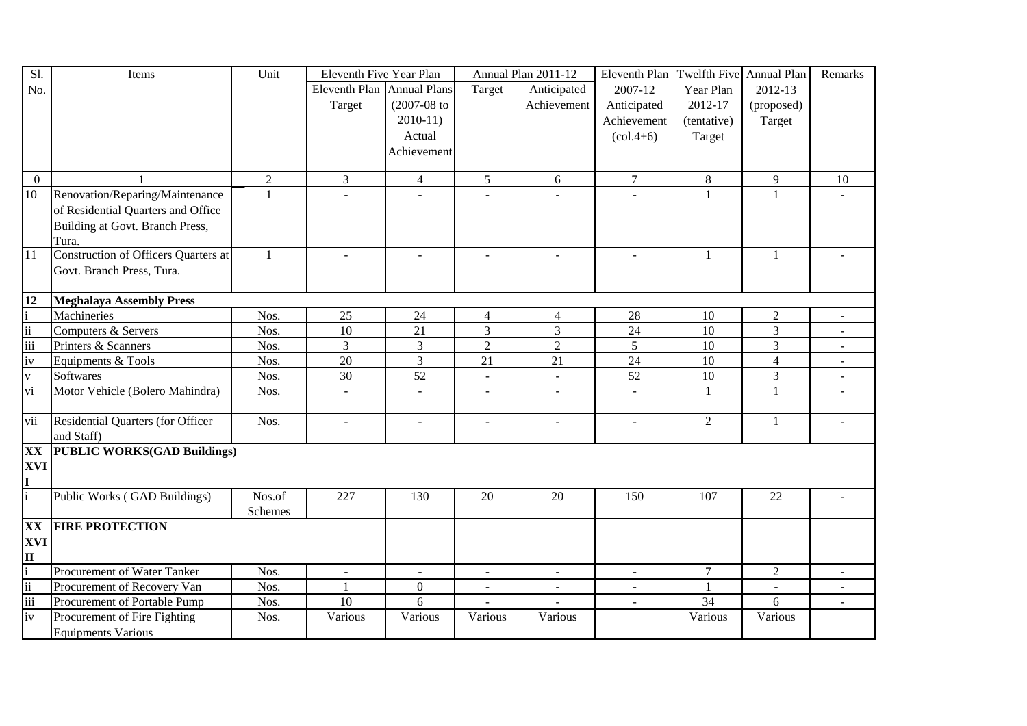| Sl.                     | Items                                | Unit           | Eleventh Five Year Plan    |                  |                | Annual Plan 2011-12 | Eleventh Plan                   | Twelfth Five Annual Plan |                          | Remarks        |
|-------------------------|--------------------------------------|----------------|----------------------------|------------------|----------------|---------------------|---------------------------------|--------------------------|--------------------------|----------------|
| No.                     |                                      |                | Eleventh Plan Annual Plans |                  | Target         | Anticipated         | 2007-12                         | Year Plan                | 2012-13                  |                |
|                         |                                      |                | Target                     | $(2007 - 08)$ to |                | Achievement         | Anticipated                     | 2012-17                  | (proposed)               |                |
|                         |                                      |                |                            | $2010-11$        |                |                     | Achievement                     | (tentative)              | Target                   |                |
|                         |                                      |                |                            | Actual           |                |                     | $\left( \text{col.4+6} \right)$ | Target                   |                          |                |
|                         |                                      |                |                            | Achievement      |                |                     |                                 |                          |                          |                |
|                         |                                      |                |                            |                  |                |                     |                                 |                          |                          |                |
| $\overline{0}$          |                                      | $\overline{2}$ | $\overline{3}$             | $\overline{4}$   | 5 <sup>5</sup> | 6                   | $\overline{7}$                  | 8                        | 9                        | 10             |
| 10                      | Renovation/Reparing/Maintenance      | $\mathbf{1}$   |                            |                  |                |                     |                                 | $\mathbf{1}$             | $\mathbf{1}$             |                |
|                         | of Residential Quarters and Office   |                |                            |                  |                |                     |                                 |                          |                          |                |
|                         | Building at Govt. Branch Press,      |                |                            |                  |                |                     |                                 |                          |                          |                |
|                         | Tura.                                |                |                            |                  |                |                     |                                 |                          |                          |                |
| $\overline{11}$         | Construction of Officers Quarters at | $\mathbf{1}$   | $\sim$                     | $\sim$           | $\sim$         | $\sim$              |                                 | 1                        | $\mathbf{1}$             |                |
|                         | Govt. Branch Press, Tura.            |                |                            |                  |                |                     |                                 |                          |                          |                |
|                         |                                      |                |                            |                  |                |                     |                                 |                          |                          |                |
| 12                      | <b>Meghalaya Assembly Press</b>      |                |                            |                  |                |                     |                                 |                          |                          |                |
|                         | Machineries                          | Nos.           | 25                         | 24               | $\overline{4}$ | $\overline{4}$      | 28                              | 10                       | $\overline{2}$           | $\sim$         |
| ii                      | Computers & Servers                  | Nos.           | $10\,$                     | 21               | 3              | 3                   | 24                              | 10                       | $\mathfrak{Z}$           | $\blacksquare$ |
| $\overline{\text{iii}}$ | Printers & Scanners                  | Nos.           | 3                          | 3                | $\overline{2}$ | $\overline{2}$      | 5                               | 10                       | 3                        | $\sim$         |
| iv                      | Equipments & Tools                   | Nos.           | 20                         | 3                | 21             | 21                  | 24                              | 10                       | $\overline{4}$           | $\blacksquare$ |
| $\mathbf{V}$            | <b>Softwares</b>                     | Nos.           | 30                         | 52               | $\blacksquare$ | $\blacksquare$      | 52                              | $10\,$                   | 3                        | $\sim$         |
| vi                      | Motor Vehicle (Bolero Mahindra)      | Nos.           | $\blacksquare$             |                  | $\blacksquare$ | ÷.                  |                                 | 1                        | $\mathbf{1}$             |                |
| $\overline{vii}$        | Residential Quarters (for Officer    | Nos.           | $\blacksquare$             | $\sim$           | $\sim$         | $\overline{a}$      | $\blacksquare$                  | $\sqrt{2}$               | $\mathbf{1}$             |                |
|                         | and Staff)                           |                |                            |                  |                |                     |                                 |                          |                          |                |
| <b>XX</b>               | <b>PUBLIC WORKS(GAD Buildings)</b>   |                |                            |                  |                |                     |                                 |                          |                          |                |
| XVI                     |                                      |                |                            |                  |                |                     |                                 |                          |                          |                |
|                         |                                      |                |                            |                  |                |                     |                                 |                          |                          |                |
|                         | Public Works (GAD Buildings)         | Nos.of         | 227                        | 130              | 20             | 20                  | 150                             | 107                      | 22                       |                |
|                         |                                      | Schemes        |                            |                  |                |                     |                                 |                          |                          |                |
| XX                      | <b>FIRE PROTECTION</b>               |                |                            |                  |                |                     |                                 |                          |                          |                |
| XVI                     |                                      |                |                            |                  |                |                     |                                 |                          |                          |                |
| $\mathbf{I}$            |                                      |                |                            |                  |                |                     |                                 |                          |                          |                |
|                         | Procurement of Water Tanker          | Nos.           | $\blacksquare$             | $\omega$         | $\sim$         | $\blacksquare$      | $\sim$                          | $\boldsymbol{7}$         | $\overline{2}$           |                |
| ii                      | Procurement of Recovery Van          | Nos.           |                            | $\mathbf{0}$     | $\blacksquare$ | ÷,                  | $\blacksquare$                  |                          | $\overline{\phantom{a}}$ |                |
| $\overline{\text{iii}}$ | Procurement of Portable Pump         | Nos.           | 10                         | 6                |                | $\overline{a}$      | $\sim$                          | $\overline{34}$          | 6                        |                |
| iv                      | Procurement of Fire Fighting         | Nos.           | Various                    | Various          | Various        | Various             |                                 | Various                  | Various                  |                |
|                         | <b>Equipments Various</b>            |                |                            |                  |                |                     |                                 |                          |                          |                |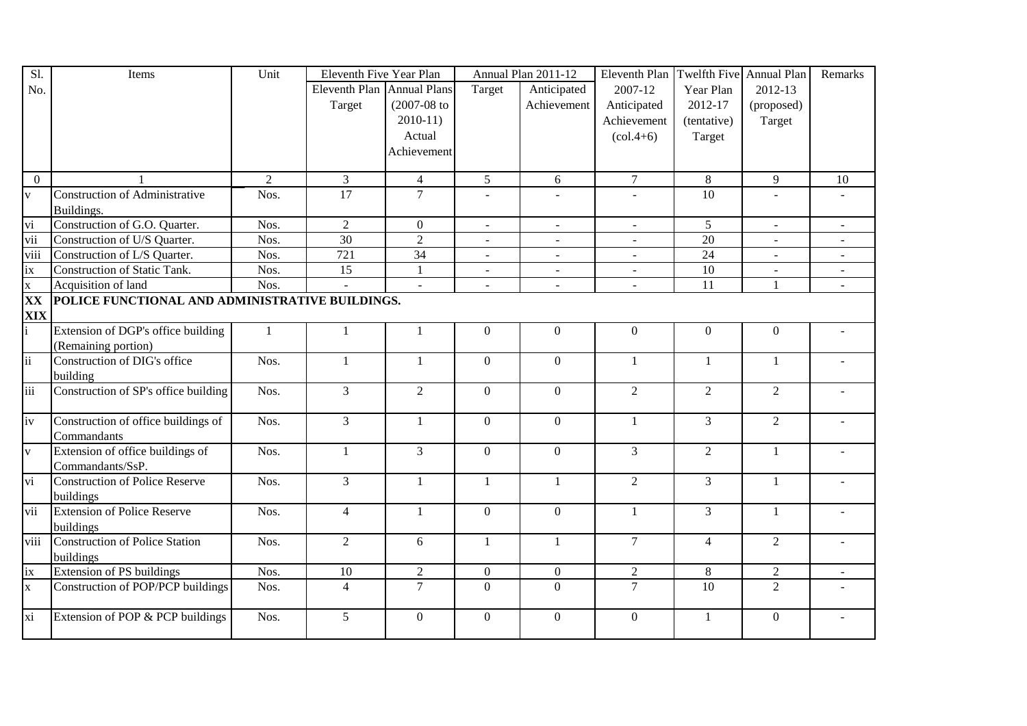| Sl.                                 | Items                                           | Unit           | Eleventh Five Year Plan    |                  | Annual Plan 2011-12 |                | Eleventh Plan  | Twelfth Five Annual Plan |                | Remarks      |
|-------------------------------------|-------------------------------------------------|----------------|----------------------------|------------------|---------------------|----------------|----------------|--------------------------|----------------|--------------|
| No.                                 |                                                 |                | Eleventh Plan Annual Plans |                  | Target              | Anticipated    | 2007-12        | Year Plan                | 2012-13        |              |
|                                     |                                                 |                | Target                     | $(2007 - 08)$ to |                     | Achievement    | Anticipated    | 2012-17                  | (proposed)     |              |
|                                     |                                                 |                |                            | $2010-11$        |                     |                | Achievement    | (tentative)              | Target         |              |
|                                     |                                                 |                |                            | Actual           |                     |                | $(col.4+6)$    | Target                   |                |              |
|                                     |                                                 |                |                            | Achievement      |                     |                |                |                          |                |              |
|                                     |                                                 |                |                            |                  |                     |                |                |                          |                |              |
| $\overline{0}$                      |                                                 | $\overline{2}$ | $\overline{3}$             | $\overline{4}$   | $\overline{5}$      | 6              | $\overline{7}$ | $\overline{8}$           | 9              | 10           |
| $\overline{\mathbf{v}}$             | <b>Construction of Administrative</b>           | Nos.           | $\overline{17}$            | $\overline{7}$   |                     |                |                | $\overline{10}$          |                |              |
|                                     | Buildings.                                      |                |                            |                  |                     |                |                |                          |                |              |
| $\frac{\overline{v}}{\overline{v}}$ | Construction of G.O. Quarter.                   | Nos.           | $\overline{2}$             | $\overline{0}$   | $\omega$            |                | $\equiv$       | $5\overline{)}$          | $\omega$       |              |
|                                     | Construction of U/S Quarter.                    | Nos.           | 30                         | $\overline{2}$   |                     |                |                | $\overline{20}$          |                |              |
| viii                                | Construction of L/S Quarter.                    | Nos.           | $\overline{721}$           | 34               | $\omega$            |                | $\blacksquare$ | $\overline{24}$          | $\equiv$       |              |
| ix                                  | Construction of Static Tank.                    | Nos.           | 15                         | $\mathbf{1}$     | $\Delta \phi$       | $\overline{a}$ | $\equiv$       | 10                       | $\mathbf{r}$   | $\mathbf{r}$ |
| $\overline{\mathbf{x}}$             | Acquisition of land                             | Nos.           | $\mathbf{r}$               | $\mathbf{r}$     |                     |                |                | 11                       | $\mathbf{1}$   |              |
| XX                                  | POLICE FUNCTIONAL AND ADMINISTRATIVE BUILDINGS. |                |                            |                  |                     |                |                |                          |                |              |
| $\frac{XIX}{i}$                     |                                                 |                |                            |                  |                     |                |                |                          |                |              |
|                                     | Extension of DGP's office building              | $\mathbf{1}$   | 1                          | 1                | $\theta$            | $\mathbf{0}$   | $\theta$       | $\overline{0}$           | $\overline{0}$ |              |
|                                     | (Remaining portion)                             |                |                            |                  |                     |                |                |                          |                |              |
| $\overline{11}$                     | Construction of DIG's office                    | Nos.           | $\mathbf{1}$               | $\mathbf{1}$     | $\overline{0}$      | $\overline{0}$ | $\overline{1}$ | $\mathbf{1}$             | $\mathbf{1}$   |              |
|                                     | building                                        |                |                            |                  |                     |                |                |                          |                |              |
| iii                                 | Construction of SP's office building            | Nos.           | 3                          | $\overline{2}$   | $\overline{0}$      | $\mathbf{0}$   | $\overline{2}$ | $\overline{2}$           | $\overline{2}$ |              |
|                                     |                                                 |                |                            |                  |                     |                |                |                          |                |              |
| iv                                  | Construction of office buildings of             | Nos.           | 3                          | $\mathbf{1}$     | $\theta$            | $\overline{0}$ | -1             | $\overline{3}$           | $\overline{2}$ |              |
|                                     | Commandants                                     |                |                            |                  |                     |                |                |                          |                |              |
| $\overline{\mathbf{v}}$             | Extension of office buildings of                | Nos.           | $\mathbf{1}$               | $\overline{3}$   | $\overline{0}$      | $\overline{0}$ | $\mathfrak{Z}$ | $\overline{2}$           | -1             |              |
|                                     | Commandants/SsP.                                |                |                            |                  |                     |                |                |                          |                |              |
| vi                                  | <b>Construction of Police Reserve</b>           | Nos.           | $\overline{3}$             | $\mathbf{1}$     | $\mathbf{1}$        | $\mathbf{1}$   | $\overline{2}$ | $\overline{3}$           | $\mathbf{1}$   |              |
|                                     | buildings                                       |                |                            |                  |                     |                |                |                          |                |              |
| vii                                 | <b>Extension of Police Reserve</b>              | Nos.           | $\overline{4}$             | $\mathbf{1}$     | $\Omega$            | $\overline{0}$ | $\mathbf{1}$   | $\overline{3}$           | 1              |              |
|                                     | buildings                                       |                |                            |                  |                     |                |                |                          |                |              |
| viii                                | <b>Construction of Police Station</b>           | Nos.           | $\boldsymbol{2}$           | 6                | 1                   | 1              | $\tau$         | $\overline{4}$           | $\overline{2}$ |              |
|                                     | buildings                                       |                |                            |                  |                     |                |                |                          |                |              |
| $\frac{ix}{x}$                      | Extension of PS buildings                       | Nos.           | 10                         | $\sqrt{2}$       | $\mathbf{0}$        | $\overline{0}$ | $\overline{2}$ | $8\,$                    | $\sqrt{2}$     |              |
|                                     | Construction of POP/PCP buildings               | Nos.           | $\overline{4}$             | $\overline{7}$   | $\overline{0}$      | $\overline{0}$ | $\overline{7}$ | 10                       | $\overline{2}$ |              |
|                                     |                                                 |                |                            |                  |                     |                |                |                          |                |              |
| xi                                  | Extension of POP & PCP buildings                | Nos.           | 5                          | $\mathbf{0}$     | $\theta$            | $\Omega$       | $\overline{0}$ | 1                        | $\overline{0}$ |              |
|                                     |                                                 |                |                            |                  |                     |                |                |                          |                |              |